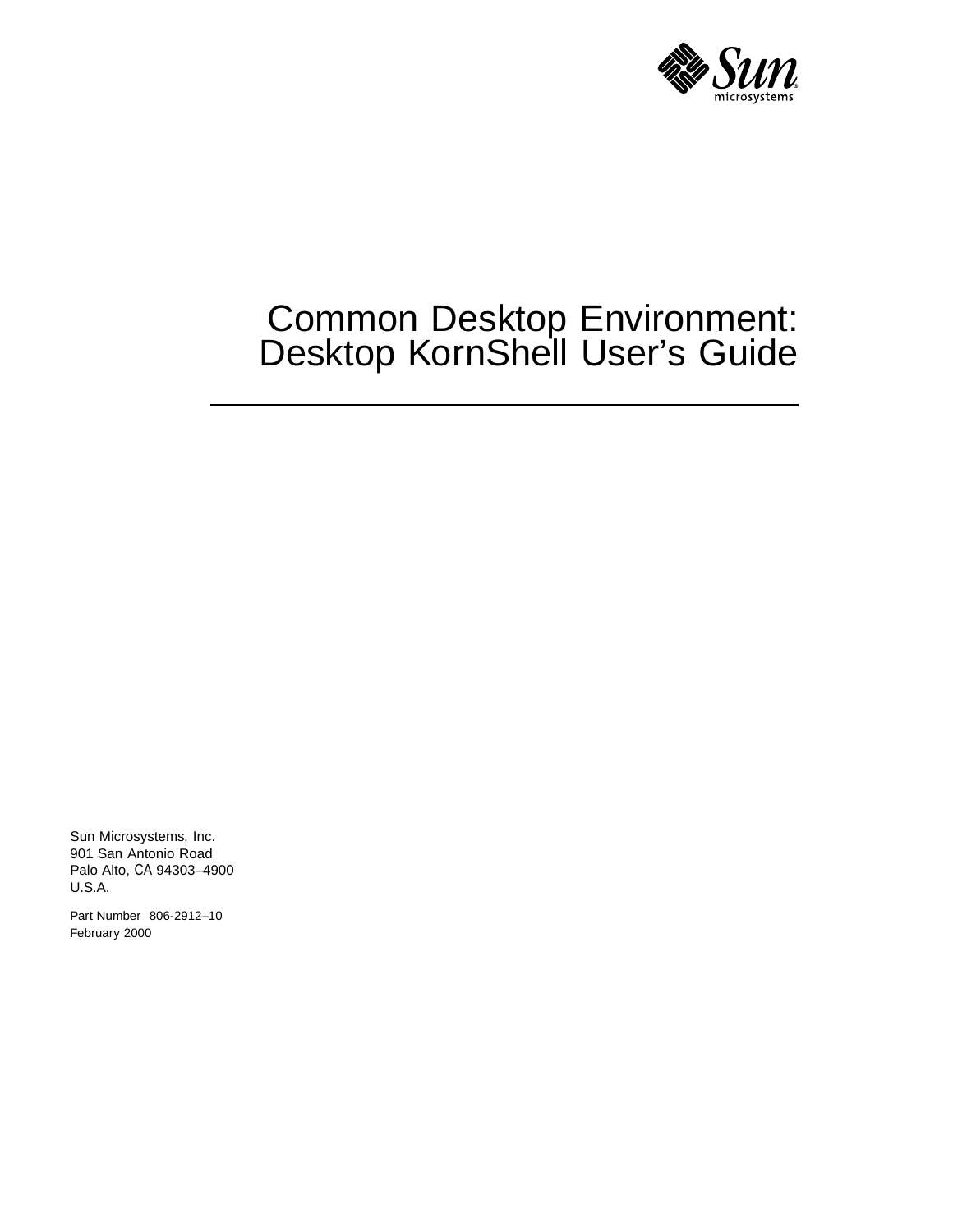

# Common Desktop Environment: Desktop KornShell User's Guide

Sun Microsystems, Inc. 901 San Antonio Road Palo Alto, CA 94303–4900 U.S.A.

Part Number 806-2912–10 February 2000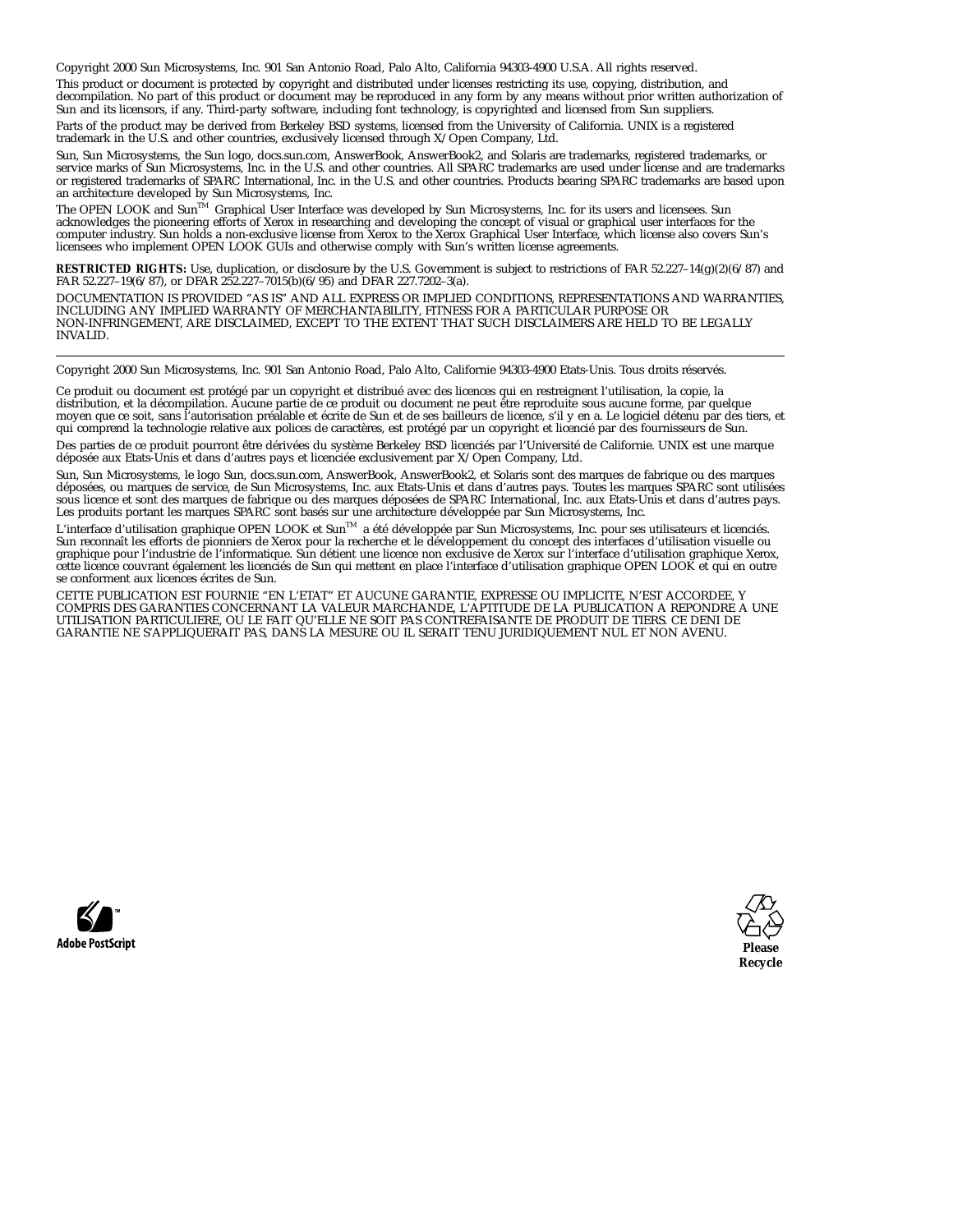Copyright 2000 Sun Microsystems, Inc. 901 San Antonio Road, Palo Alto, California 94303-4900 U.S.A. All rights reserved.

This product or document is protected by copyright and distributed under licenses restricting its use, copying, distribution, and decompilation. No part of this product or document may be reproduced in any form by any means without prior written authorization of Sun and its licensors, if any. Third-party software, including font technology, is copyrighted and licensed from Sun suppliers.

Parts of the product may be derived from Berkeley BSD systems, licensed from the University of California. UNIX is a registered trademark in the U.S. and other countries, exclusively licensed through X/Open Company, Ltd.

Sun, Sun Microsystems, the Sun logo, docs.sun.com, AnswerBook, AnswerBook2, and Solaris are trademarks, registered trademarks, or service marks of Sun Microsystems, Inc. in the U.S. and other countries. All SPARC trademarks are used under license and are trademarks or registered trademarks of SPARC International, Inc. in the U.S. and other countries. Products bearing SPARC trademarks are based upon an architecture developed by Sun Microsystems, Inc.

The OPEN LOOK and Sun™ Graphical User Interface was developed by Sun Microsystems, Inc. for its users and licensees. Sun acknowledges the pioneering efforts of Xerox in researching and developing the concept of visual or graphical user interfaces for the<br>computer industry. Sun holds a non-exclusive license from Xerox to the Xerox Graphical U licensees who implement OPEN LOOK GUIs and otherwise comply with Sun's written license agreements.

**RESTRICTED RIGHTS:** Use, duplication, or disclosure by the U.S. Government is subject to restrictions of FAR 52.227–14(g)(2)(6/87) and<br>FAR 52.227–19(6/87), or DFAR 252.227–7015(b)(6/95) and DFAR 227.7202–3(a).

DOCUMENTATION IS PROVIDED "AS IS" AND ALL EXPRESS OR IMPLIED CONDITIONS, REPRESENTATIONS AND WARRANTIES, INCLUDING ANY IMPLIED WARRANTY OF MERCHANTABILITY, FITNESS FOR A PARTICULAR PURPOSE OR NON-INFRINGEMENT, ARE DISCLAIMED, EXCEPT TO THE EXTENT THAT SUCH DISCLAIMERS ARE HELD TO BE LEGALLY INVALID.

Copyright 2000 Sun Microsystems, Inc. 901 San Antonio Road, Palo Alto, Californie 94303-4900 Etats-Unis. Tous droits réservés.

Ce produit ou document est protégé par un copyright et distribué avec des licences qui en restreignent l'utilisation, la copie, la<br>distribution, et la décompilation. Aucune partie de ce produit ou document ne peut être rep moyen que ce soit, sans l'autorisation préalable et écrite de Sun et de ses bailleurs de licence, s'il y en a. Le logiciel détenu par des tiers, et qui comprend la technologie relative aux polices de caractères, est protégé par un copyright et licencié par des fournisseurs de Sun.

Des parties de ce produit pourront être dérivées du système Berkeley BSD licenciés par l'Université de Californie. UNIX est une marque déposée aux Etats-Unis et dans d'autres pays et licenciée exclusivement par X/Open Company, Ltd.

Sun, Sun Microsystems, le logo Sun, docs.sun.com, AnswerBook, AnswerBook2, et Solaris sont des marques de fabrique ou des marques déposées, ou marques de service, de Sun Microsystems, Inc. aux Etats-Unis et dans d'autres pays. Toutes les marques SPARC sont utilisées sous licence et sont des marques de fabrique ou des marques déposées de SPARC International, Inc. aux Etats-Unis et dans d'autres pays. Les produits portant les marques SPARC sont basés sur une architecture développée par Sun Microsystems, Inc.

L'interface d'utilisation graphique OPEN LOOK et Sun<sup>TM</sup> a été développée par Sun Microsystems, Inc. pour ses utilisateurs et licenciés. Sun reconnaît les efforts de pionniers de Xerox pour la recherche et le développement du concept des interfaces d'utilisation visuelle ou graphique pour l'industrie de l'informatique. Sun détient une licence non exclusive de Xerox sur l'interface d'utilisation graphique Xerox, cette licence couvrant également les licenciés de Sun qui mettent en place l'interface d'utilisation graphique OPEN LOOK et qui en outre se conforment aux licences écrites de Sun.

CETTE PUBLICATION EST FOURNIE "EN L'ETAT" ET AUCUNE GARANTIE, EXPRESSE OU IMPLICITE, N'EST ACCORDEE, Y COMPRIS DES GARANTIES CONCERNANT LA VALEUR MARCHANDE, L'APTITUDE DE LA PUBLICATION A REPONDRE A UNE UTILISATION PARTICULIERE, OU LE FAIT QU'ELLE NE SOIT PAS CONTREFAISANTE DE PRODUIT DE TIERS. CE DENI DE GARANTIE NE S'APPLIQUERAIT PAS, DANS LA MESURE OU IL SERAIT TENU JURIDIQUEMENT NUL ET NON AVENU.



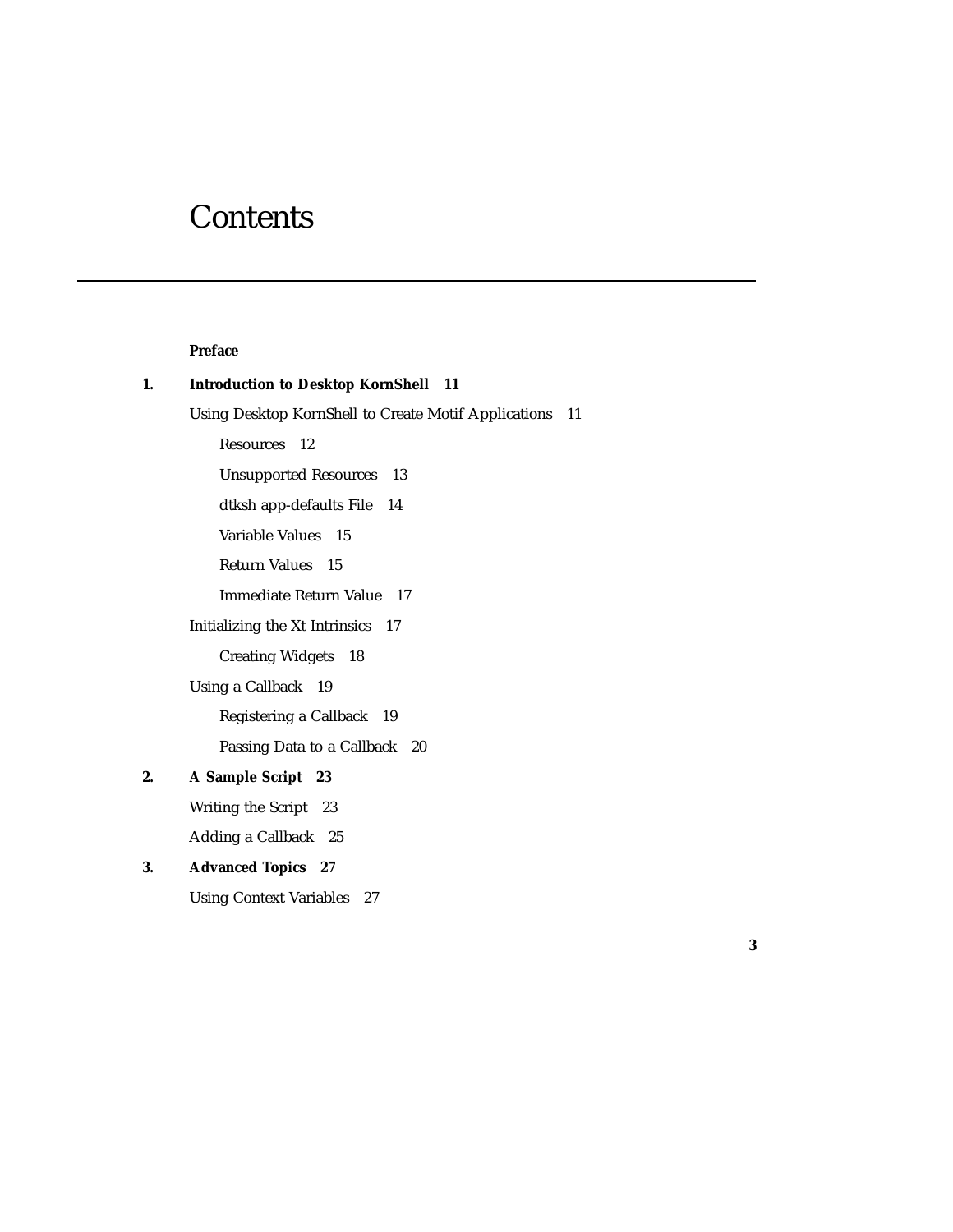# **Contents**

#### **Preface**

| 1. | <b>Introduction to Desktop KornShell 11</b>             |
|----|---------------------------------------------------------|
|    | Using Desktop KornShell to Create Motif Applications 11 |
|    | Resources 12                                            |
|    | Unsupported Resources 13                                |
|    | dtksh app-defaults File 14                              |
|    | Variable Values 15                                      |
|    | <b>Return Values</b> 15                                 |
|    | Immediate Return Value<br>- 17                          |
|    | Initializing the Xt Intrinsics 17                       |
|    | <b>Creating Widgets 18</b>                              |
|    | Using a Callback 19                                     |
|    | Registering a Callback 19                               |
|    | Passing Data to a Callback 20                           |
| 2. | A Sample Script 23                                      |
|    | Writing the Script 23                                   |
|    | Adding a Callback 25                                    |
| 3. | <b>Advanced Topics 27</b>                               |
|    | Using Context Variables 27                              |
|    |                                                         |

**3**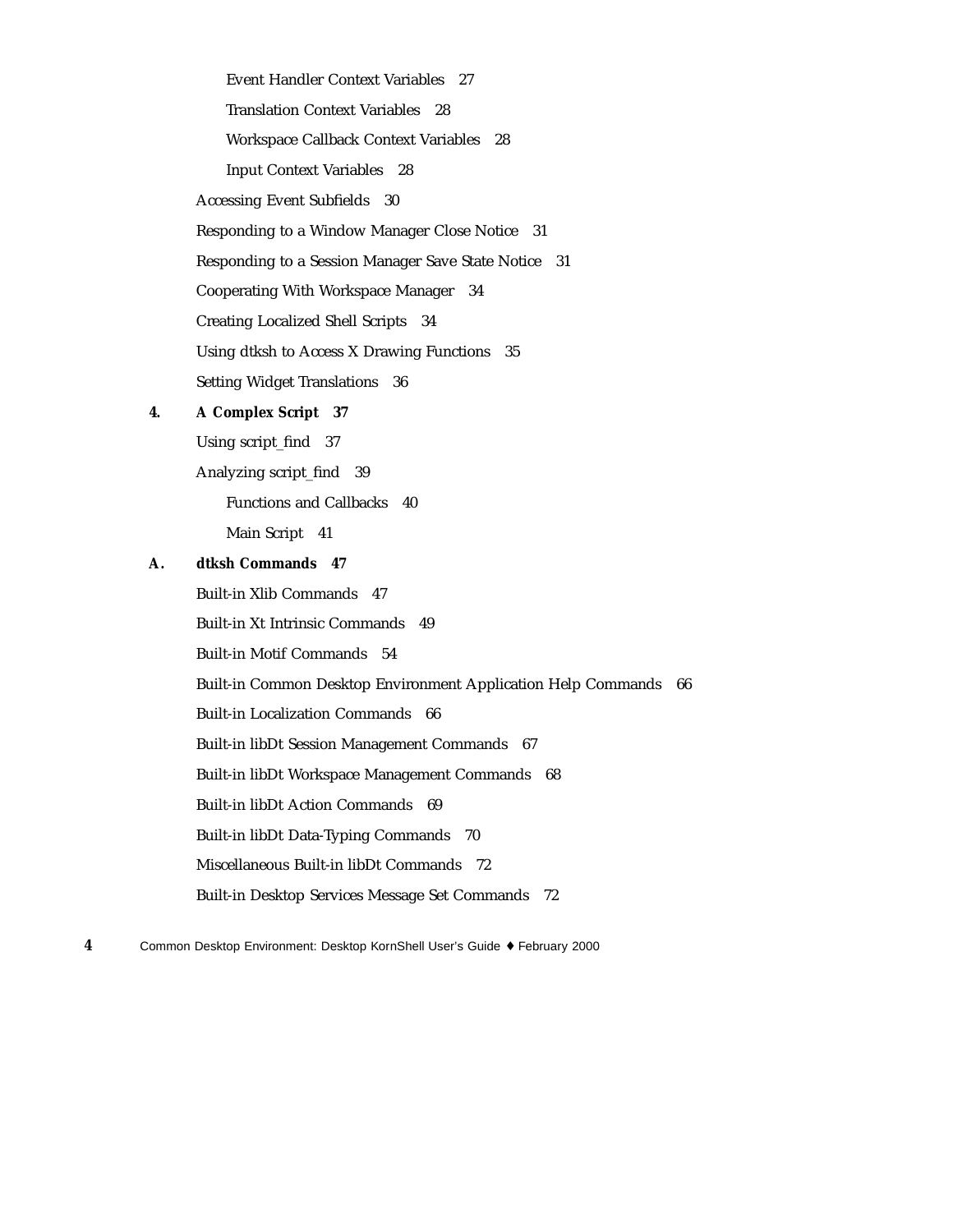Event Handler Context Variables 27 Translation Context Variables 28 Workspace Callback Context Variables 28 Input Context Variables 28 Accessing Event Subfields 30 Responding to a Window Manager Close Notice 31 Responding to a Session Manager Save State Notice 31 Cooperating With Workspace Manager 34 Creating Localized Shell Scripts 34 Using dtksh to Access X Drawing Functions 35 Setting Widget Translations 36 **4. A Complex Script 37**

Using script\_find 37

Analyzing script\_find 39

Functions and Callbacks 40

Main Script 41

#### **A. dtksh Commands 47**

Built-in Xlib Commands 47 Built-in Xt Intrinsic Commands 49 Built-in Motif Commands 54 Built-in Common Desktop Environment Application Help Commands 66 Built-in Localization Commands 66 Built-in libDt Session Management Commands 67 Built-in libDt Workspace Management Commands 68 Built-in libDt Action Commands 69 Built-in libDt Data-Typing Commands 70 Miscellaneous Built-in libDt Commands 72 Built-in Desktop Services Message Set Commands 72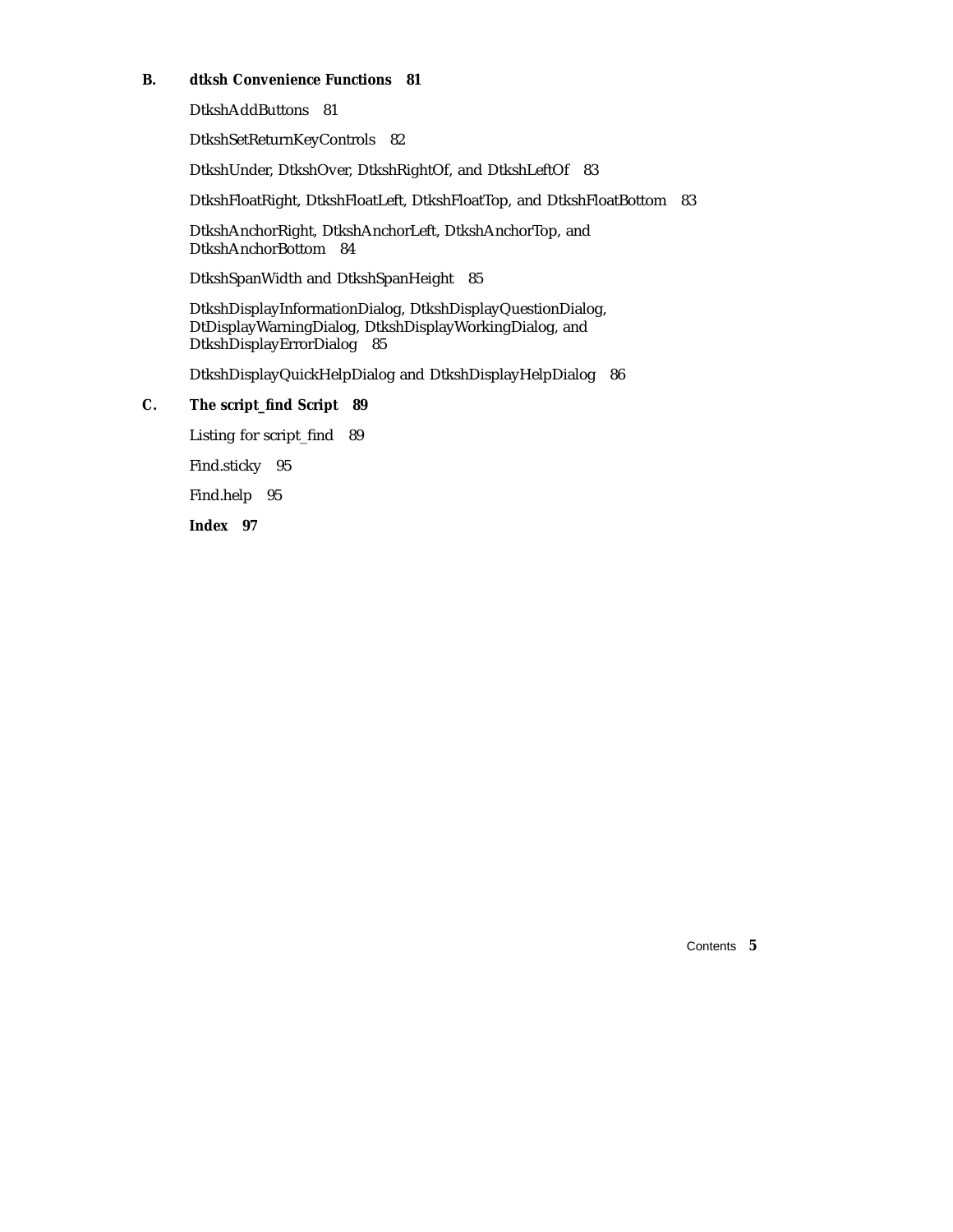#### **B. dtksh Convenience Functions 81**

DtkshAddButtons 81

DtkshSetReturnKeyControls 82

DtkshUnder, DtkshOver, DtkshRightOf, and DtkshLeftOf 83

DtkshFloatRight, DtkshFloatLeft, DtkshFloatTop, and DtkshFloatBottom 83

DtkshAnchorRight, DtkshAnchorLeft, DtkshAnchorTop, and DtkshAnchorBottom 84

DtkshSpanWidth and DtkshSpanHeight 85

DtkshDisplayInformationDialog, DtkshDisplayQuestionDialog, DtDisplayWarningDialog, DtkshDisplayWorkingDialog, and DtkshDisplayErrorDialog 85

DtkshDisplayQuickHelpDialog and DtkshDisplayHelpDialog 86

#### **C. The script\_find Script 89**

Listing for script\_find 89 Find.sticky 95 Find.help 95 **Index 97**

Contents **5**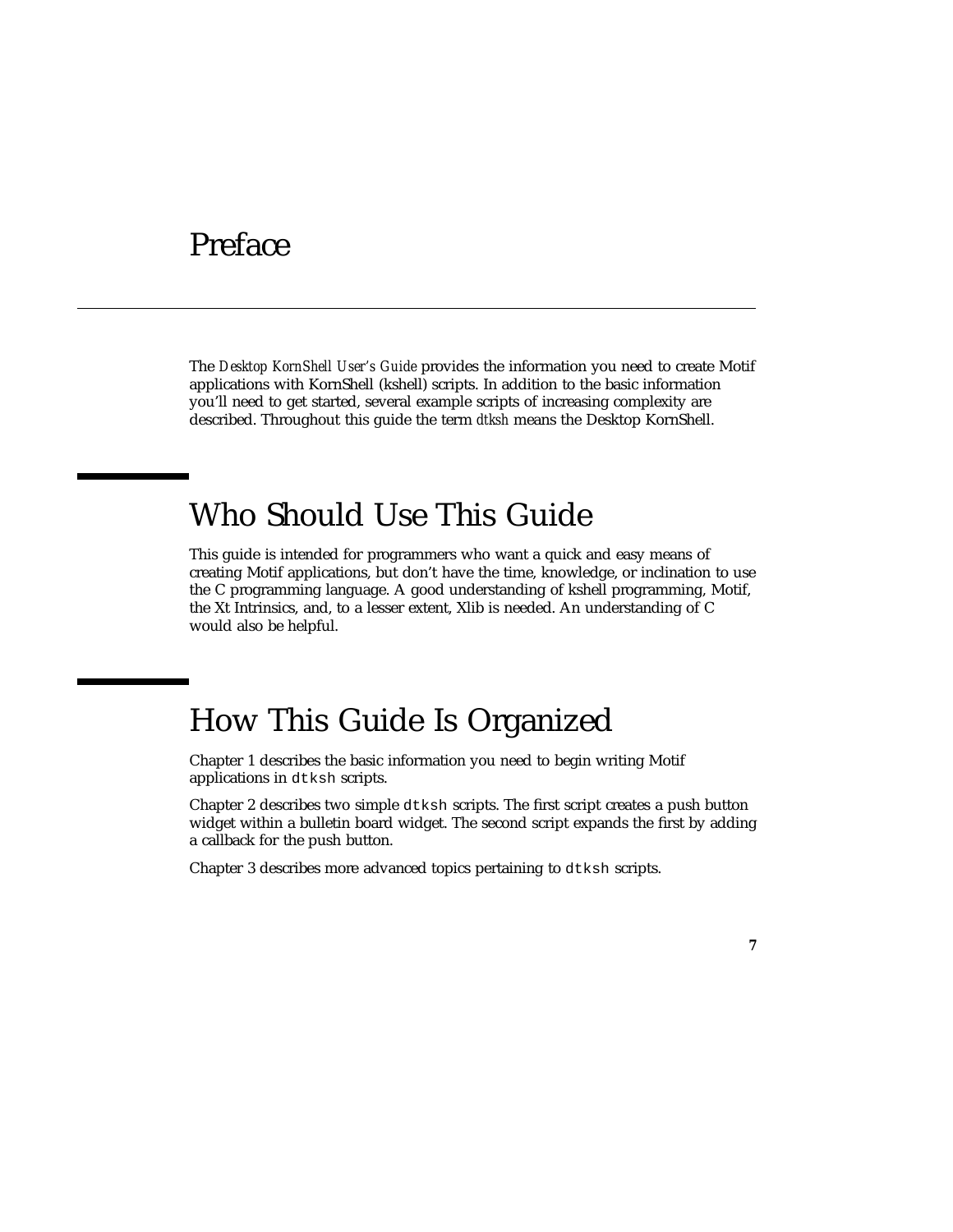### Preface

The *Desktop KornShell User's Guide* provides the information you need to create Motif applications with KornShell (kshell) scripts. In addition to the basic information you'll need to get started, several example scripts of increasing complexity are described. Throughout this guide the term *dtksh* means the Desktop KornShell.

# Who Should Use This Guide

This guide is intended for programmers who want a quick and easy means of creating Motif applications, but don't have the time, knowledge, or inclination to use the C programming language. A good understanding of kshell programming, Motif, the Xt Intrinsics, and, to a lesser extent, Xlib is needed. An understanding of C would also be helpful.

### How This Guide Is Organized

Chapter 1 describes the basic information you need to begin writing Motif applications in dtksh scripts.

Chapter 2 describes two simple dtksh scripts. The first script creates a push button widget within a bulletin board widget. The second script expands the first by adding a callback for the push button.

Chapter 3 describes more advanced topics pertaining to dtksh scripts.

**7**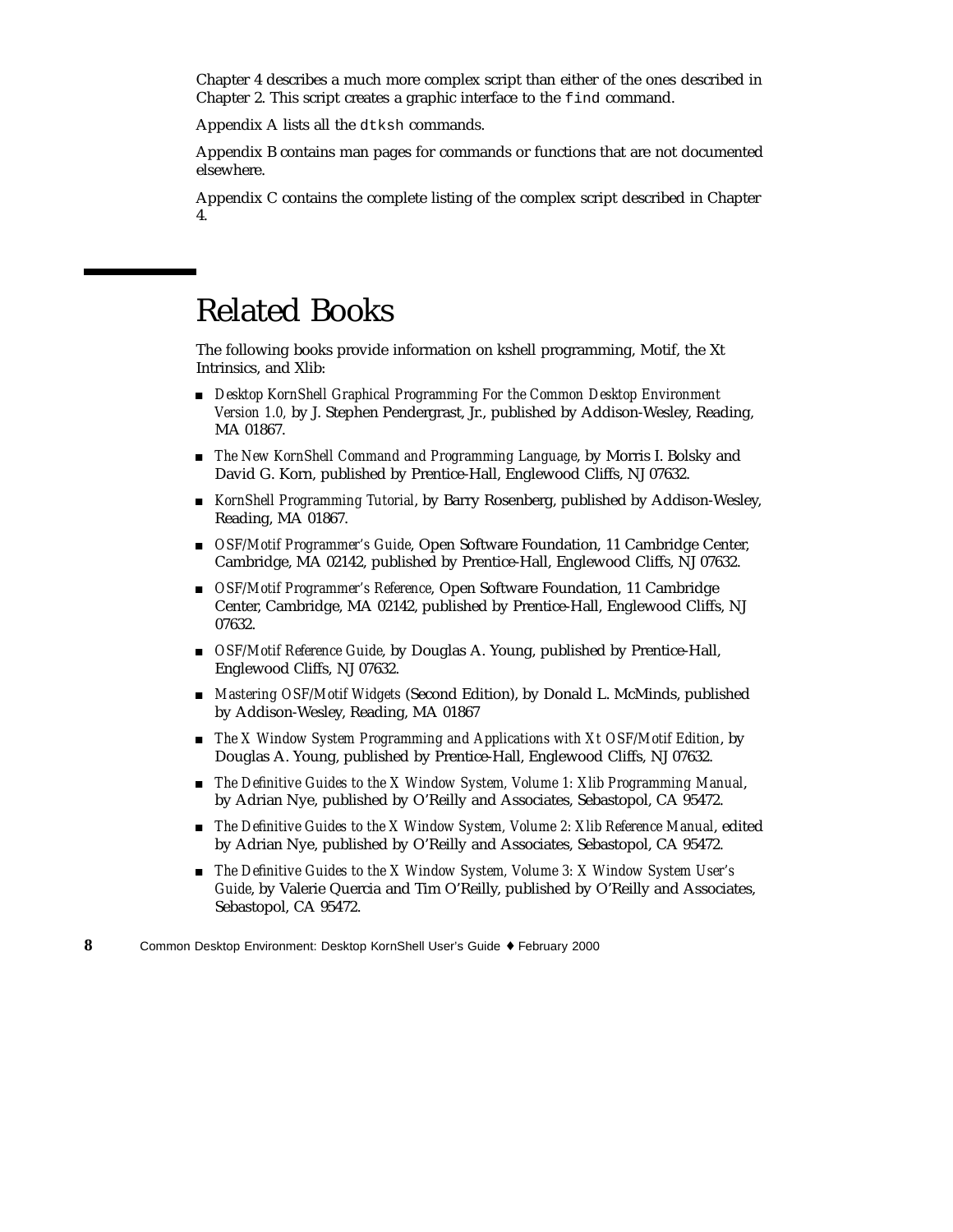Chapter 4 describes a much more complex script than either of the ones described in Chapter 2. This script creates a graphic interface to the find command.

Appendix A lists all the dtksh commands.

Appendix B contains man pages for commands or functions that are not documented elsewhere.

Appendix C contains the complete listing of the complex script described in Chapter 4.

### Related Books

The following books provide information on kshell programming, Motif, the Xt Intrinsics, and Xlib:

- *Desktop KornShell Graphical Programming For the Common Desktop Environment Version 1.0,* by J. Stephen Pendergrast, Jr., published by Addison-Wesley, Reading, MA 01867.
- *The New KornShell Command and Programming Language*, by Morris I. Bolsky and David G. Korn, published by Prentice-Hall, Englewood Cliffs, NJ 07632.
- *KornShell Programming Tutorial*, by Barry Rosenberg, published by Addison-Wesley, Reading, MA 01867.
- *OSF/Motif Programmer's Guide*, Open Software Foundation, 11 Cambridge Center, Cambridge, MA 02142, published by Prentice-Hall, Englewood Cliffs, NJ 07632.
- *OSF/Motif Programmer's Reference*, Open Software Foundation, 11 Cambridge Center, Cambridge, MA 02142, published by Prentice-Hall, Englewood Cliffs, NJ 07632.
- *OSF/Motif Reference Guide*, by Douglas A. Young, published by Prentice-Hall, Englewood Cliffs, NJ 07632.
- *Mastering OSF/Motif Widgets* (Second Edition), by Donald L. McMinds, published by Addison-Wesley, Reading, MA 01867
- *The X Window System Programming and Applications with Xt OSF/Motif Edition*, by Douglas A. Young, published by Prentice-Hall, Englewood Cliffs, NJ 07632.
- *The Definitive Guides to the X Window System, Volume 1: Xlib Programming Manual*, by Adrian Nye, published by O'Reilly and Associates, Sebastopol, CA 95472.
- *The Definitive Guides to the X Window System, Volume 2: Xlib Reference Manual*, edited by Adrian Nye, published by O'Reilly and Associates, Sebastopol, CA 95472.
- *The Definitive Guides to the X Window System, Volume 3: X Window System User's Guide*, by Valerie Quercia and Tim O'Reilly, published by O'Reilly and Associates, Sebastopol, CA 95472.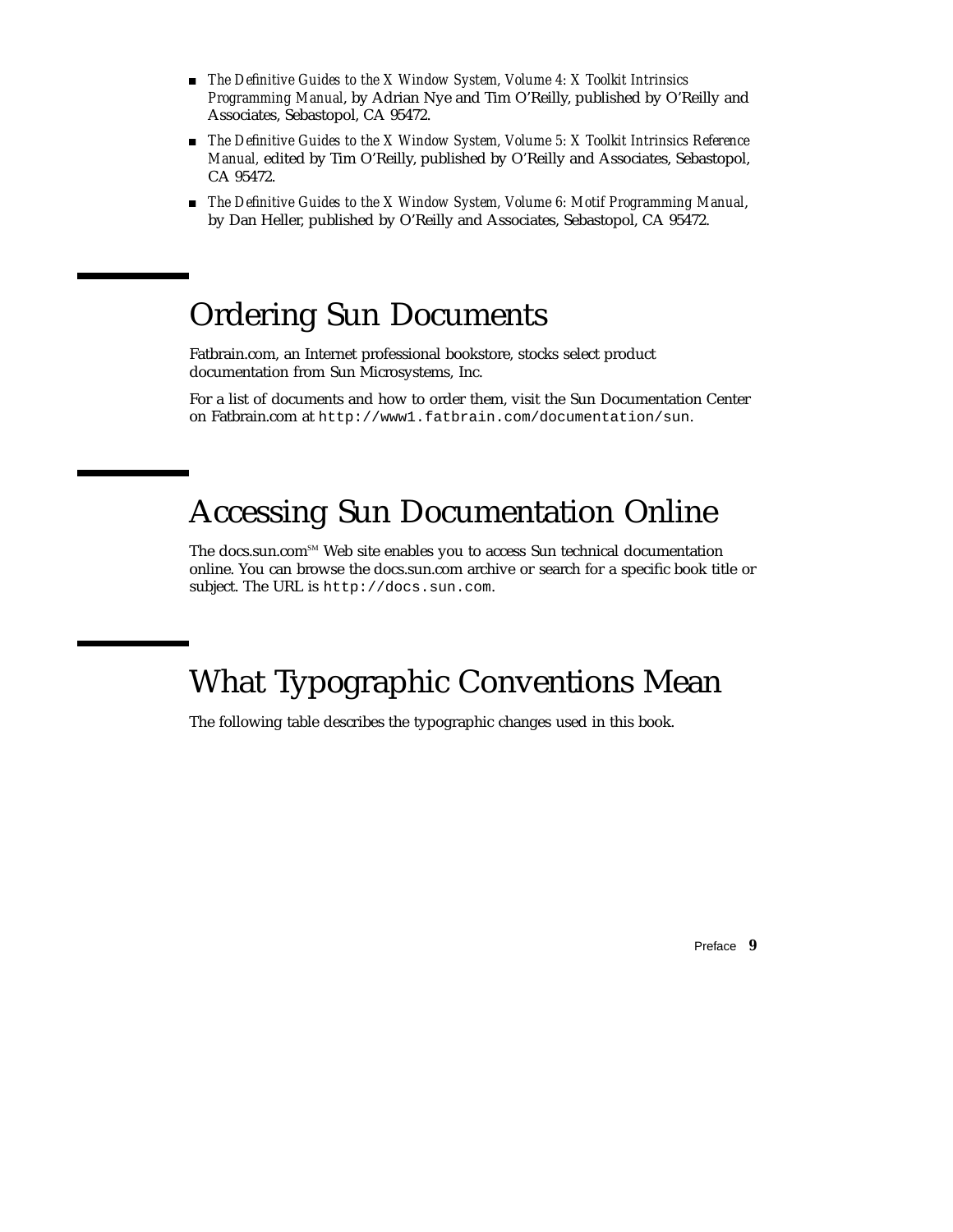- *The Definitive Guides to the X Window System, Volume 4: X Toolkit Intrinsics Programming Manual*, by Adrian Nye and Tim O'Reilly, published by O'Reilly and Associates, Sebastopol, CA 95472.
- *The Definitive Guides to the X Window System, Volume 5: X Toolkit Intrinsics Reference Manual,* edited by Tim O'Reilly, published by O'Reilly and Associates, Sebastopol, CA 95472.
- *The Definitive Guides to the X Window System, Volume 6: Motif Programming Manual*, by Dan Heller, published by O'Reilly and Associates, Sebastopol, CA 95472.

### Ordering Sun Documents

Fatbrain.com, an Internet professional bookstore, stocks select product documentation from Sun Microsystems, Inc.

For a list of documents and how to order them, visit the Sun Documentation Center on Fatbrain.com at http://www1.fatbrain.com/documentation/sun.

# Accessing Sun Documentation Online

The docs.sun.com<sup>SM</sup> Web site enables you to access Sun technical documentation online. You can browse the docs.sun.com archive or search for a specific book title or subject. The URL is http://docs.sun.com.

# What Typographic Conventions Mean

The following table describes the typographic changes used in this book.

Preface **9**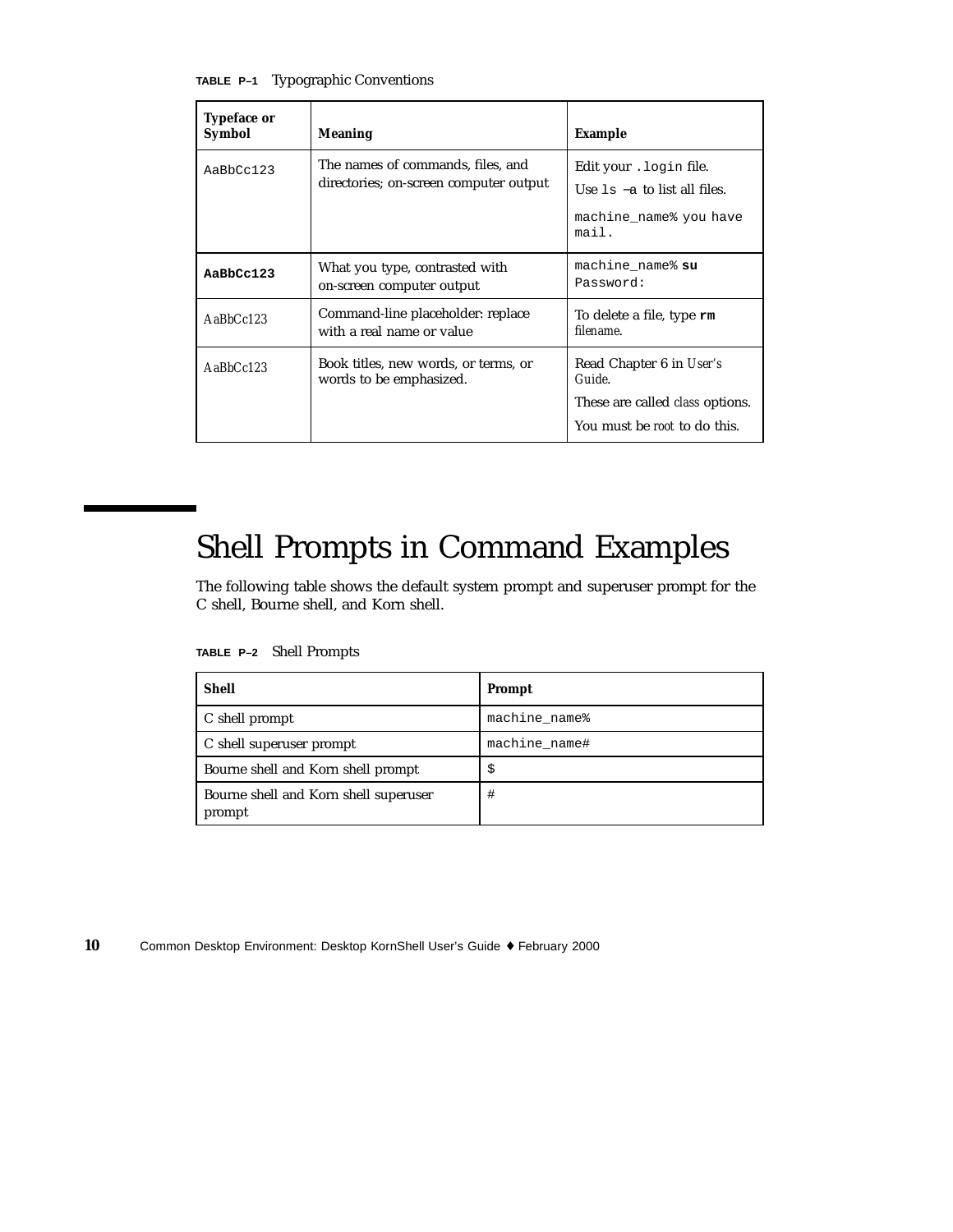**TABLE P–1** Typographic Conventions

| <b>Typeface or</b><br><b>Symbol</b> | <b>Meaning</b>                                                              | <b>Example</b>                                                                                                      |
|-------------------------------------|-----------------------------------------------------------------------------|---------------------------------------------------------------------------------------------------------------------|
| AaBbCc123                           | The names of commands, files, and<br>directories; on-screen computer output | Edit your . login file.<br>Use $1s$ –a to list all files.<br>machine_name% you have<br>mail.                        |
| AaBbCc123                           | What you type, contrasted with<br>on-screen computer output                 | machine_name% su<br>Password:                                                                                       |
| $A$ aBb $Cc123$                     | Command-line placeholder: replace<br>with a real name or value              | To delete a file, type rm<br>filename.                                                                              |
| $A$ aB $bCc123$                     | Book titles, new words, or terms, or<br>words to be emphasized.             | Read Chapter 6 in User's<br>Guide.<br>These are called <i>class</i> options.<br>You must be <i>root</i> to do this. |

# Shell Prompts in Command Examples

The following table shows the default system prompt and superuser prompt for the C shell, Bourne shell, and Korn shell.

**TABLE P–2** Shell Prompts

| <b>Shell</b>                                    | Prompt        |
|-------------------------------------------------|---------------|
| C shell prompt                                  | machine_name% |
| C shell superuser prompt                        | machine_name# |
| Bourne shell and Korn shell prompt              | \$            |
| Bourne shell and Korn shell superuser<br>prompt | #             |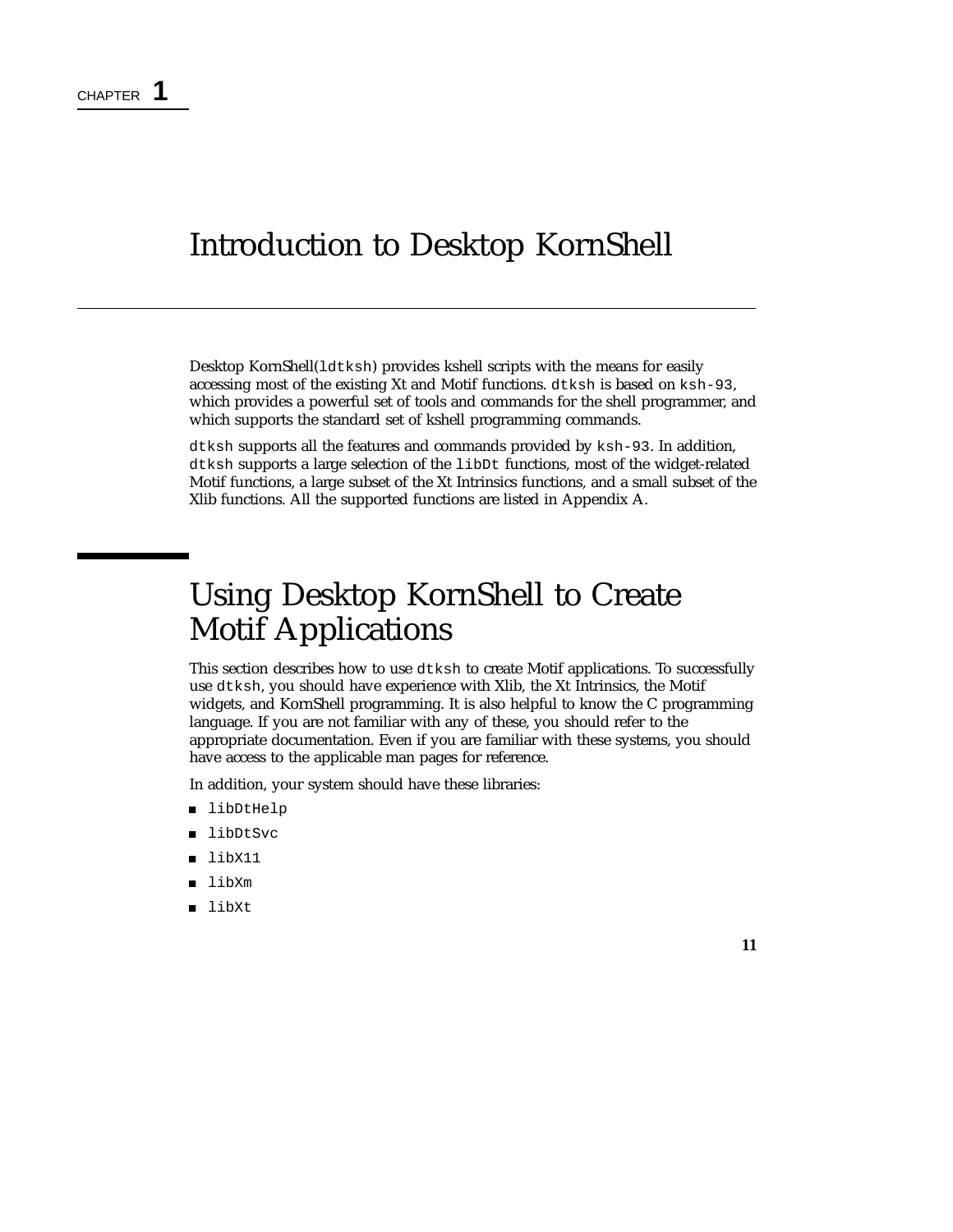### Introduction to Desktop KornShell

Desktop KornShell(ldtksh) provides kshell scripts with the means for easily accessing most of the existing Xt and Motif functions. dtksh is based on ksh-93, which provides a powerful set of tools and commands for the shell programmer, and which supports the standard set of kshell programming commands.

dtksh supports all the features and commands provided by ksh-93. In addition, dtksh supports a large selection of the libDt functions, most of the widget-related Motif functions, a large subset of the Xt Intrinsics functions, and a small subset of the Xlib functions. All the supported functions are listed in Appendix A.

# Using Desktop KornShell to Create Motif Applications

This section describes how to use dtksh to create Motif applications. To successfully use dtksh, you should have experience with Xlib, the Xt Intrinsics, the Motif widgets, and KornShell programming. It is also helpful to know the C programming language. If you are not familiar with any of these, you should refer to the appropriate documentation. Even if you are familiar with these systems, you should have access to the applicable man pages for reference.

In addition, your system should have these libraries:

- **1** libDtHelp
- libDtSvc
- **1** libX11
- **1**ibXm
- libXt

**11**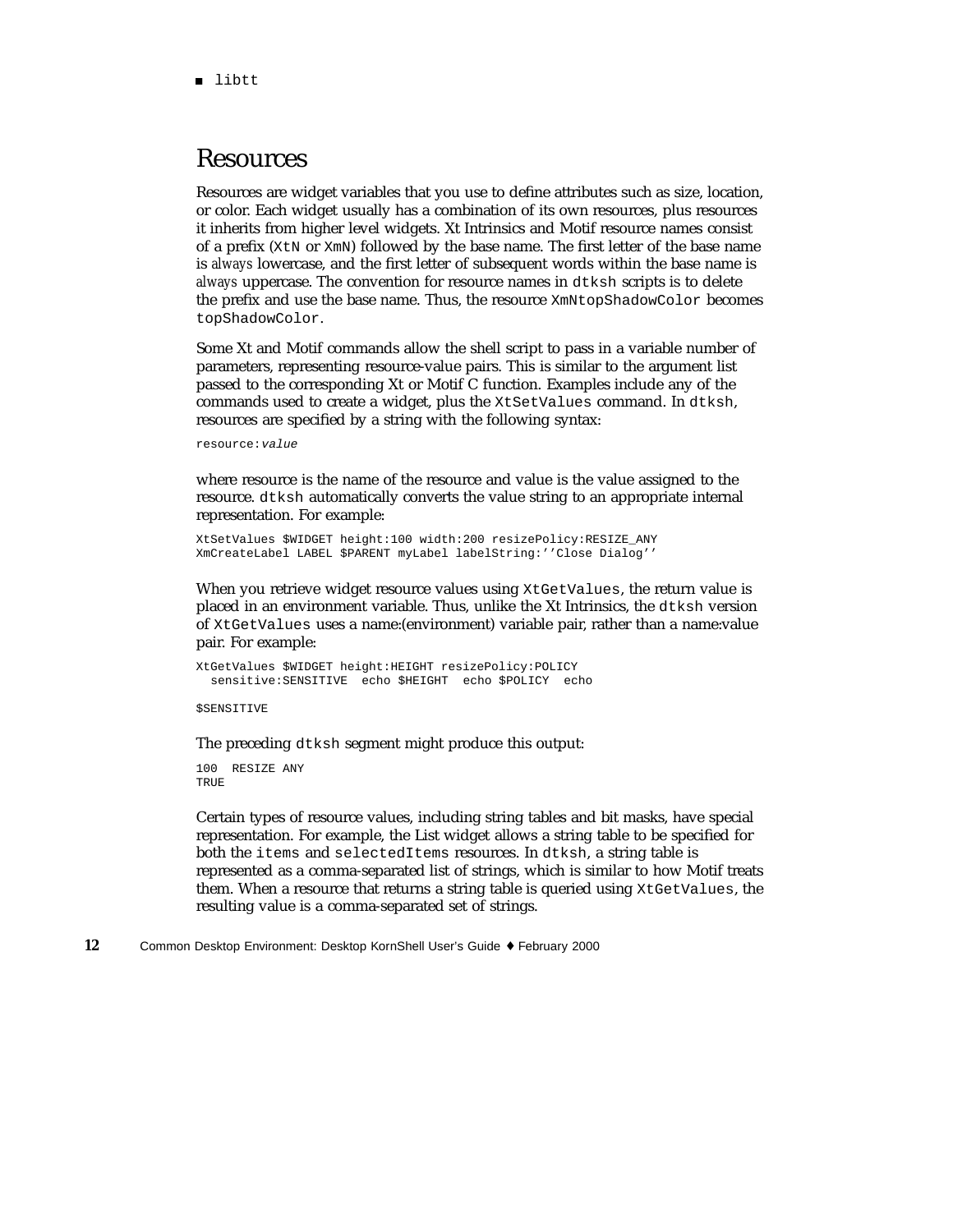libtt

#### Resources

Resources are widget variables that you use to define attributes such as size, location, or color. Each widget usually has a combination of its own resources, plus resources it inherits from higher level widgets. Xt Intrinsics and Motif resource names consist of a prefix (XtN or XmN) followed by the base name. The first letter of the base name is *always* lowercase, and the first letter of subsequent words within the base name is *always* uppercase. The convention for resource names in dtksh scripts is to delete the prefix and use the base name. Thus, the resource XmNtopShadowColor becomes topShadowColor.

Some Xt and Motif commands allow the shell script to pass in a variable number of parameters, representing resource-value pairs. This is similar to the argument list passed to the corresponding Xt or Motif C function. Examples include any of the commands used to create a widget, plus the XtSetValues command. In dtksh, resources are specified by a string with the following syntax:

resource:value

where resource is the name of the resource and value is the value assigned to the resource. dtksh automatically converts the value string to an appropriate internal representation. For example:

XtSetValues \$WIDGET height:100 width:200 resizePolicy:RESIZE\_ANY XmCreateLabel LABEL \$PARENT myLabel labelString:''Close Dialog''

When you retrieve widget resource values using XtGetValues, the return value is placed in an environment variable. Thus, unlike the Xt Intrinsics, the dtksh version of XtGetValues uses a name:(environment) variable pair, rather than a name:value pair. For example:

XtGetValues \$WIDGET height:HEIGHT resizePolicy:POLICY sensitive:SENSITIVE echo \$HEIGHT echo \$POLICY echo

**SSENSITIVE** 

The preceding dtksh segment might produce this output:

100 RESIZE ANY TRUE.

Certain types of resource values, including string tables and bit masks, have special representation. For example, the List widget allows a string table to be specified for both the items and selectedItems resources. In dtksh, a string table is represented as a comma-separated list of strings, which is similar to how Motif treats them. When a resource that returns a string table is queried using XtGetValues, the resulting value is a comma-separated set of strings.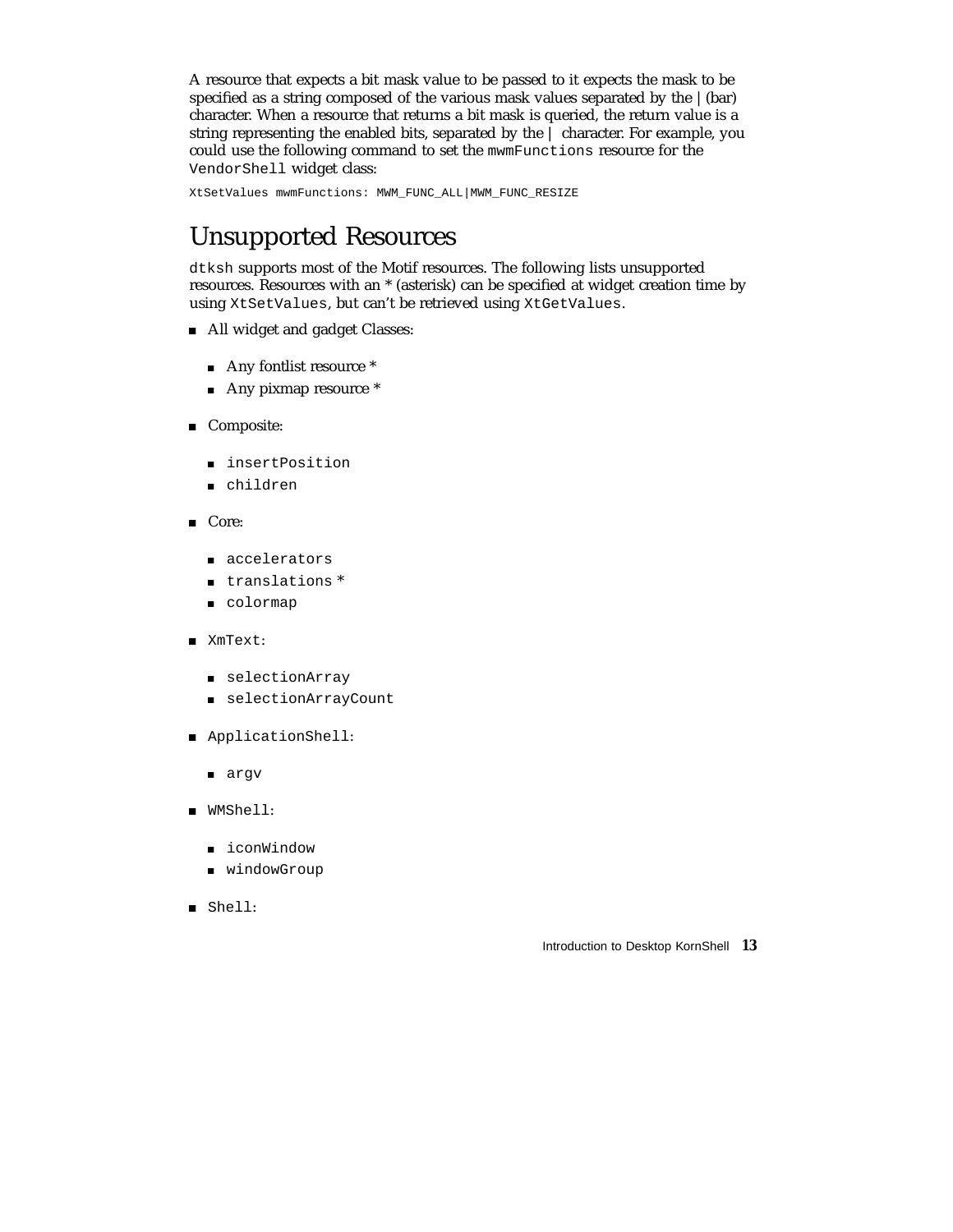A resource that expects a bit mask value to be passed to it expects the mask to be specified as a string composed of the various mask values separated by the |(bar) character. When a resource that returns a bit mask is queried, the return value is a string representing the enabled bits, separated by the | character. For example, you could use the following command to set the mwmFunctions resource for the VendorShell widget class:

XtSetValues mwmFunctions: MWM\_FUNC\_ALL|MWM\_FUNC\_RESIZE

### Unsupported Resources

dtksh supports most of the Motif resources. The following lists unsupported resources. Resources with an \* (asterisk) can be specified at widget creation time by using XtSetValues, but can't be retrieved using XtGetValues.

- All widget and gadget Classes:
	- Any fontlist resource \*
	- Any pixmap resource  $*$
- Composite:
	- insertPosition
	- children
- Core:
	- accelerators
	- translations \*
	- colormap
- XmText:
	- selectionArray
	- selectionArrayCount
- ApplicationShell:
	- argv
- WMShell:
	- iconWindow
	- windowGroup
- Shell:

Introduction to Desktop KornShell **13**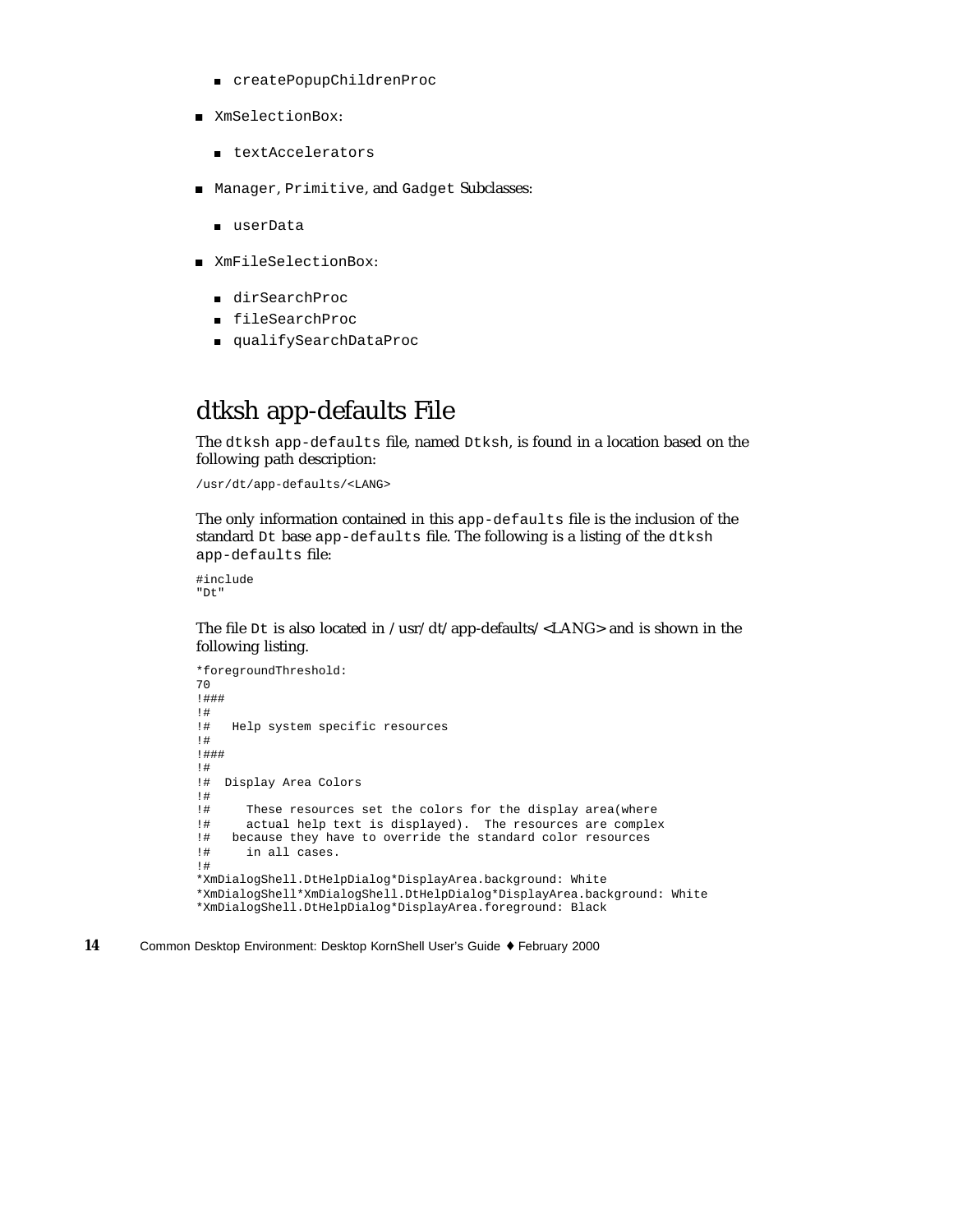- createPopupChildrenProc
- XmSelectionBox:
	- textAccelerators
- Manager, Primitive, and Gadget Subclasses:
	- userData
- XmFileSelectionBox:
	- dirSearchProc
	- fileSearchProc
	- qualifySearchDataProc

#### dtksh app-defaults File

The dtksh app-defaults file, named Dtksh, is found in a location based on the following path description:

/usr/dt/app-defaults/<LANG>

The only information contained in this app-defaults file is the inclusion of the standard Dt base app-defaults file. The following is a listing of the dtksh app-defaults file:

```
#include
"Dt"
```
The file  $Dt$  is also located in /usr/dt/app-defaults/<LANG> and is shown in the following listing.

```
*foregroundThreshold:
70
!###
!#
    Help system specific resources
!#
!###
!#
!# Display Area Colors
!#
!# These resources set the colors for the display area(where
!# actual help text is displayed). The resources are complex
    because they have to override the standard color resources
!# in all cases.
!#
*XmDialogShell.DtHelpDialog*DisplayArea.background: White
*XmDialogShell*XmDialogShell.DtHelpDialog*DisplayArea.background: White
*XmDialogShell.DtHelpDialog*DisplayArea.foreground: Black
```

```
14 Common Desktop Environment: Desktop KornShell User's Guide ♦ February 2000
```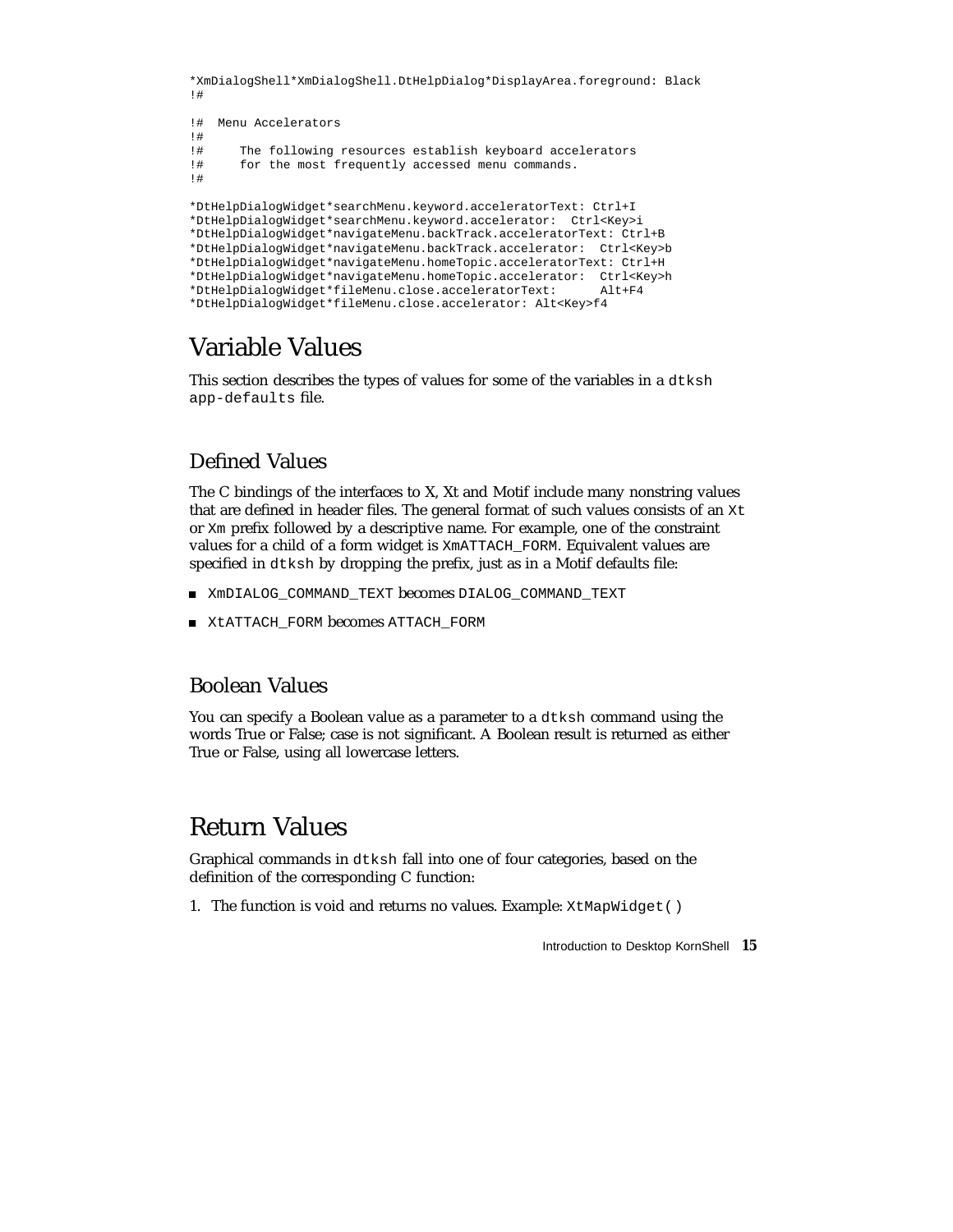```
*XmDialogShell*XmDialogShell.DtHelpDialog*DisplayArea.foreground: Black
!#
!# Menu Accelerators
!#
      The following resources establish keyboard accelerators
!# for the most frequently accessed menu commands.
!#
*DtHelpDialogWidget*searchMenu.keyword.acceleratorText: Ctrl+I
*DtHelpDialogWidget*searchMenu.keyword.accelerator: Ctrl<Key>i
*DtHelpDialogWidget*navigateMenu.backTrack.acceleratorText: Ctrl+B
*DtHelpDialogWidget*navigateMenu.backTrack.accelerator: Ctrl<Key>b
*DtHelpDialogWidget*navigateMenu.homeTopic.acceleratorText: Ctrl+H
*DtHelpDialogWidget*navigateMenu.homeTopic.accelerator: Ctrl<Key>h
*DtHelpDialogWidget*fileMenu.close.acceleratorText: Alt+F4
*DtHelpDialogWidget*fileMenu.close.accelerator: Alt<Key>f4
```
#### Variable Values

This section describes the types of values for some of the variables in a dtksh app-defaults file.

#### Defined Values

The C bindings of the interfaces to X, Xt and Motif include many nonstring values that are defined in header files. The general format of such values consists of an Xt or Xm prefix followed by a descriptive name. For example, one of the constraint values for a child of a form widget is XmATTACH\_FORM. Equivalent values are specified in dtksh by dropping the prefix, just as in a Motif defaults file:

- XmDIALOG\_COMMAND\_TEXT becomes DIALOG\_COMMAND\_TEXT
- XtATTACH\_FORM becomes ATTACH\_FORM

#### Boolean Values

You can specify a Boolean value as a parameter to a dtksh command using the words True or False; case is not significant. A Boolean result is returned as either True or False, using all lowercase letters.

#### Return Values

Graphical commands in dtksh fall into one of four categories, based on the definition of the corresponding C function:

1. The function is void and returns no values. Example: XtMapWidget()

Introduction to Desktop KornShell **15**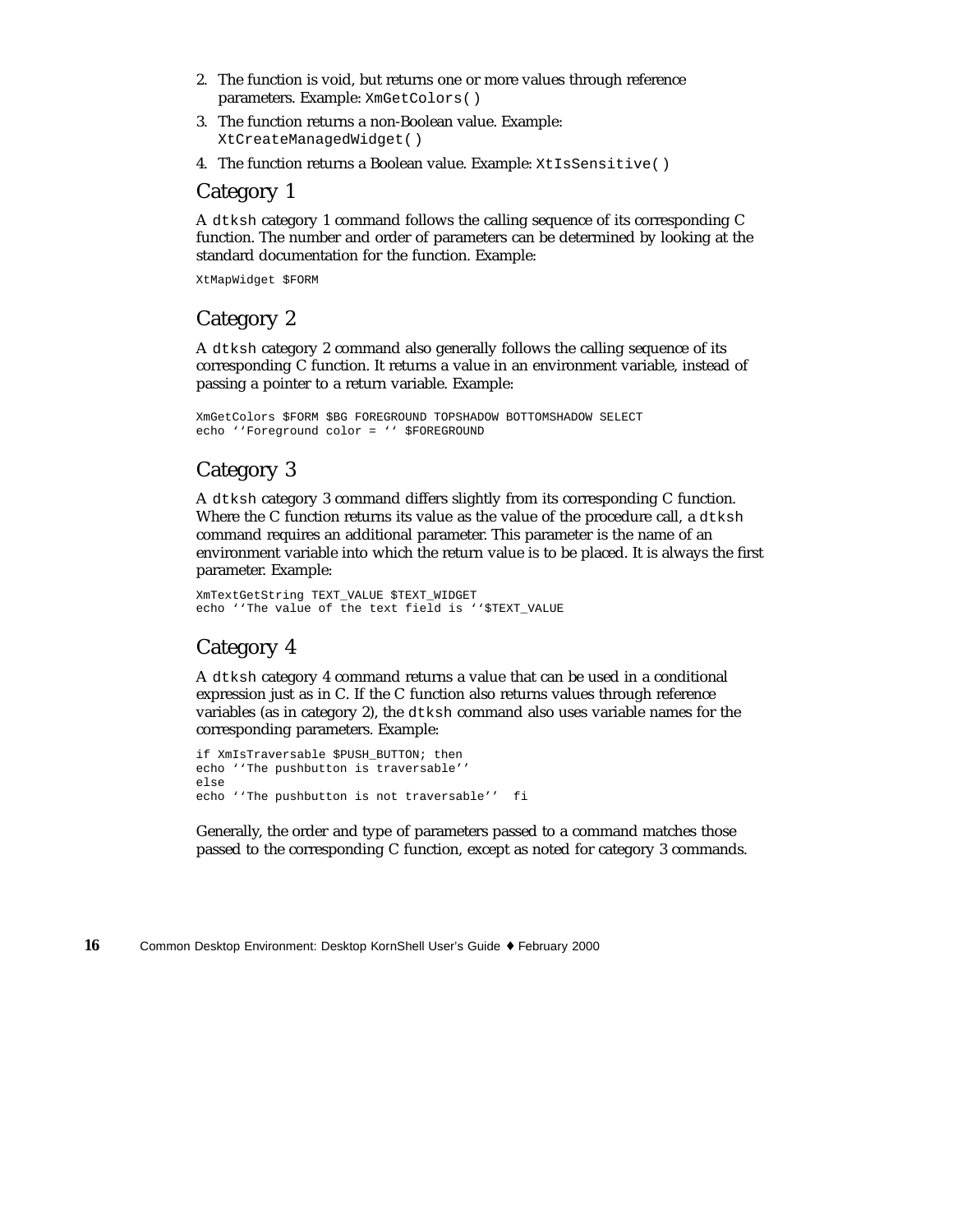- 2. The function is void, but returns one or more values through reference parameters. Example: XmGetColors()
- 3. The function returns a non-Boolean value. Example: XtCreateManagedWidget()
- 4. The function returns a Boolean value. Example: XtIsSensitive( )

#### Category 1

A dtksh category 1 command follows the calling sequence of its corresponding C function. The number and order of parameters can be determined by looking at the standard documentation for the function. Example:

XtMapWidget \$FORM

#### Category 2

A dtksh category 2 command also generally follows the calling sequence of its corresponding C function. It returns a value in an environment variable, instead of passing a pointer to a return variable. Example:

```
XmGetColors $FORM $BG FOREGROUND TOPSHADOW BOTTOMSHADOW SELECT
echo ''Foreground color = '' $FOREGROUND
```
#### Category 3

A dtksh category 3 command differs slightly from its corresponding C function. Where the C function returns its value as the value of the procedure call, a dtksh command requires an additional parameter. This parameter is the name of an environment variable into which the return value is to be placed. It is always the first parameter. Example:

```
XmTextGetString TEXT_VALUE $TEXT_WIDGET
echo ''The value of the text field is ''$TEXT_VALUE
```
#### Category 4

A dtksh category 4 command returns a value that can be used in a conditional expression just as in C. If the C function also returns values through reference variables (as in category 2), the dtksh command also uses variable names for the corresponding parameters. Example:

```
if XmIsTraversable $PUSH_BUTTON; then
echo ''The pushbutton is traversable''
else
echo ''The pushbutton is not traversable'' fi
```
Generally, the order and type of parameters passed to a command matches those passed to the corresponding C function, except as noted for category 3 commands.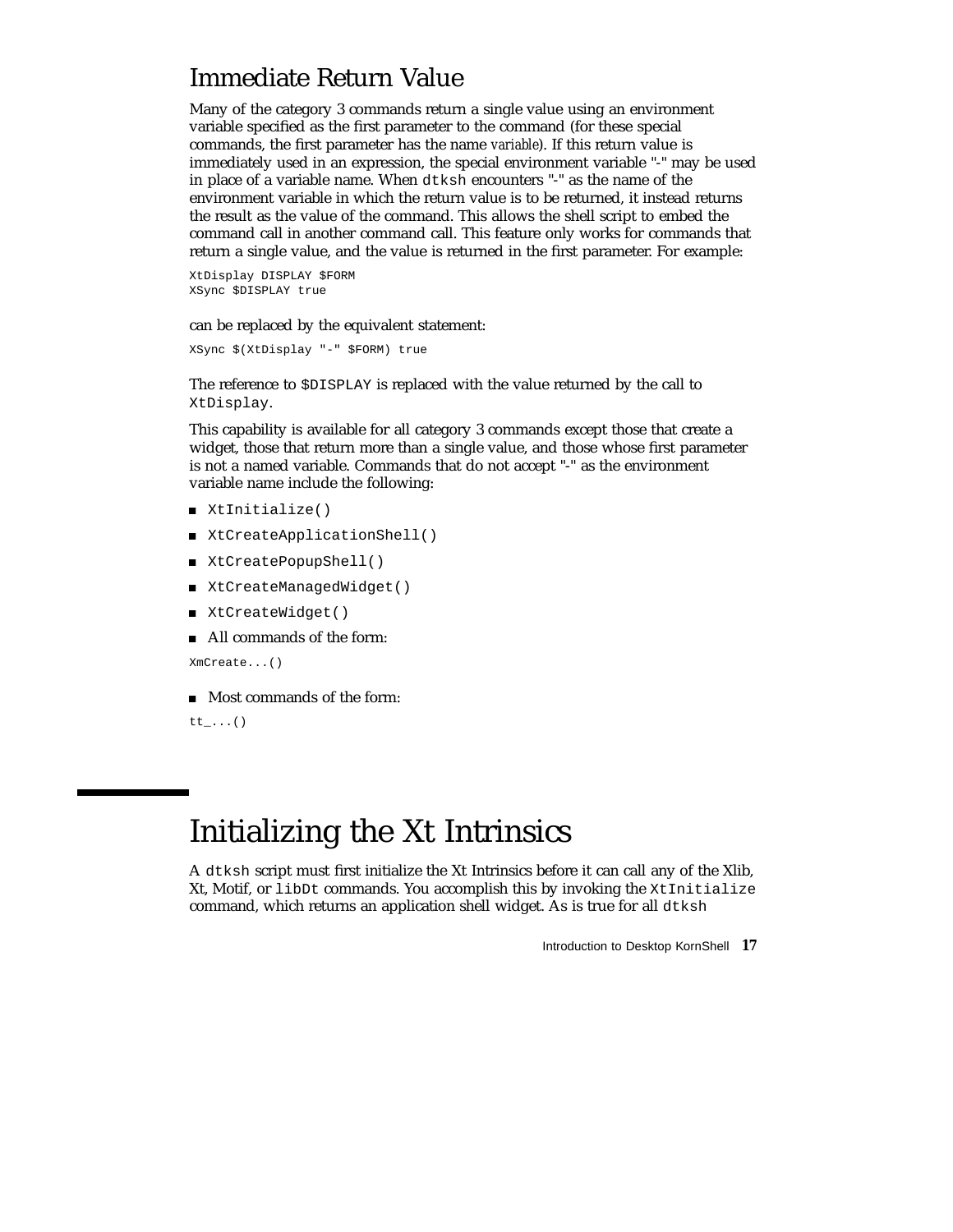#### Immediate Return Value

Many of the category 3 commands return a single value using an environment variable specified as the first parameter to the command (for these special commands, the first parameter has the name *variable*). If this return value is immediately used in an expression, the special environment variable "-" may be used in place of a variable name. When dtksh encounters "-" as the name of the environment variable in which the return value is to be returned, it instead returns the result as the value of the command. This allows the shell script to embed the command call in another command call. This feature only works for commands that return a single value, and the value is returned in the first parameter. For example:

```
XtDisplay DISPLAY $FORM
XSync $DISPLAY true
```
can be replaced by the equivalent statement:

XSync \$(XtDisplay "-" \$FORM) true

The reference to \$DISPLAY is replaced with the value returned by the call to XtDisplay.

This capability is available for all category 3 commands except those that create a widget, those that return more than a single value, and those whose first parameter is not a named variable. Commands that do not accept "-" as the environment variable name include the following:

- XtInitialize()
- XtCreateApplicationShell()
- XtCreatePopupShell()
- XtCreateManagedWidget()
- XtCreateWidget()
- All commands of the form:

XmCreate...()

**Most commands of the form:** 

 $tt_$ ...()

### Initializing the Xt Intrinsics

A dtksh script must first initialize the Xt Intrinsics before it can call any of the Xlib, Xt, Motif, or libDt commands. You accomplish this by invoking the XtInitialize command, which returns an application shell widget. As is true for all dtksh

Introduction to Desktop KornShell **17**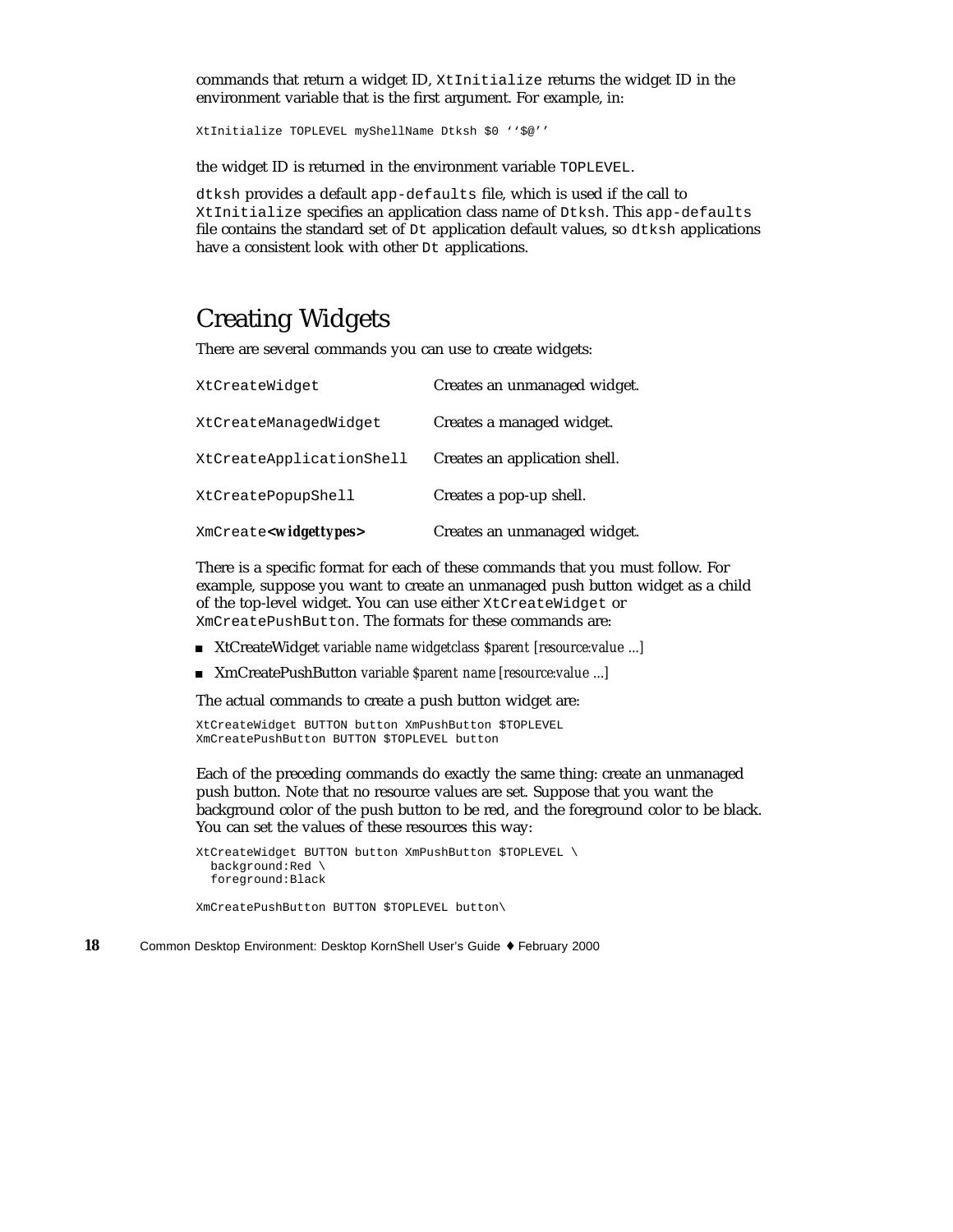commands that return a widget ID, XtInitialize returns the widget ID in the environment variable that is the first argument. For example, in:

XtInitialize TOPLEVEL myShellName Dtksh \$0 ''\$@''

the widget ID is returned in the environment variable TOPLEVEL.

dtksh provides a default app-defaults file, which is used if the call to XtInitialize specifies an application class name of Dtksh. This app-defaults file contains the standard set of  $Dt$  application default values, so  $dt$ ksh applications have a consistent look with other Dt applications.

#### Creating Widgets

There are several commands you can use to create widgets:

| XtCreateWidget                 | Creates an unmanaged widget.  |
|--------------------------------|-------------------------------|
| XtCreateManaqedWidqet          | Creates a managed widget.     |
| XtCreateApplicationShell       | Creates an application shell. |
| XtCreatePopupShell             | Creates a pop-up shell.       |
| XmCreate< <b>widgettypes</b> > | Creates an unmanaged widget.  |

There is a specific format for each of these commands that you must follow. For example, suppose you want to create an unmanaged push button widget as a child of the top-level widget. You can use either XtCreateWidget or XmCreatePushButton. The formats for these commands are:

- XtCreateWidget *variable name widgetclass \$parent [resource:value ...]*
- XmCreatePushButton *variable \$parent name [resource:value ...]*

The actual commands to create a push button widget are:

```
XtCreateWidget BUTTON button XmPushButton $TOPLEVEL
XmCreatePushButton BUTTON $TOPLEVEL button
```
Each of the preceding commands do exactly the same thing: create an unmanaged push button. Note that no resource values are set. Suppose that you want the background color of the push button to be red, and the foreground color to be black. You can set the values of these resources this way:

```
XtCreateWidget BUTTON button XmPushButton $TOPLEVEL \
 background:Red \
 foreground:Black
```

```
XmCreatePushButton BUTTON $TOPLEVEL button\
```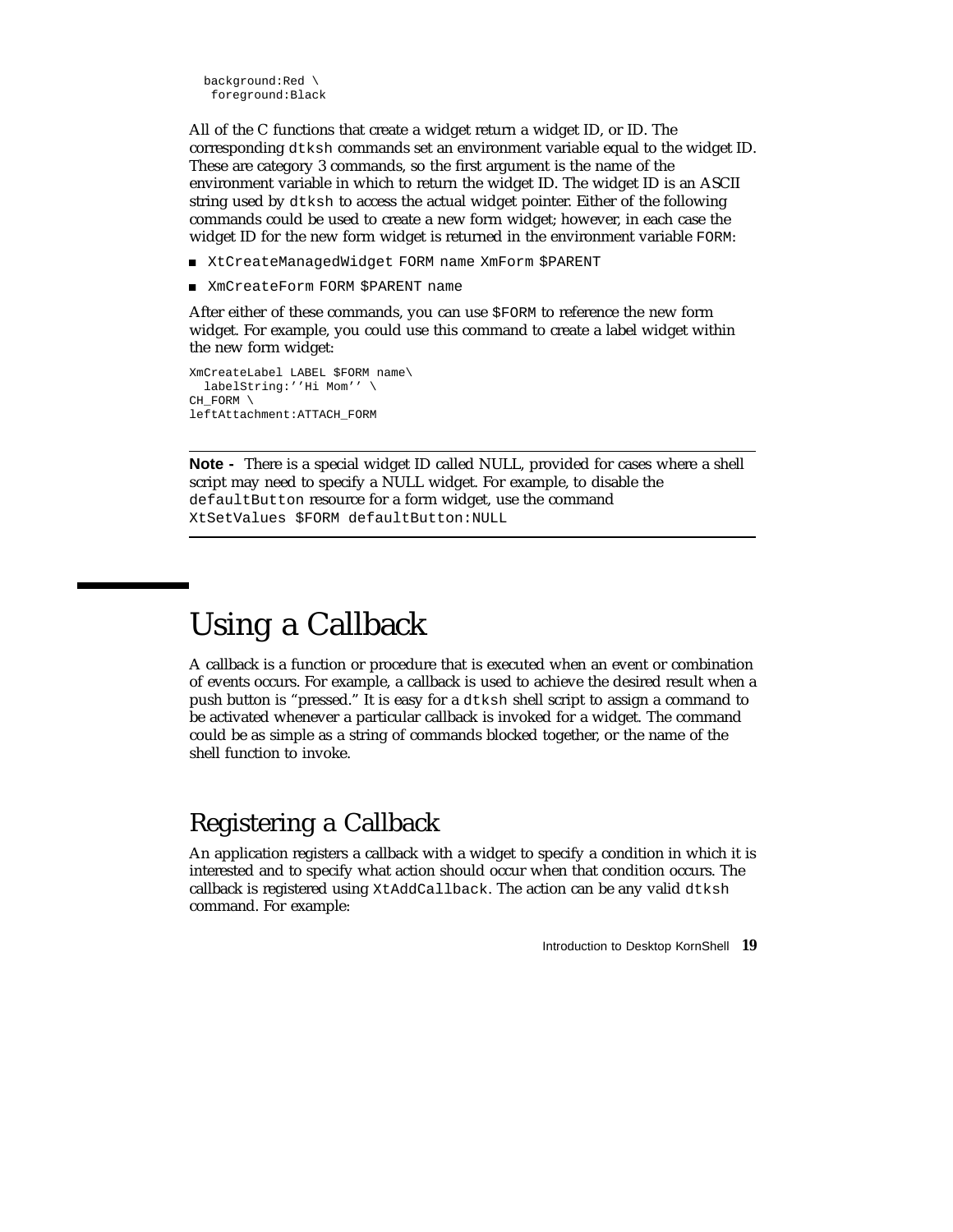```
background:Red \
foreground:Black
```
All of the C functions that create a widget return a widget ID, or ID. The corresponding dtksh commands set an environment variable equal to the widget ID. These are category 3 commands, so the first argument is the name of the environment variable in which to return the widget ID. The widget ID is an ASCII string used by dtksh to access the actual widget pointer. Either of the following commands could be used to create a new form widget; however, in each case the widget ID for the new form widget is returned in the environment variable FORM:

- XtCreateManagedWidget FORM name XmForm \$PARENT
- XmCreateForm FORM \$PARENT name

After either of these commands, you can use \$FORM to reference the new form widget. For example, you could use this command to create a label widget within the new form widget:

```
XmCreateLabel LABEL $FORM name\
  labelString:''Hi Mom'' \
CH_FORM \
leftAttachment:ATTACH_FORM
```
**Note -** There is a special widget ID called NULL, provided for cases where a shell script may need to specify a NULL widget. For example, to disable the defaultButton resource for a form widget, use the command XtSetValues \$FORM defaultButton:NULL

## Using a Callback

A callback is a function or procedure that is executed when an event or combination of events occurs. For example, a callback is used to achieve the desired result when a push button is "pressed." It is easy for a dtksh shell script to assign a command to be activated whenever a particular callback is invoked for a widget. The command could be as simple as a string of commands blocked together, or the name of the shell function to invoke.

#### Registering a Callback

An application registers a callback with a widget to specify a condition in which it is interested and to specify what action should occur when that condition occurs. The callback is registered using XtAddCallback. The action can be any valid dtksh command. For example:

Introduction to Desktop KornShell **19**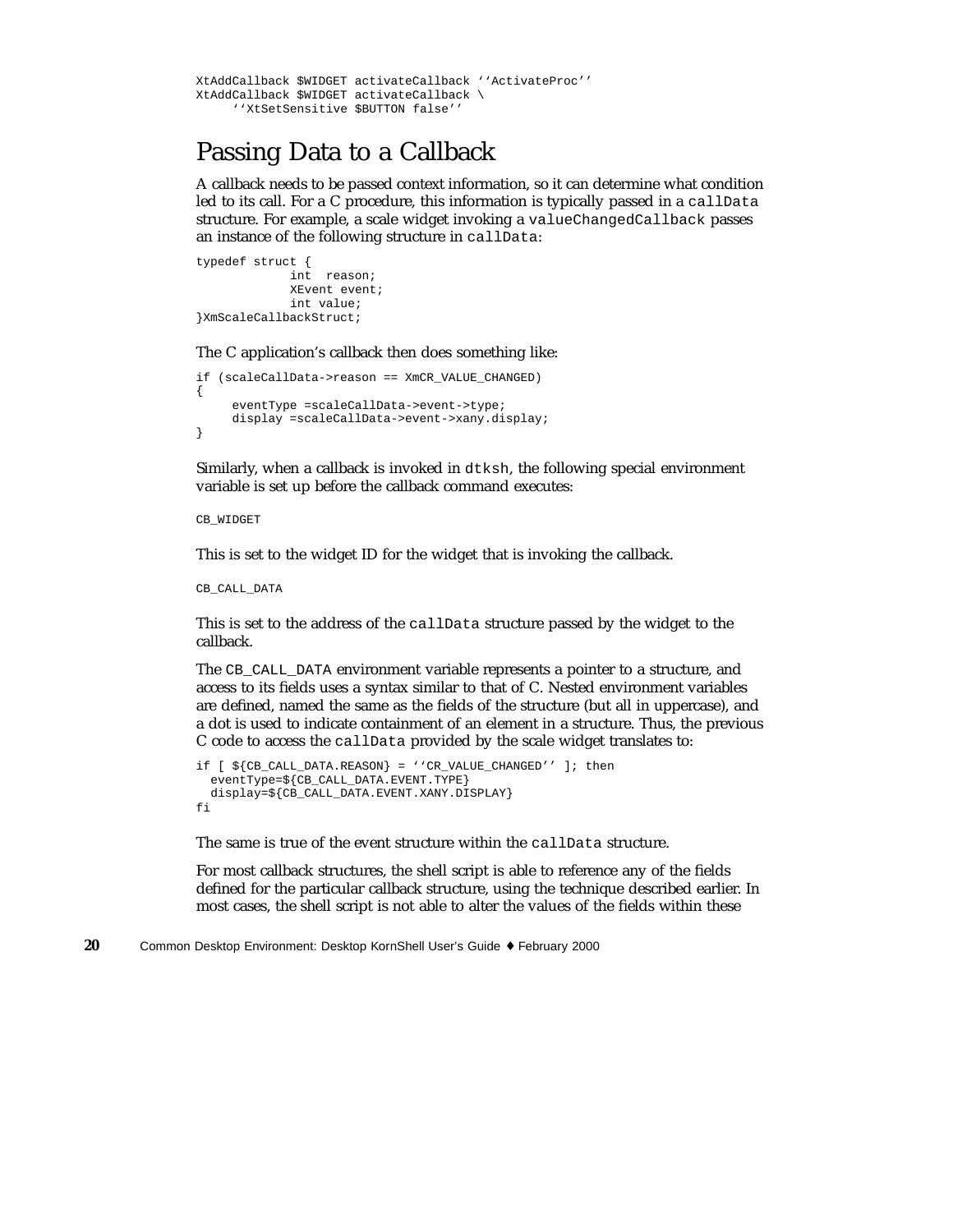```
XtAddCallback $WIDGET activateCallback ''ActivateProc''
XtAddCallback $WIDGET activateCallback \
     ''XtSetSensitive $BUTTON false''
```
#### Passing Data to a Callback

A callback needs to be passed context information, so it can determine what condition led to its call. For a C procedure, this information is typically passed in a callData structure. For example, a scale widget invoking a valueChangedCallback passes an instance of the following structure in callData:

```
typedef struct {
             int reason;
             XEvent event;
             int value;
}XmScaleCallbackStruct;
```
The C application's callback then does something like:

```
if (scaleCallData->reason == XmCR_VALUE_CHANGED)
{
     eventType =scaleCallData->event->type;
     display =scaleCallData->event->xany.display;
}
```
Similarly, when a callback is invoked in dtksh, the following special environment variable is set up before the callback command executes:

#### CB\_WIDGET

This is set to the widget ID for the widget that is invoking the callback.

#### CB\_CALL\_DATA

This is set to the address of the callData structure passed by the widget to the callback.

The CB\_CALL\_DATA environment variable represents a pointer to a structure, and access to its fields uses a syntax similar to that of C. Nested environment variables are defined, named the same as the fields of the structure (but all in uppercase), and a dot is used to indicate containment of an element in a structure. Thus, the previous C code to access the callData provided by the scale widget translates to:

```
if [ ${CB_CALL_DATA.REASON} = ''CR_VALUE_CHANGED'' ]; then
 eventType=${CB_CALL_DATA.EVENT.TYPE}
 display=${CB_CALL_DATA.EVENT.XANY.DISPLAY}
fi
```
The same is true of the event structure within the callData structure.

For most callback structures, the shell script is able to reference any of the fields defined for the particular callback structure, using the technique described earlier. In most cases, the shell script is not able to alter the values of the fields within these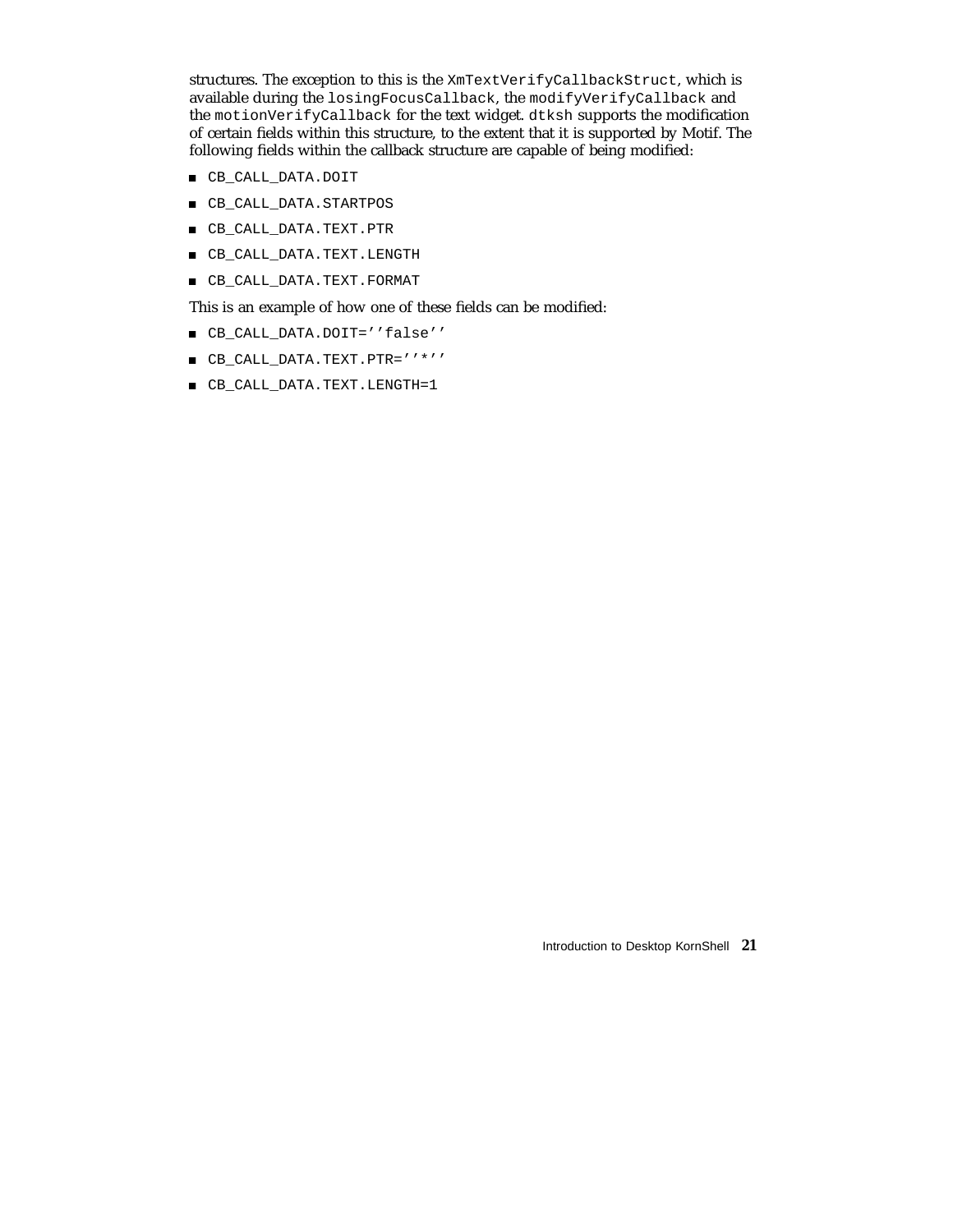structures. The exception to this is the XmTextVerifyCallbackStruct, which is available during the losingFocusCallback, the modifyVerifyCallback and the motionVerifyCallback for the text widget. dtksh supports the modification of certain fields within this structure, to the extent that it is supported by Motif. The following fields within the callback structure are capable of being modified:

- CB\_CALL\_DATA.DOIT
- CB\_CALL\_DATA.STARTPOS
- CB\_CALL\_DATA.TEXT.PTR
- CB\_CALL\_DATA.TEXT.LENGTH
- CB\_CALL\_DATA.TEXT.FORMAT

This is an example of how one of these fields can be modified:

- CB\_CALL\_DATA.DOIT=''false''
- CB\_CALL\_DATA.TEXT.PTR=''\*''
- CB\_CALL\_DATA.TEXT.LENGTH=1

Introduction to Desktop KornShell **21**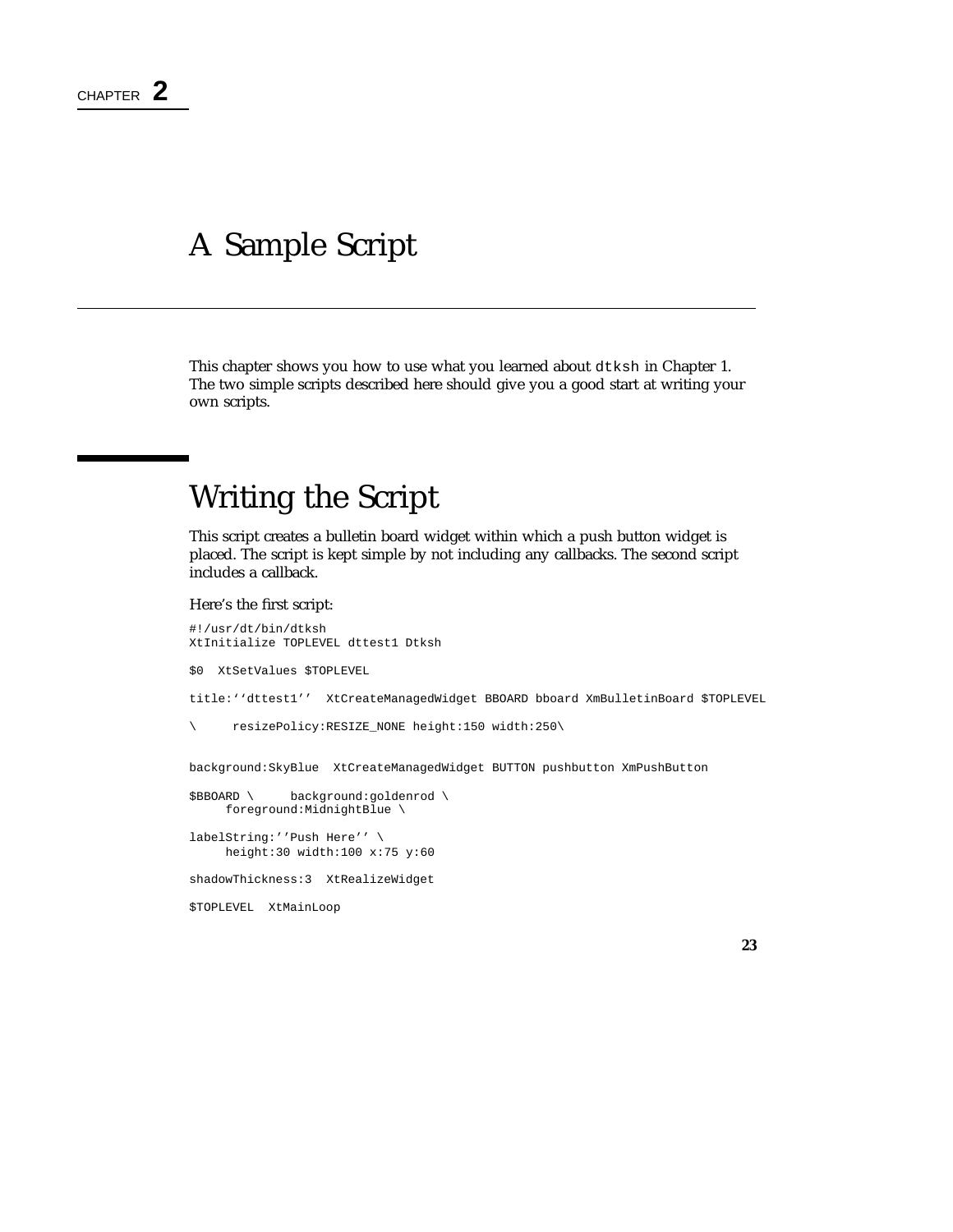### A Sample Script

This chapter shows you how to use what you learned about dtksh in Chapter 1. The two simple scripts described here should give you a good start at writing your own scripts.

### Writing the Script

This script creates a bulletin board widget within which a push button widget is placed. The script is kept simple by not including any callbacks. The second script includes a callback.

Here's the first script:

```
#!/usr/dt/bin/dtksh
XtInitialize TOPLEVEL dttest1 Dtksh
$0 XtSetValues $TOPLEVEL
title:''dttest1'' XtCreateManagedWidget BBOARD bboard XmBulletinBoard $TOPLEVEL
      \ resizePolicy:RESIZE_NONE height:150 width:250\
background:SkyBlue XtCreateManagedWidget BUTTON pushbutton XmPushButton
$BBOARD \ background:goldenrod \
    foreground:MidnightBlue \
labelString:''Push Here'' \
    height:30 width:100 x:75 y:60
shadowThickness:3 XtRealizeWidget
$TOPLEVEL XtMainLoop
```
**23**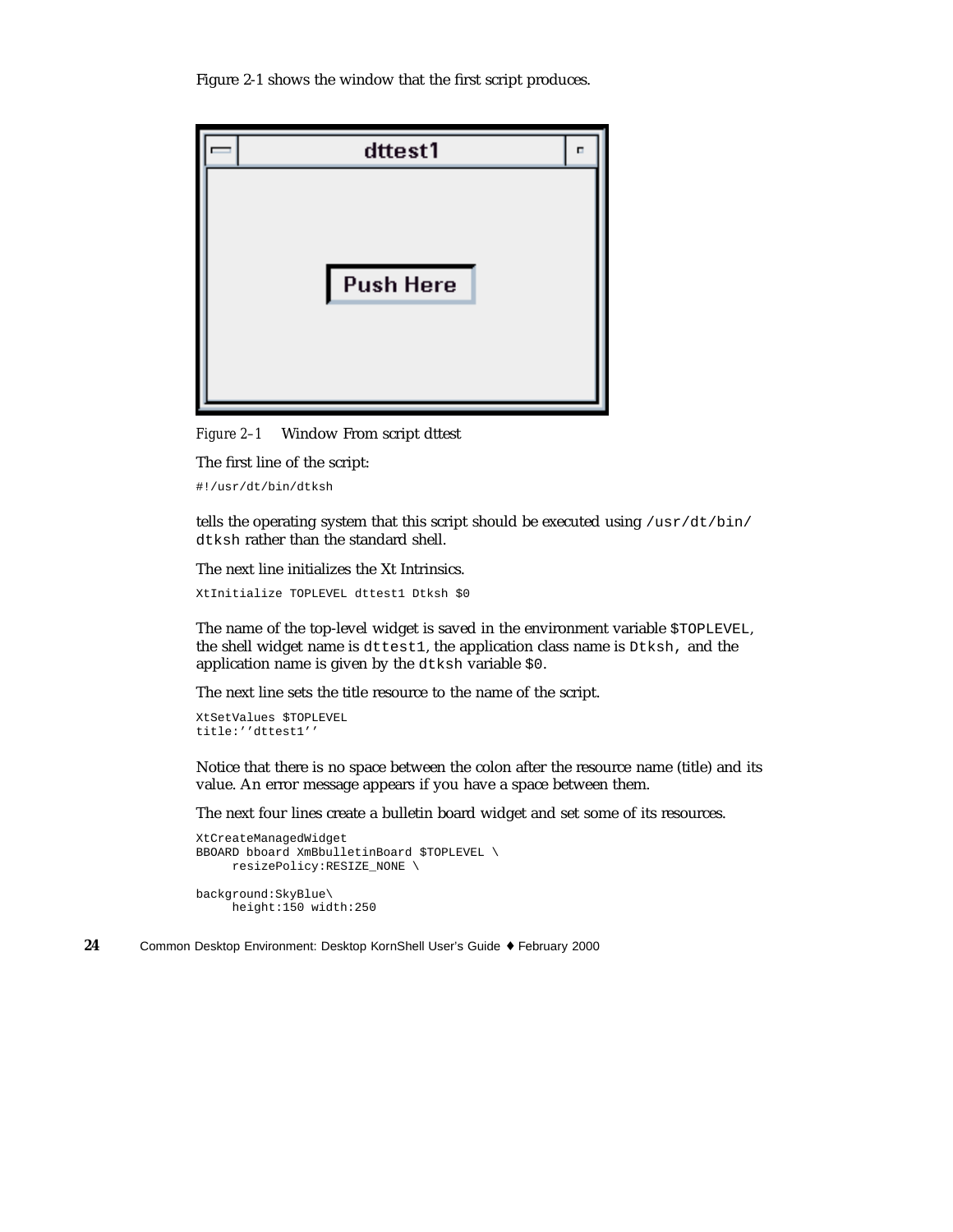Figure 2-1 shows the window that the first script produces.



*Figure 2–1* Window From script dttest

The first line of the script:

#!/usr/dt/bin/dtksh

tells the operating system that this script should be executed using /usr/dt/bin/ dtksh rather than the standard shell.

The next line initializes the Xt Intrinsics.

XtInitialize TOPLEVEL dttest1 Dtksh \$0

The name of the top-level widget is saved in the environment variable \$TOPLEVEL, the shell widget name is dttest1, the application class name is Dtksh, and the application name is given by the dtksh variable \$0.

The next line sets the title resource to the name of the script.

```
XtSetValues $TOPLEVEL
title:''dttest1''
```
Notice that there is no space between the colon after the resource name (title) and its value. An error message appears if you have a space between them.

The next four lines create a bulletin board widget and set some of its resources.

```
XtCreateManagedWidget
BBOARD bboard XmBbulletinBoard $TOPLEVEL \
     resizePolicy:RESIZE_NONE \
background:SkyBlue\
     height:150 width:250
```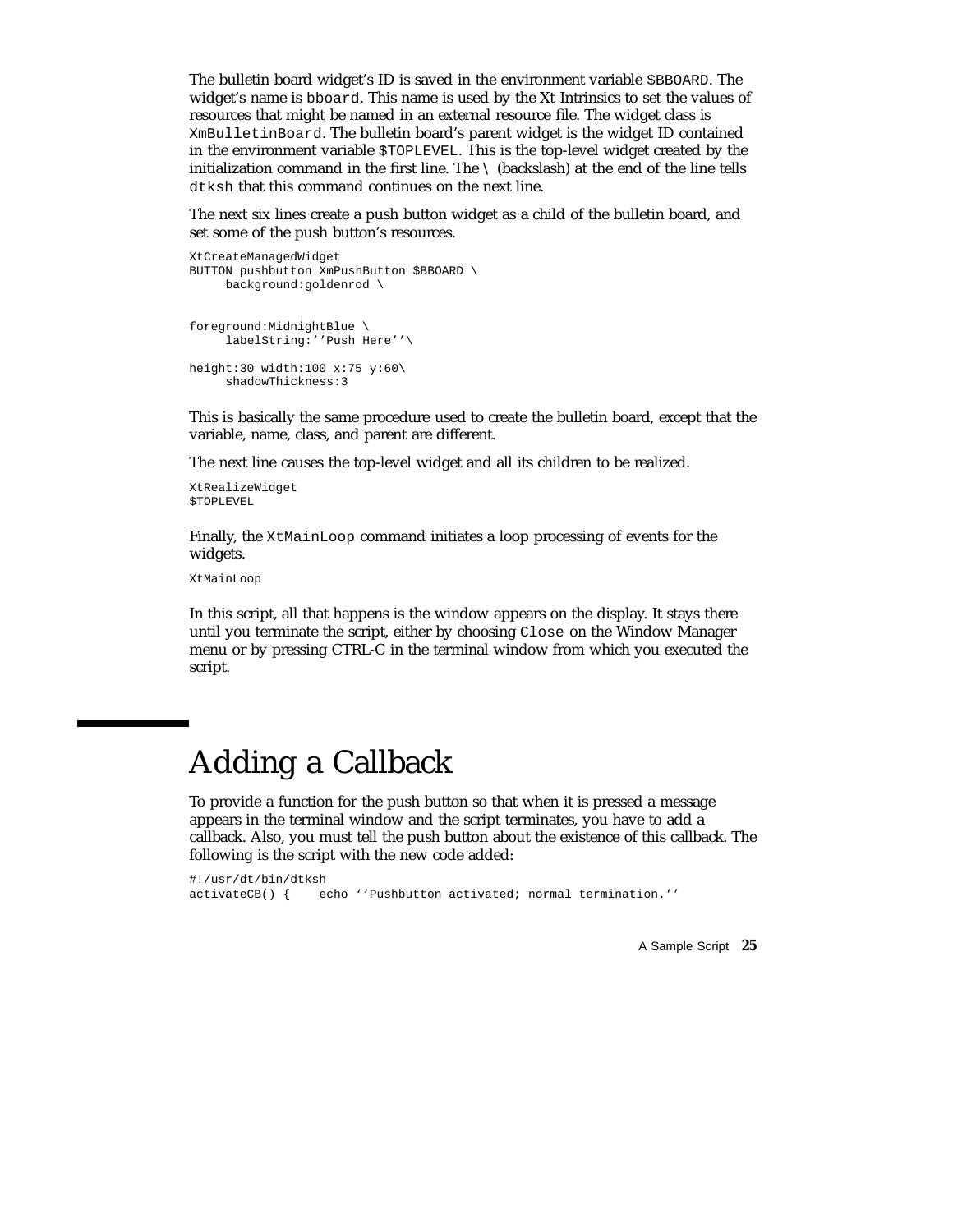The bulletin board widget's ID is saved in the environment variable \$BBOARD. The widget's name is bboard. This name is used by the Xt Intrinsics to set the values of resources that might be named in an external resource file. The widget class is XmBulletinBoard. The bulletin board's parent widget is the widget ID contained in the environment variable \$TOPLEVEL. This is the top-level widget created by the initialization command in the first line. The  $\setminus$  (backslash) at the end of the line tells dtksh that this command continues on the next line.

The next six lines create a push button widget as a child of the bulletin board, and set some of the push button's resources.

```
XtCreateManagedWidget
BUTTON pushbutton XmPushButton $BBOARD \
    background:goldenrod \
foreground:MidnightBlue \
     labelString:''Push Here''\
height:30 width:100 x:75 y:60\
     shadowThickness:3
```
This is basically the same procedure used to create the bulletin board, except that the variable, name, class, and parent are different.

The next line causes the top-level widget and all its children to be realized.

```
XtRealizeWidget
$TOPLEVEL
```
Finally, the XtMainLoop command initiates a loop processing of events for the widgets.

XtMainLoop

In this script, all that happens is the window appears on the display. It stays there until you terminate the script, either by choosing Close on the Window Manager menu or by pressing CTRL-C in the terminal window from which you executed the script.

# Adding a Callback

To provide a function for the push button so that when it is pressed a message appears in the terminal window and the script terminates, you have to add a callback. Also, you must tell the push button about the existence of this callback. The following is the script with the new code added:

#!/usr/dt/bin/dtksh activateCB() { echo ''Pushbutton activated; normal termination.''

A Sample Script **25**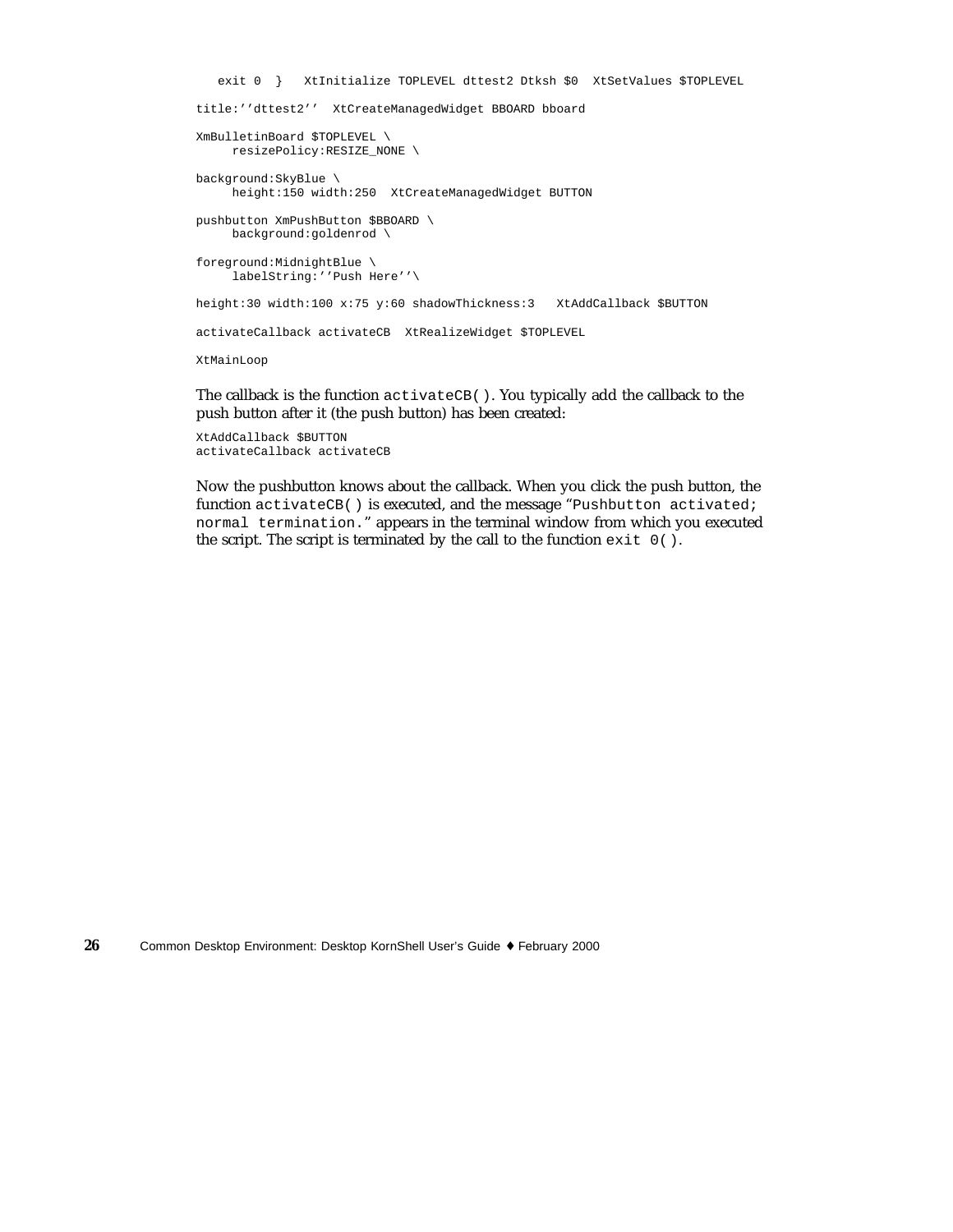```
exit 0 } XtInitialize TOPLEVEL dttest2 Dtksh $0 XtSetValues $TOPLEVEL
title:''dttest2'' XtCreateManagedWidget BBOARD bboard
XmBulletinBoard $TOPLEVEL \
    resizePolicy:RESIZE_NONE \
background:SkyBlue \
    height:150 width:250 XtCreateManagedWidget BUTTON
pushbutton XmPushButton $BBOARD \
    background:goldenrod \
foreground:MidnightBlue \
    labelString:''Push Here''\
height:30 width:100 x:75 y:60 shadowThickness:3 XtAddCallback $BUTTON
activateCallback activateCB XtRealizeWidget $TOPLEVEL
XtMainLoop
```
The callback is the function activateCB(). You typically add the callback to the push button after it (the push button) has been created:

XtAddCallback \$BUTTON activateCallback activateCB

Now the pushbutton knows about the callback. When you click the push button, the function activateCB() is executed, and the message "Pushbutton activated; normal termination." appears in the terminal window from which you executed the script. The script is terminated by the call to the function exit  $0()$ .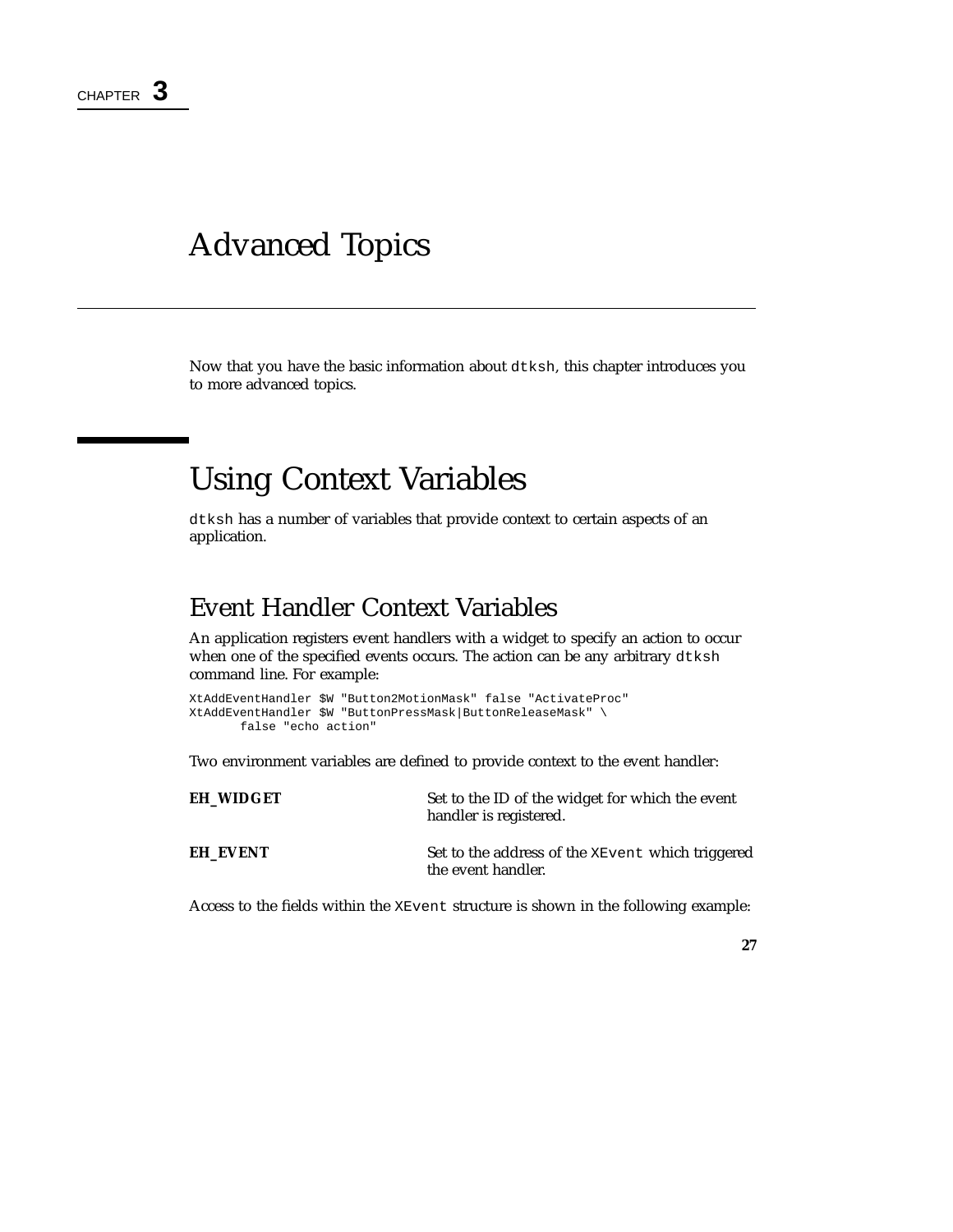### Advanced Topics

Now that you have the basic information about dtksh, this chapter introduces you to more advanced topics.

## Using Context Variables

dtksh has a number of variables that provide context to certain aspects of an application.

#### Event Handler Context Variables

An application registers event handlers with a widget to specify an action to occur when one of the specified events occurs. The action can be any arbitrary dtksh command line. For example:

```
XtAddEventHandler $W "Button2MotionMask" false "ActivateProc"
XtAddEventHandler $W "ButtonPressMask|ButtonReleaseMask" \
       false "echo action"
```
Two environment variables are defined to provide context to the event handler:

| EH WIDGET | Set to the ID of the widget for which the event<br>handler is registered. |
|-----------|---------------------------------------------------------------------------|
| EH EVENT  | Set to the address of the XEvent which triggered<br>the event handler.    |

Access to the fields within the XEvent structure is shown in the following example:

**27**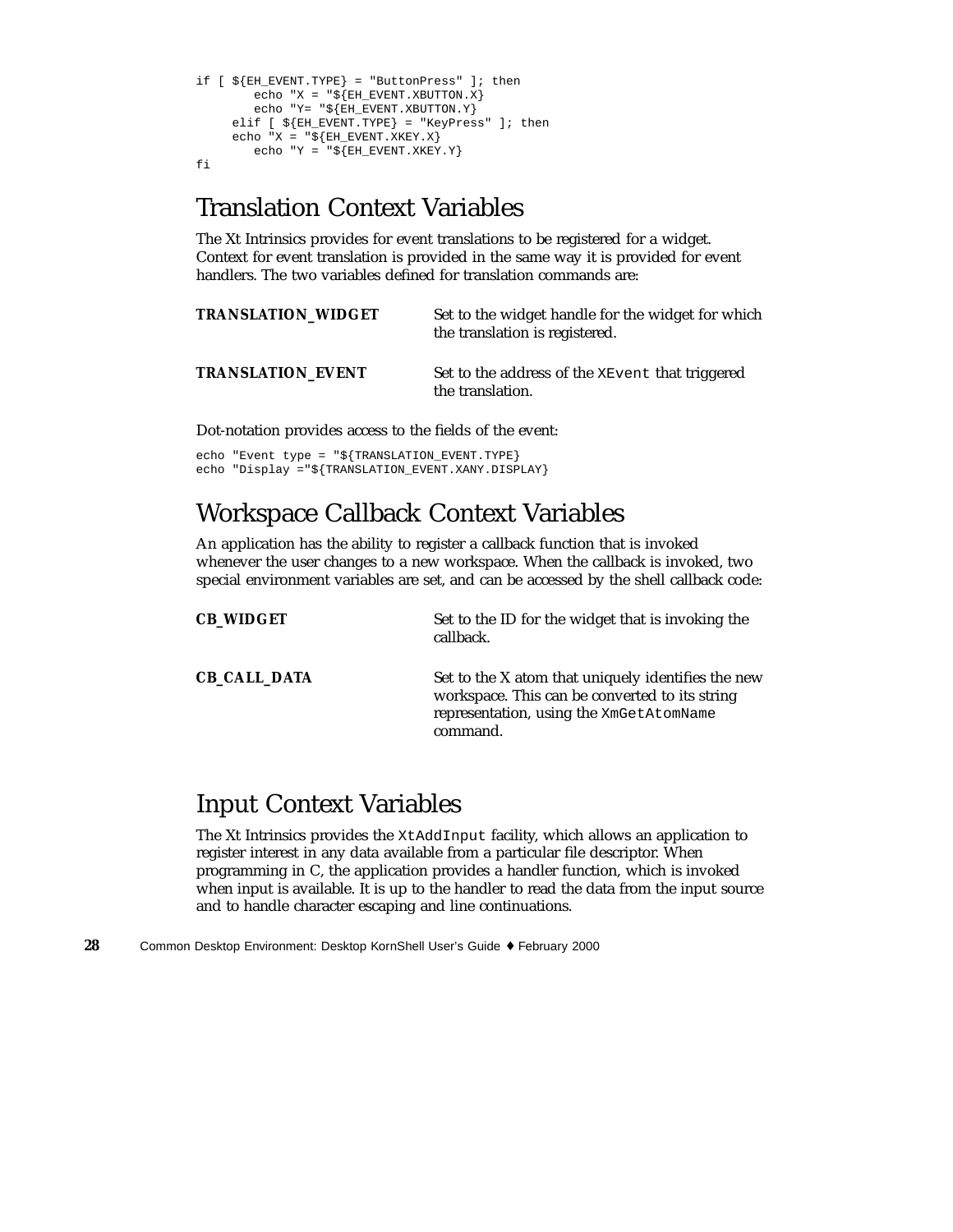```
if [ ${EH_EVENT.TYPE} = "ButtonPress" ]; then
        echo "X = "\sqrt{\text{EH}} EVENT. XBUTTON. X
        echo "Y= "${EH_EVENT.XBUTTON.Y}
     elif [ ${EH_EVENT.TYPE} = "KeyPress" ]; then
     echo "X = "\S{EH_EVENT.XKEY.X}
        echo "Y = "\S{EH_EVENT.XKEY.Y}
fi
```
#### Translation Context Variables

The Xt Intrinsics provides for event translations to be registered for a widget. Context for event translation is provided in the same way it is provided for event handlers. The two variables defined for translation commands are:

| <b>TRANSLATION WIDGET</b> | Set to the widget handle for the widget for which<br>the translation is registered. |
|---------------------------|-------------------------------------------------------------------------------------|
| <b>TRANSLATION EVENT</b>  | Set to the address of the XEvent that triggered<br>the translation.                 |

Dot-notation provides access to the fields of the event:

```
echo "Event type = "${TRANSLATION_EVENT.TYPE}
echo "Display ="${TRANSLATION_EVENT.XANY.DISPLAY}
```
#### Workspace Callback Context Variables

An application has the ability to register a callback function that is invoked whenever the user changes to a new workspace. When the callback is invoked, two special environment variables are set, and can be accessed by the shell callback code:

| <b>CB WIDGET</b>    | Set to the ID for the widget that is invoking the<br>callback.                                                                                              |
|---------------------|-------------------------------------------------------------------------------------------------------------------------------------------------------------|
| <b>CB_CALL_DATA</b> | Set to the X atom that uniquely identifies the new<br>workspace. This can be converted to its string<br>representation, using the XmGetAtomName<br>command. |

### Input Context Variables

The Xt Intrinsics provides the XtAddInput facility, which allows an application to register interest in any data available from a particular file descriptor. When programming in C, the application provides a handler function, which is invoked when input is available. It is up to the handler to read the data from the input source and to handle character escaping and line continuations.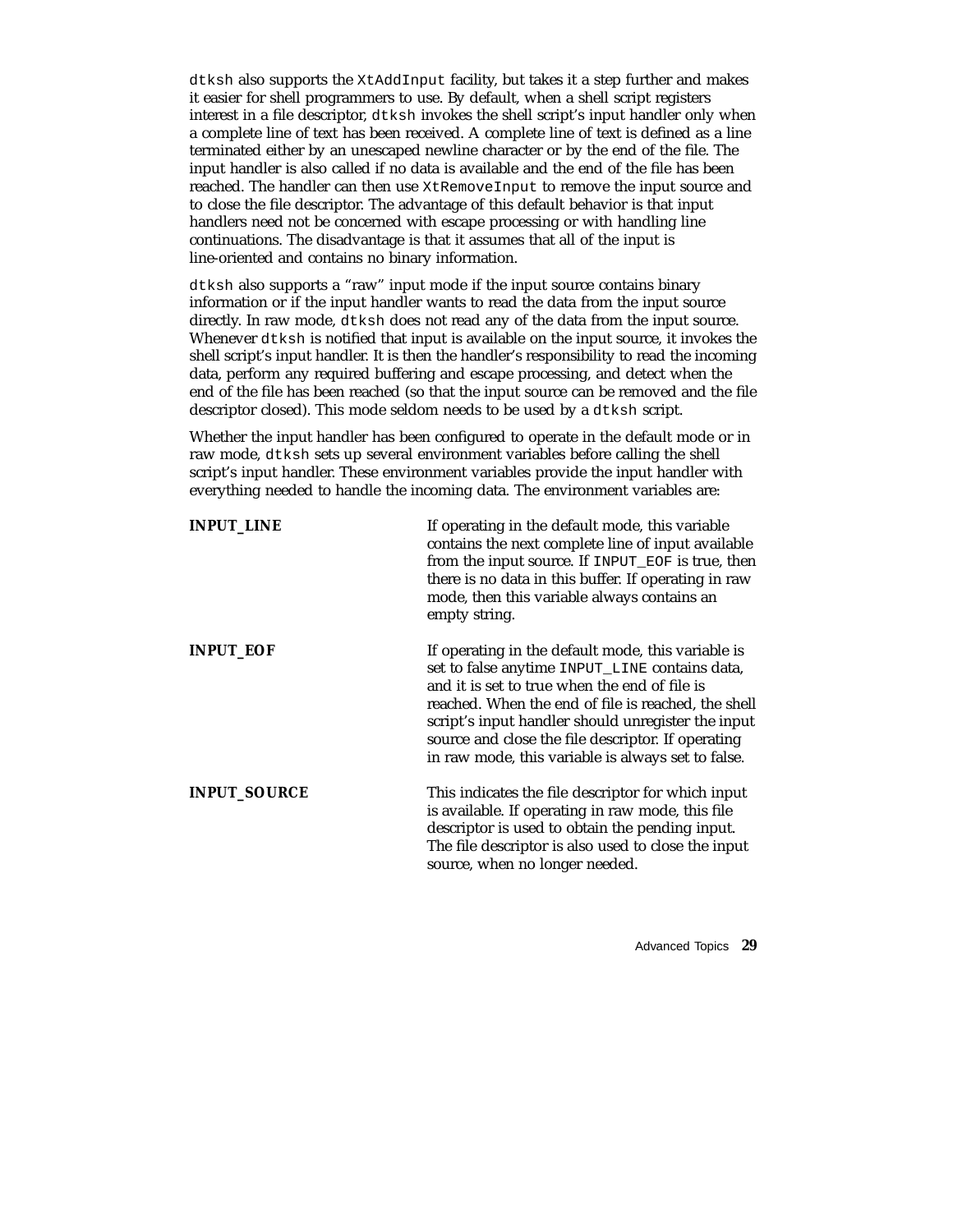dtksh also supports the XtAddInput facility, but takes it a step further and makes it easier for shell programmers to use. By default, when a shell script registers interest in a file descriptor, dtksh invokes the shell script's input handler only when a complete line of text has been received. A complete line of text is defined as a line terminated either by an unescaped newline character or by the end of the file. The input handler is also called if no data is available and the end of the file has been reached. The handler can then use XtRemoveInput to remove the input source and to close the file descriptor. The advantage of this default behavior is that input handlers need not be concerned with escape processing or with handling line continuations. The disadvantage is that it assumes that all of the input is line-oriented and contains no binary information.

dtksh also supports a "raw" input mode if the input source contains binary information or if the input handler wants to read the data from the input source directly. In raw mode, dtksh does not read any of the data from the input source. Whenever dtksh is notified that input is available on the input source, it invokes the shell script's input handler. It is then the handler's responsibility to read the incoming data, perform any required buffering and escape processing, and detect when the end of the file has been reached (so that the input source can be removed and the file descriptor closed). This mode seldom needs to be used by a dtksh script.

Whether the input handler has been configured to operate in the default mode or in raw mode, dtksh sets up several environment variables before calling the shell script's input handler. These environment variables provide the input handler with everything needed to handle the incoming data. The environment variables are:

| <b>INPUT LINE</b>   | If operating in the default mode, this variable<br>contains the next complete line of input available<br>from the input source. If INPUT_EOF is true, then<br>there is no data in this buffer. If operating in raw<br>mode, then this variable always contains an<br>empty string.                                                                                             |
|---------------------|--------------------------------------------------------------------------------------------------------------------------------------------------------------------------------------------------------------------------------------------------------------------------------------------------------------------------------------------------------------------------------|
| <b>INPUT_EOF</b>    | If operating in the default mode, this variable is<br>set to false anytime INPUT_LINE contains data,<br>and it is set to true when the end of file is<br>reached. When the end of file is reached, the shell<br>script's input handler should unregister the input<br>source and close the file descriptor. If operating<br>in raw mode, this variable is always set to false. |
| <b>INPUT_SOURCE</b> | This indicates the file descriptor for which input<br>is available. If operating in raw mode, this file<br>descriptor is used to obtain the pending input.<br>The file descriptor is also used to close the input<br>source, when no longer needed.                                                                                                                            |

Advanced Topics **29**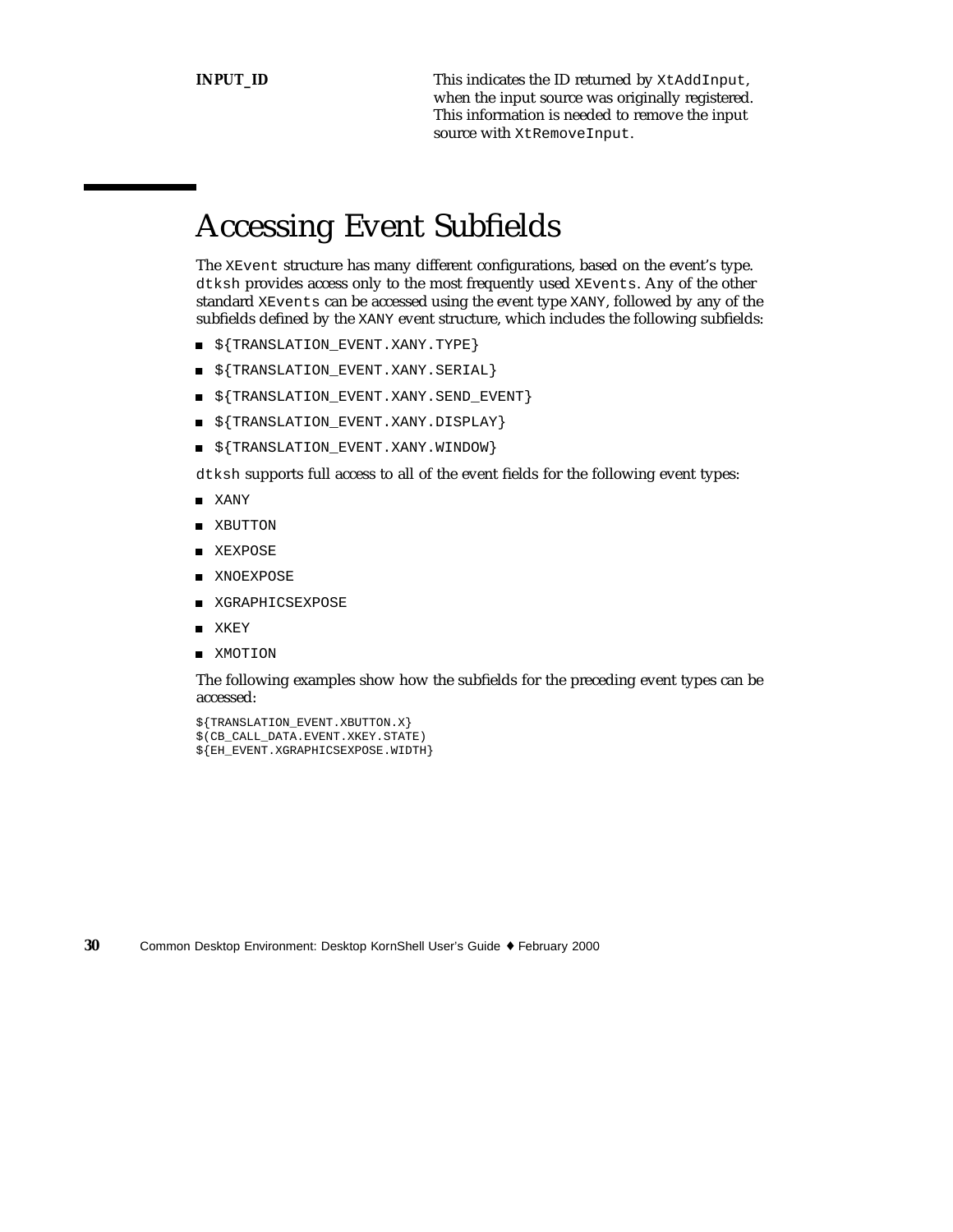**INPUT\_ID** This indicates the ID returned by XtAddInput, when the input source was originally registered. This information is needed to remove the input source with XtRemoveInput.

# Accessing Event Subfields

The XEvent structure has many different configurations, based on the event's type. dtksh provides access only to the most frequently used XEvents. Any of the other standard XEvents can be accessed using the event type XANY, followed by any of the subfields defined by the XANY event structure, which includes the following subfields:

- $\blacksquare$  \${TRANSLATION\_EVENT.XANY.TYPE}
- $\blacksquare$  \${TRANSLATION\_EVENT. XANY. SERIAL}
- $\blacksquare$  \${TRANSLATION\_EVENT.XANY.SEND\_EVENT}
- $\blacksquare$  \${TRANSLATION EVENT.XANY.DISPLAY}
- $\blacksquare$  \${TRANSLATION\_EVENT.XANY.WINDOW}

dtksh supports full access to all of the event fields for the following event types:

- XANY
- XBUTTON
- **XEXPOSE**
- **XNOEXPOSE**
- XGRAPHICSEXPOSE
- **x**KEY
- XMOTION

The following examples show how the subfields for the preceding event types can be accessed:

- \${TRANSLATION\_EVENT.XBUTTON.X}
- \$(CB\_CALL\_DATA.EVENT.XKEY.STATE)
- \${EH\_EVENT.XGRAPHICSEXPOSE.WIDTH}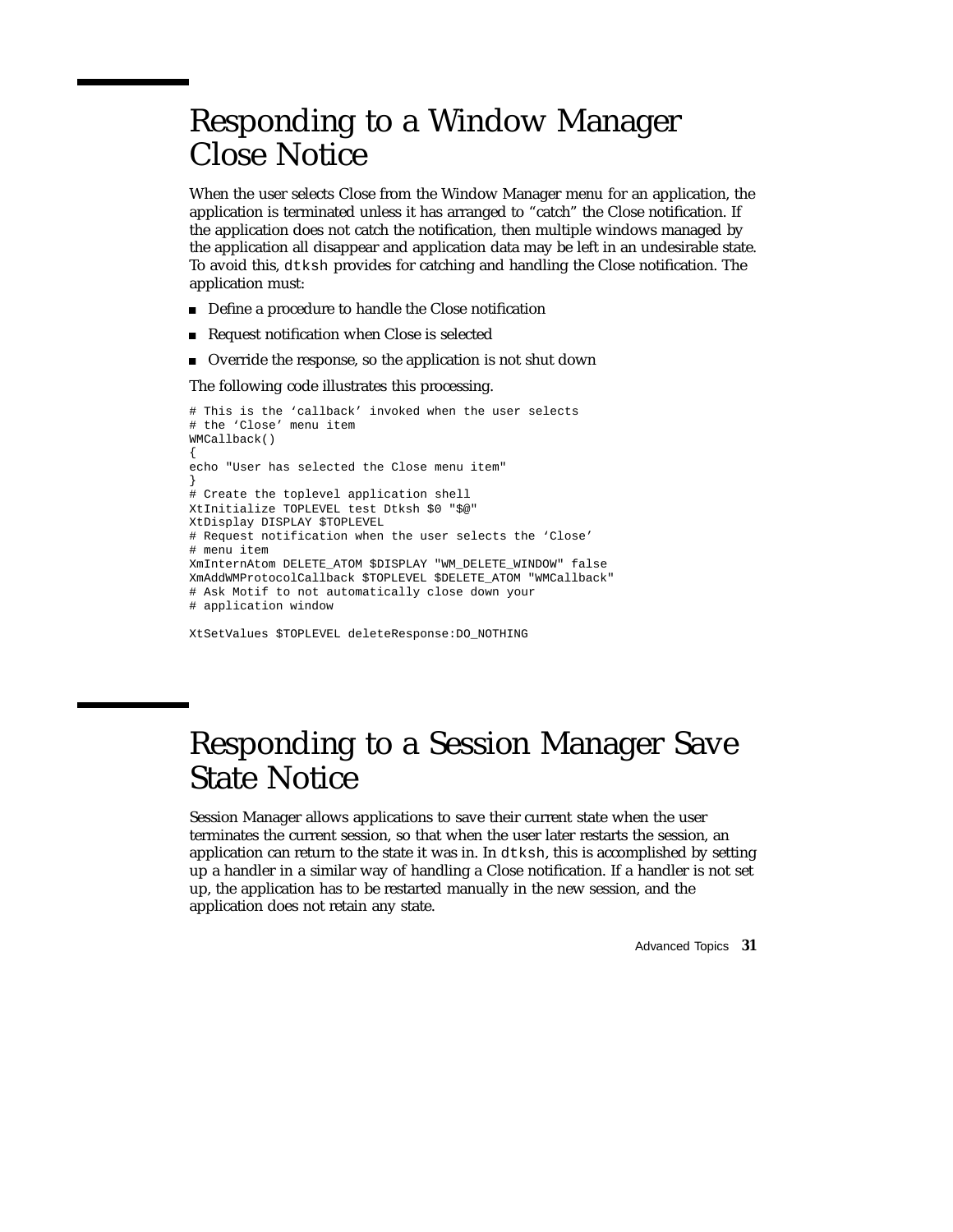# Responding to a Window Manager Close Notice

When the user selects Close from the Window Manager menu for an application, the application is terminated unless it has arranged to "catch" the Close notification. If the application does not catch the notification, then multiple windows managed by the application all disappear and application data may be left in an undesirable state. To avoid this, dtksh provides for catching and handling the Close notification. The application must:

- Define a procedure to handle the Close notification
- Request notification when Close is selected
- Override the response, so the application is not shut down

The following code illustrates this processing.

```
# This is the 'callback' invoked when the user selects
# the 'Close' menu item
WMCallback()
{
echo "User has selected the Close menu item"
}
# Create the toplevel application shell
XtInitialize TOPLEVEL test Dtksh $0 "$@"
XtDisplay DISPLAY $TOPLEVEL
# Request notification when the user selects the 'Close'
# menu item
XmInternAtom DELETE_ATOM $DISPLAY "WM_DELETE_WINDOW" false
XmAddWMProtocolCallback $TOPLEVEL $DELETE_ATOM "WMCallback"
# Ask Motif to not automatically close down your
# application window
```

```
XtSetValues $TOPLEVEL deleteResponse:DO_NOTHING
```
# Responding to a Session Manager Save State Notice

Session Manager allows applications to save their current state when the user terminates the current session, so that when the user later restarts the session, an application can return to the state it was in. In dtksh, this is accomplished by setting up a handler in a similar way of handling a Close notification. If a handler is not set up, the application has to be restarted manually in the new session, and the application does not retain any state.

Advanced Topics **31**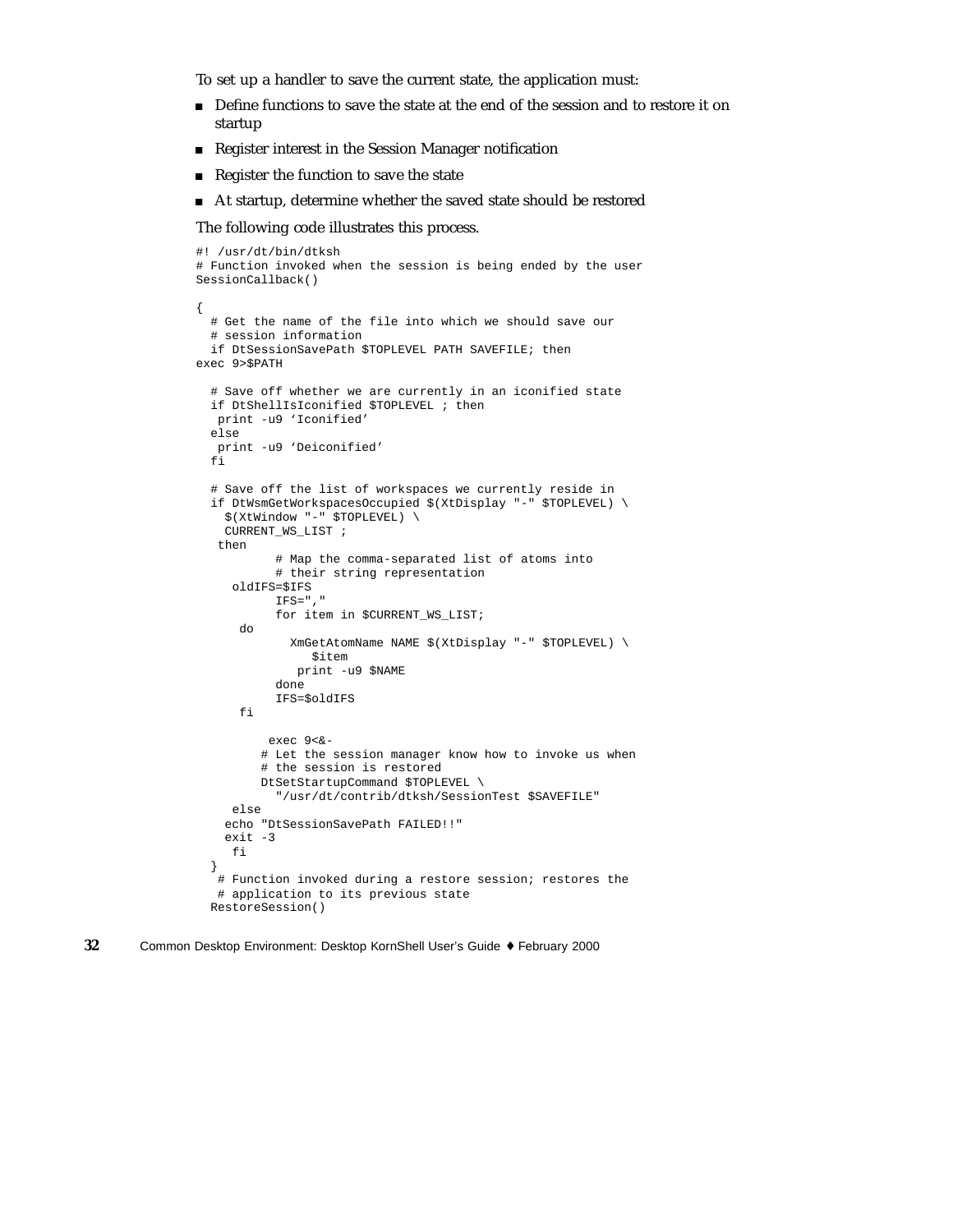To set up a handler to save the current state, the application must:

- Define functions to save the state at the end of the session and to restore it on startup
- Register interest in the Session Manager notification
- Register the function to save the state
- At startup, determine whether the saved state should be restored

The following code illustrates this process.

```
#! /usr/dt/bin/dtksh
# Function invoked when the session is being ended by the user
SessionCallback()
{
  # Get the name of the file into which we should save our
  # session information
  if DtSessionSavePath $TOPLEVEL PATH SAVEFILE; then
exec 9>$PATH
  # Save off whether we are currently in an iconified state
  if DtShellIsIconified $TOPLEVEL ; then
  print -u9 'Iconified'
  else
  print -u9 'Deiconified'
  fi
  # Save off the list of workspaces we currently reside in
  if DtWsmGetWorkspacesOccupied $(XtDisplay "-" $TOPLEVEL) \
    $(XtWindow "-" $TOPLEVEL) \
   CURRENT_WS_LIST ;
   then
           # Map the comma-separated list of atoms into
           # their string representation
     oldIFS=$IFS
           IFS=".
           for item in $CURRENT_WS_LIST;
      do
             XmGetAtomName NAME $(XtDisplay "-" $TOPLEVEL) \
                $item
              print -u9 $NAME
           done
           IFS=$oldIFS
      fi
          exec 9<&-
         # Let the session manager know how to invoke us when
         # the session is restored
         DtSetStartupCommand $TOPLEVEL \
           "/usr/dt/contrib/dtksh/SessionTest $SAVEFILE"
     else
    echo "DtSessionSavePath FAILED!!"
    exit -3
     fi
  }
   # Function invoked during a restore session; restores the
   # application to its previous state
  RestoreSession()
```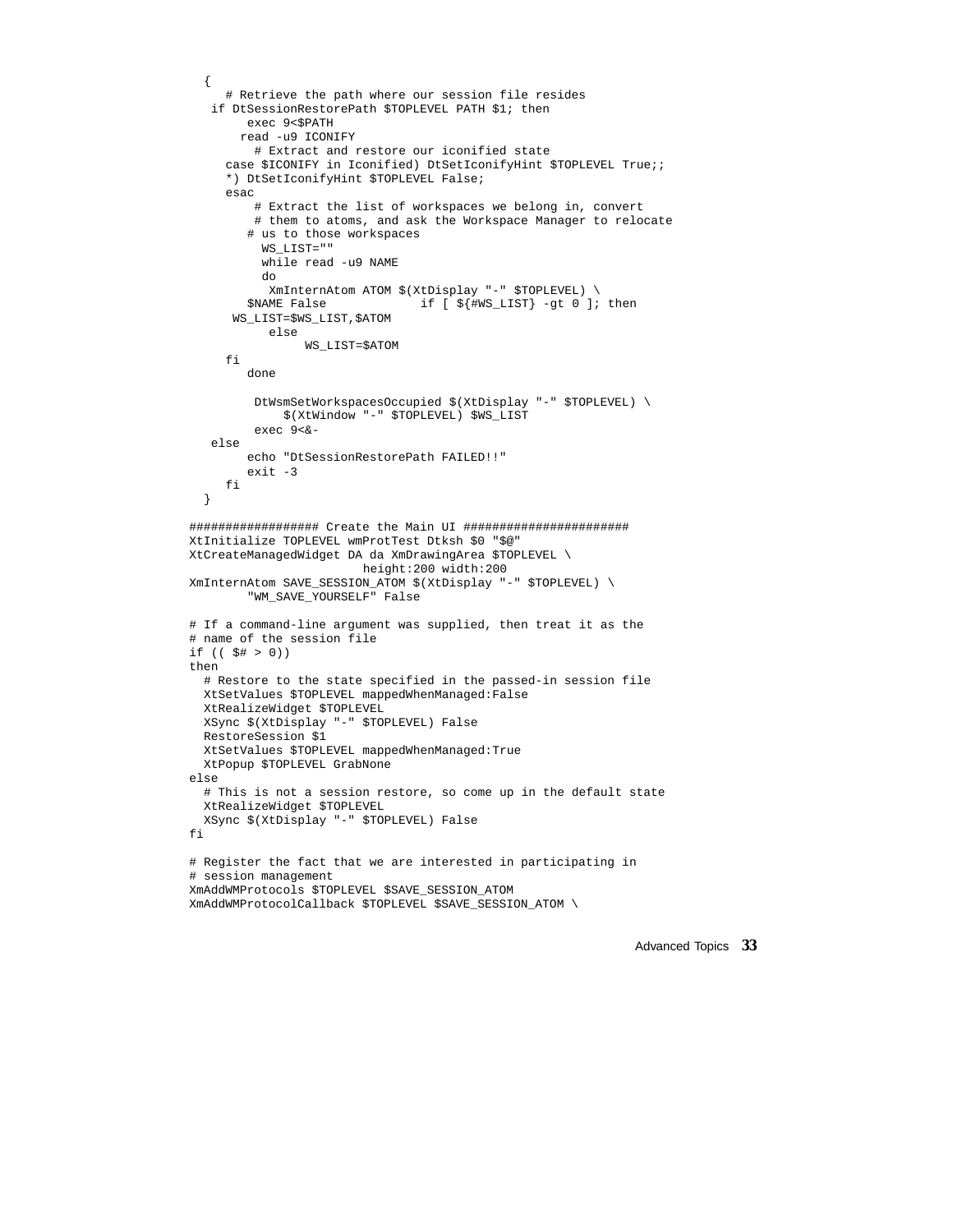```
{
     # Retrieve the path where our session file resides
   if DtSessionRestorePath $TOPLEVEL PATH $1; then
       exec 9<$PATH
       read -u9 ICONIFY
         # Extract and restore our iconified state
     case $ICONIFY in Iconified) DtSetIconifyHint $TOPLEVEL True;;
     *) DtSetIconifyHint $TOPLEVEL False;
     esac
         # Extract the list of workspaces we belong in, convert
         # them to atoms, and ask the Workspace Manager to relocate
        # us to those workspaces
         WS LIST=""
          while read -u9 NAME
          do
          XmInternAtom ATOM $(XtDisplay "-" $TOPLEVEL) \
        $NAME False if [ ${#WS_LIST} -gt 0 ]; then
      WS_LIST=$WS_LIST,$ATOM
           else
               WS_LIST=$ATOM
     fi
        done
         DtWsmSetWorkspacesOccupied $(XtDisplay "-" $TOPLEVEL) \
             $(XtWindow "-" $TOPLEVEL) $WS_LIST
         exec 9<&-
   else
        echo "DtSessionRestorePath FAILED!!"
       exit -3
     fi
  }
################## Create the Main UI #######################
XtInitialize TOPLEVEL wmProtTest Dtksh $0 "$@"
XtCreateManagedWidget DA da XmDrawingArea $TOPLEVEL \
                       height:200 width:200
XmInternAtom SAVE_SESSION_ATOM $(XtDisplay "-" $TOPLEVEL) \
        "WM_SAVE_YOURSELF" False
# If a command-line argument was supplied, then treat it as the
# name of the session file
if (( $# > 0))then
  # Restore to the state specified in the passed-in session file
  XtSetValues $TOPLEVEL mappedWhenManaged:False
  XtRealizeWidget $TOPLEVEL
  XSync $(XtDisplay "-" $TOPLEVEL) False
  RestoreSession $1
  XtSetValues $TOPLEVEL mappedWhenManaged:True
  XtPopup $TOPLEVEL GrabNone
else
  # This is not a session restore, so come up in the default state
  XtRealizeWidget $TOPLEVEL
  XSync $(XtDisplay "-" $TOPLEVEL) False
fi
# Register the fact that we are interested in participating in
# session management
XmAddWMProtocols $TOPLEVEL $SAVE_SESSION_ATOM
XmAddWMProtocolCallback $TOPLEVEL $SAVE_SESSION_ATOM \
```
Advanced Topics **33**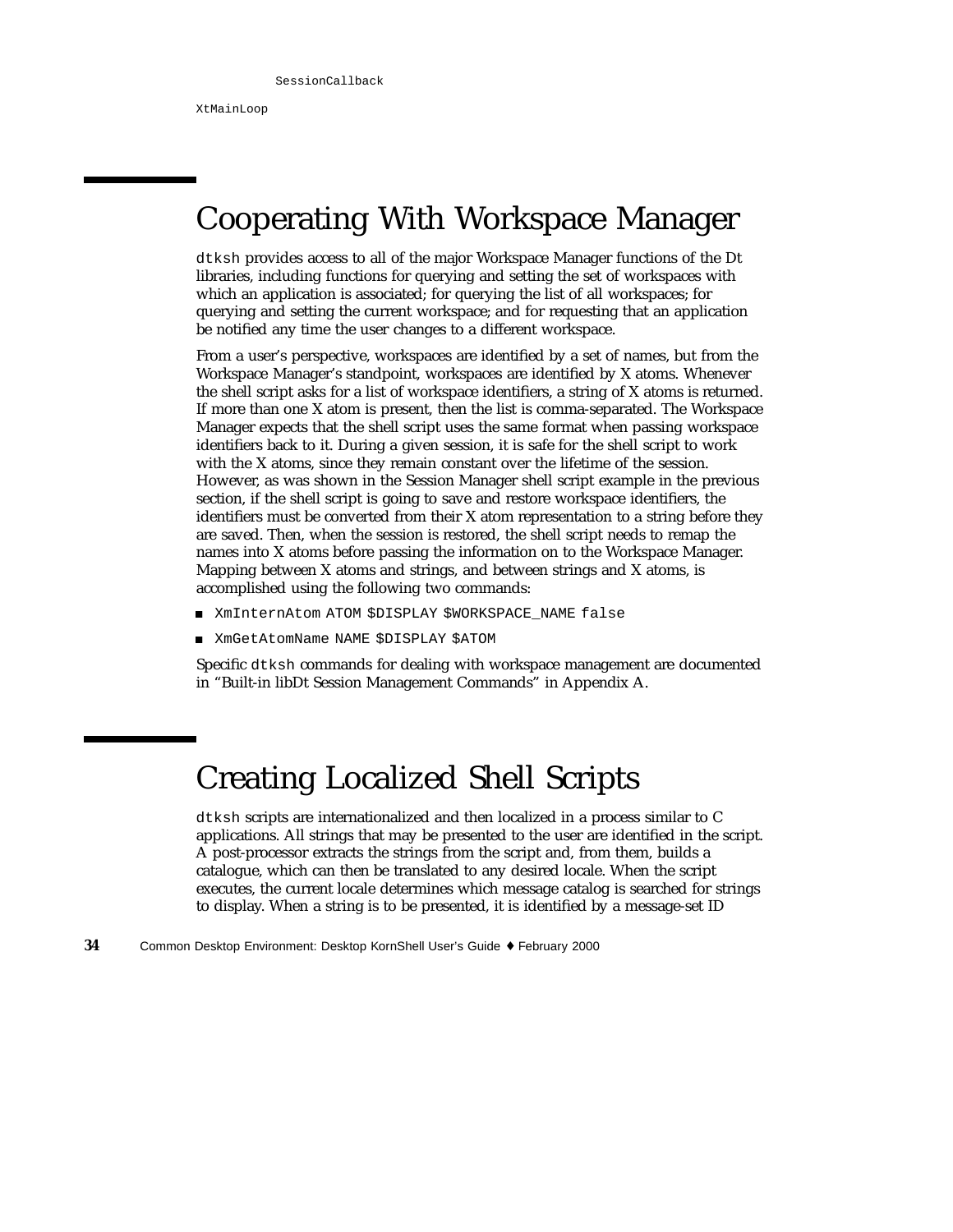XtMainLoop

# Cooperating With Workspace Manager

dtksh provides access to all of the major Workspace Manager functions of the Dt libraries, including functions for querying and setting the set of workspaces with which an application is associated; for querying the list of all workspaces; for querying and setting the current workspace; and for requesting that an application be notified any time the user changes to a different workspace.

From a user's perspective, workspaces are identified by a set of names, but from the Workspace Manager's standpoint, workspaces are identified by X atoms. Whenever the shell script asks for a list of workspace identifiers, a string of X atoms is returned. If more than one X atom is present, then the list is comma-separated. The Workspace Manager expects that the shell script uses the same format when passing workspace identifiers back to it. During a given session, it is safe for the shell script to work with the X atoms, since they remain constant over the lifetime of the session. However, as was shown in the Session Manager shell script example in the previous section, if the shell script is going to save and restore workspace identifiers, the identifiers must be converted from their X atom representation to a string before they are saved. Then, when the session is restored, the shell script needs to remap the names into X atoms before passing the information on to the Workspace Manager. Mapping between X atoms and strings, and between strings and X atoms, is accomplished using the following two commands:

- XmInternAtom ATOM \$DISPLAY \$WORKSPACE\_NAME false
- XmGetAtomName NAME \$DISPLAY \$ATOM

Specific dtksh commands for dealing with workspace management are documented in "Built-in libDt Session Management Commands" in Appendix A.

# Creating Localized Shell Scripts

dtksh scripts are internationalized and then localized in a process similar to C applications. All strings that may be presented to the user are identified in the script. A post-processor extracts the strings from the script and, from them, builds a catalogue, which can then be translated to any desired locale. When the script executes, the current locale determines which message catalog is searched for strings to display. When a string is to be presented, it is identified by a message-set ID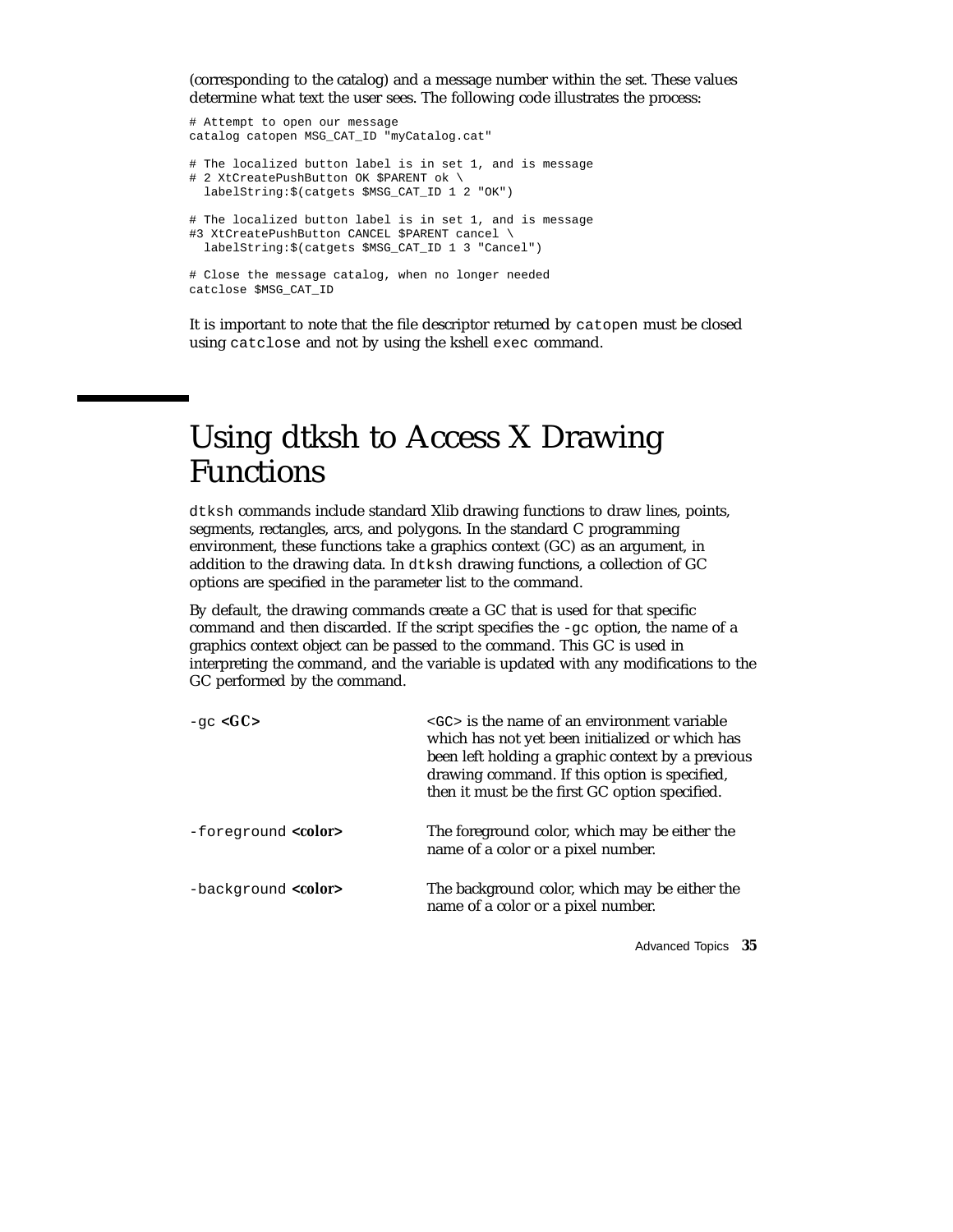(corresponding to the catalog) and a message number within the set. These values determine what text the user sees. The following code illustrates the process:

```
# Attempt to open our message
catalog catopen MSG_CAT_ID "myCatalog.cat"
# The localized button label is in set 1, and is message
# 2 XtCreatePushButton OK $PARENT ok \
  labelString:$(catgets $MSG_CAT_ID 1 2 "OK")
# The localized button label is in set 1, and is message
#3 XtCreatePushButton CANCEL $PARENT cancel \
  labelString:$(catgets $MSG_CAT_ID 1 3 "Cancel")
# Close the message catalog, when no longer needed
catclose $MSG_CAT_ID
```
It is important to note that the file descriptor returned by catopen must be closed using catclose and not by using the kshell exec command.

## Using dtksh to Access X Drawing Functions

dtksh commands include standard Xlib drawing functions to draw lines, points, segments, rectangles, arcs, and polygons. In the standard C programming environment, these functions take a graphics context (GC) as an argument, in addition to the drawing data. In dtksh drawing functions, a collection of GC options are specified in the parameter list to the command.

By default, the drawing commands create a GC that is used for that specific command and then discarded. If the script specifies the -gc option, the name of a graphics context object can be passed to the command. This GC is used in interpreting the command, and the variable is updated with any modifications to the GC performed by the command.

| -gc $\langle GC \rangle$    | <gc> is the name of an environment variable<br/>which has not yet been initialized or which has<br/>been left holding a graphic context by a previous<br/>drawing command. If this option is specified,<br/>then it must be the first GC option specified.</gc> |
|-----------------------------|-----------------------------------------------------------------------------------------------------------------------------------------------------------------------------------------------------------------------------------------------------------------|
| -foreground <color></color> | The foreground color, which may be either the<br>name of a color or a pixel number.                                                                                                                                                                             |
| -background <color></color> | The background color, which may be either the<br>name of a color or a pixel number.                                                                                                                                                                             |

Advanced Topics **35**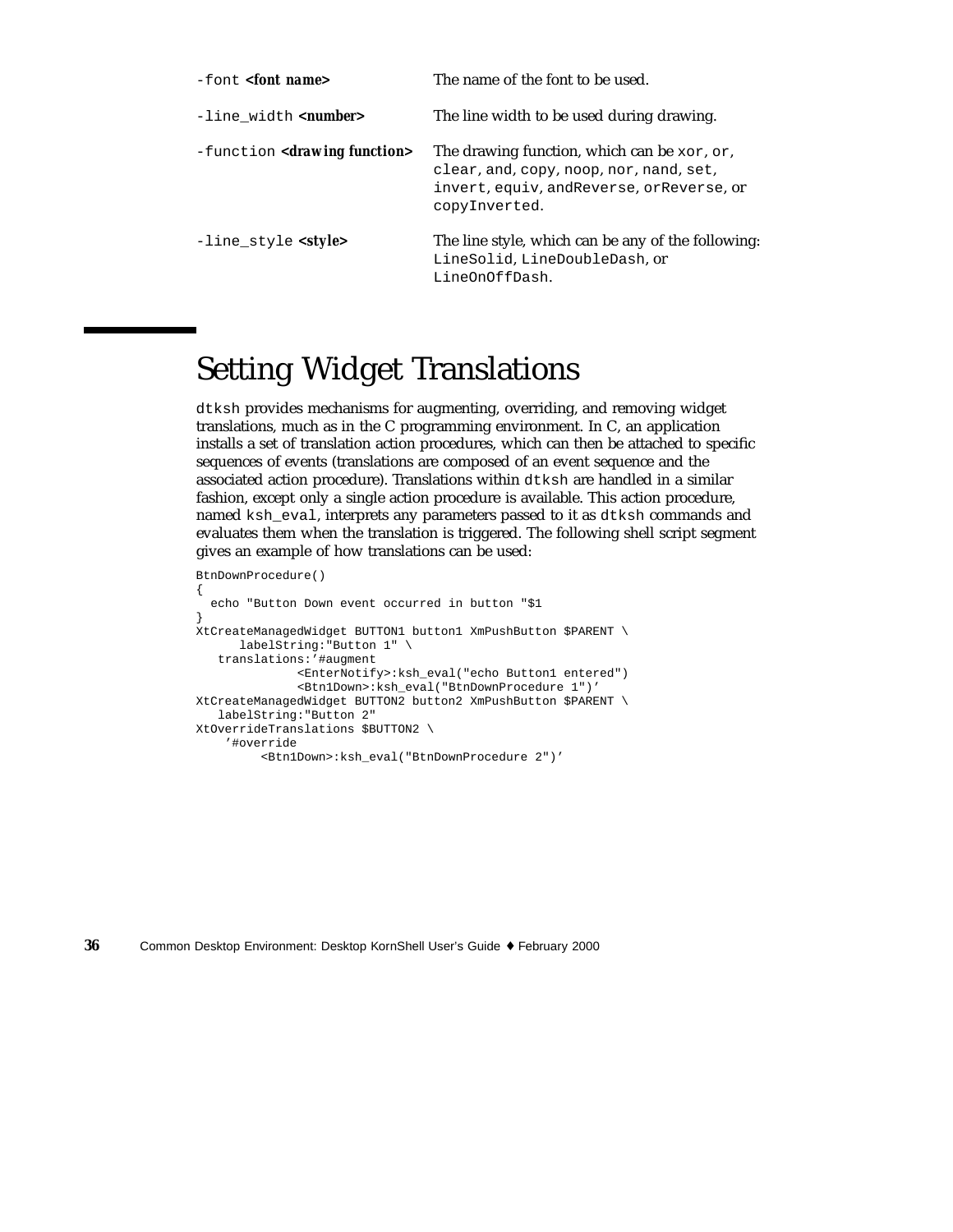| $-$ font $<$ font name>                   | The name of the font to be used.                                                                                                                      |
|-------------------------------------------|-------------------------------------------------------------------------------------------------------------------------------------------------------|
| -line_width <number></number>             | The line width to be used during drawing.                                                                                                             |
| -function <drawing function=""></drawing> | The drawing function, which can be xor, or,<br>clear, and, copy, noop, nor, nand, set,<br>invert, equiv, and Reverse, or Reverse, or<br>copyInverted. |
| -line_style <style></style>               |                                                                                                                                                       |

# Setting Widget Translations

dtksh provides mechanisms for augmenting, overriding, and removing widget translations, much as in the C programming environment. In C, an application installs a set of translation action procedures, which can then be attached to specific sequences of events (translations are composed of an event sequence and the associated action procedure). Translations within dtksh are handled in a similar fashion, except only a single action procedure is available. This action procedure, named ksh\_eval, interprets any parameters passed to it as dtksh commands and evaluates them when the translation is triggered. The following shell script segment gives an example of how translations can be used:

```
BtnDownProcedure()
{
  echo "Button Down event occurred in button "$1
}
XtCreateManagedWidget BUTTON1 button1 XmPushButton $PARENT \
     labelString:"Button 1" \
   translations:'#augment
              <EnterNotify>:ksh_eval("echo Button1 entered")
              <Btn1Down>:ksh_eval("BtnDownProcedure 1")'
XtCreateManagedWidget BUTTON2 button2 XmPushButton $PARENT \
   labelString:"Button 2"
XtOverrideTranslations $BUTTON2 \
    '#override
         <Btn1Down>:ksh_eval("BtnDownProcedure 2")'
```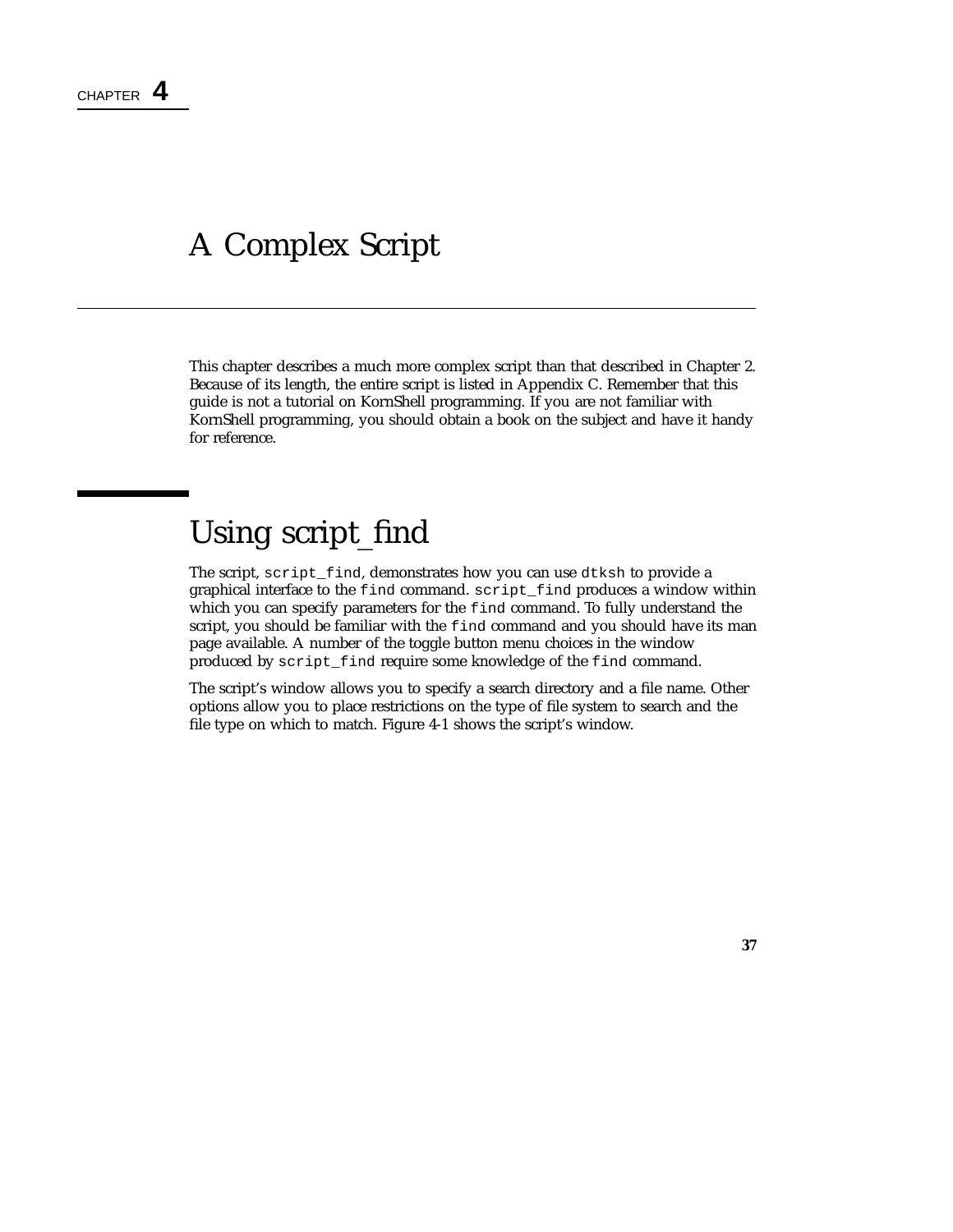## A Complex Script

This chapter describes a much more complex script than that described in Chapter 2. Because of its length, the entire script is listed in Appendix C. Remember that this guide is not a tutorial on KornShell programming. If you are not familiar with KornShell programming, you should obtain a book on the subject and have it handy for reference.

## Using script\_find

The script, script\_find, demonstrates how you can use dtksh to provide a graphical interface to the find command. script\_find produces a window within which you can specify parameters for the find command. To fully understand the script, you should be familiar with the find command and you should have its man page available. A number of the toggle button menu choices in the window produced by script\_find require some knowledge of the find command.

The script's window allows you to specify a search directory and a file name. Other options allow you to place restrictions on the type of file system to search and the file type on which to match. Figure 4-1 shows the script's window.

**37**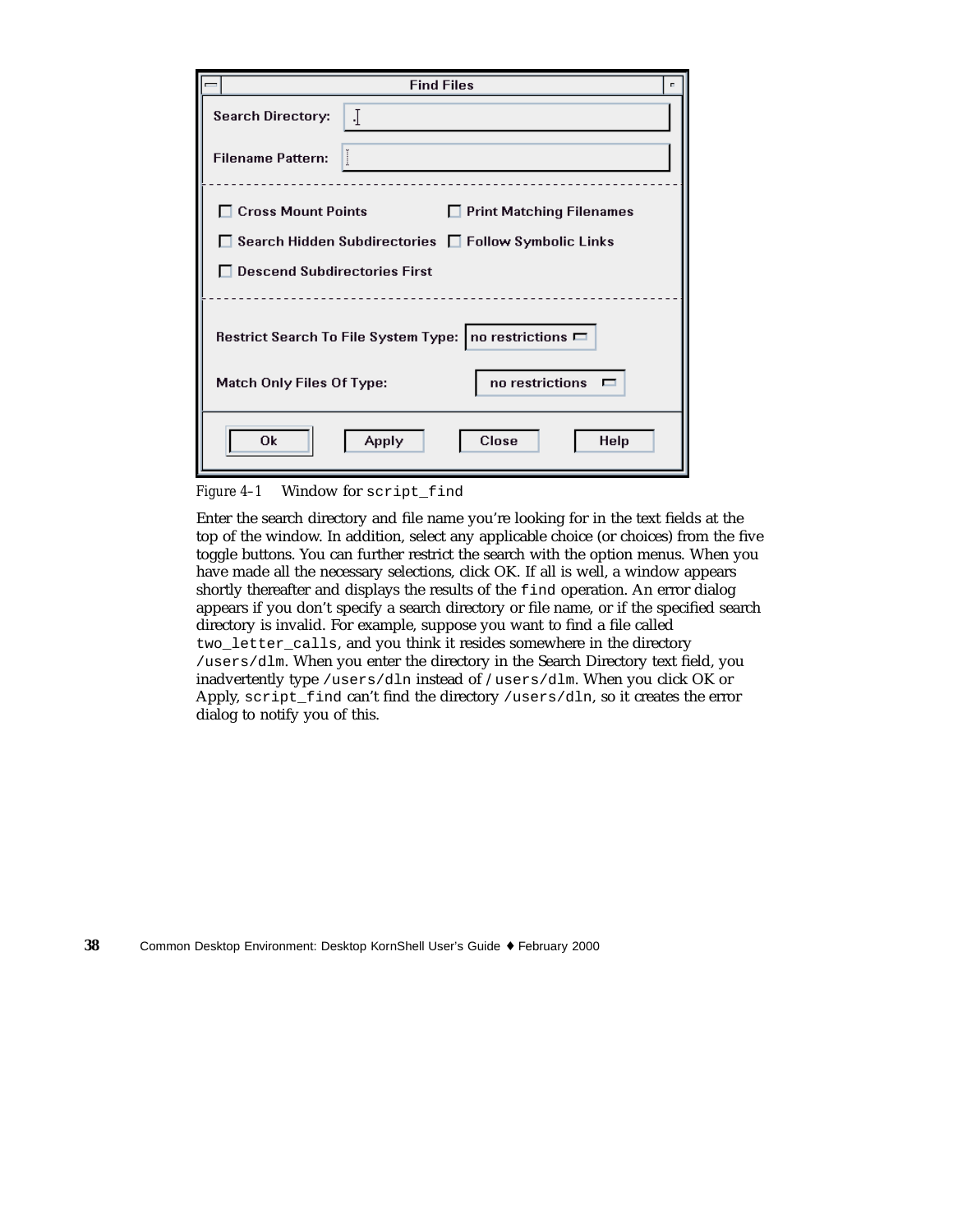| <b>Find Files</b><br>п                                                          |
|---------------------------------------------------------------------------------|
| J<br><b>Search Directory:</b>                                                   |
| H<br><b>Filename Pattern:</b>                                                   |
| □ Cross Mount Points<br>П<br><b>Print Matching Filenames</b>                    |
| Search Hidden Subdirectories □ Follow Symbolic Links                            |
| <b>Descend Subdirectories First</b>                                             |
| Restrict Search To File System Type:   no restrictions $\Box$                   |
| no restrictions<br><b>Match Only Files Of Type:</b><br>$\overline{\phantom{0}}$ |
| 0k<br>Apply<br>Close<br>Help                                                    |

*Figure 4–1* Window for script\_find

Enter the search directory and file name you're looking for in the text fields at the top of the window. In addition, select any applicable choice (or choices) from the five toggle buttons. You can further restrict the search with the option menus. When you have made all the necessary selections, click OK. If all is well, a window appears shortly thereafter and displays the results of the find operation. An error dialog appears if you don't specify a search directory or file name, or if the specified search directory is invalid. For example, suppose you want to find a file called two\_letter\_calls, and you think it resides somewhere in the directory /users/dlm. When you enter the directory in the Search Directory text field, you inadvertently type /users/dln instead of /users/dlm. When you click OK or Apply, script\_find can't find the directory /users/dln, so it creates the error dialog to notify you of this.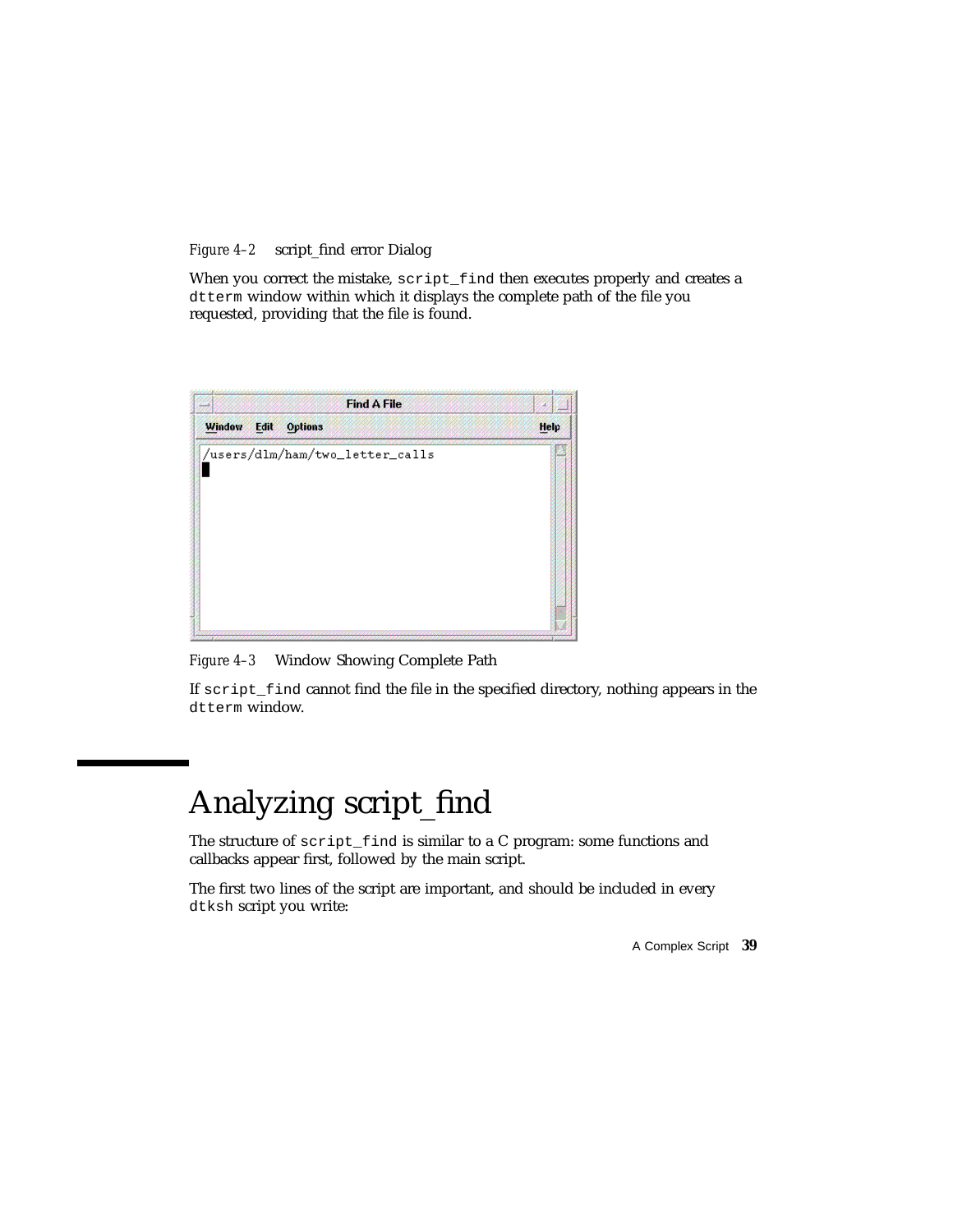### *Figure 4–2* script\_find error Dialog

When you correct the mistake, script\_find then executes properly and creates a dtterm window within which it displays the complete path of the file you requested, providing that the file is found.



*Figure 4–3* Window Showing Complete Path

If script\_find cannot find the file in the specified directory, nothing appears in the dtterm window.

# Analyzing script\_find

The structure of script\_find is similar to a C program: some functions and callbacks appear first, followed by the main script.

The first two lines of the script are important, and should be included in every dtksh script you write:

A Complex Script **39**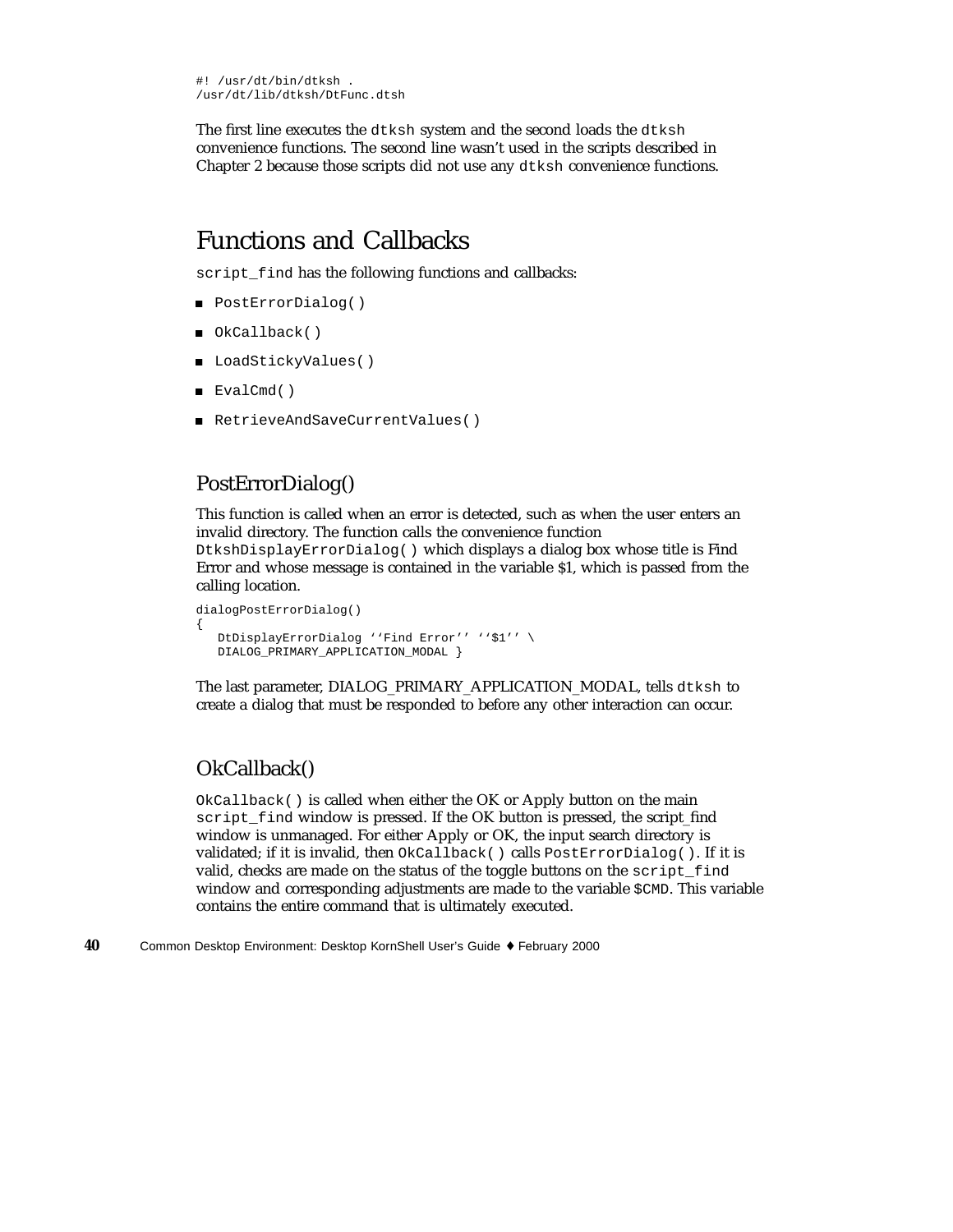#! /usr/dt/bin/dtksh . /usr/dt/lib/dtksh/DtFunc.dtsh

The first line executes the dtksh system and the second loads the dtksh convenience functions. The second line wasn't used in the scripts described in Chapter 2 because those scripts did not use any dtksh convenience functions.

## Functions and Callbacks

script\_find has the following functions and callbacks:

- PostErrorDialog()
- OkCallback()
- LoadStickyValues()
- EvalCmd()
- RetrieveAndSaveCurrentValues()

### PostErrorDialog()

This function is called when an error is detected, such as when the user enters an invalid directory. The function calls the convenience function

DtkshDisplayErrorDialog() which displays a dialog box whose title is Find Error and whose message is contained in the variable \$1, which is passed from the calling location.

```
dialogPostErrorDialog()
{
  DtDisplayErrorDialog ''Find Error'' ''$1'' \
  DIALOG_PRIMARY_APPLICATION_MODAL }
```
The last parameter, DIALOG\_PRIMARY\_APPLICATION\_MODAL, tells dtksh to create a dialog that must be responded to before any other interaction can occur.

## OkCallback()

 $OkCallback()$  is called when either the OK or Apply button on the main script\_find window is pressed. If the OK button is pressed, the script\_find window is unmanaged. For either Apply or OK, the input search directory is validated; if it is invalid, then  $OkCallback()$  calls  $PostErrorDialog()$ . If it is valid, checks are made on the status of the toggle buttons on the script\_find window and corresponding adjustments are made to the variable  $$CMD$ . This variable contains the entire command that is ultimately executed.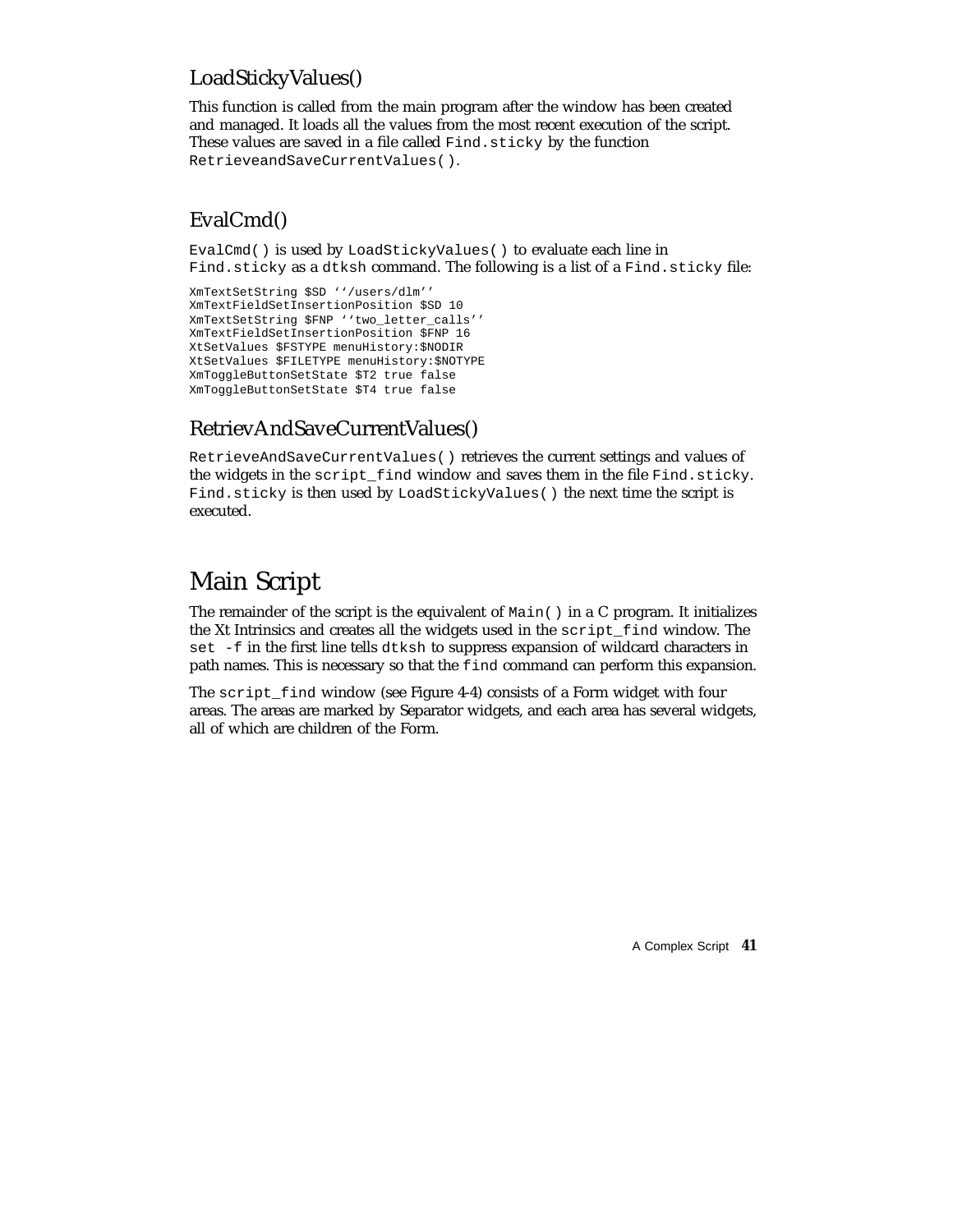## LoadStickyValues()

This function is called from the main program after the window has been created and managed. It loads all the values from the most recent execution of the script. These values are saved in a file called Find.sticky by the function RetrieveandSaveCurrentValues().

## EvalCmd()

EvalCmd() is used by LoadStickyValues() to evaluate each line in Find.sticky as a dtksh command. The following is a list of a Find.sticky file:

```
XmTextSetString $SD ''/users/dlm''
XmTextFieldSetInsertionPosition $SD 10
XmTextSetString $FNP ''two_letter_calls''
XmTextFieldSetInsertionPosition $FNP 16
XtSetValues $FSTYPE menuHistory:$NODIR
XtSetValues $FILETYPE menuHistory:$NOTYPE
XmToggleButtonSetState $T2 true false
XmToggleButtonSetState $T4 true false
```
## RetrievAndSaveCurrentValues()

RetrieveAndSaveCurrentValues() retrieves the current settings and values of the widgets in the script\_find window and saves them in the file Find.sticky. Find.sticky is then used by LoadStickyValues() the next time the script is executed.

## Main Script

The remainder of the script is the equivalent of  $Main()$  in a C program. It initializes the Xt Intrinsics and creates all the widgets used in the script\_find window. The set -f in the first line tells dtksh to suppress expansion of wildcard characters in path names. This is necessary so that the find command can perform this expansion.

The script\_find window (see Figure 4-4) consists of a Form widget with four areas. The areas are marked by Separator widgets, and each area has several widgets, all of which are children of the Form.

A Complex Script **41**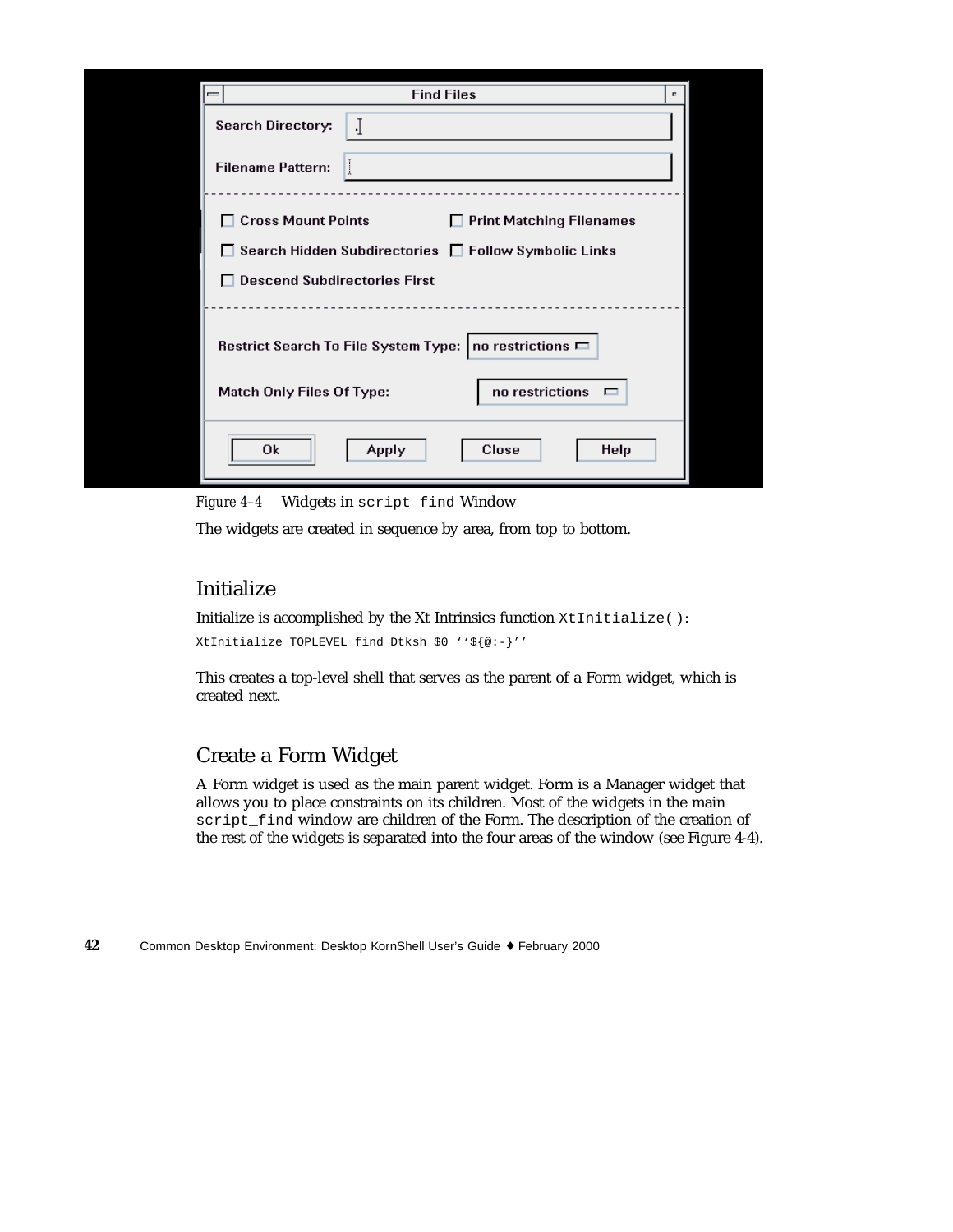|                                                                                             | <b>Find Files</b><br>п                                   |  |  |  |  |
|---------------------------------------------------------------------------------------------|----------------------------------------------------------|--|--|--|--|
|                                                                                             | <b>Search Directory:</b><br>J                            |  |  |  |  |
|                                                                                             | ľ<br><b>Filename Pattern:</b>                            |  |  |  |  |
| -------------------------------<br>□ Cross Mount Points<br>□ Print Matching Filenames       |                                                          |  |  |  |  |
| Search Hidden Subdirectories □ Follow Symbolic Links<br>$\Box$ Descend Subdirectories First |                                                          |  |  |  |  |
|                                                                                             | ____________________________________                     |  |  |  |  |
| Restrict Search To File System Type:   no restrictions $\Box$                               |                                                          |  |  |  |  |
|                                                                                             | no restrictions<br><b>Match Only Files Of Type:</b><br>Ē |  |  |  |  |
|                                                                                             | Ok<br><b>Apply</b><br>Close<br>Help                      |  |  |  |  |

*Figure 4–4* Widgets in script\_find Window

The widgets are created in sequence by area, from top to bottom.

### Initialize

Initialize is accomplished by the Xt Intrinsics function XtInitialize():

XtInitialize TOPLEVEL find Dtksh \$0 ''\${@:-}''

This creates a top-level shell that serves as the parent of a Form widget, which is created next.

## Create a Form Widget

A Form widget is used as the main parent widget. Form is a Manager widget that allows you to place constraints on its children. Most of the widgets in the main script\_find window are children of the Form. The description of the creation of the rest of the widgets is separated into the four areas of the window (see Figure 4-4).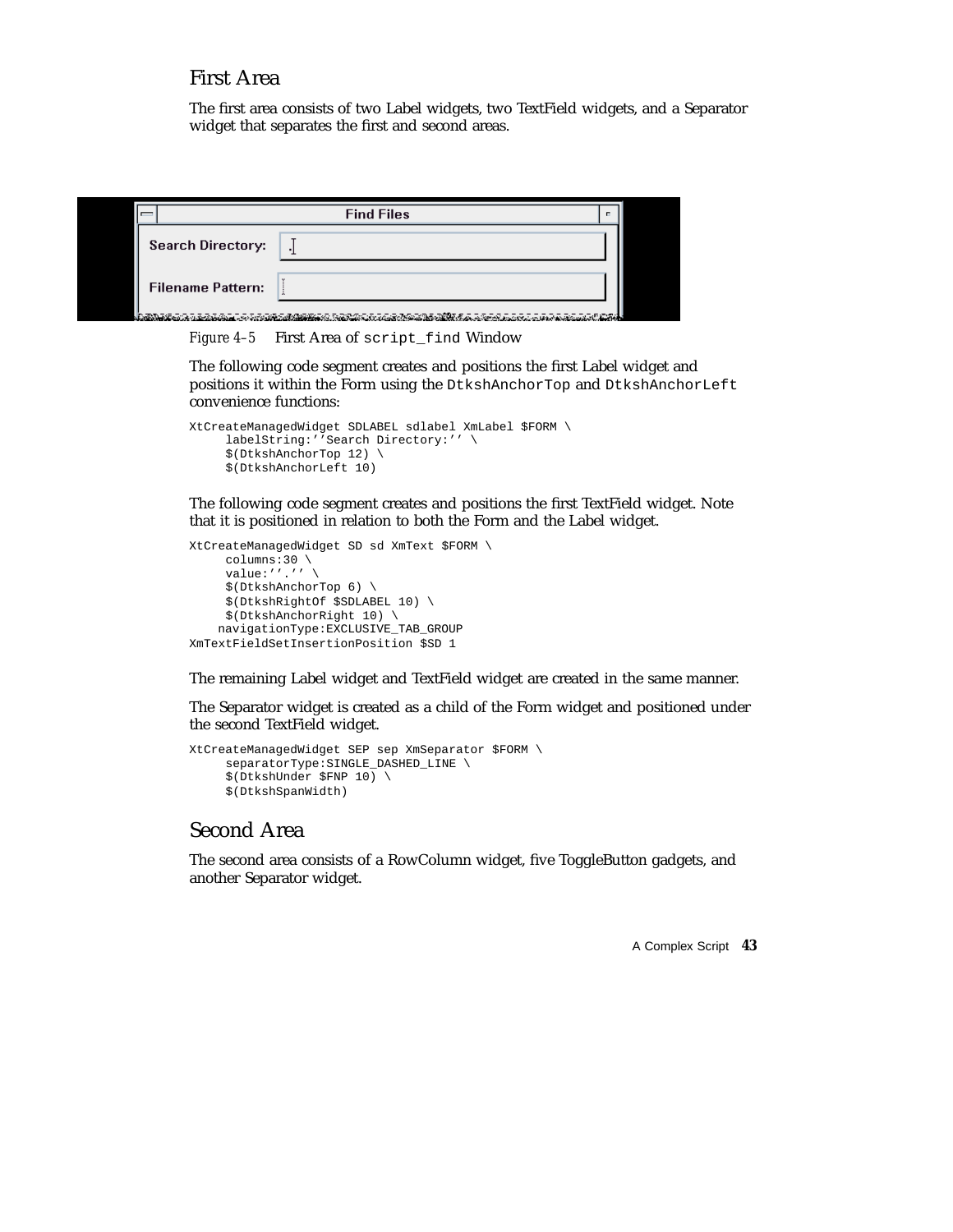## First Area

The first area consists of two Label widgets, two TextField widgets, and a Separator widget that separates the first and second areas.

|                          | <b>Find Files</b> |  |
|--------------------------|-------------------|--|
| Search Directory:        |                   |  |
| <b>Filename Pattern:</b> |                   |  |

*Figure 4–5* First Area of script\_find Window

The following code segment creates and positions the first Label widget and positions it within the Form using the DtkshAnchorTop and DtkshAnchorLeft convenience functions:

```
XtCreateManagedWidget SDLABEL sdlabel XmLabel $FORM \
     labelString:''Search Directory:'' \
     $(DtkshAnchorTop 12) \
     $(DtkshAnchorLeft 10)
```
The following code segment creates and positions the first TextField widget. Note that it is positioned in relation to both the Form and the Label widget.

```
XtCreateManagedWidget SD sd XmText $FORM \
     columns:30 \
     value:''.'' \
     $(DtkshAnchorTop 6) \
     $(DtkshRightOf $SDLABEL 10) \
     $(DtkshAnchorRight 10) \
    navigationType:EXCLUSIVE_TAB_GROUP
XmTextFieldSetInsertionPosition $SD 1
```
The remaining Label widget and TextField widget are created in the same manner.

The Separator widget is created as a child of the Form widget and positioned under the second TextField widget.

```
XtCreateManagedWidget SEP sep XmSeparator $FORM \
     separatorType:SINGLE_DASHED_LINE \
     $(DtkshUnder $FNP 10) \
     $(DtkshSpanWidth)
```
### Second Area

The second area consists of a RowColumn widget, five ToggleButton gadgets, and another Separator widget.

A Complex Script **43**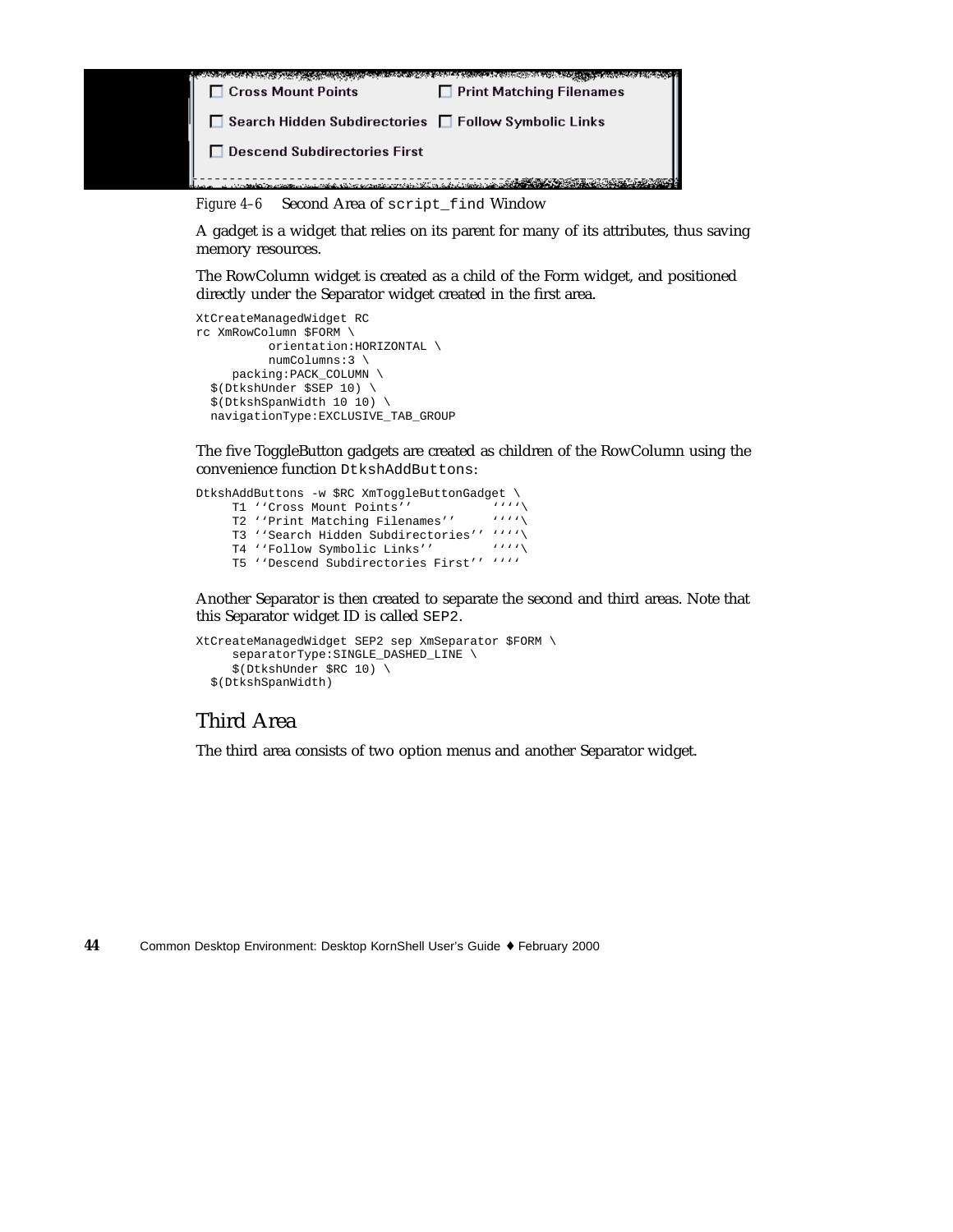

*Figure 4–6* Second Area of script\_find Window

A gadget is a widget that relies on its parent for many of its attributes, thus saving memory resources.

The RowColumn widget is created as a child of the Form widget, and positioned directly under the Separator widget created in the first area.

```
XtCreateManagedWidget RC
rc XmRowColumn $FORM \
         orientation:HORIZONTAL \
          numColumns:3 \
    packing:PACK_COLUMN \
 $(DtkshUnder $SEP 10) \
 $(DtkshSpanWidth 10 10) \
 navigationType:EXCLUSIVE_TAB_GROUP
```
The five ToggleButton gadgets are created as children of the RowColumn using the convenience function DtkshAddButtons:

```
DtkshAddButtons -w $RC XmToggleButtonGadget \
      T1 ''Cross Mount Points'' ''''\<br>T<sup>2</sup> ''Print Matching Filenames'' '''\
      T2 ''Print Matching Filenames''
      T3 ''Search Hidden Subdirectories'' '''\\<br>T4 ''Follow Symbolic Links'' ''''\
      T4 ''Follow Symbolic Links'' ''''\
      T5 ''Descend Subdirectories First'' ''''
```
Another Separator is then created to separate the second and third areas. Note that this Separator widget ID is called SEP2.

```
XtCreateManagedWidget SEP2 sep XmSeparator $FORM \
     separatorType:SINGLE_DASHED_LINE \
     $(DtkshUnder $RC 10) \
 $(DtkshSpanWidth)
```
### Third Area

The third area consists of two option menus and another Separator widget.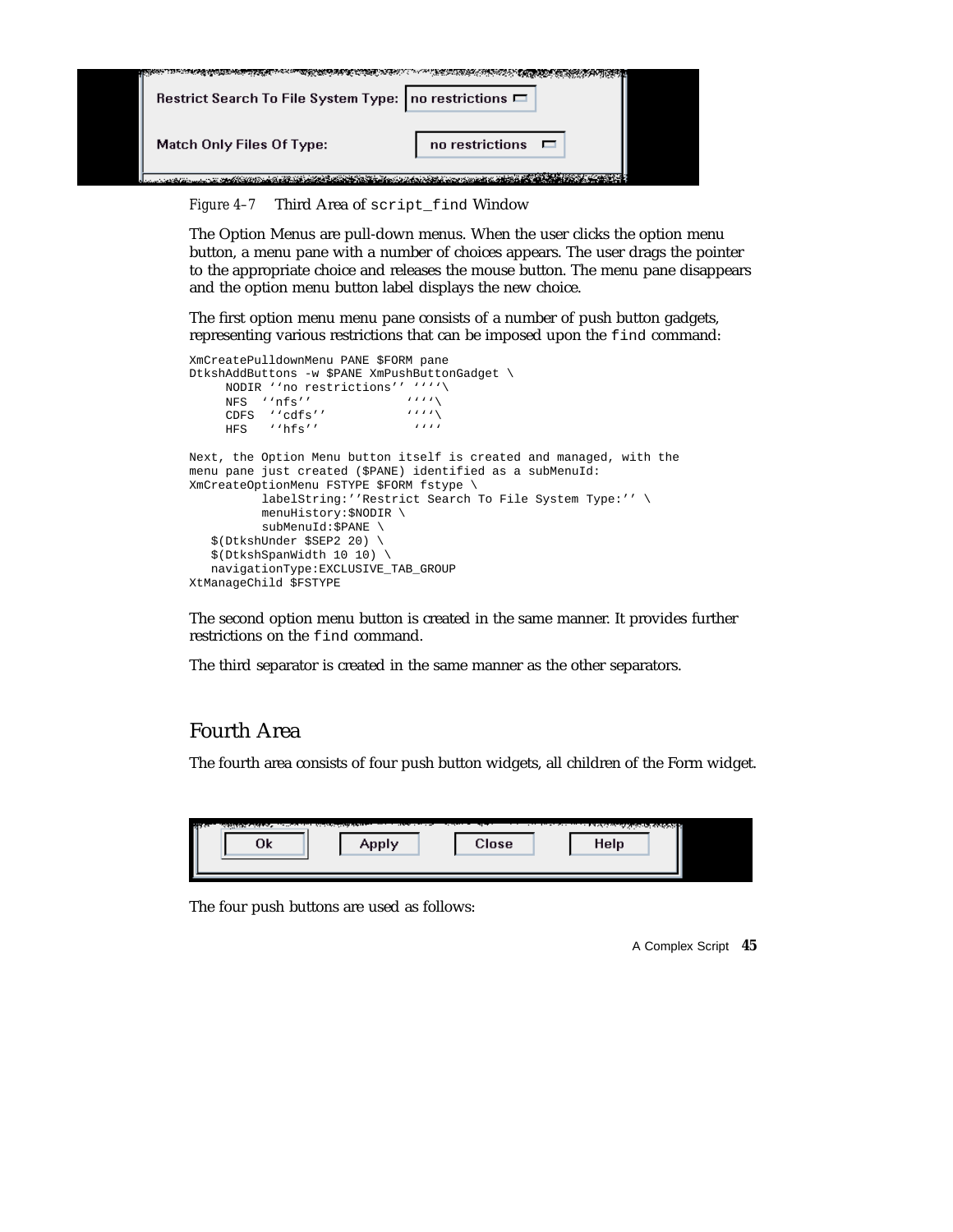| HOOSTIIN TAANA MARKA SAATTA HETTY TETTI TAAN KARA KARAHAN HARA TAAN TARA TAAN TAAN SAATTA MARKA SAATTA HARA TA<br>Restrict Search To File System Type:   no restrictions $\Box$ |                 |
|---------------------------------------------------------------------------------------------------------------------------------------------------------------------------------|-----------------|
| Match Only Files Of Type:                                                                                                                                                       | no restrictions |
| unaa kanuunna medittiittivad kohkultaksittikkittivät kohkultaan kanuuttamaan muuttiin kikkittivat kohkultaan keskultaa                                                          |                 |

*Figure 4–7* Third Area of script\_find Window

The Option Menus are pull-down menus. When the user clicks the option menu button, a menu pane with a number of choices appears. The user drags the pointer to the appropriate choice and releases the mouse button. The menu pane disappears and the option menu button label displays the new choice.

The first option menu menu pane consists of a number of push button gadgets, representing various restrictions that can be imposed upon the find command:

```
XmCreatePulldownMenu PANE $FORM pane
DtkshAddButtons -w $PANE XmPushButtonGadget \
    NODIR ''no restrictions'' ''''\<br>NES ''nfs'' ''''\
     NFS 'nfs'' '''
     CDFS ''cdfs'' '''\
    HFS ''hfs'' ''''
Next, the Option Menu button itself is created and managed, with the
menu pane just created ($PANE) identified as a subMenuId:
XmCreateOptionMenu FSTYPE $FORM fstype \
         labelString:''Restrict Search To File System Type:'' \
         menuHistory:$NODIR \
         subMenuId:$PANE \
   $(DtkshUnder $SEP2 20) \
   $(DtkshSpanWidth 10 10) \
   navigationType:EXCLUSIVE_TAB_GROUP
XtManageChild $FSTYPE
```
The second option menu button is created in the same manner. It provides further restrictions on the find command.

The third separator is created in the same manner as the other separators.

## Fourth Area

The fourth area consists of four push button widgets, all children of the Form widget.

|        |    | <u>addition of the character and the control of the control of the control of the control of the control of the control of the control of the control of the control of the control of the control of the control of the control</u> | والإخوان والمتوافق والمتعاطف والمتحال والمستعدد والمستعدد والمستعدد والمستعدد |      |  |
|--------|----|--------------------------------------------------------------------------------------------------------------------------------------------------------------------------------------------------------------------------------------|-------------------------------------------------------------------------------|------|--|
| ॏ<br>│ | Ok | <b>Apply</b>                                                                                                                                                                                                                         | Close                                                                         | Help |  |
|        |    |                                                                                                                                                                                                                                      |                                                                               |      |  |

The four push buttons are used as follows:

A Complex Script **45**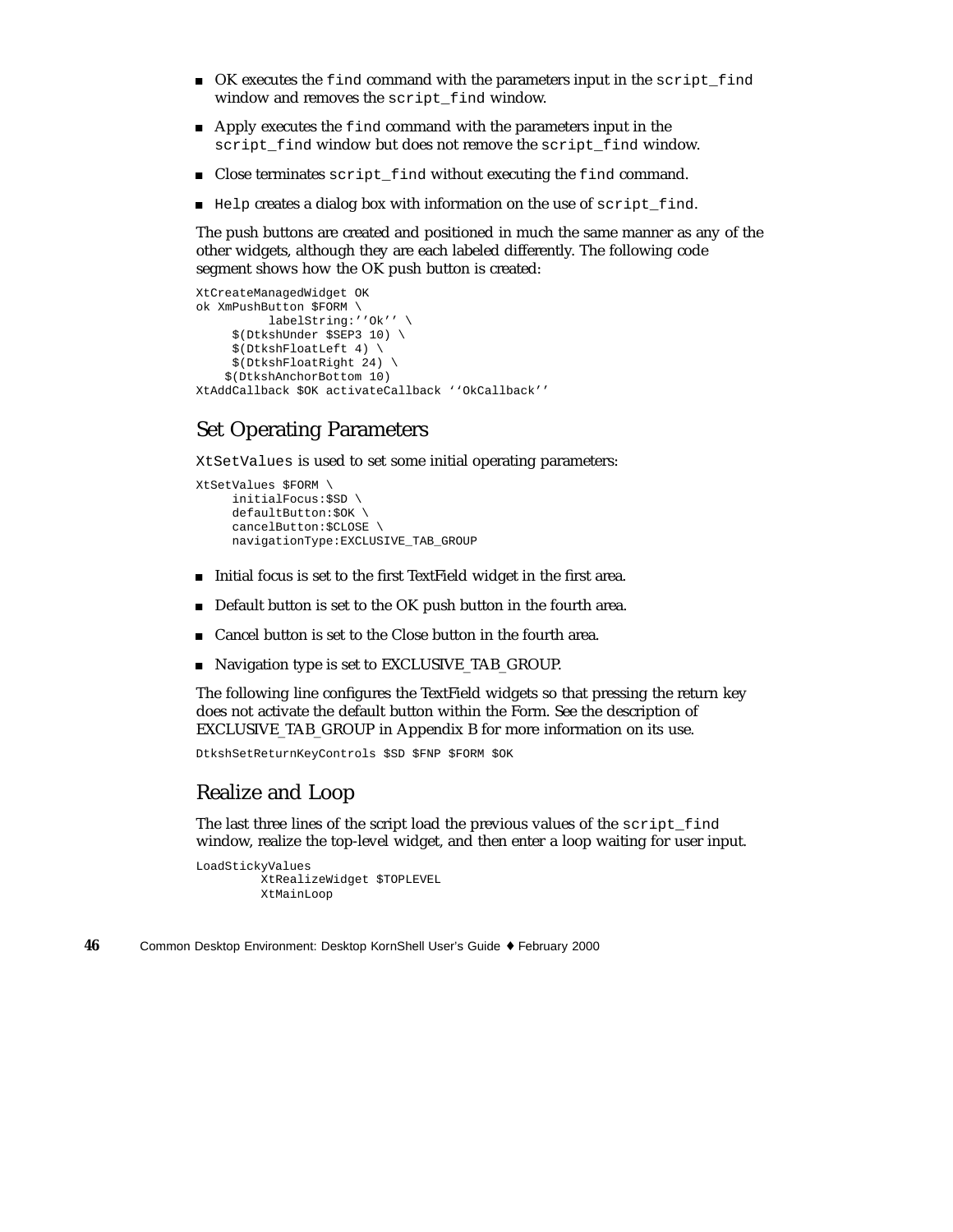- OK executes the find command with the parameters input in the script\_find window and removes the script\_find window.
- Apply executes the find command with the parameters input in the script\_find window but does not remove the script\_find window.
- Close terminates script\_find without executing the find command.
- Help creates a dialog box with information on the use of script\_find.

The push buttons are created and positioned in much the same manner as any of the other widgets, although they are each labeled differently. The following code segment shows how the OK push button is created:

```
XtCreateManagedWidget OK
ok XmPushButton $FORM \
          labelString:''Ok'' \
     $(DtkshUnder $SEP3 10) \
     $(DtkshFloatLeft 4) \
     $(DtkshFloatRight 24) \
    $(DtkshAnchorBottom 10)
XtAddCallback $OK activateCallback ''OkCallback''
```
### Set Operating Parameters

XtSetValues is used to set some initial operating parameters:

```
XtSetValues $FORM \
     initialFocus:$SD \
     defaultButton:$OK \
     cancelButton:$CLOSE \
     navigationType:EXCLUSIVE_TAB_GROUP
```
- Initial focus is set to the first TextField widget in the first area.
- Default button is set to the OK push button in the fourth area.
- Cancel button is set to the Close button in the fourth area.
- Navigation type is set to EXCLUSIVE\_TAB\_GROUP.

The following line configures the TextField widgets so that pressing the return key does not activate the default button within the Form. See the description of EXCLUSIVE TAB GROUP in Appendix B for more information on its use.

```
DtkshSetReturnKeyControls $SD $FNP $FORM $OK
```
### Realize and Loop

The last three lines of the script load the previous values of the script\_find window, realize the top-level widget, and then enter a loop waiting for user input.

```
LoadStickyValues
         XtRealizeWidget $TOPLEVEL
         XtMainLoop
```

```
46 Common Desktop Environment: Desktop KornShell User's Guide ♦ February 2000
```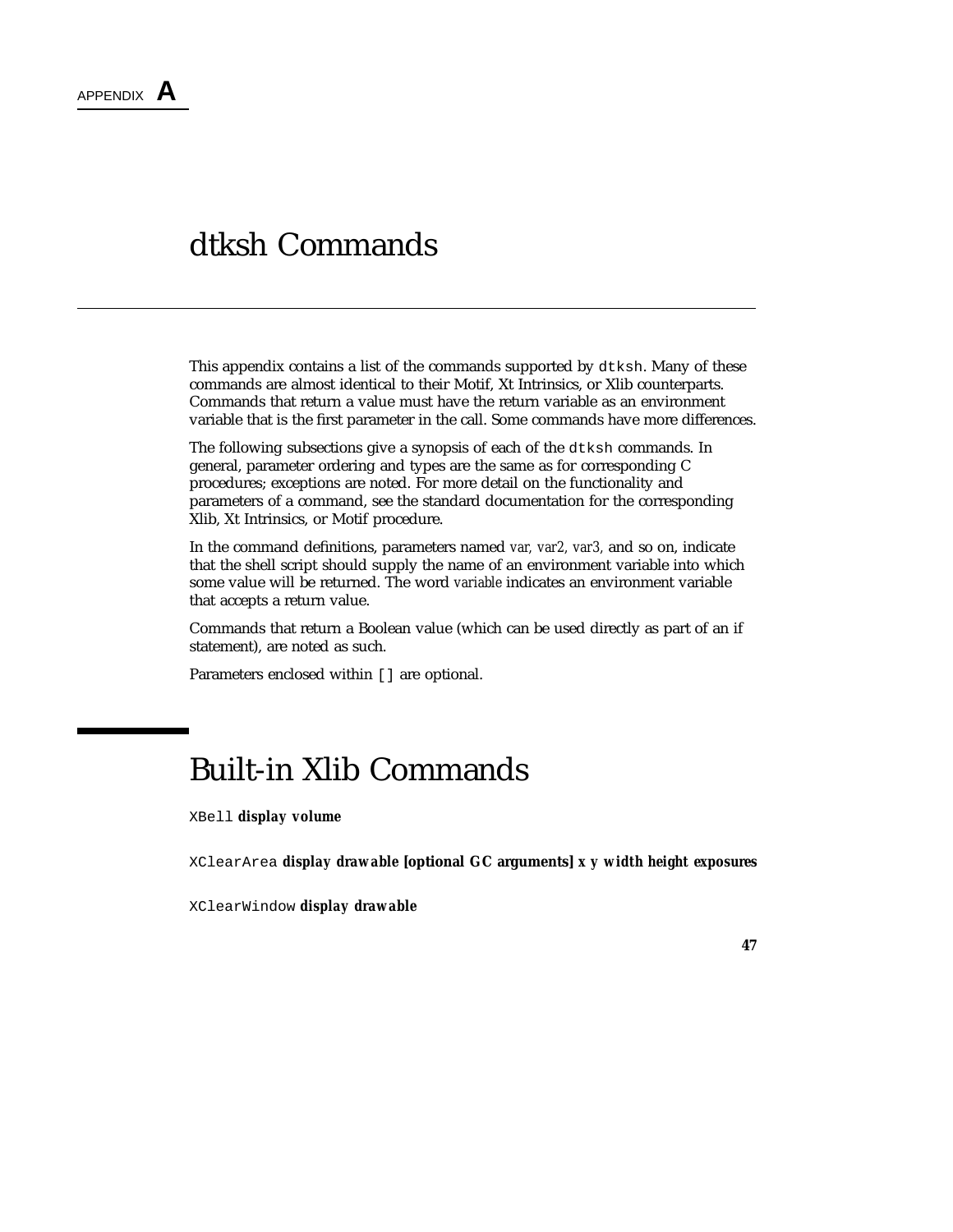## dtksh Commands

This appendix contains a list of the commands supported by dtksh. Many of these commands are almost identical to their Motif, Xt Intrinsics, or Xlib counterparts. Commands that return a value must have the return variable as an environment variable that is the first parameter in the call. Some commands have more differences.

The following subsections give a synopsis of each of the dtksh commands. In general, parameter ordering and types are the same as for corresponding C procedures; exceptions are noted. For more detail on the functionality and parameters of a command, see the standard documentation for the corresponding Xlib, Xt Intrinsics, or Motif procedure.

In the command definitions, parameters named *var, var2, var3,* and so on, indicate that the shell script should supply the name of an environment variable into which some value will be returned. The word *variable* indicates an environment variable that accepts a return value.

Commands that return a Boolean value (which can be used directly as part of an if statement), are noted as such.

Parameters enclosed within [ ] are optional.

# Built-in Xlib Commands

XBell *display volume*

XClearArea *display drawable* **[optional GC arguments]** *x y width height exposures*

XClearWindow *display drawable*

**47**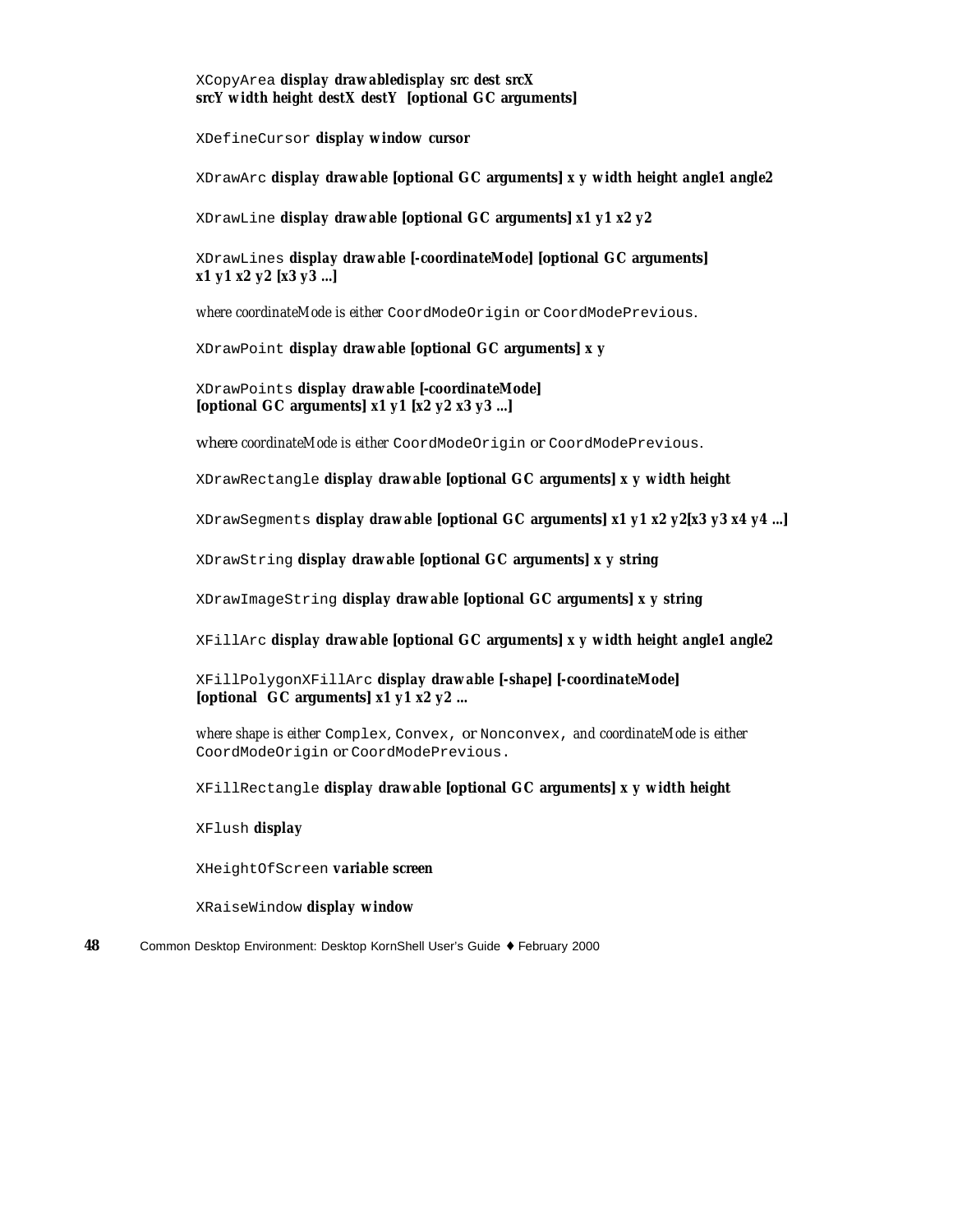### XCopyArea *display drawabledisplay src dest srcX srcY width height destX destY* **[optional GC arguments]**

XDefineCursor *display window cursor*

XDrawArc *display drawable* **[optional GC arguments]** *x y width height angle1 angle2*

XDrawLine *display drawable* **[optional GC arguments]** *x1 y1 x2 y2*

XDrawLines *display drawable* **[***-coordinateMode***] [optional GC arguments]** *x1 y1 x2 y2 [x3 y3 ...]*

*where coordinateMode is either* CoordModeOrigin or CoordModePrevious.

XDrawPoint *display drawable* **[optional GC arguments]** *x y*

XDrawPoints *display drawable* **[-***coordinateMode***] [optional GC arguments]** *x1 y1* **[***x2 y2 x3 y3 ...***]**

where *coordinateMode is either* CoordModeOrigin or CoordModePrevious.

XDrawRectangle *display drawable* **[optional GC arguments]** *x y width height*

XDrawSegments *display drawable* **[optional GC arguments]** *x1 y1 x2 y2***[***x3 y3 x4 y4 ...***]**

XDrawString *display drawable* **[optional GC arguments]** *x y string*

XDrawImageString *display drawable* **[optional GC arguments]** *x y string*

XFillArc *display drawable* **[optional GC arguments]** *x y width height angle1 angle2*

XFillPolygonXFillArc *display drawable* **[***-shape***] [***-coordinateMode***] [optional GC arguments]** *x1 y1 x2 y2* **...**

*where shape is either* Complex, Convex, or Nonconvex, *and coordinateMode is either* CoordModeOrigin or CoordModePrevious.

XFillRectangle *display drawable* **[optional GC arguments]** *x y width height*

XFlush *display*

XHeightOfScreen *variable screen*

XRaiseWindow *display window*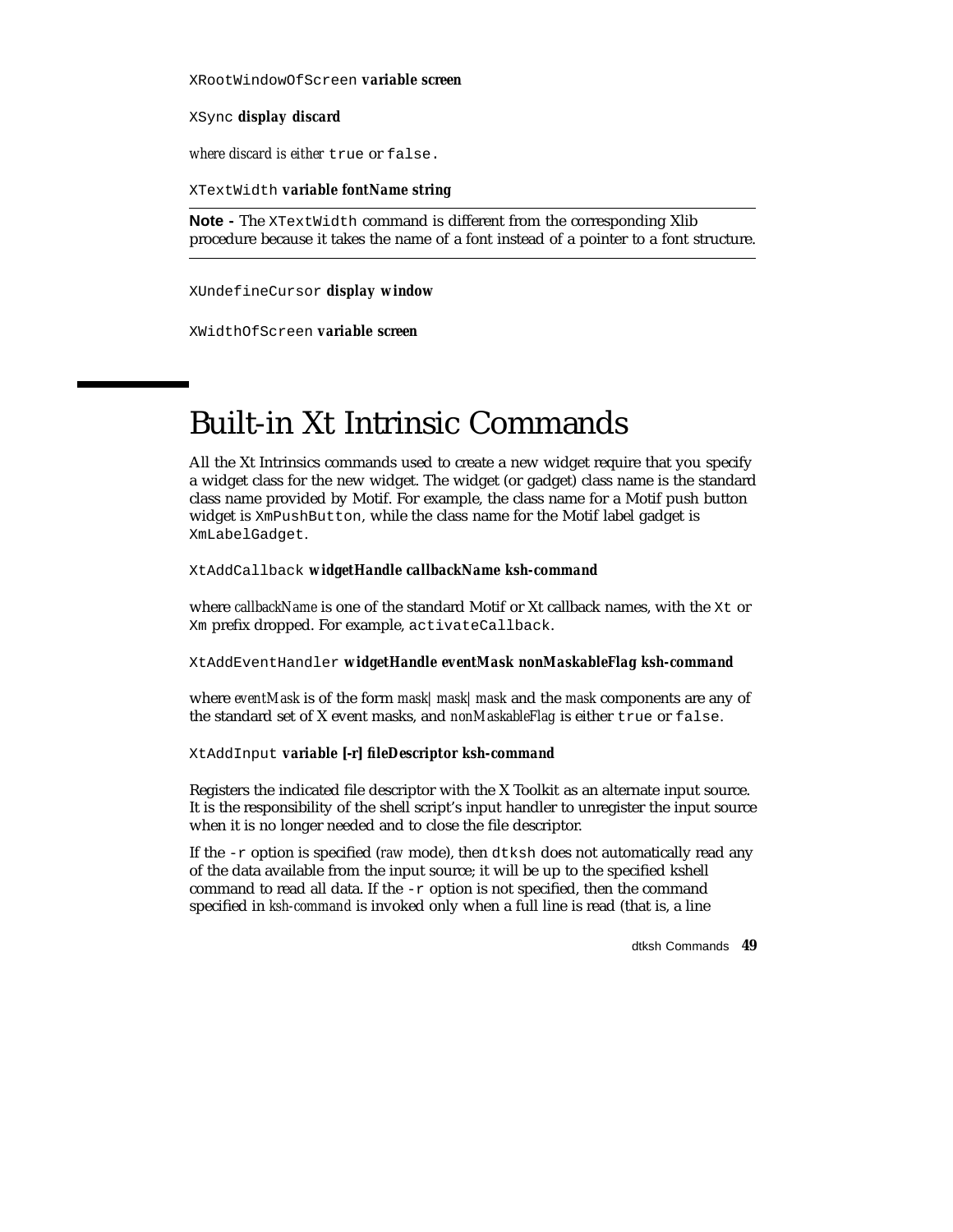XRootWindowOfScreen *variable screen*

XSync *display discard*

*where discard is either* true or false.

XTextWidth *variable fontName string*

**Note -** The XTextWidth command is different from the corresponding Xlib procedure because it takes the name of a font instead of a pointer to a font structure.

XUndefineCursor *display window*

XWidthOfScreen *variable screen*

# Built-in Xt Intrinsic Commands

All the Xt Intrinsics commands used to create a new widget require that you specify a widget class for the new widget. The widget (or gadget) class name is the standard class name provided by Motif. For example, the class name for a Motif push button widget is XmPushButton, while the class name for the Motif label gadget is XmLabelGadget.

### XtAddCallback *widgetHandle callbackName ksh-command*

where *callbackName* is one of the standard Motif or Xt callback names, with the Xt or Xm prefix dropped. For example, activateCallback.

### XtAddEventHandler *widgetHandle eventMask nonMaskableFlag ksh-command*

where *eventMask* is of the form *mask|mask|mask* and the *mask* components are any of the standard set of X event masks, and *nonMaskableFlag* is either true or false.

### XtAddInput *variable* **[-r]** *fileDescriptor ksh-command*

Registers the indicated file descriptor with the X Toolkit as an alternate input source. It is the responsibility of the shell script's input handler to unregister the input source when it is no longer needed and to close the file descriptor.

If the -r option is specified (*raw* mode), then dtksh does not automatically read any of the data available from the input source; it will be up to the specified kshell command to read all data. If the -r option is not specified, then the command specified in *ksh-command* is invoked only when a full line is read (that is, a line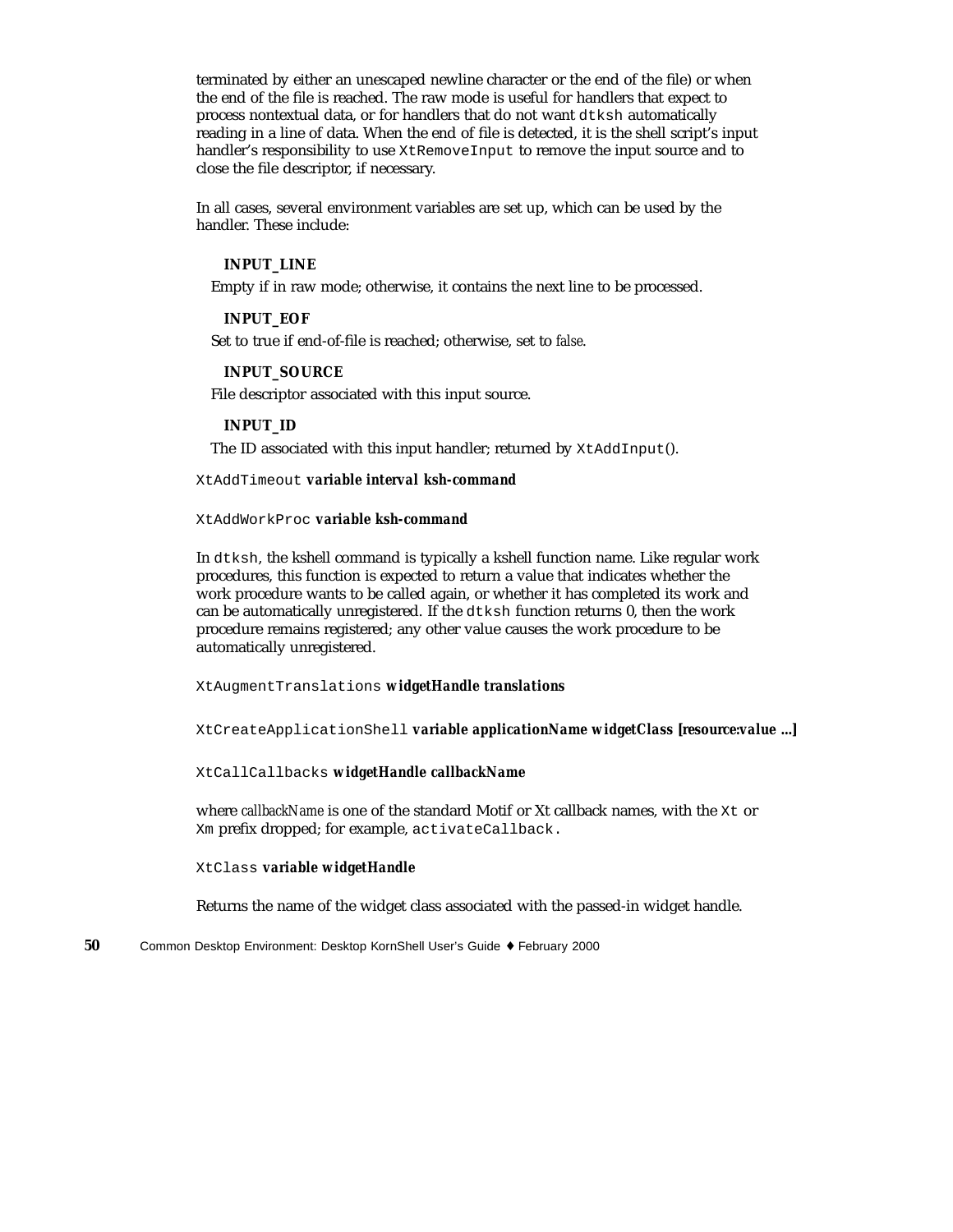terminated by either an unescaped newline character or the end of the file) or when the end of the file is reached. The raw mode is useful for handlers that expect to process nontextual data, or for handlers that do not want dtksh automatically reading in a line of data. When the end of file is detected, it is the shell script's input handler's responsibility to use XtRemoveInput to remove the input source and to close the file descriptor, if necessary.

In all cases, several environment variables are set up, which can be used by the handler. These include:

### **INPUT\_LINE**

Empty if in raw mode; otherwise, it contains the next line to be processed.

### **INPUT\_EOF**

Set to true if end-of-file is reached; otherwise, set to *false*.

### **INPUT\_SOURCE**

File descriptor associated with this input source.

### **INPUT\_ID**

The ID associated with this input handler; returned by XtAddInput().

XtAddTimeout *variable interval ksh-command*

### XtAddWorkProc *variable ksh-command*

In dtksh, the kshell command is typically a kshell function name. Like regular work procedures, this function is expected to return a value that indicates whether the work procedure wants to be called again, or whether it has completed its work and can be automatically unregistered. If the dtksh function returns 0, then the work procedure remains registered; any other value causes the work procedure to be automatically unregistered.

XtAugmentTranslations *widgetHandle translations*

XtCreateApplicationShell *variable applicationName widgetClass* **[***resource:value* **...]**

### XtCallCallbacks *widgetHandle callbackName*

where *callbackName* is one of the standard Motif or Xt callback names, with the Xt or Xm prefix dropped; for example, activateCallback.

### XtClass *variable widgetHandle*

Returns the name of the widget class associated with the passed-in widget handle.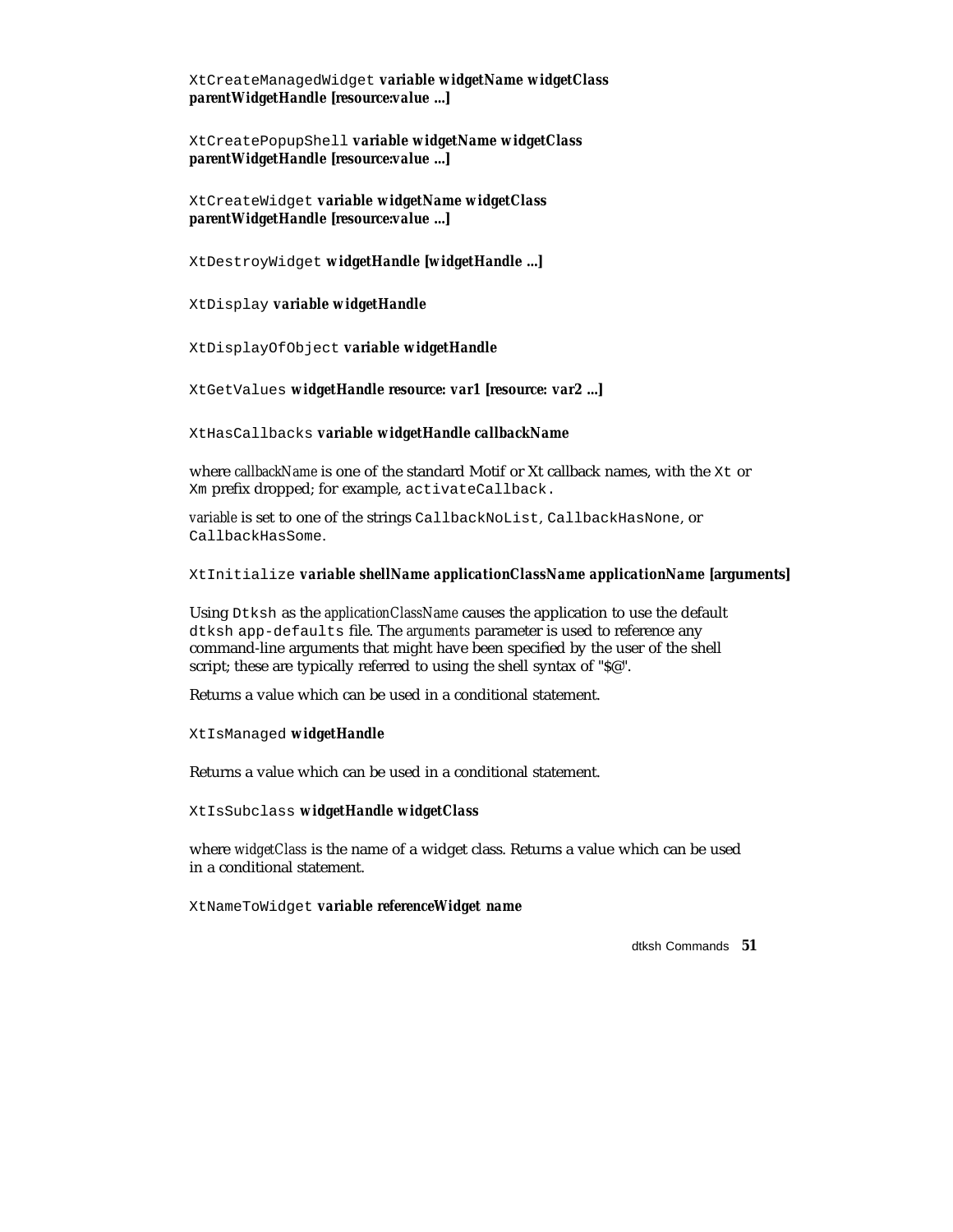XtCreateManagedWidget *variable widgetName widgetClass parentWidgetHandle* **[***resource:value* **...]**

XtCreatePopupShell *variable widgetName widgetClass parentWidgetHandle* **[***resource:value* **...]**

XtCreateWidget *variable widgetName widgetClass parentWidgetHandle* **[***resource:value* **...]**

XtDestroyWidget *widgetHandle* **[***widgetHandle* **...]**

XtDisplay *variable widgetHandle*

XtDisplayOfObject *variable widgetHandle*

XtGetValues *widgetHandle resource: var1* **[***resource: var2* **...]**

XtHasCallbacks *variable widgetHandle callbackName*

where *callbackName* is one of the standard Motif or Xt callback names, with the Xt or Xm prefix dropped; for example, activateCallback.

*variable* is set to one of the strings CallbackNoList, CallbackHasNone, or CallbackHasSome.

### XtInitialize *variable shellName applicationClassName applicationName* **[arguments]**

Using Dtksh as the *applicationClassName* causes the application to use the default dtksh app-defaults file. The *arguments* parameter is used to reference any command-line arguments that might have been specified by the user of the shell script; these are typically referred to using the shell syntax of "\$@".

Returns a value which can be used in a conditional statement.

XtIsManaged *widgetHandle*

Returns a value which can be used in a conditional statement.

XtIsSubclass *widgetHandle widgetClass*

where *widgetClass* is the name of a widget class. Returns a value which can be used in a conditional statement.

XtNameToWidget *variable referenceWidget name*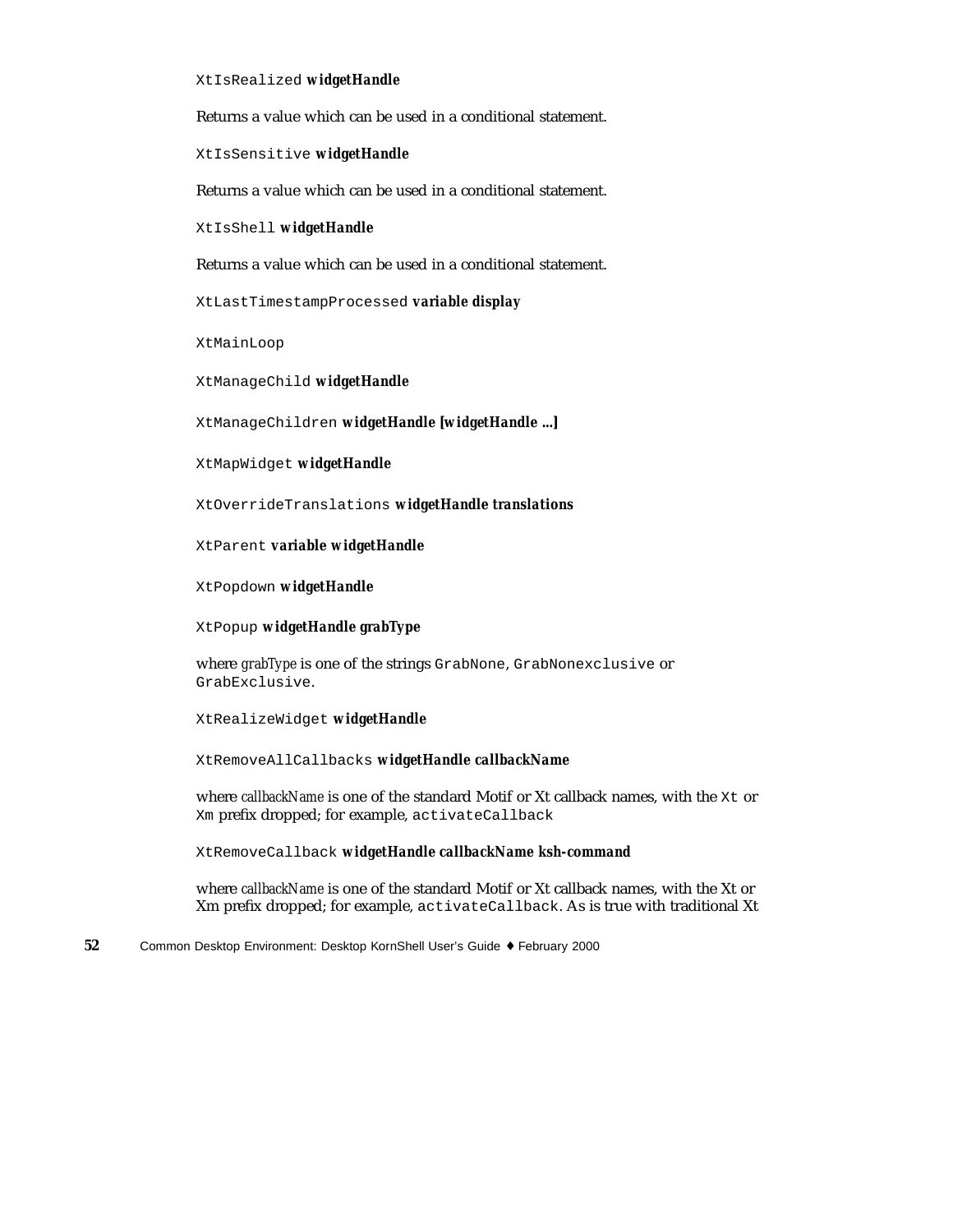XtIsRealized *widgetHandle*

Returns a value which can be used in a conditional statement.

XtIsSensitive *widgetHandle*

Returns a value which can be used in a conditional statement.

XtIsShell *widgetHandle*

Returns a value which can be used in a conditional statement.

XtLastTimestampProcessed *variable display*

XtMainLoop

XtManageChild *widgetHandle*

XtManageChildren *widgetHandle* **[***widgetHandle* **...]**

XtMapWidget *widgetHandle*

XtOverrideTranslations *widgetHandle translations*

XtParent *variable widgetHandle*

XtPopdown *widgetHandle*

XtPopup *widgetHandle grabType*

where *grabType* is one of the strings GrabNone, GrabNonexclusive or GrabExclusive.

XtRealizeWidget *widgetHandle*

XtRemoveAllCallbacks *widgetHandle callbackName*

where *callbackName* is one of the standard Motif or Xt callback names, with the Xt or Xm prefix dropped; for example, activateCallback

XtRemoveCallback *widgetHandle callbackName ksh-command*

where *callbackName* is one of the standard Motif or Xt callback names, with the Xt or Xm prefix dropped; for example, activateCallback. As is true with traditional Xt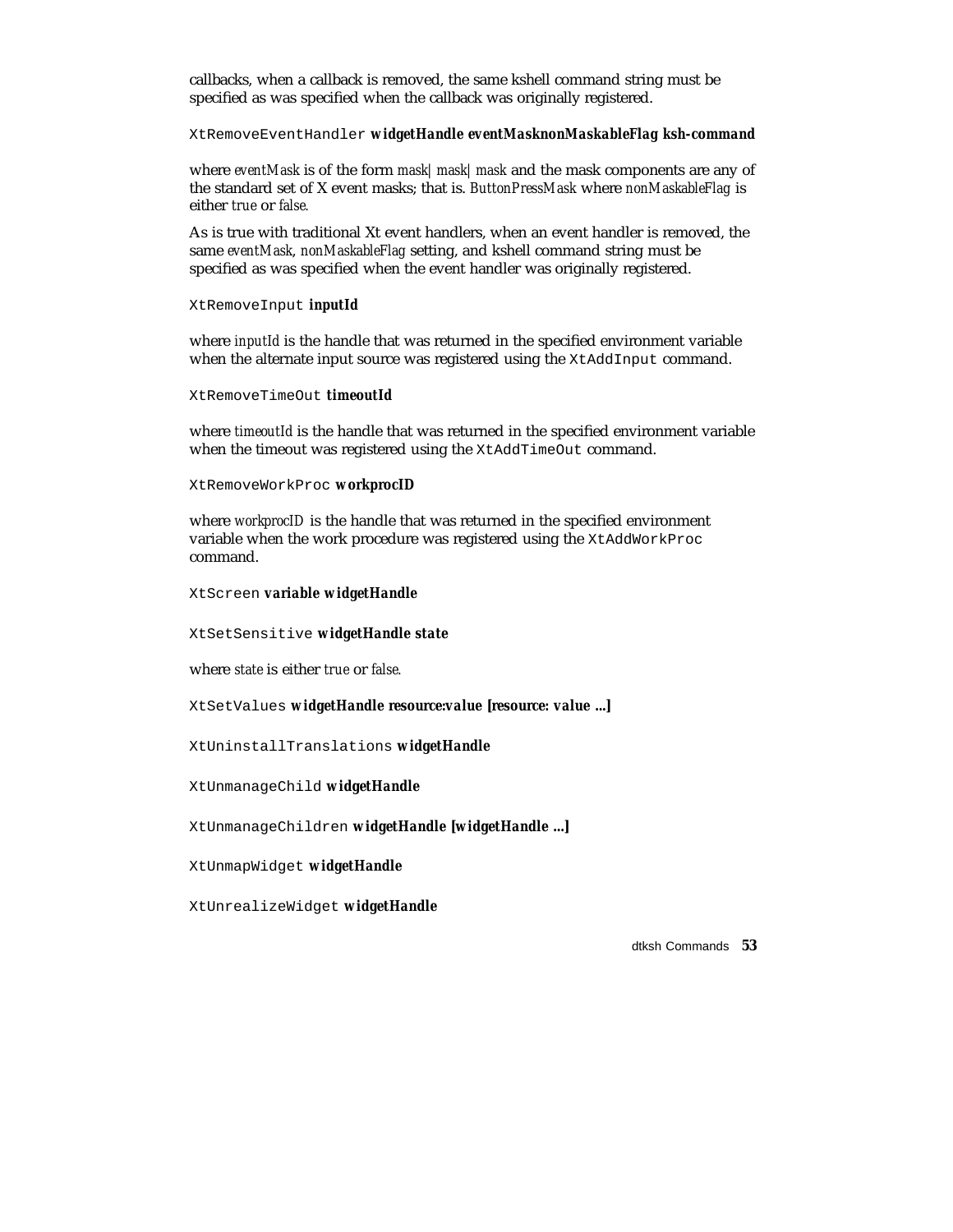callbacks, when a callback is removed, the same kshell command string must be specified as was specified when the callback was originally registered.

XtRemoveEventHandler *widgetHandle eventMasknonMaskableFlag ksh-command*

where *eventMask* is of the form *mask|mask|mask* and the mask components are any of the standard set of X event masks; that is. *ButtonPressMask* where *nonMaskableFlag* is either *true* or *false.*

As is true with traditional Xt event handlers, when an event handler is removed, the same *eventMask*, *nonMaskableFlag* setting, and kshell command string must be specified as was specified when the event handler was originally registered.

XtRemoveInput *inputId*

where *inputId* is the handle that was returned in the specified environment variable when the alternate input source was registered using the XtAddInput command.

XtRemoveTimeOut *timeoutId*

where *timeoutId* is the handle that was returned in the specified environment variable when the timeout was registered using the XtAddTimeOut command.

XtRemoveWorkProc *workprocID*

where *workprocID* is the handle that was returned in the specified environment variable when the work procedure was registered using the XtAddWorkProc command.

XtScreen *variable widgetHandle*

XtSetSensitive *widgetHandle state*

where *state* is either *true* or *false.*

XtSetValues *widgetHandle resource:value* **[***resource: value* **...]**

XtUninstallTranslations *widgetHandle*

### XtUnmanageChild *widgetHandle*

XtUnmanageChildren *widgetHandle* **[***widgetHandle* **...]**

XtUnmapWidget *widgetHandle*

XtUnrealizeWidget *widgetHandle*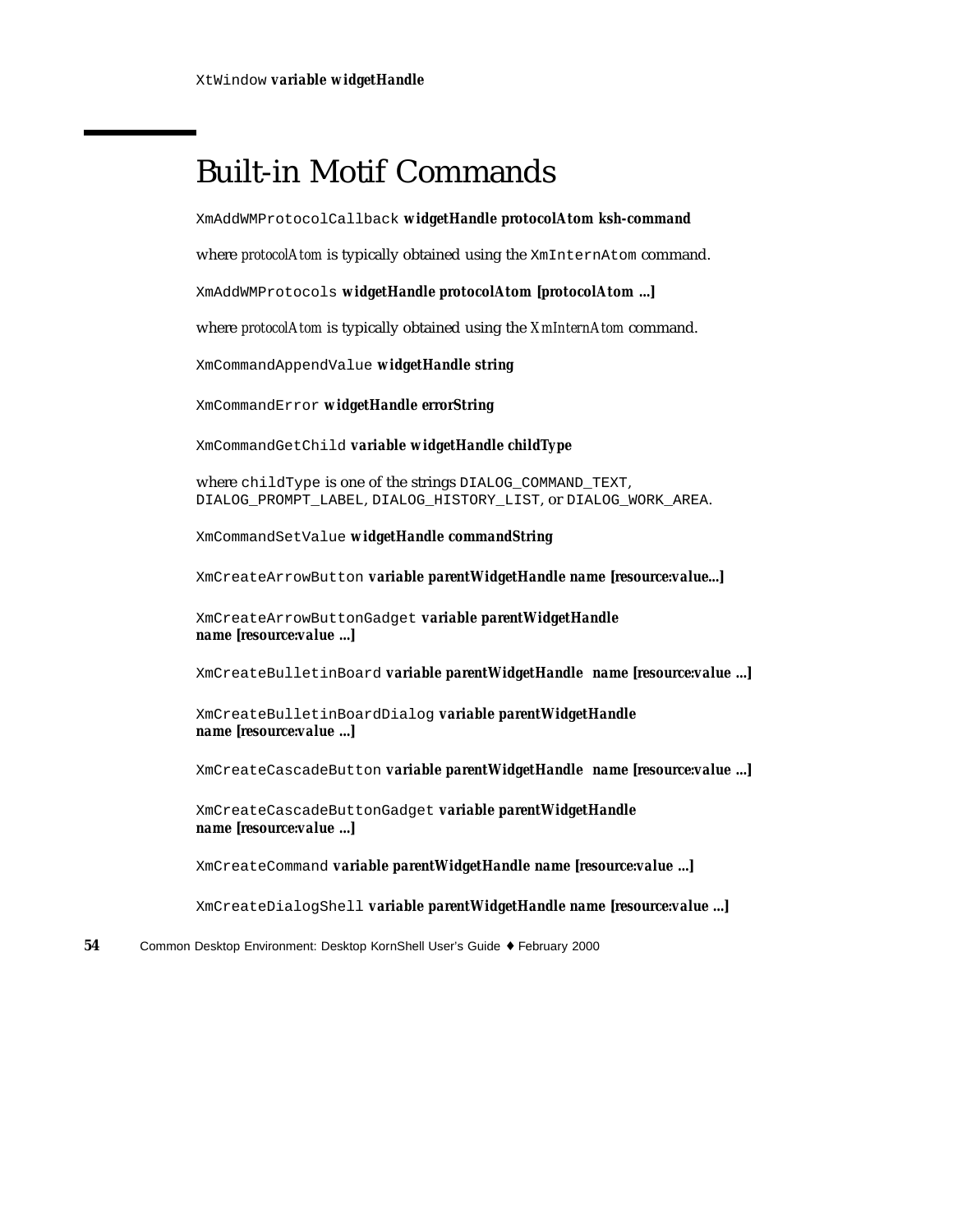# Built-in Motif Commands

XmAddWMProtocolCallback *widgetHandle protocolAtom ksh-command*

where *protocolAtom* is typically obtained using the XmInternAtom command.

XmAddWMProtocols *widgetHandle protocolAtom* **[***protocolAtom* **...]**

where *protocolAtom* is typically obtained using the *XmInternAtom* command.

XmCommandAppendValue *widgetHandle string*

XmCommandError *widgetHandle errorString*

XmCommandGetChild *variable widgetHandle childType*

where childType is one of the strings DIALOG\_COMMAND\_TEXT, DIALOG\_PROMPT\_LABEL, DIALOG\_HISTORY\_LIST, or DIALOG\_WORK\_AREA.

XmCommandSetValue *widgetHandle commandString*

XmCreateArrowButton *variable parentWidgetHandle name* **[***resource:value***...]**

XmCreateArrowButtonGadget *variable parentWidgetHandle name* **[***resource:value* **...]**

XmCreateBulletinBoard *variable parentWidgetHandle name* **[***resource:value* **...]**

XmCreateBulletinBoardDialog *variable parentWidgetHandle name* **[***resource:value* **...]**

XmCreateCascadeButton *variable parentWidgetHandle name* **[***resource:value* **...]**

XmCreateCascadeButtonGadget *variable parentWidgetHandle name* **[***resource:value* **...]**

XmCreateCommand *variable parentWidgetHandle name* **[***resource:value* **...]**

XmCreateDialogShell *variable parentWidgetHandle name* **[***resource:value* **...]**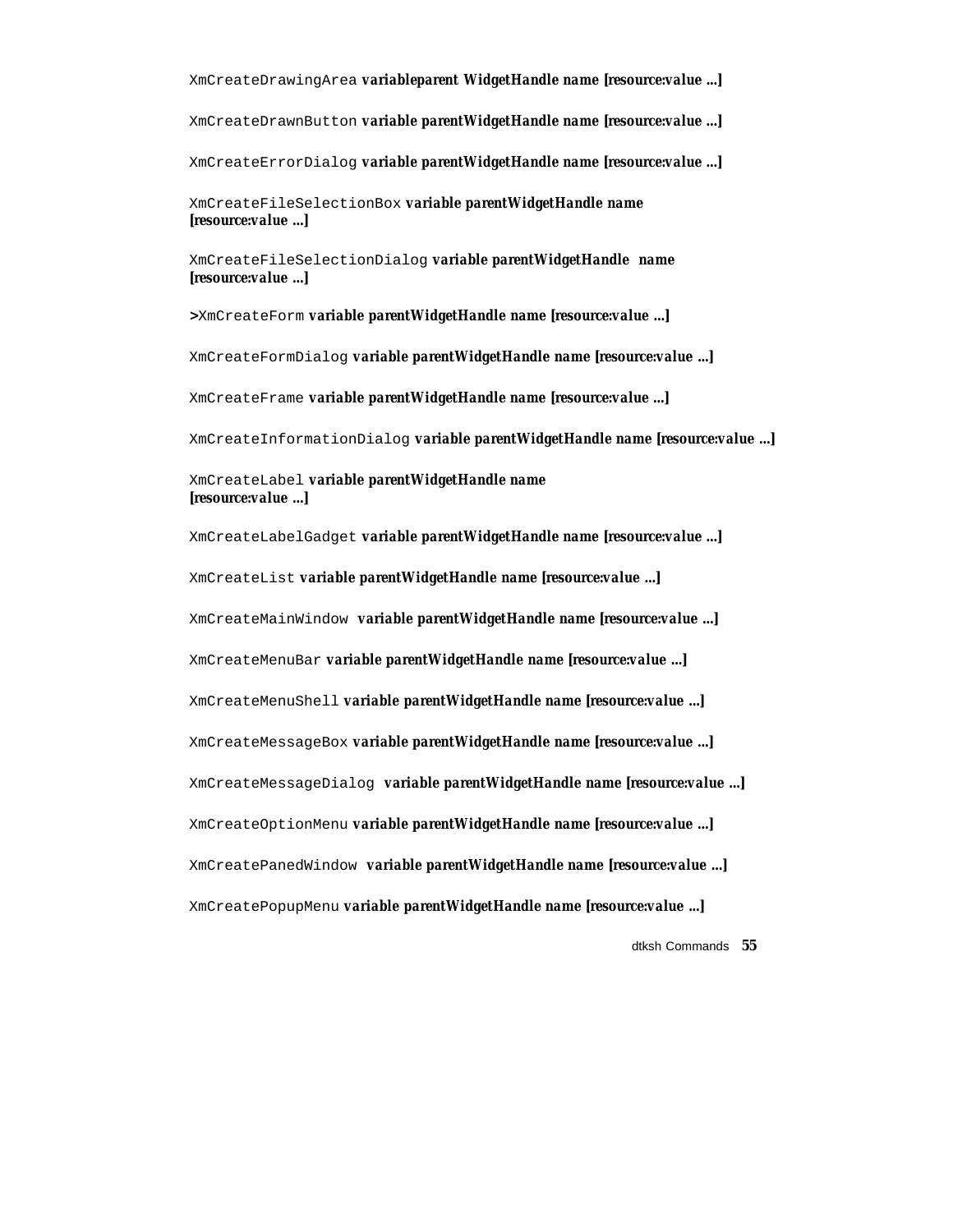XmCreateDrawingArea *variableparent WidgetHandle name* **[***resource:value* **...]**

XmCreateDrawnButton *variable parentWidgetHandle name* **[***resource:value* **...]**

XmCreateErrorDialog *variable parentWidgetHandle name* **[***resource:value* **...]**

XmCreateFileSelectionBox *variable parentWidgetHandle name* **[***resource:value* **...]**

XmCreateFileSelectionDialog *variable parentWidgetHandle name* **[***resource:value* **...]**

**>**XmCreateForm *variable parentWidgetHandle name* **[***resource:value* **...]**

XmCreateFormDialog *variable parentWidgetHandle name* **[***resource:value* **...]**

XmCreateFrame *variable parentWidgetHandle name* **[***resource:value* **...]**

XmCreateInformationDialog *variable parentWidgetHandle name* **[***resource:value* **...]**

XmCreateLabel *variable parentWidgetHandle name* **[***resource:value* **...]**

XmCreateLabelGadget *variable parentWidgetHandle name* **[***resource:value* **...]** XmCreateList *variable parentWidgetHandle name* **[***resource:value* **...]** XmCreateMainWindow *variable parentWidgetHandle name* **[***resource:value* **...]** XmCreateMenuBar *variable parentWidgetHandle name* **[***resource:value* **...]** XmCreateMenuShell *variable parentWidgetHandle name* **[***resource:value* **...]** XmCreateMessageBox *variable parentWidgetHandle name* **[***resource:value* **...]** XmCreateMessageDialog *variable parentWidgetHandle name* **[***resource:value* **...]** XmCreateOptionMenu *variable parentWidgetHandle name* **[***resource:value* **...]** XmCreatePanedWindow *variable parentWidgetHandle name* **[***resource:value* **...]** XmCreatePopupMenu *variable parentWidgetHandle name* **[***resource:value* **...]**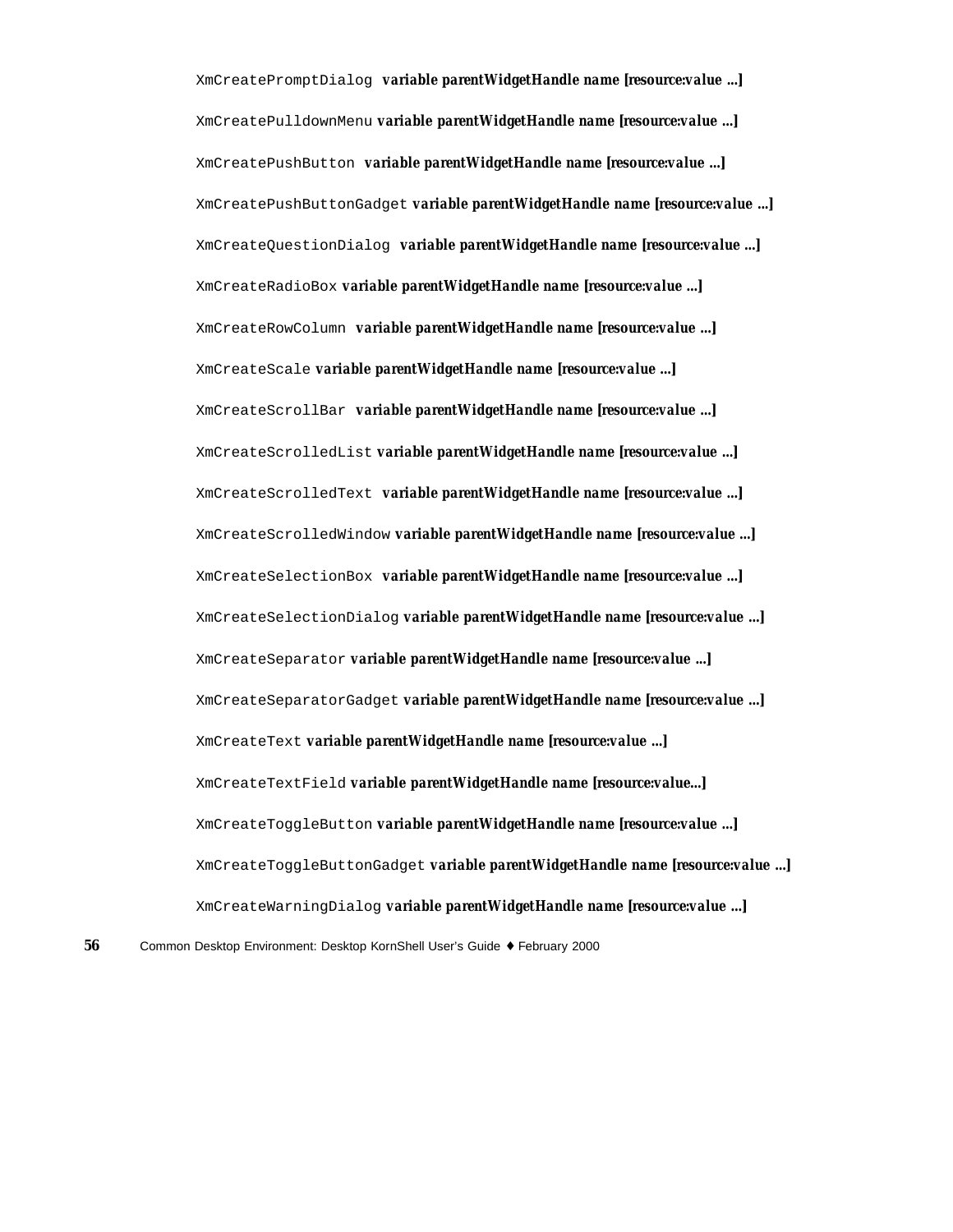XmCreatePromptDialog *variable parentWidgetHandle name* **[***resource:value* **...]** XmCreatePulldownMenu *variable parentWidgetHandle name* **[***resource:value* **...]** XmCreatePushButton *variable parentWidgetHandle name* **[***resource:value* **...]** XmCreatePushButtonGadget *variable parentWidgetHandle name* **[***resource:value* **...]** XmCreateQuestionDialog *variable parentWidgetHandle name* **[***resource:value* **...]** XmCreateRadioBox *variable parentWidgetHandle name* **[***resource:value* **...]** XmCreateRowColumn *variable parentWidgetHandle name* **[***resource:value* **...]** XmCreateScale *variable parentWidgetHandle name* **[***resource:value* **...]** XmCreateScrollBar *variable parentWidgetHandle name* **[***resource:value* **...]** XmCreateScrolledList *variable parentWidgetHandle name* **[***resource:value* **...]** XmCreateScrolledText *variable parentWidgetHandle name* **[***resource:value* **...]** XmCreateScrolledWindow *variable parentWidgetHandle name* **[***resource:value* **...]** XmCreateSelectionBox *variable parentWidgetHandle name* **[***resource:value* **...]** XmCreateSelectionDialog *variable parentWidgetHandle name* **[***resource:value* **...]** XmCreateSeparator *variable parentWidgetHandle name* **[***resource:value* **...]** XmCreateSeparatorGadget *variable parentWidgetHandle name* **[***resource:value* **...]** XmCreateText *variable parentWidgetHandle name* **[***resource:value* **...]** XmCreateTextField *variable parentWidgetHandle name* **[***resource:value***...]** XmCreateToggleButton *variable parentWidgetHandle name* **[***resource:value* **...]** XmCreateToggleButtonGadget *variable parentWidgetHandle name* **[***resource:value* **...]** XmCreateWarningDialog *variable parentWidgetHandle name* **[***resource:value* **...]**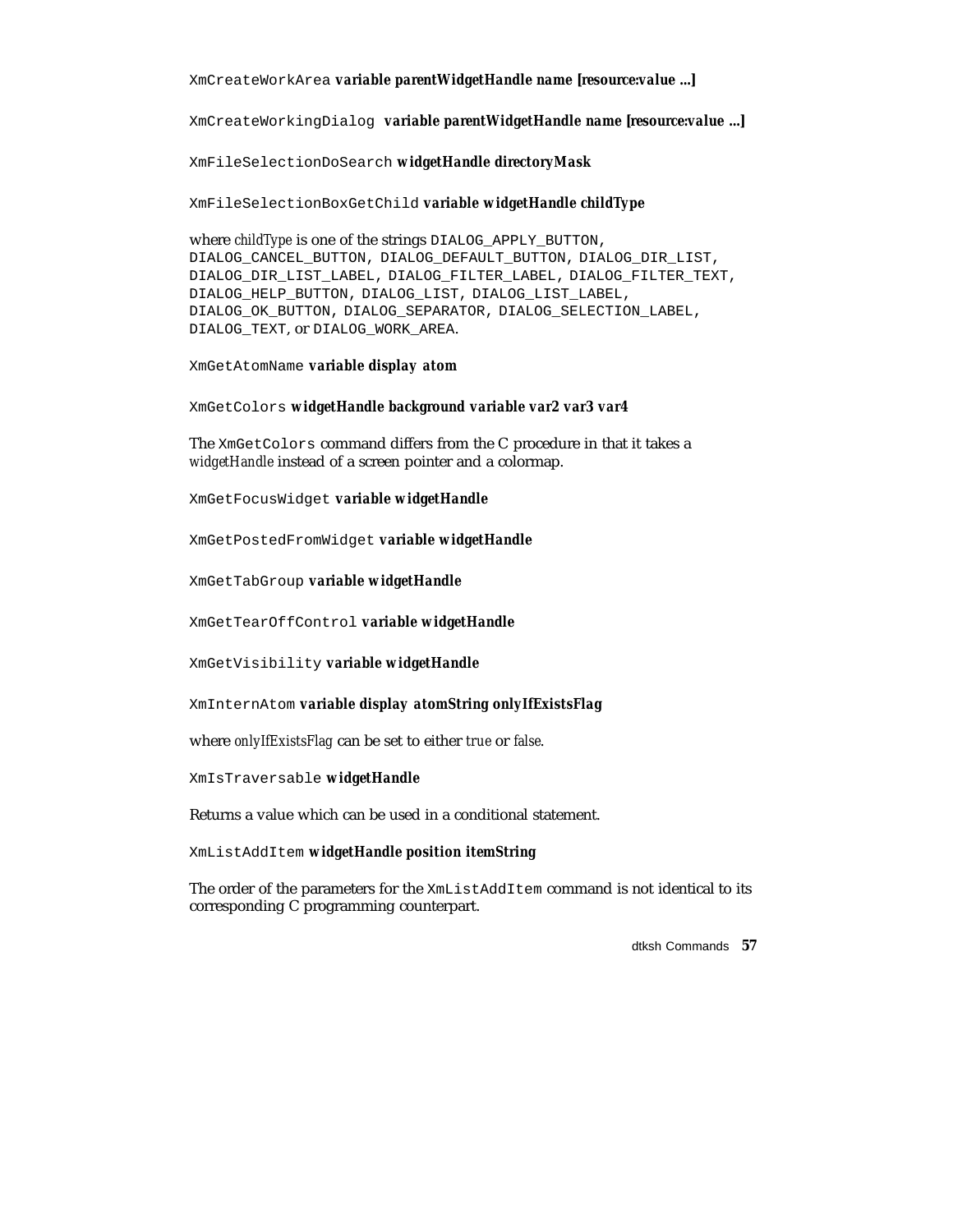XmCreateWorkArea *variable parentWidgetHandle name* **[***resource:value* **...]**

XmCreateWorkingDialog *variable parentWidgetHandle name* **[***resource:value* **...]**

XmFileSelectionDoSearch *widgetHandle directoryMask*

XmFileSelectionBoxGetChild *variable widgetHandle childType*

where *childType* is one of the strings DIALOG\_APPLY\_BUTTON, DIALOG\_CANCEL\_BUTTON, DIALOG\_DEFAULT\_BUTTON, DIALOG\_DIR\_LIST, DIALOG\_DIR\_LIST\_LABEL, DIALOG\_FILTER\_LABEL, DIALOG\_FILTER\_TEXT, DIALOG\_HELP\_BUTTON, DIALOG\_LIST, DIALOG\_LIST\_LABEL, DIALOG\_OK\_BUTTON, DIALOG\_SEPARATOR, DIALOG\_SELECTION\_LABEL, DIALOG\_TEXT, or DIALOG\_WORK\_AREA.

XmGetAtomName *variable display atom*

XmGetColors *widgetHandle background variable var2 var3 var4*

The XmGetColors command differs from the C procedure in that it takes a *widgetHandle* instead of a screen pointer and a colormap.

XmGetFocusWidget *variable widgetHandle*

XmGetPostedFromWidget *variable widgetHandle*

XmGetTabGroup *variable widgetHandle*

XmGetTearOffControl *variable widgetHandle*

XmGetVisibility *variable widgetHandle*

XmInternAtom *variable display atomString onlyIfExistsFlag*

where *onlyIfExistsFlag* can be set to either *true* or *false*.

XmIsTraversable *widgetHandle*

Returns a value which can be used in a conditional statement.

XmListAddItem *widgetHandle position itemString*

The order of the parameters for the XmListAddItem command is not identical to its corresponding C programming counterpart.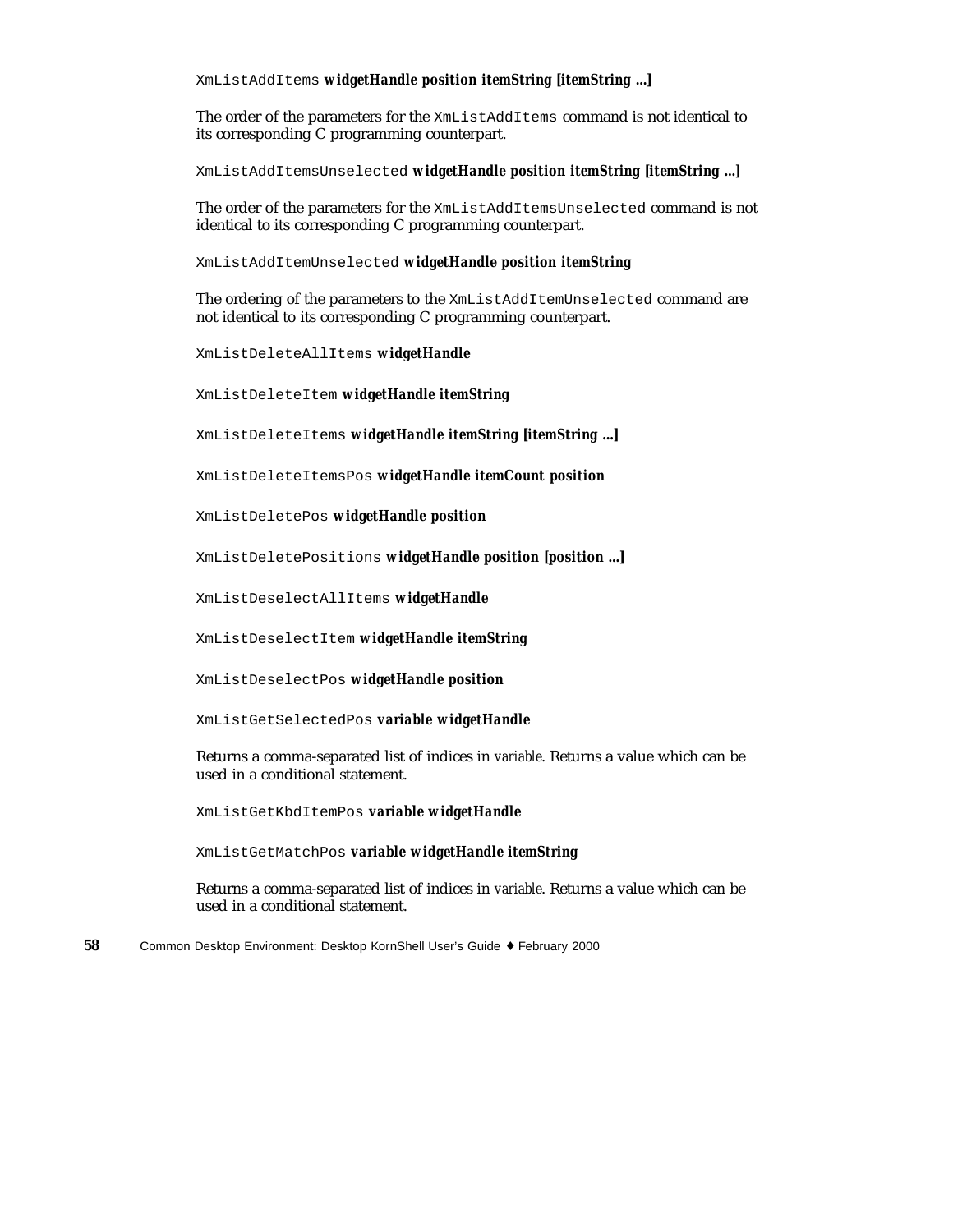### XmListAddItems *widgetHandle position itemString* **[***itemString* **...]**

The order of the parameters for the XmListAddItems command is not identical to its corresponding C programming counterpart.

XmListAddItemsUnselected *widgetHandle position itemString* **[***itemString* **...]**

The order of the parameters for the XmListAddItemsUnselected command is not identical to its corresponding C programming counterpart.

XmListAddItemUnselected *widgetHandle position itemString*

The ordering of the parameters to the XmListAddItemUnselected command are not identical to its corresponding C programming counterpart.

XmListDeleteAllItems *widgetHandle*

XmListDeleteItem *widgetHandle itemString*

XmListDeleteItems *widgetHandle itemString* **[***itemString* **...]**

XmListDeleteItemsPos *widgetHandle itemCount position*

XmListDeletePos *widgetHandle position*

XmListDeletePositions *widgetHandle position* **[***position* **...]**

XmListDeselectAllItems *widgetHandle*

XmListDeselectItem *widgetHandle itemString*

XmListDeselectPos *widgetHandle position*

XmListGetSelectedPos *variable widgetHandle*

Returns a comma-separated list of indices in *variable*. Returns a value which can be used in a conditional statement.

XmListGetKbdItemPos *variable widgetHandle*

XmListGetMatchPos *variable widgetHandle itemString*

Returns a comma-separated list of indices in *variable*. Returns a value which can be used in a conditional statement.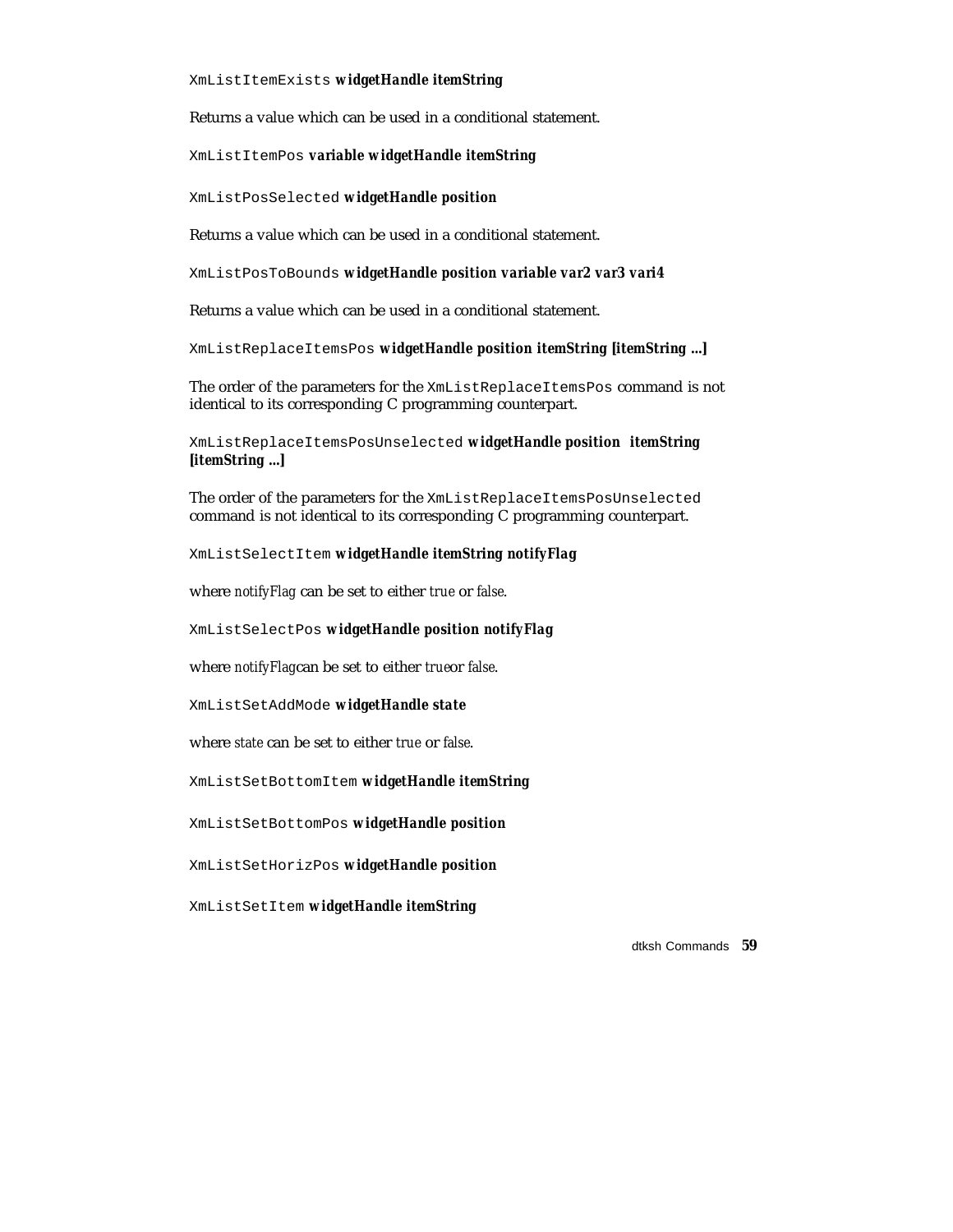### XmListItemExists *widgetHandle itemString*

Returns a value which can be used in a conditional statement.

### XmListItemPos *variable widgetHandle itemString*

XmListPosSelected *widgetHandle position*

Returns a value which can be used in a conditional statement.

XmListPosToBounds *widgetHandle position variable var2 var3 vari4*

Returns a value which can be used in a conditional statement.

XmListReplaceItemsPos *widgetHandle position itemString* **[***itemString* **...]**

The order of the parameters for the XmListReplaceItemsPos command is not identical to its corresponding C programming counterpart.

XmListReplaceItemsPosUnselected *widgetHandle position itemString* **[***itemString* **...]**

The order of the parameters for the XmListReplaceItemsPosUnselected command is not identical to its corresponding C programming counterpart.

XmListSelectItem *widgetHandle itemString notifyFlag*

where *notifyFlag* can be set to either *true* or *false*.

XmListSelectPos *widgetHandle position notifyFlag*

where *notifyFlag*can be set to either *true*or *false*.

XmListSetAddMode *widgetHandle state*

where *state* can be set to either *true* or *false*.

XmListSetBottomItem *widgetHandle itemString*

XmListSetBottomPos *widgetHandle position*

XmListSetHorizPos *widgetHandle position*

XmListSetItem *widgetHandle itemString*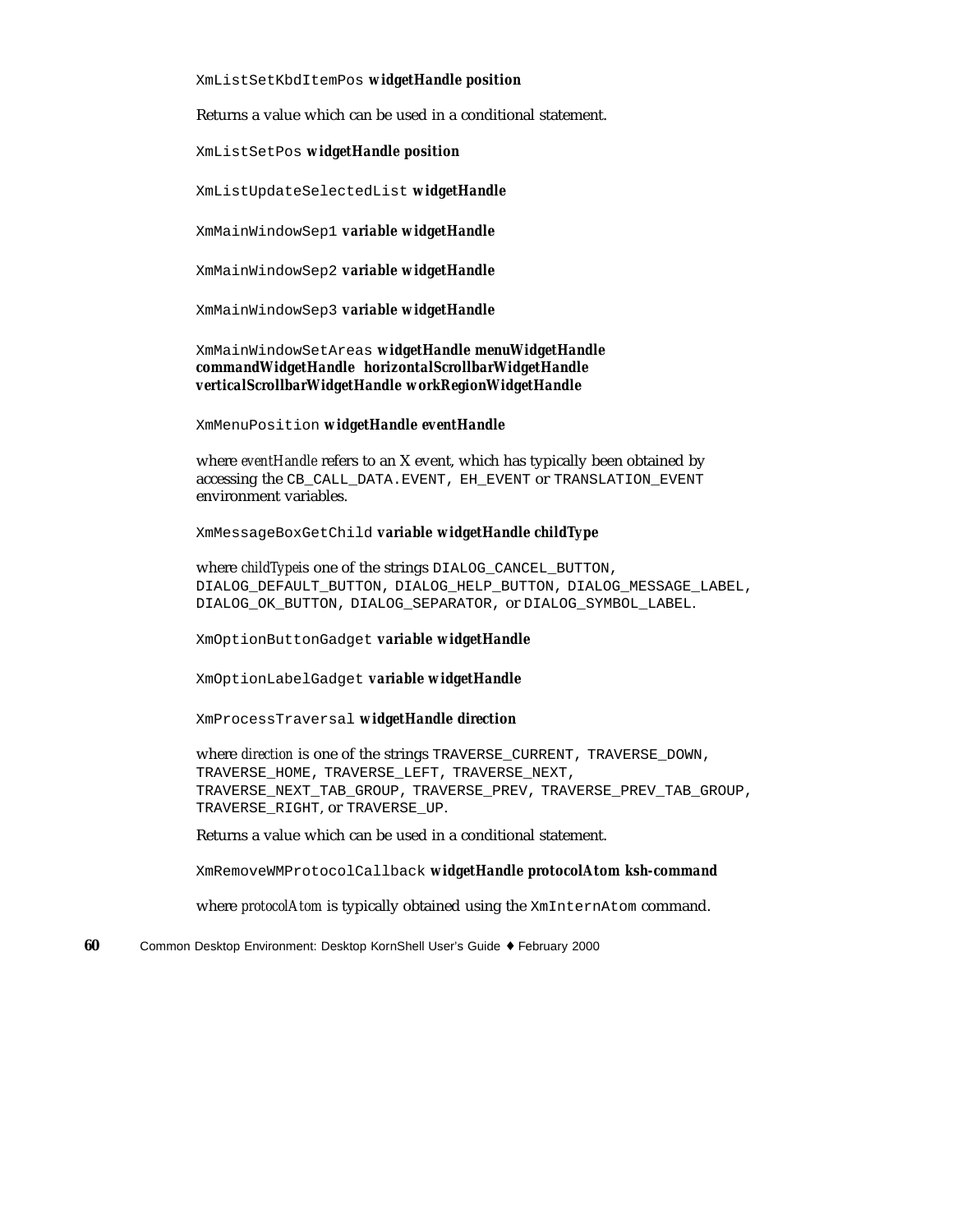XmListSetKbdItemPos *widgetHandle position*

Returns a value which can be used in a conditional statement.

XmListSetPos *widgetHandle position*

XmListUpdateSelectedList *widgetHandle*

XmMainWindowSep1 *variable widgetHandle*

XmMainWindowSep2 *variable widgetHandle*

XmMainWindowSep3 *variable widgetHandle*

XmMainWindowSetAreas *widgetHandle menuWidgetHandle commandWidgetHandle horizontalScrollbarWidgetHandle verticalScrollbarWidgetHandle workRegionWidgetHandle*

XmMenuPosition *widgetHandle eventHandle*

where *eventHandle* refers to an X event, which has typically been obtained by accessing the CB\_CALL\_DATA.EVENT, EH\_EVENT or TRANSLATION\_EVENT environment variables.

XmMessageBoxGetChild *variable widgetHandle childType*

where *childType*is one of the strings DIALOG\_CANCEL\_BUTTON, DIALOG\_DEFAULT\_BUTTON, DIALOG\_HELP\_BUTTON, DIALOG\_MESSAGE\_LABEL, DIALOG\_OK\_BUTTON, DIALOG\_SEPARATOR, or DIALOG\_SYMBOL\_LABEL.

XmOptionButtonGadget *variable widgetHandle*

XmOptionLabelGadget *variable widgetHandle*

XmProcessTraversal *widgetHandle direction*

where *direction* is one of the strings TRAVERSE\_CURRENT, TRAVERSE\_DOWN, TRAVERSE\_HOME, TRAVERSE\_LEFT, TRAVERSE\_NEXT, TRAVERSE\_NEXT\_TAB\_GROUP, TRAVERSE\_PREV, TRAVERSE\_PREV\_TAB\_GROUP, TRAVERSE\_RIGHT, or TRAVERSE\_UP.

Returns a value which can be used in a conditional statement.

XmRemoveWMProtocolCallback *widgetHandle protocolAtom ksh-command*

where *protocolAtom* is typically obtained using the XmInternAtom command.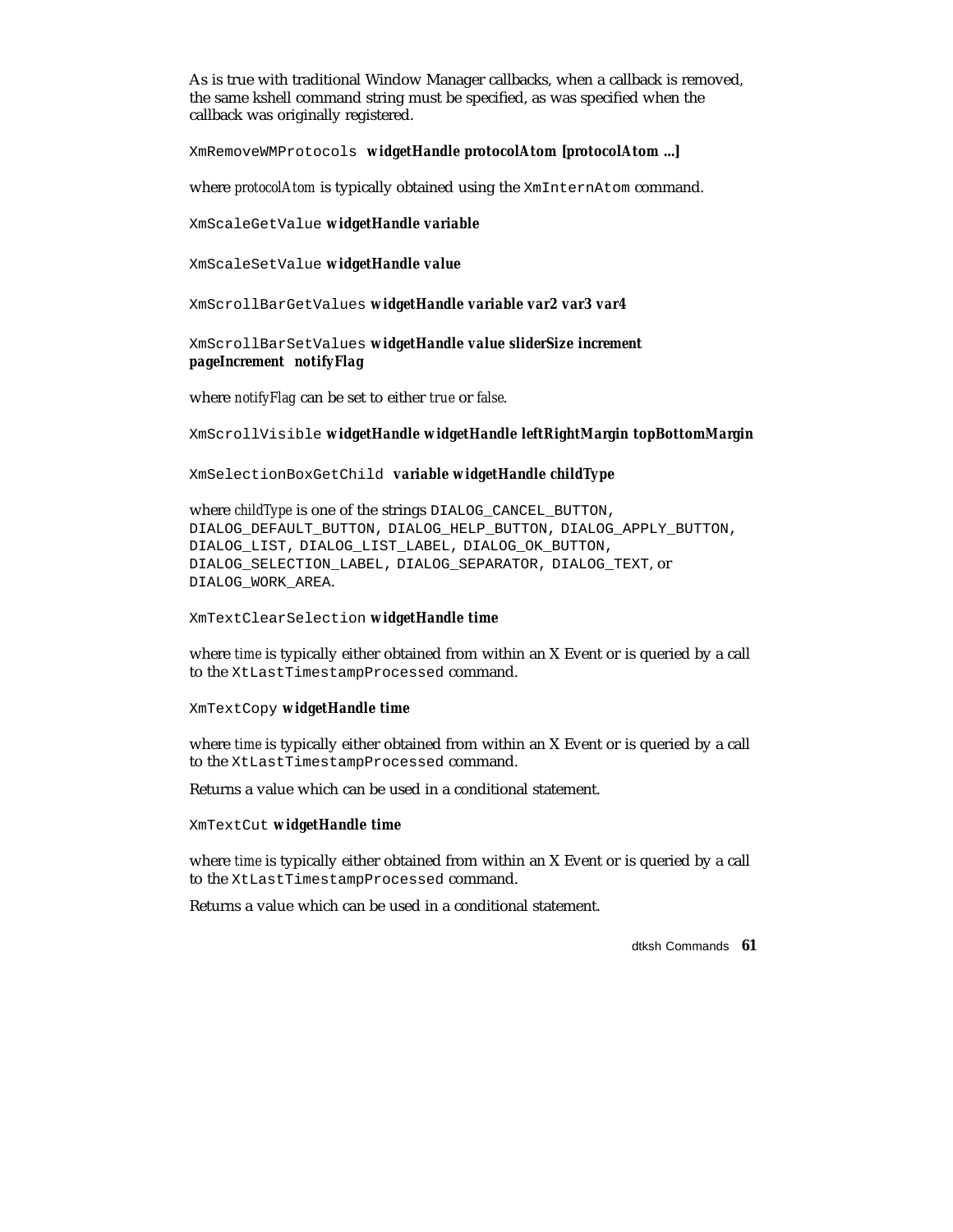As is true with traditional Window Manager callbacks, when a callback is removed, the same kshell command string must be specified, as was specified when the callback was originally registered.

XmRemoveWMProtocols *widgetHandle protocolAtom* **[***protocolAtom* **...]**

where *protocolAtom* is typically obtained using the XmInternAtom command.

XmScaleGetValue *widgetHandle variable*

XmScaleSetValue *widgetHandle value*

XmScrollBarGetValues *widgetHandle variable var2 var3 var4*

XmScrollBarSetValues *widgetHandle value sliderSize increment pageIncrement notifyFlag*

where *notifyFlag* can be set to either *true* or *false*.

XmScrollVisible *widgetHandle widgetHandle leftRightMargin topBottomMargin*

XmSelectionBoxGetChild *variable widgetHandle childType*

where *childType* is one of the strings DIALOG\_CANCEL\_BUTTON, DIALOG\_DEFAULT\_BUTTON, DIALOG\_HELP\_BUTTON, DIALOG\_APPLY\_BUTTON, DIALOG\_LIST, DIALOG\_LIST\_LABEL, DIALOG\_OK\_BUTTON, DIALOG\_SELECTION\_LABEL, DIALOG\_SEPARATOR, DIALOG\_TEXT, or DIALOG\_WORK\_AREA.

XmTextClearSelection *widgetHandle time*

where *time* is typically either obtained from within an X Event or is queried by a call to the XtLastTimestampProcessed command.

### XmTextCopy *widgetHandle time*

where *time* is typically either obtained from within an X Event or is queried by a call to the XtLastTimestampProcessed command.

Returns a value which can be used in a conditional statement.

XmTextCut *widgetHandle time*

where *time* is typically either obtained from within an X Event or is queried by a call to the XtLastTimestampProcessed command.

Returns a value which can be used in a conditional statement.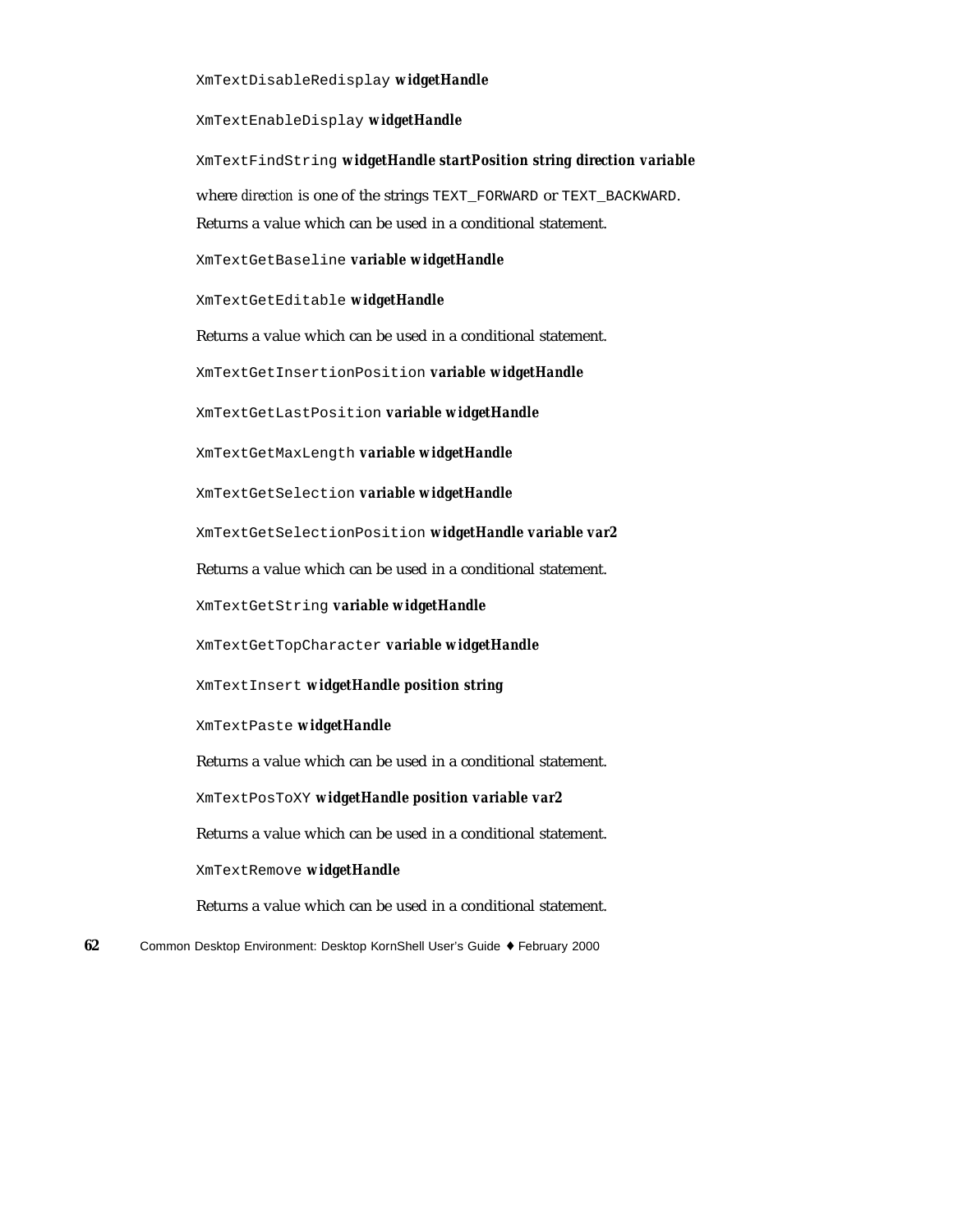### XmTextDisableRedisplay *widgetHandle*

### XmTextEnableDisplay *widgetHandle*

XmTextFindString *widgetHandle startPosition string direction variable* where *direction* is one of the strings TEXT\_FORWARD or TEXT\_BACKWARD. Returns a value which can be used in a conditional statement. XmTextGetBaseline *variable widgetHandle* XmTextGetEditable *widgetHandle* Returns a value which can be used in a conditional statement. XmTextGetInsertionPosition *variable widgetHandle* XmTextGetLastPosition *variable widgetHandle* XmTextGetMaxLength *variable widgetHandle* XmTextGetSelection *variable widgetHandle* XmTextGetSelectionPosition *widgetHandle variable var2* Returns a value which can be used in a conditional statement. XmTextGetString *variable widgetHandle* XmTextGetTopCharacter *variable widgetHandle* XmTextInsert *widgetHandle position string* XmTextPaste *widgetHandle* Returns a value which can be used in a conditional statement. XmTextPosToXY *widgetHandle position variable var2* Returns a value which can be used in a conditional statement. XmTextRemove *widgetHandle* Returns a value which can be used in a conditional statement.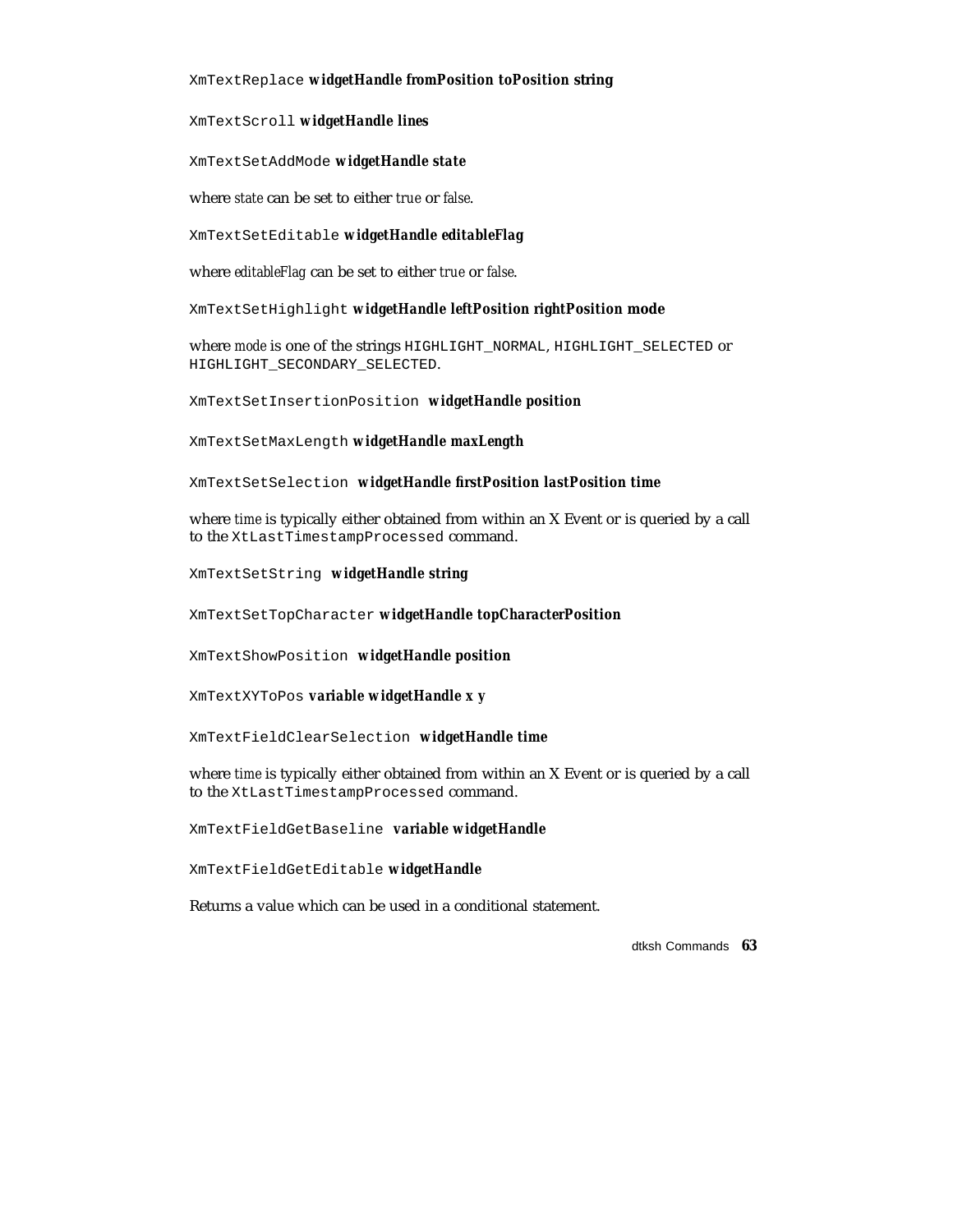### XmTextReplace *widgetHandle fromPosition toPosition* **string**

XmTextScroll *widgetHandle lines*

XmTextSetAddMode *widgetHandle state*

where *state* can be set to either *true* or *false*.

XmTextSetEditable *widgetHandle editableFlag*

where *editableFlag* can be set to either *true* or *false*.

XmTextSetHighlight *widgetHandle leftPosition rightPosition* **mode**

where *mode* is one of the strings HIGHLIGHT\_NORMAL, HIGHLIGHT\_SELECTED or HIGHLIGHT\_SECONDARY\_SELECTED.

XmTextSetInsertionPosition *widgetHandle position*

XmTextSetMaxLength *widgetHandle maxLength*

XmTextSetSelection *widgetHandle firstPosition lastPosition time*

where *time* is typically either obtained from within an X Event or is queried by a call to the XtLastTimestampProcessed command.

XmTextSetString *widgetHandle string*

XmTextSetTopCharacter *widgetHandle topCharacterPosition*

XmTextShowPosition *widgetHandle position*

XmTextXYToPos *variable widgetHandle x y*

XmTextFieldClearSelection *widgetHandle time*

where *time* is typically either obtained from within an X Event or is queried by a call to the XtLastTimestampProcessed command.

XmTextFieldGetBaseline *variable widgetHandle*

XmTextFieldGetEditable *widgetHandle*

Returns a value which can be used in a conditional statement.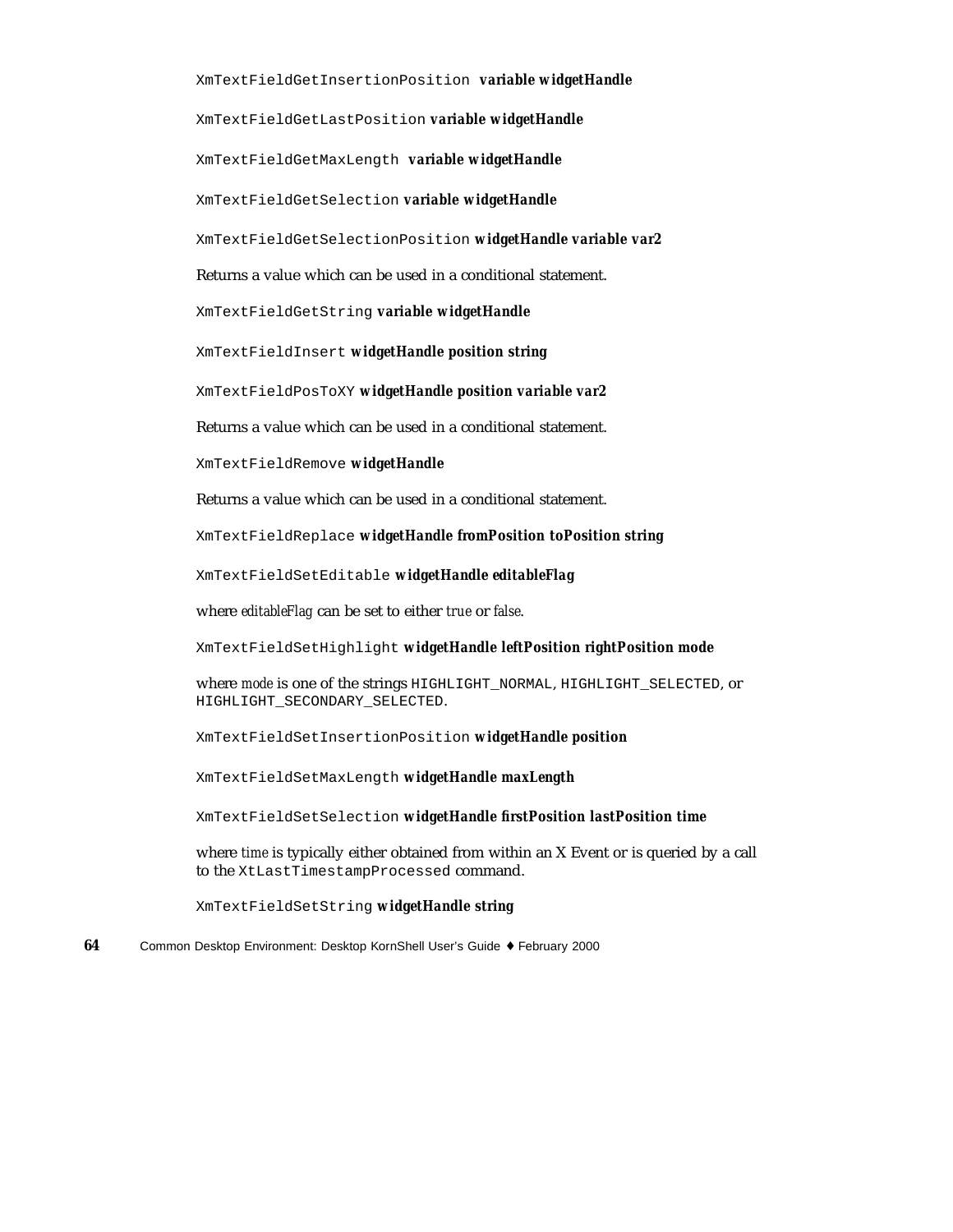XmTextFieldGetInsertionPosition *variable widgetHandle* XmTextFieldGetLastPosition *variable widgetHandle* XmTextFieldGetMaxLength *variable widgetHandle* XmTextFieldGetSelection *variable widgetHandle* XmTextFieldGetSelectionPosition *widgetHandle variable var2* Returns a value which can be used in a conditional statement. XmTextFieldGetString *variable widgetHandle* XmTextFieldInsert *widgetHandle position string* XmTextFieldPosToXY *widgetHandle position variable var2*

Returns a value which can be used in a conditional statement.

XmTextFieldRemove *widgetHandle*

Returns a value which can be used in a conditional statement.

XmTextFieldReplace *widgetHandle fromPosition toPosition string*

XmTextFieldSetEditable *widgetHandle editableFlag*

where *editableFlag* can be set to either *true* or *false*.

XmTextFieldSetHighlight *widgetHandle leftPosition rightPosition mode*

where *mode* is one of the strings HIGHLIGHT\_NORMAL, HIGHLIGHT\_SELECTED, or HIGHLIGHT\_SECONDARY\_SELECTED.

XmTextFieldSetInsertionPosition *widgetHandle position*

XmTextFieldSetMaxLength *widgetHandle maxLength*

XmTextFieldSetSelection *widgetHandle firstPosition lastPosition time*

where *time* is typically either obtained from within an X Event or is queried by a call to the XtLastTimestampProcessed command.

XmTextFieldSetString *widgetHandle string*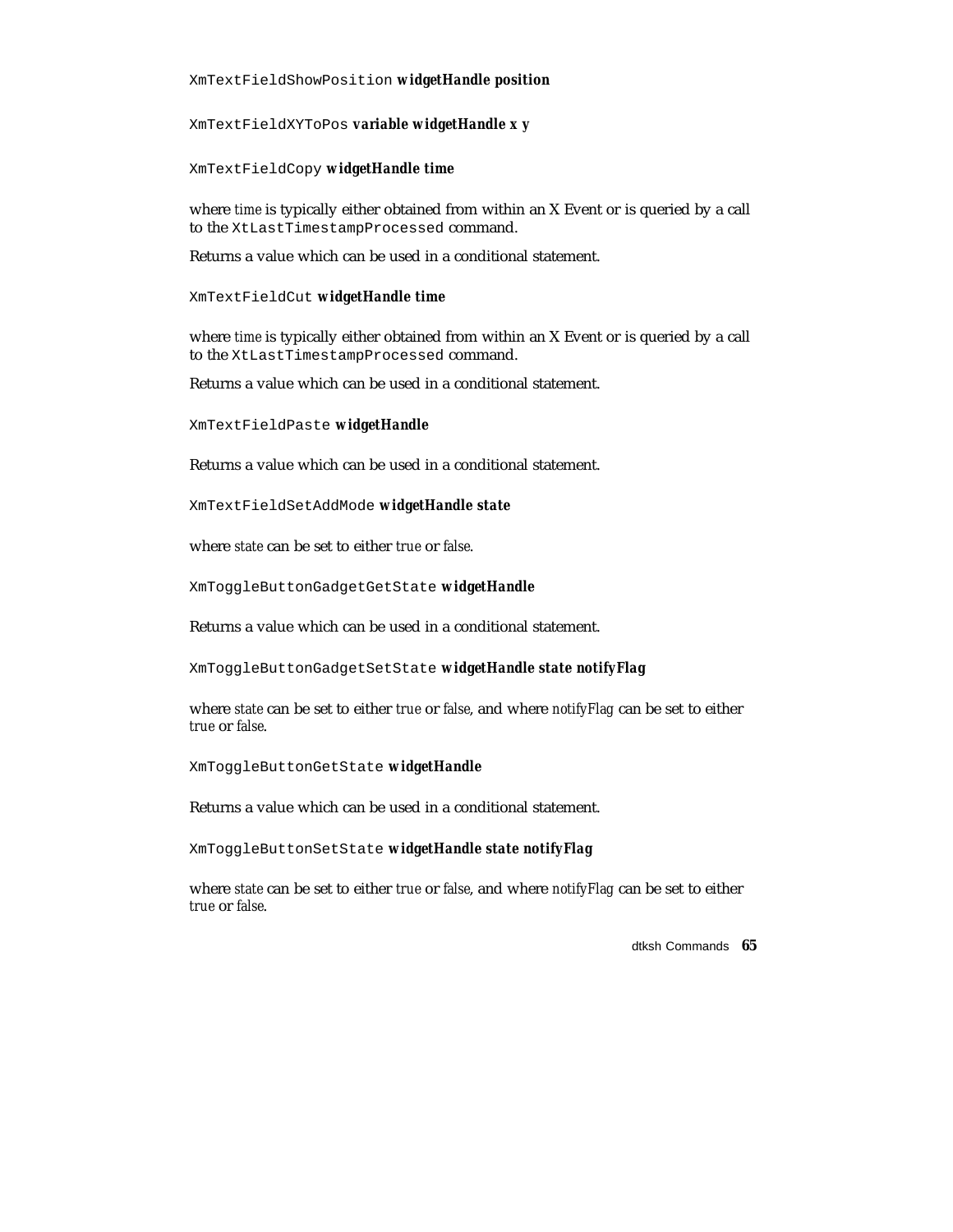### XmTextFieldShowPosition *widgetHandle position*

XmTextFieldXYToPos *variable widgetHandle x y*

XmTextFieldCopy *widgetHandle time*

where *time* is typically either obtained from within an X Event or is queried by a call to the XtLastTimestampProcessed command.

Returns a value which can be used in a conditional statement.

XmTextFieldCut *widgetHandle time*

where *time* is typically either obtained from within an X Event or is queried by a call to the XtLastTimestampProcessed command.

Returns a value which can be used in a conditional statement.

XmTextFieldPaste *widgetHandle*

Returns a value which can be used in a conditional statement.

XmTextFieldSetAddMode *widgetHandle state*

where *state* can be set to either *true* or *false*.

XmToggleButtonGadgetGetState *widgetHandle*

Returns a value which can be used in a conditional statement.

XmToggleButtonGadgetSetState *widgetHandle state notifyFlag*

where *state* can be set to either *true* or *false*, and where *notifyFlag* can be set to either *true* or *false*.

XmToggleButtonGetState *widgetHandle*

Returns a value which can be used in a conditional statement.

XmToggleButtonSetState *widgetHandle state notifyFlag*

where *state* can be set to either *true* or *false*, and where *notifyFlag* can be set to either *true* or *false*.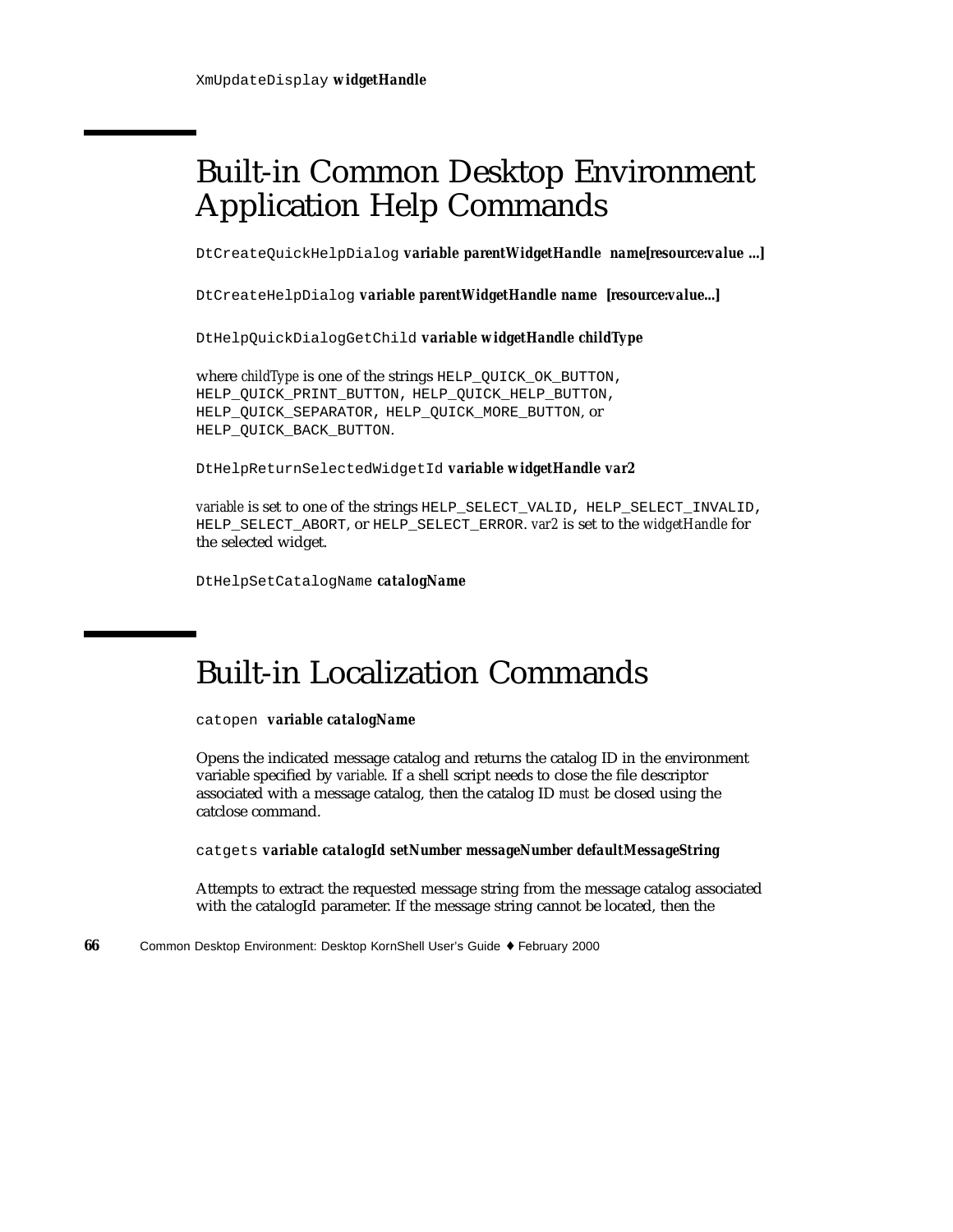# Built-in Common Desktop Environment Application Help Commands

DtCreateQuickHelpDialog *variable parentWidgetHandle name***[***resource***:***value* **...]**

DtCreateHelpDialog *variable parentWidgetHandle name* **[***resource***:***value***...]**

DtHelpQuickDialogGetChild *variable widgetHandle childType*

where *childType* is one of the strings HELP\_QUICK\_OK\_BUTTON, HELP\_QUICK\_PRINT\_BUTTON, HELP\_QUICK\_HELP\_BUTTON, HELP\_QUICK\_SEPARATOR, HELP\_QUICK\_MORE\_BUTTON, or HELP\_QUICK\_BACK\_BUTTON.

DtHelpReturnSelectedWidgetId *variable widgetHandle var2*

*variable* is set to one of the strings HELP\_SELECT\_VALID, HELP\_SELECT\_INVALID, HELP\_SELECT\_ABORT, or HELP\_SELECT\_ERROR. *var2* is set to the *widgetHandle* for the selected widget.

DtHelpSetCatalogName *catalogName*

## Built-in Localization Commands

catopen *variable catalogName*

Opens the indicated message catalog and returns the catalog ID in the environment variable specified by *variable*. If a shell script needs to close the file descriptor associated with a message catalog, then the catalog ID *must* be closed using the catclose command.

catgets *variable catalogId setNumber messageNumber defaultMessageString*

Attempts to extract the requested message string from the message catalog associated with the catalogId parameter. If the message string cannot be located, then the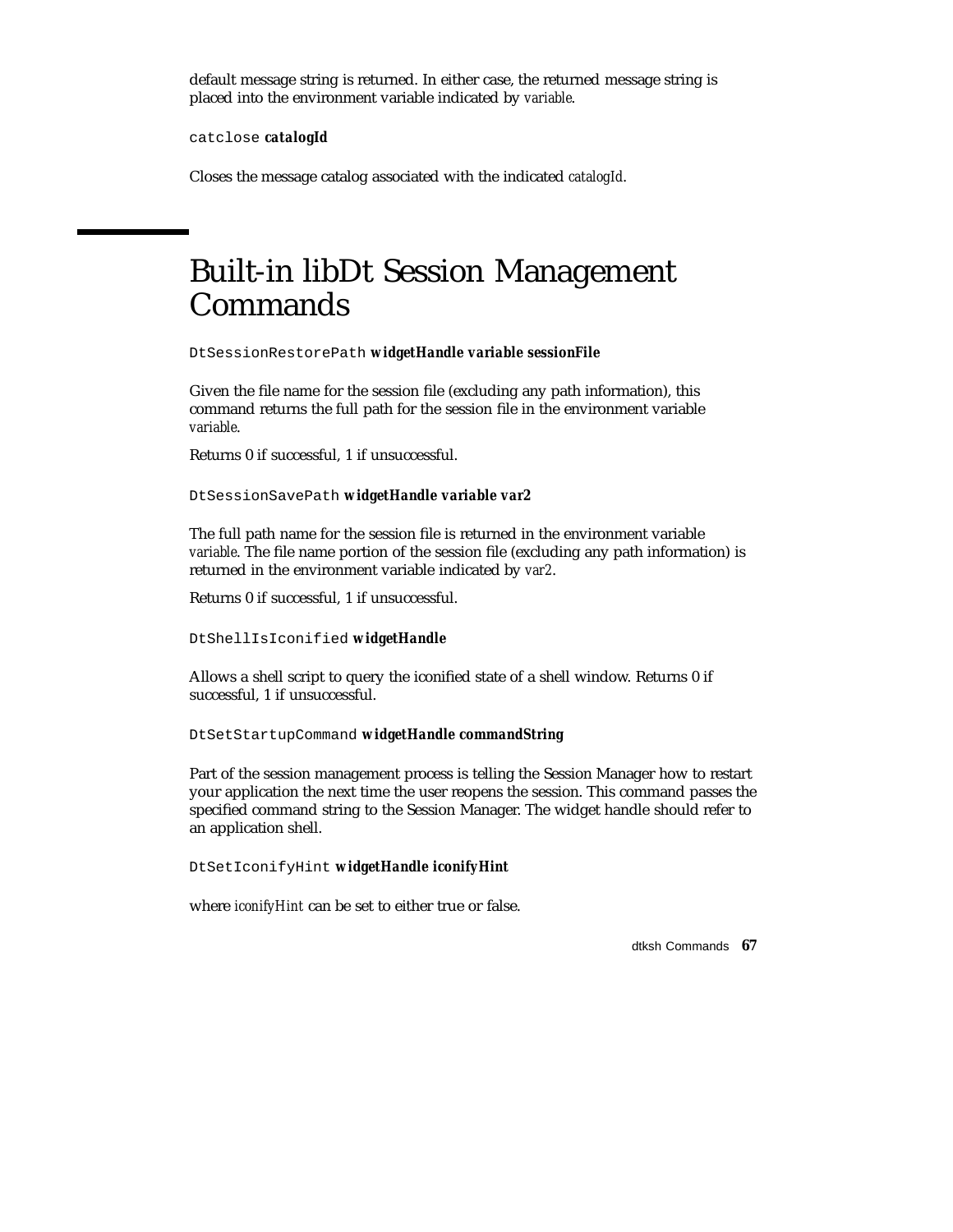default message string is returned. In either case, the returned message string is placed into the environment variable indicated by *variable*.

catclose *catalogId*

Closes the message catalog associated with the indicated *catalogId*.

# Built-in libDt Session Management Commands

DtSessionRestorePath *widgetHandle variable sessionFile*

Given the file name for the session file (excluding any path information), this command returns the full path for the session file in the environment variable *variable*.

Returns 0 if successful, 1 if unsuccessful.

DtSessionSavePath *widgetHandle variable var2*

The full path name for the session file is returned in the environment variable *variable*. The file name portion of the session file (excluding any path information) is returned in the environment variable indicated by *var2*.

Returns 0 if successful, 1 if unsuccessful.

DtShellIsIconified *widgetHandle*

Allows a shell script to query the iconified state of a shell window. Returns 0 if successful, 1 if unsuccessful.

DtSetStartupCommand *widgetHandle commandString*

Part of the session management process is telling the Session Manager how to restart your application the next time the user reopens the session. This command passes the specified command string to the Session Manager. The widget handle should refer to an application shell.

DtSetIconifyHint *widgetHandle iconifyHint*

where *iconifyHint* can be set to either true or false.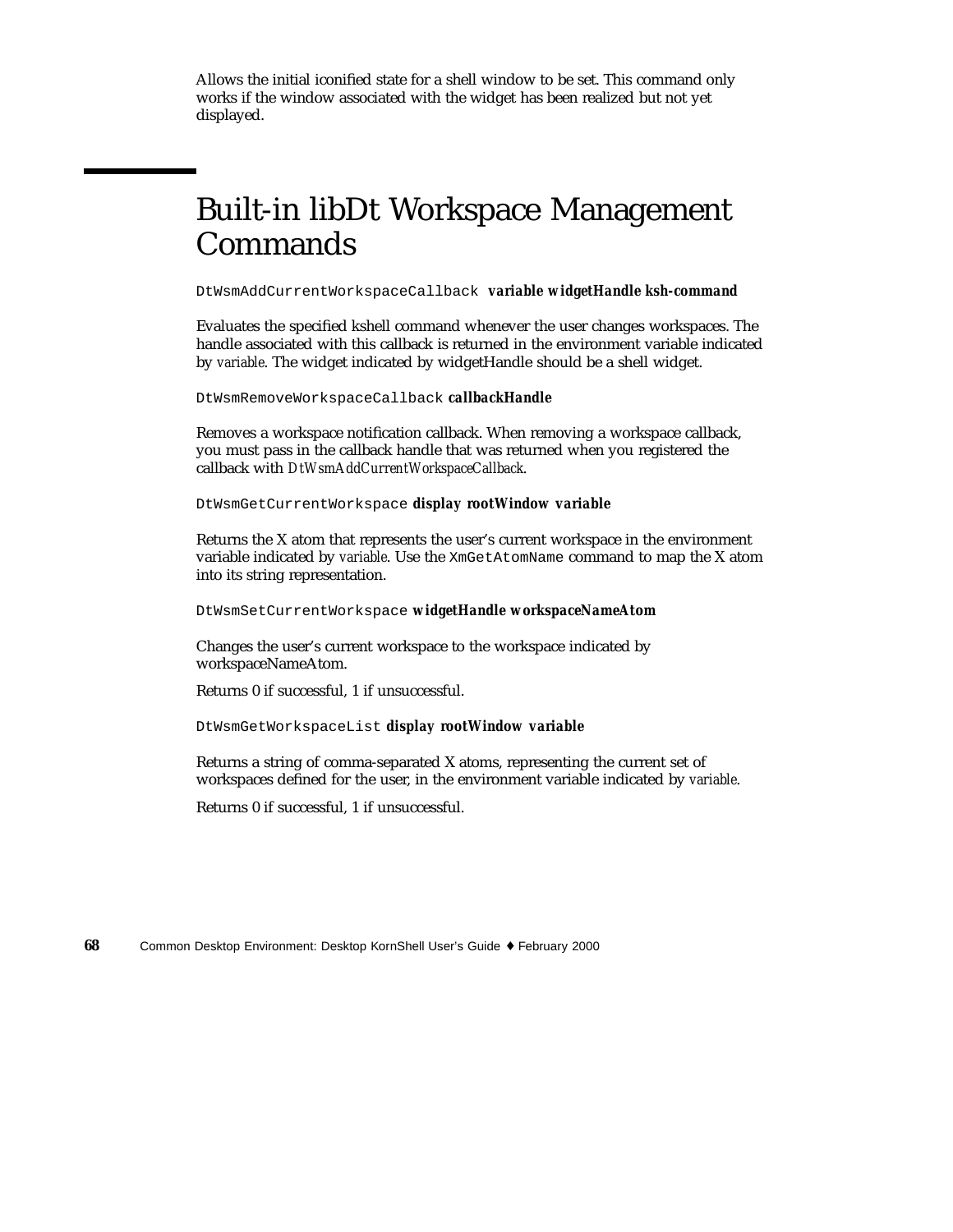Allows the initial iconified state for a shell window to be set. This command only works if the window associated with the widget has been realized but not yet displayed.

# Built-in libDt Workspace Management Commands

DtWsmAddCurrentWorkspaceCallback *variable widgetHandle ksh-command*

Evaluates the specified kshell command whenever the user changes workspaces. The handle associated with this callback is returned in the environment variable indicated by *variable*. The widget indicated by widgetHandle should be a shell widget.

DtWsmRemoveWorkspaceCallback *callbackHandle*

Removes a workspace notification callback. When removing a workspace callback, you must pass in the callback handle that was returned when you registered the callback with *DtWsmAddCurrentWorkspaceCallback*.

DtWsmGetCurrentWorkspace *display rootWindow variable*

Returns the X atom that represents the user's current workspace in the environment variable indicated by *variable*. Use the XmGetAtomName command to map the X atom into its string representation.

DtWsmSetCurrentWorkspace *widgetHandle workspaceNameAtom*

Changes the user's current workspace to the workspace indicated by workspaceNameAtom.

Returns 0 if successful, 1 if unsuccessful.

DtWsmGetWorkspaceList *display rootWindow variable*

Returns a string of comma-separated X atoms, representing the current set of workspaces defined for the user, in the environment variable indicated by *variable*.

Returns 0 if successful, 1 if unsuccessful.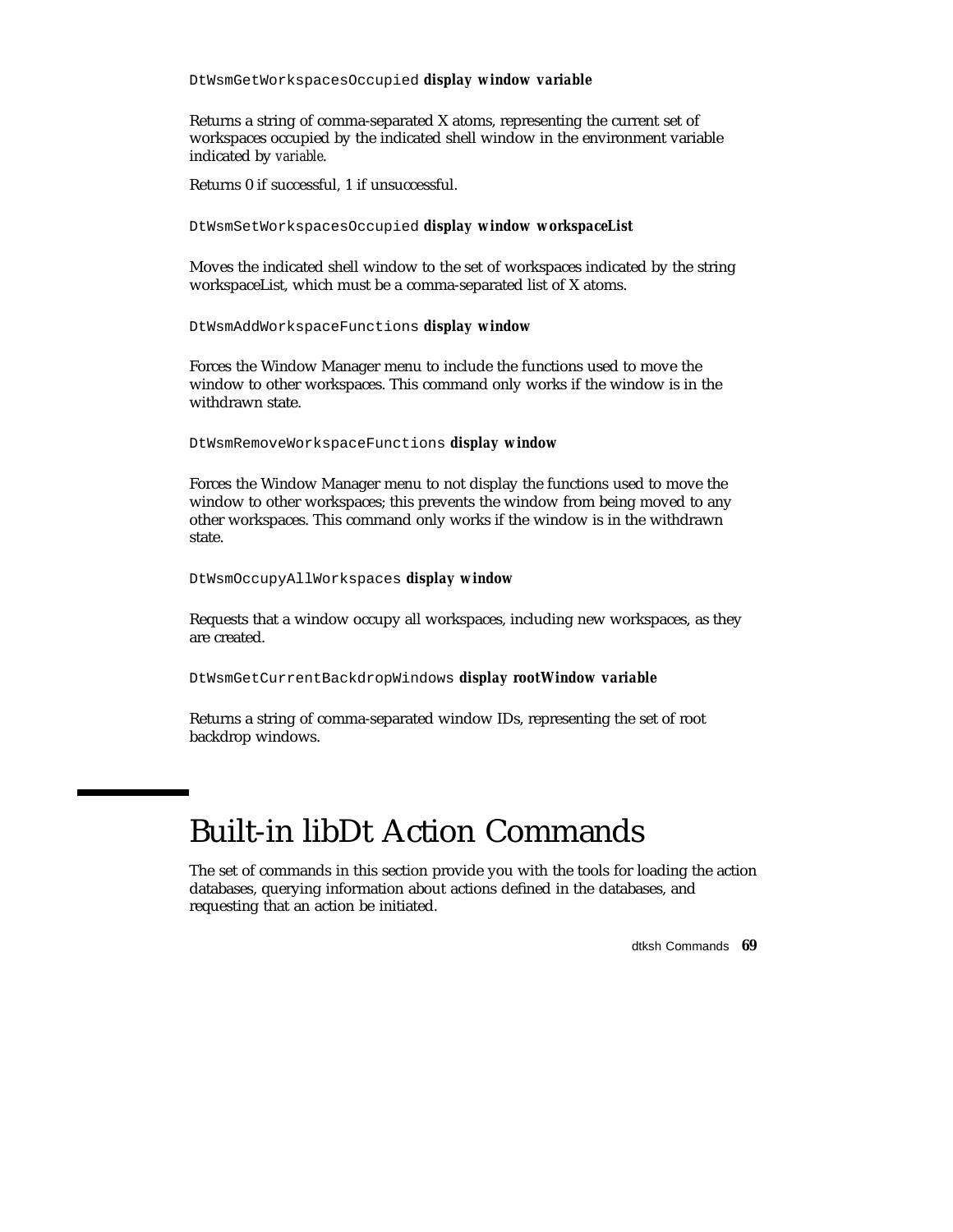DtWsmGetWorkspacesOccupied *display window variable*

Returns a string of comma-separated X atoms, representing the current set of workspaces occupied by the indicated shell window in the environment variable indicated by *variable*.

Returns 0 if successful, 1 if unsuccessful.

### DtWsmSetWorkspacesOccupied *display window workspaceList*

Moves the indicated shell window to the set of workspaces indicated by the string workspaceList, which must be a comma-separated list of X atoms.

DtWsmAddWorkspaceFunctions *display window*

Forces the Window Manager menu to include the functions used to move the window to other workspaces. This command only works if the window is in the withdrawn state.

DtWsmRemoveWorkspaceFunctions *display window*

Forces the Window Manager menu to not display the functions used to move the window to other workspaces; this prevents the window from being moved to any other workspaces. This command only works if the window is in the withdrawn state.

DtWsmOccupyAllWorkspaces *display window*

Requests that a window occupy all workspaces, including new workspaces, as they are created.

DtWsmGetCurrentBackdropWindows *display rootWindow variable*

Returns a string of comma-separated window IDs, representing the set of root backdrop windows.

# Built-in libDt Action Commands

The set of commands in this section provide you with the tools for loading the action databases, querying information about actions defined in the databases, and requesting that an action be initiated.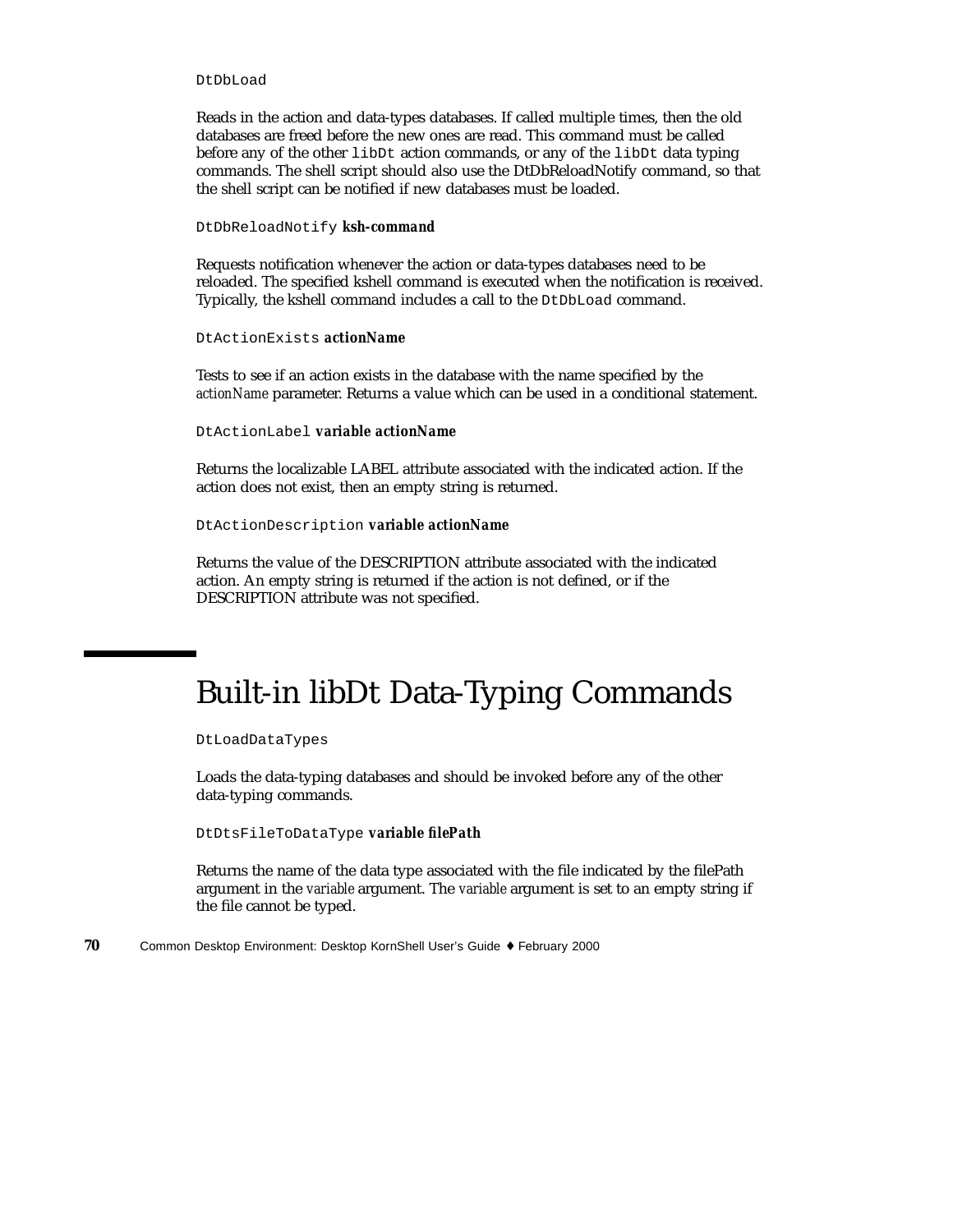#### DtDbLoad

Reads in the action and data-types databases. If called multiple times, then the old databases are freed before the new ones are read. This command must be called before any of the other libDt action commands, or any of the libDt data typing commands. The shell script should also use the DtDbReloadNotify command, so that the shell script can be notified if new databases must be loaded.

### DtDbReloadNotify *ksh-command*

Requests notification whenever the action or data-types databases need to be reloaded. The specified kshell command is executed when the notification is received. Typically, the kshell command includes a call to the DtDbLoad command.

### DtActionExists *actionName*

Tests to see if an action exists in the database with the name specified by the *actionName* parameter. Returns a value which can be used in a conditional statement.

### DtActionLabel *variable actionName*

Returns the localizable LABEL attribute associated with the indicated action. If the action does not exist, then an empty string is returned.

#### DtActionDescription *variable actionName*

Returns the value of the DESCRIPTION attribute associated with the indicated action. An empty string is returned if the action is not defined, or if the DESCRIPTION attribute was not specified.

# Built-in libDt Data-Typing Commands

DtLoadDataTypes

Loads the data-typing databases and should be invoked before any of the other data-typing commands.

```
DtDtsFileToDataType variable filePath
```
Returns the name of the data type associated with the file indicated by the filePath argument in the *variable* argument. The *variable* argument is set to an empty string if the file cannot be typed.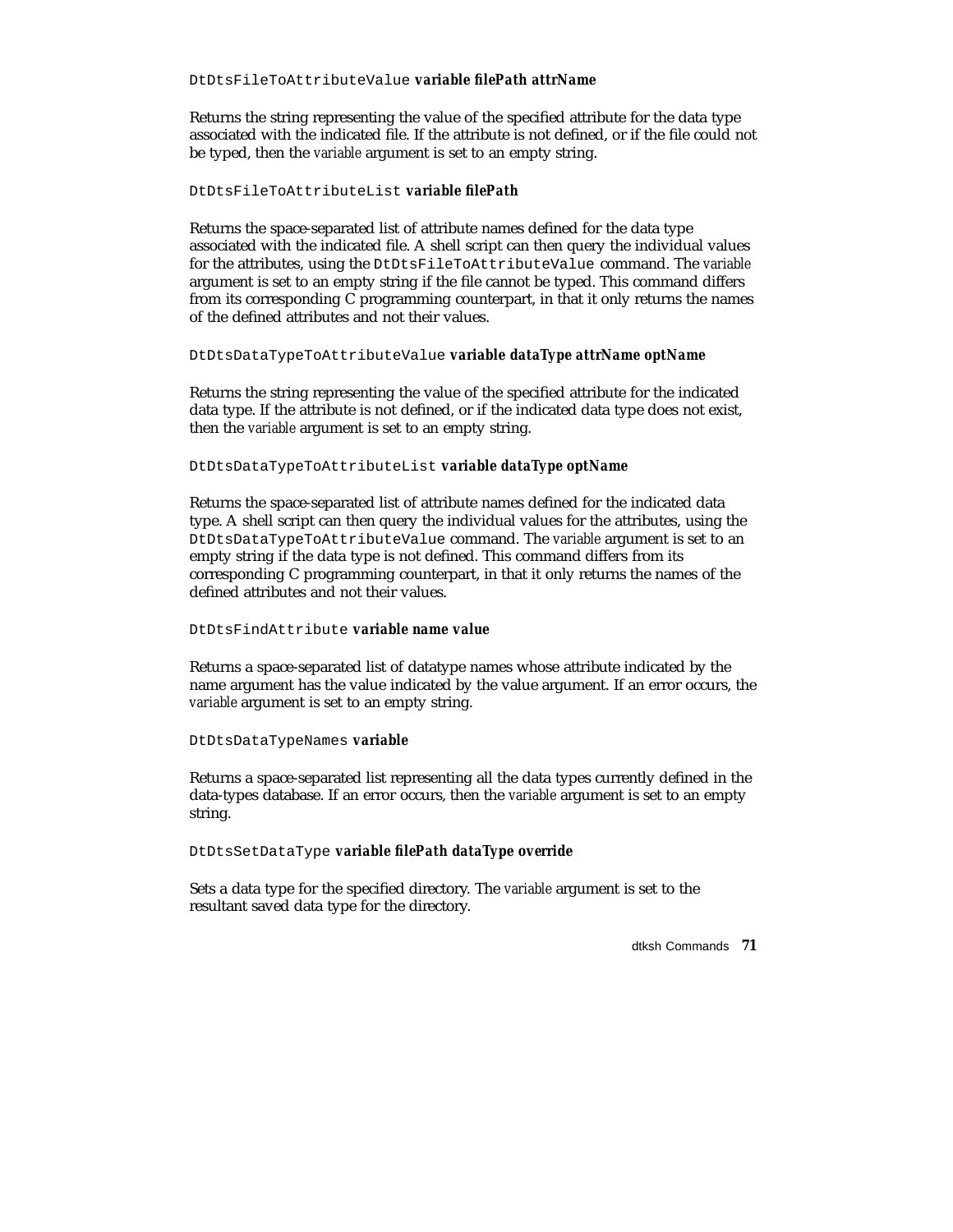### DtDtsFileToAttributeValue *variable filePath attrName*

Returns the string representing the value of the specified attribute for the data type associated with the indicated file. If the attribute is not defined, or if the file could not be typed, then the *variable* argument is set to an empty string.

### DtDtsFileToAttributeList *variable filePath*

Returns the space-separated list of attribute names defined for the data type associated with the indicated file. A shell script can then query the individual values for the attributes, using the DtDtsFileToAttributeValue command. The *variable* argument is set to an empty string if the file cannot be typed. This command differs from its corresponding C programming counterpart, in that it only returns the names of the defined attributes and not their values.

### DtDtsDataTypeToAttributeValue *variable dataType attrName optName*

Returns the string representing the value of the specified attribute for the indicated data type. If the attribute is not defined, or if the indicated data type does not exist, then the *variable* argument is set to an empty string.

### DtDtsDataTypeToAttributeList *variable dataType optName*

Returns the space-separated list of attribute names defined for the indicated data type. A shell script can then query the individual values for the attributes, using the DtDtsDataTypeToAttributeValue command. The *variable* argument is set to an empty string if the data type is not defined. This command differs from its corresponding C programming counterpart, in that it only returns the names of the defined attributes and not their values.

### DtDtsFindAttribute *variable name value*

Returns a space-separated list of datatype names whose attribute indicated by the name argument has the value indicated by the value argument. If an error occurs, the *variable* argument is set to an empty string.

### DtDtsDataTypeNames *variable*

Returns a space-separated list representing all the data types currently defined in the data-types database. If an error occurs, then the *variable* argument is set to an empty string.

### DtDtsSetDataType *variable filePath dataType override*

Sets a data type for the specified directory. The *variable* argument is set to the resultant saved data type for the directory.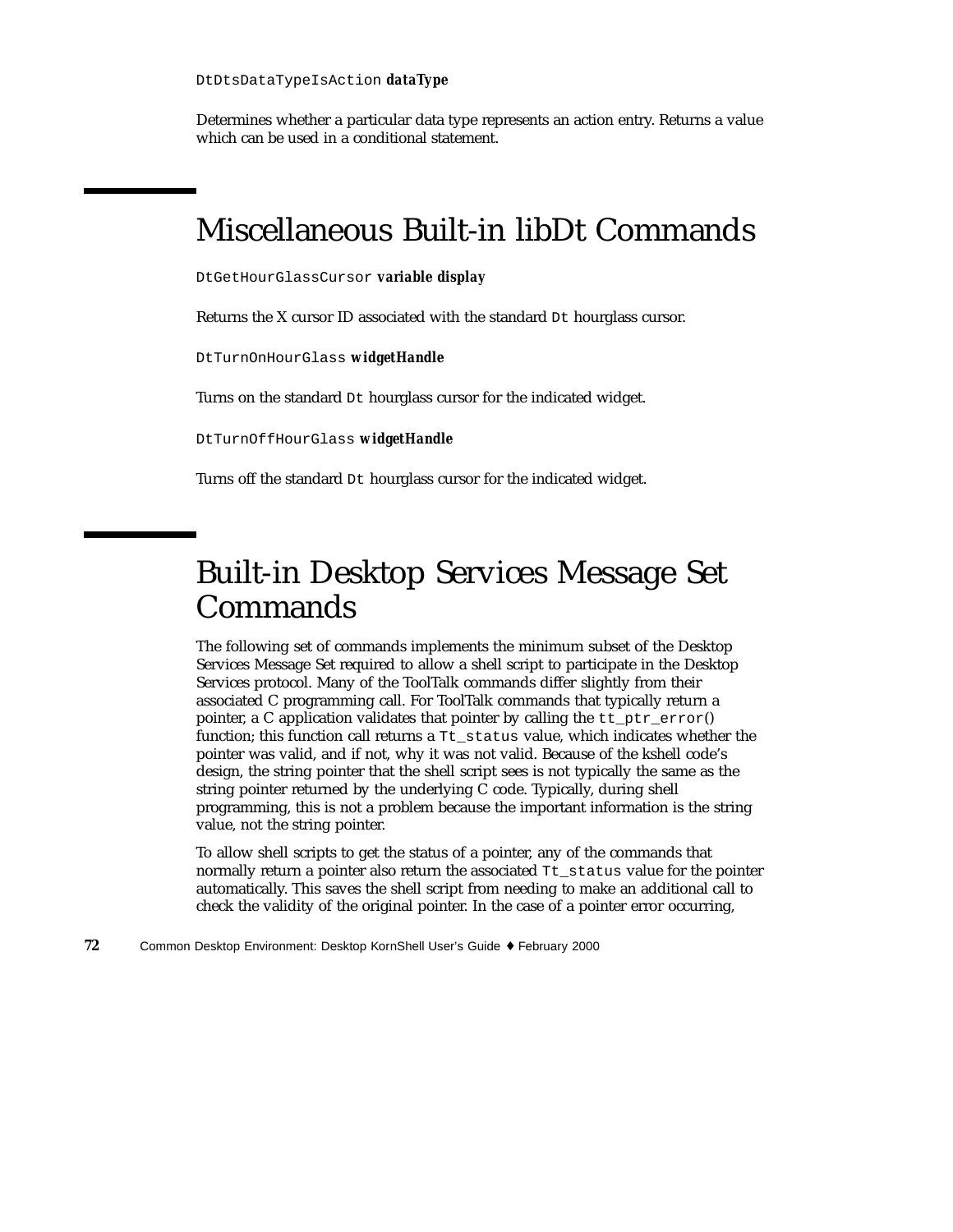Determines whether a particular data type represents an action entry. Returns a value which can be used in a conditional statement.

# Miscellaneous Built-in libDt Commands

DtGetHourGlassCursor *variable display*

Returns the X cursor ID associated with the standard Dt hourglass cursor.

DtTurnOnHourGlass *widgetHandle*

Turns on the standard Dt hourglass cursor for the indicated widget.

DtTurnOffHourGlass *widgetHandle*

Turns off the standard Dt hourglass cursor for the indicated widget.

# Built-in Desktop Services Message Set Commands

The following set of commands implements the minimum subset of the Desktop Services Message Set required to allow a shell script to participate in the Desktop Services protocol. Many of the ToolTalk commands differ slightly from their associated C programming call. For ToolTalk commands that typically return a pointer, a C application validates that pointer by calling the tt\_ptr\_error() function; this function call returns a Tt\_status value, which indicates whether the pointer was valid, and if not, why it was not valid. Because of the kshell code's design, the string pointer that the shell script sees is not typically the same as the string pointer returned by the underlying C code. Typically, during shell programming, this is not a problem because the important information is the string value, not the string pointer.

To allow shell scripts to get the status of a pointer, any of the commands that normally return a pointer also return the associated Tt\_status value for the pointer automatically. This saves the shell script from needing to make an additional call to check the validity of the original pointer. In the case of a pointer error occurring,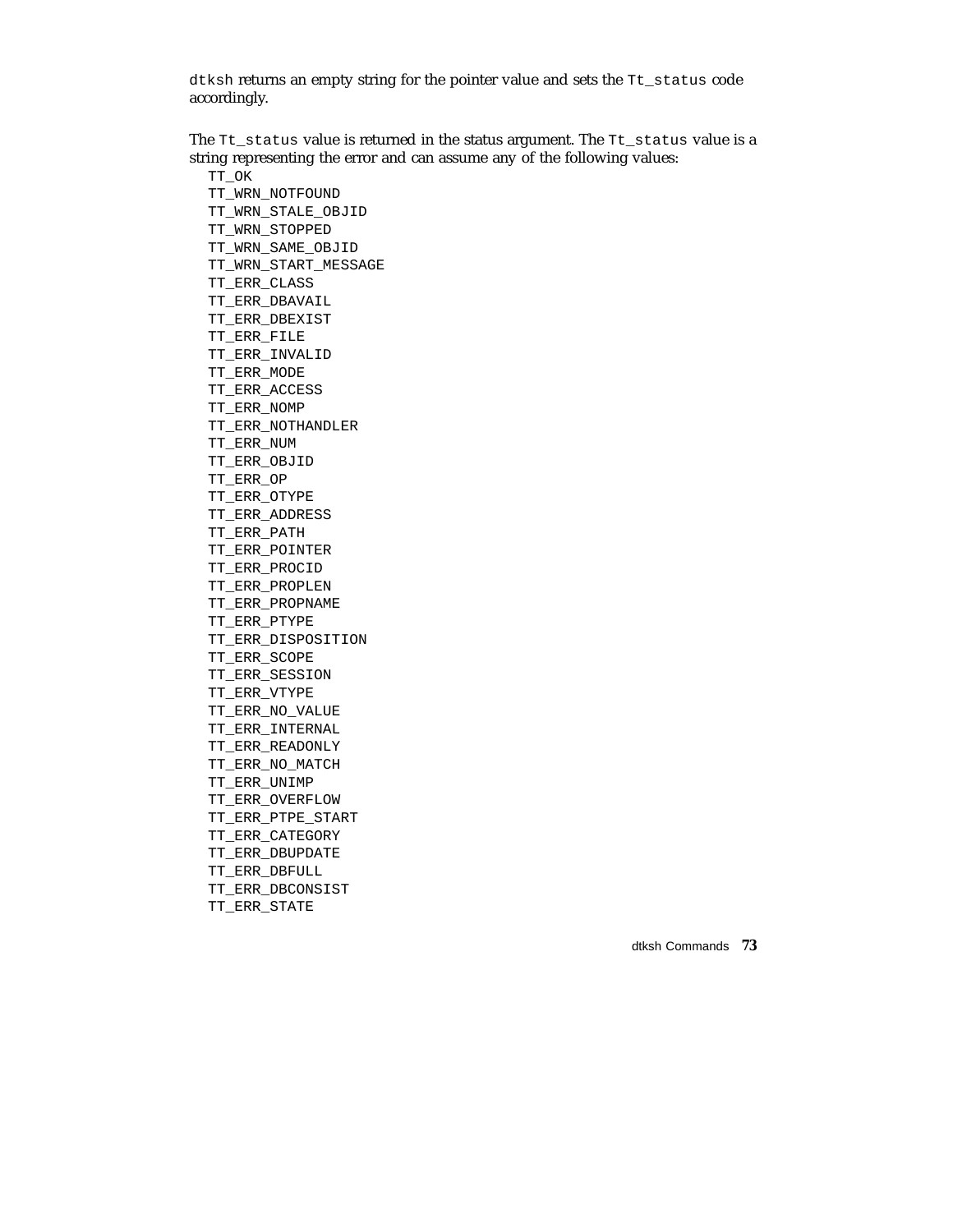dtksh returns an empty string for the pointer value and sets the Tt\_status code accordingly.

The Tt\_status value is returned in the status argument. The Tt\_status value is a string representing the error and can assume any of the following values:

TT\_OK TT\_WRN\_NOTFOUND TT\_WRN\_STALE\_OBJID TT\_WRN\_STOPPED TT\_WRN\_SAME\_OBJID TT\_WRN\_START\_MESSAGE TT\_ERR\_CLASS TT\_ERR\_DBAVAIL TT\_ERR\_DBEXIST TT\_ERR\_FILE TT\_ERR\_INVALID TT\_ERR\_MODE TT\_ERR\_ACCESS TT\_ERR\_NOMP TT\_ERR\_NOTHANDLER TT\_ERR\_NUM TT\_ERR\_OBJID TT\_ERR\_OP TT\_ERR\_OTYPE TT\_ERR\_ADDRESS TT\_ERR\_PATH TT\_ERR\_POINTER TT\_ERR\_PROCID TT\_ERR\_PROPLEN TT\_ERR\_PROPNAME TT\_ERR\_PTYPE TT\_ERR\_DISPOSITION TT\_ERR\_SCOPE TT\_ERR\_SESSION TT\_ERR\_VTYPE TT\_ERR\_NO\_VALUE TT\_ERR\_INTERNAL TT\_ERR\_READONLY TT\_ERR\_NO\_MATCH TT\_ERR\_UNIMP TT\_ERR\_OVERFLOW TT\_ERR\_PTPE\_START TT\_ERR\_CATEGORY TT\_ERR\_DBUPDATE TT\_ERR\_DBFULL TT\_ERR\_DBCONSIST TT\_ERR\_STATE

dtksh Commands **73**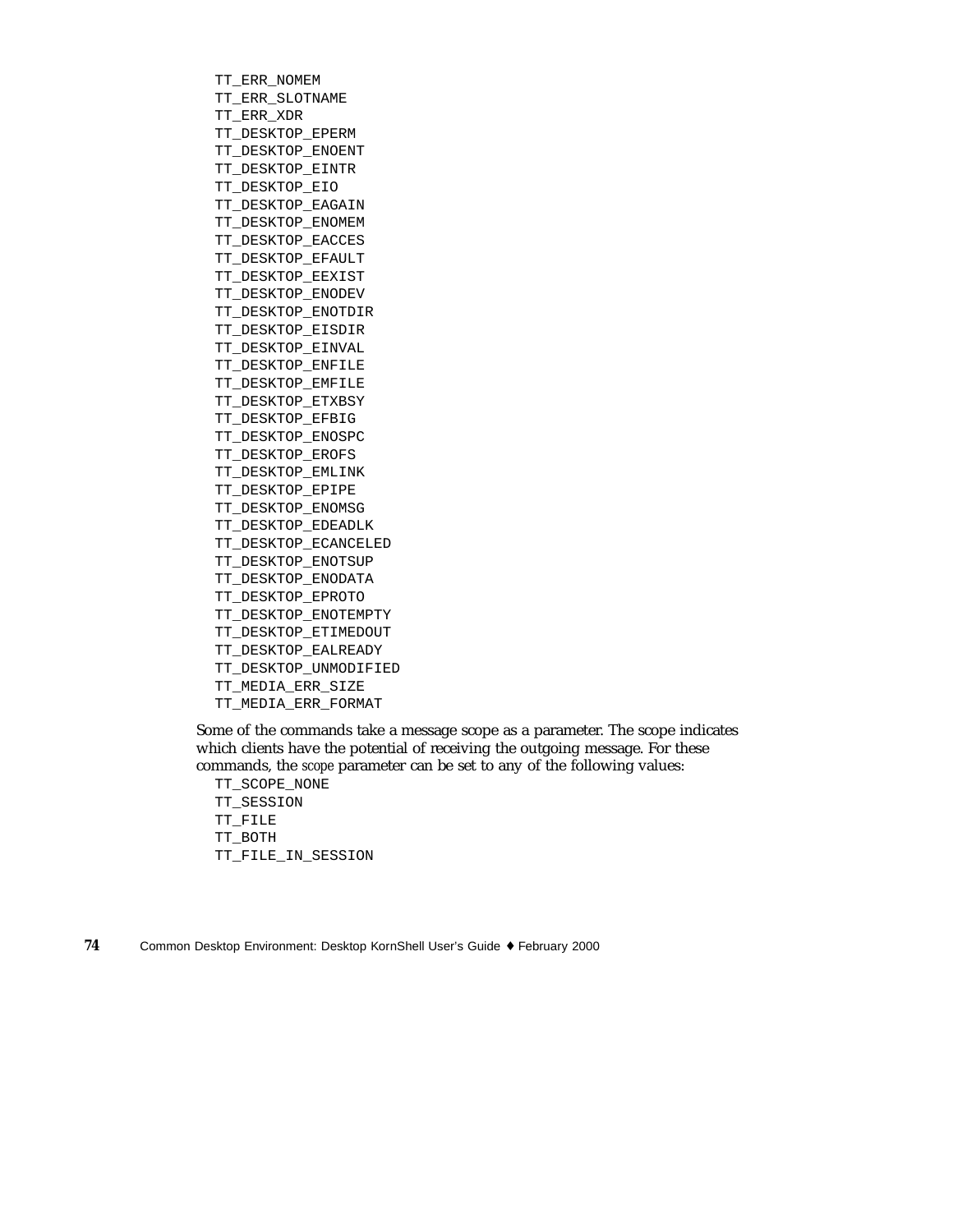TT\_ERR\_NOMEM TT\_ERR\_SLOTNAME TT\_ERR\_XDR TT\_DESKTOP\_EPERM TT\_DESKTOP\_ENOENT TT\_DESKTOP\_EINTR TT\_DESKTOP\_EIO TT\_DESKTOP\_EAGAIN TT\_DESKTOP\_ENOMEM TT\_DESKTOP\_EACCES TT\_DESKTOP\_EFAULT TT\_DESKTOP\_EEXIST TT\_DESKTOP\_ENODEV TT\_DESKTOP\_ENOTDIR TT\_DESKTOP\_EISDIR TT\_DESKTOP\_EINVAL TT\_DESKTOP\_ENFILE TT\_DESKTOP\_EMFILE TT\_DESKTOP\_ETXBSY TT\_DESKTOP\_EFBIG TT\_DESKTOP\_ENOSPC TT\_DESKTOP\_EROFS TT\_DESKTOP\_EMLINK TT\_DESKTOP\_EPIPE TT\_DESKTOP\_ENOMSG TT\_DESKTOP\_EDEADLK TT\_DESKTOP\_ECANCELED TT\_DESKTOP\_ENOTSUP TT\_DESKTOP\_ENODATA TT\_DESKTOP\_EPROTO TT\_DESKTOP\_ENOTEMPTY TT\_DESKTOP\_ETIMEDOUT TT\_DESKTOP\_EALREADY TT\_DESKTOP\_UNMODIFIED TT\_MEDIA\_ERR\_SIZE TT\_MEDIA\_ERR\_FORMAT

Some of the commands take a message scope as a parameter. The scope indicates which clients have the potential of receiving the outgoing message. For these commands, the *scope* parameter can be set to any of the following values:

TT\_SCOPE\_NONE TT\_SESSION TT\_FILE TT\_BOTH TT\_FILE\_IN\_SESSION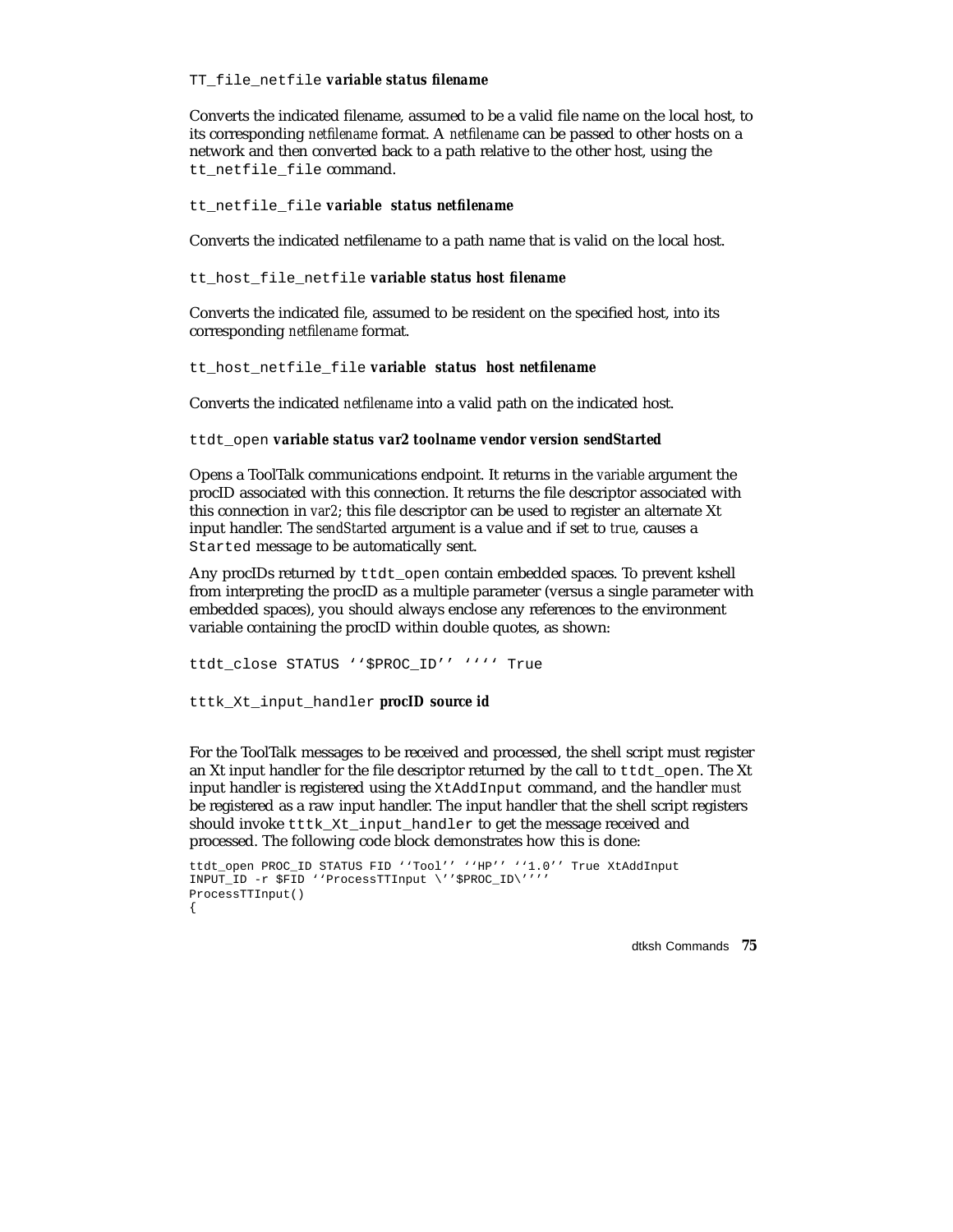#### TT\_file\_netfile *variable status filename*

Converts the indicated filename, assumed to be a valid file name on the local host, to its corresponding *netfilename* format. A *netfilename* can be passed to other hosts on a network and then converted back to a path relative to the other host, using the tt netfile file command.

### tt\_netfile\_file *variable status netfilename*

Converts the indicated netfilename to a path name that is valid on the local host.

### tt\_host\_file\_netfile *variable status host filename*

Converts the indicated file, assumed to be resident on the specified host, into its corresponding *netfilename* format.

### tt\_host\_netfile\_file *variable status host netfilename*

Converts the indicated *netfilename* into a valid path on the indicated host.

### ttdt\_open *variable status var2 toolname vendor version sendStarted*

Opens a ToolTalk communications endpoint. It returns in the *variable* argument the procID associated with this connection. It returns the file descriptor associated with this connection in *var2*; this file descriptor can be used to register an alternate Xt input handler. The *sendStarted* argument is a value and if set to *true*, causes a Started message to be automatically sent.

Any procIDs returned by ttdt\_open contain embedded spaces. To prevent kshell from interpreting the procID as a multiple parameter (versus a single parameter with embedded spaces), you should always enclose any references to the environment variable containing the procID within double quotes, as shown:

```
ttdt_close STATUS ''$PROC_ID'' '''' True
```
tttk\_Xt\_input\_handler *procID source id*

For the ToolTalk messages to be received and processed, the shell script must register an Xt input handler for the file descriptor returned by the call to ttdt\_open. The Xt input handler is registered using the XtAddInput command, and the handler *must* be registered as a raw input handler. The input handler that the shell script registers should invoke tttk\_Xt\_input\_handler to get the message received and processed. The following code block demonstrates how this is done:

```
ttdt_open PROC_ID STATUS FID ''Tool'' ''HP'' ''1.0'' True XtAddInput
INPUT_ID -r $FID ''ProcessTTInput \''$PROC_ID\''''
ProcessTTInput()
{
```
dtksh Commands **75**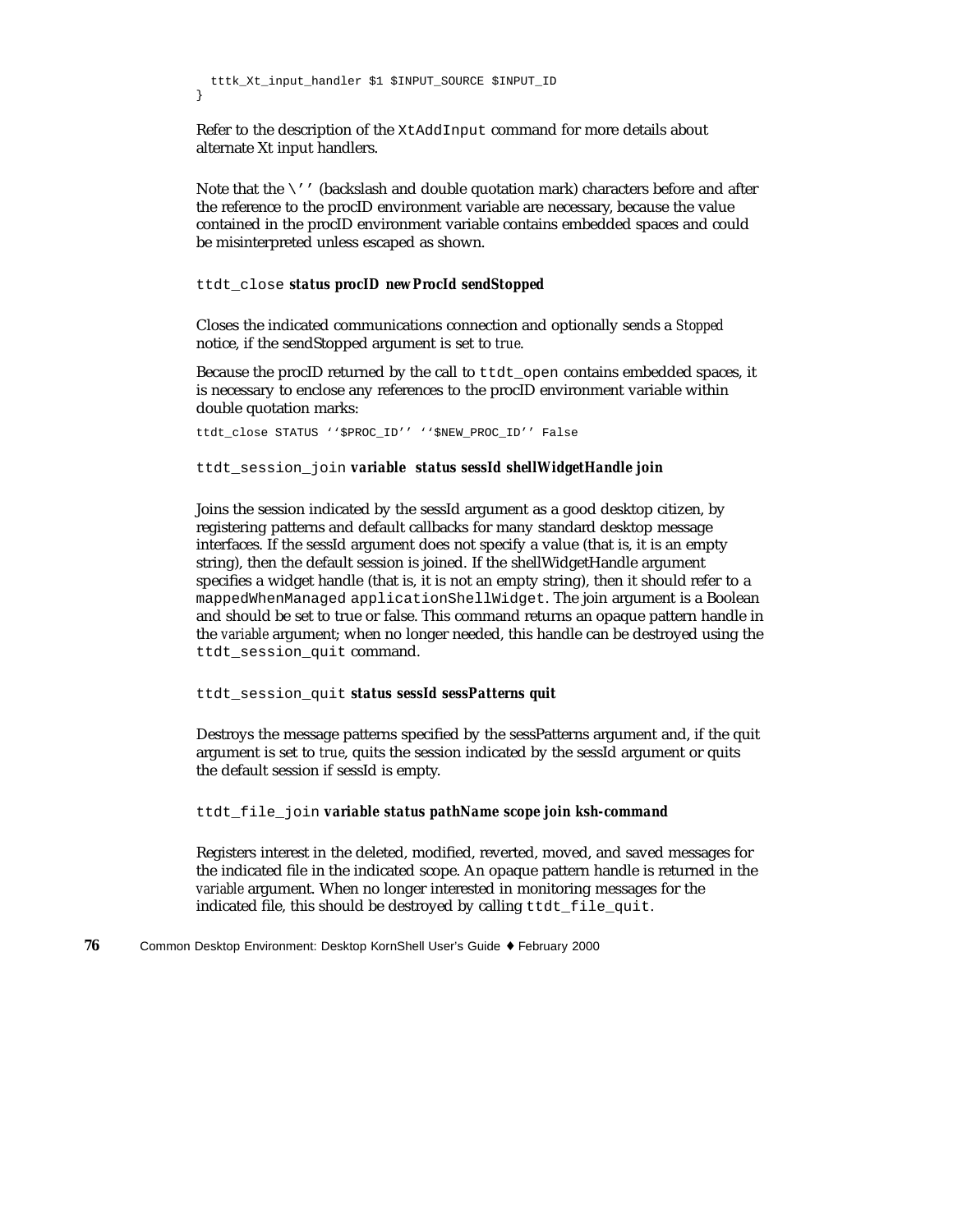```
tttk_Xt_input_handler $1 $INPUT_SOURCE $INPUT_ID
}
```
Refer to the description of the XtAddInput command for more details about alternate Xt input handlers.

Note that the  $\vee'$  (backslash and double quotation mark) characters before and after the reference to the procID environment variable are necessary, because the value contained in the procID environment variable contains embedded spaces and could be misinterpreted unless escaped as shown.

### ttdt\_close *status procID newProcId sendStopped*

Closes the indicated communications connection and optionally sends a *Stopped* notice, if the sendStopped argument is set to *true*.

Because the procID returned by the call to ttdt\_open contains embedded spaces, it is necessary to enclose any references to the procID environment variable within double quotation marks:

ttdt\_close STATUS ''\$PROC\_ID'' ''\$NEW\_PROC\_ID'' False

### ttdt\_session\_join *variable status sessId shellWidgetHandle join*

Joins the session indicated by the sessId argument as a good desktop citizen, by registering patterns and default callbacks for many standard desktop message interfaces. If the sessId argument does not specify a value (that is, it is an empty string), then the default session is joined. If the shellWidgetHandle argument specifies a widget handle (that is, it is not an empty string), then it should refer to a mappedWhenManaged applicationShellWidget. The join argument is a Boolean and should be set to true or false. This command returns an opaque pattern handle in the *variable* argument; when no longer needed, this handle can be destroyed using the ttdt\_session\_quit command.

```
ttdt_session_quit status sessId sessPatterns quit
```
Destroys the message patterns specified by the sessPatterns argument and, if the quit argument is set to *true*, quits the session indicated by the sessId argument or quits the default session if sessId is empty.

ttdt\_file\_join *variable status pathName scope join ksh-command*

Registers interest in the deleted, modified, reverted, moved, and saved messages for the indicated file in the indicated scope. An opaque pattern handle is returned in the *variable* argument. When no longer interested in monitoring messages for the indicated file, this should be destroyed by calling ttdt\_file\_quit.

**<sup>76</sup>** Common Desktop Environment: Desktop KornShell User's Guide ♦ February 2000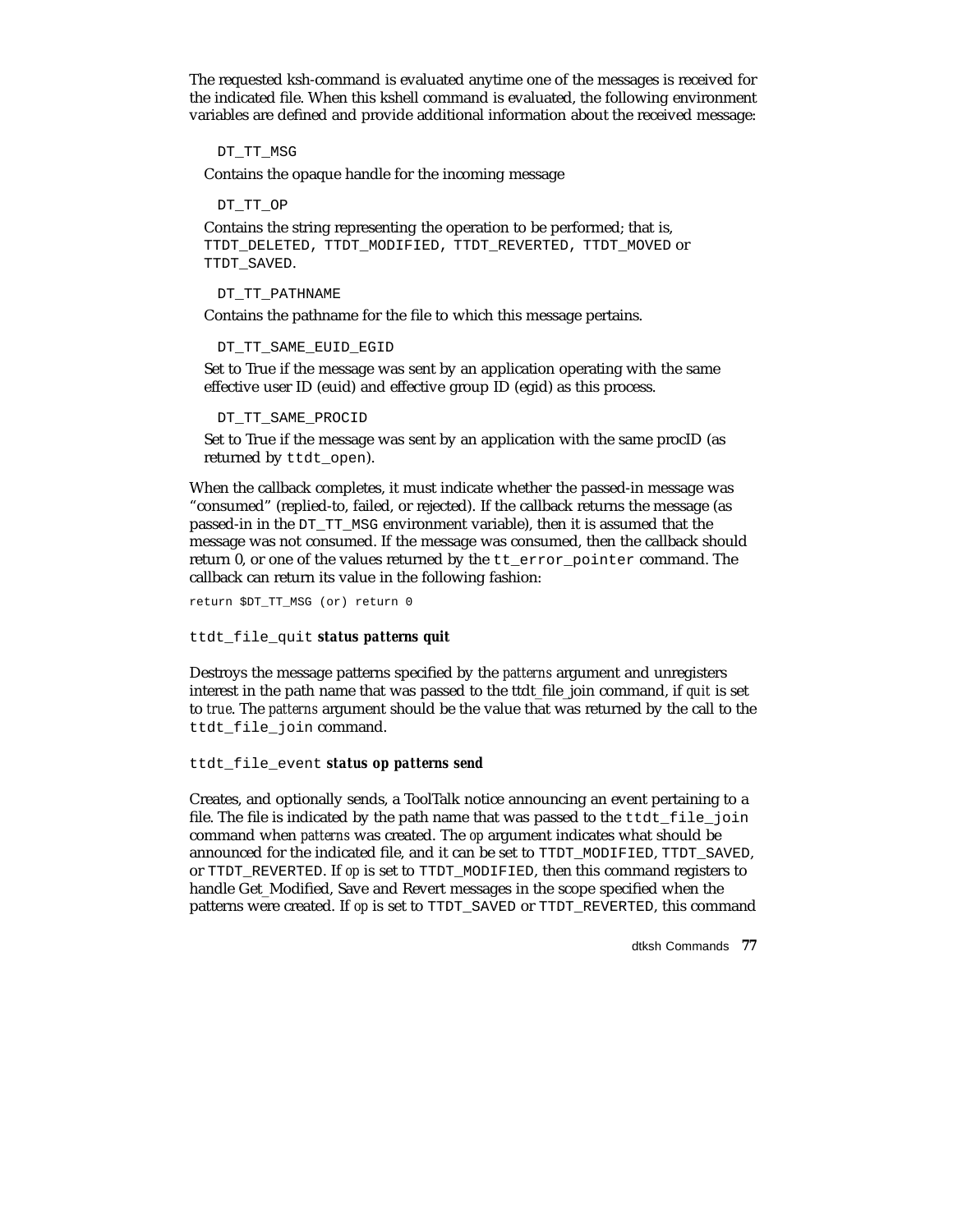The requested ksh-command is evaluated anytime one of the messages is received for the indicated file. When this kshell command is evaluated, the following environment variables are defined and provide additional information about the received message:

### DT\_TT\_MSG

Contains the opaque handle for the incoming message

DT\_TT\_OP

Contains the string representing the operation to be performed; that is, TTDT\_DELETED, TTDT\_MODIFIED, TTDT\_REVERTED, TTDT\_MOVED or TTDT\_SAVED.

DT\_TT\_PATHNAME

Contains the pathname for the file to which this message pertains.

DT\_TT\_SAME\_EUID\_EGID

Set to True if the message was sent by an application operating with the same effective user ID (euid) and effective group ID (egid) as this process.

DT\_TT\_SAME\_PROCID

Set to True if the message was sent by an application with the same procID (as returned by ttdt\_open).

When the callback completes, it must indicate whether the passed-in message was "consumed" (replied-to, failed, or rejected). If the callback returns the message (as passed-in in the DT\_TT\_MSG environment variable), then it is assumed that the message was not consumed. If the message was consumed, then the callback should return 0, or one of the values returned by the tt\_error\_pointer command. The callback can return its value in the following fashion:

return \$DT\_TT\_MSG (or) return 0

### ttdt\_file\_quit *status patterns quit*

Destroys the message patterns specified by the *patterns* argument and unregisters interest in the path name that was passed to the ttdt\_file\_join command, if *quit* is set to *true*. The *patterns* argument should be the value that was returned by the call to the ttdt\_file\_join command.

### ttdt\_file\_event *status op patterns send*

Creates, and optionally sends, a ToolTalk notice announcing an event pertaining to a file. The file is indicated by the path name that was passed to the ttdt file join command when *patterns* was created. The *op* argument indicates what should be announced for the indicated file, and it can be set to TTDT\_MODIFIED, TTDT\_SAVED, or TTDT\_REVERTED. If *op* is set to TTDT\_MODIFIED, then this command registers to handle Get\_Modified, Save and Revert messages in the scope specified when the patterns were created. If *op* is set to TTDT\_SAVED or TTDT\_REVERTED, this command

dtksh Commands **77**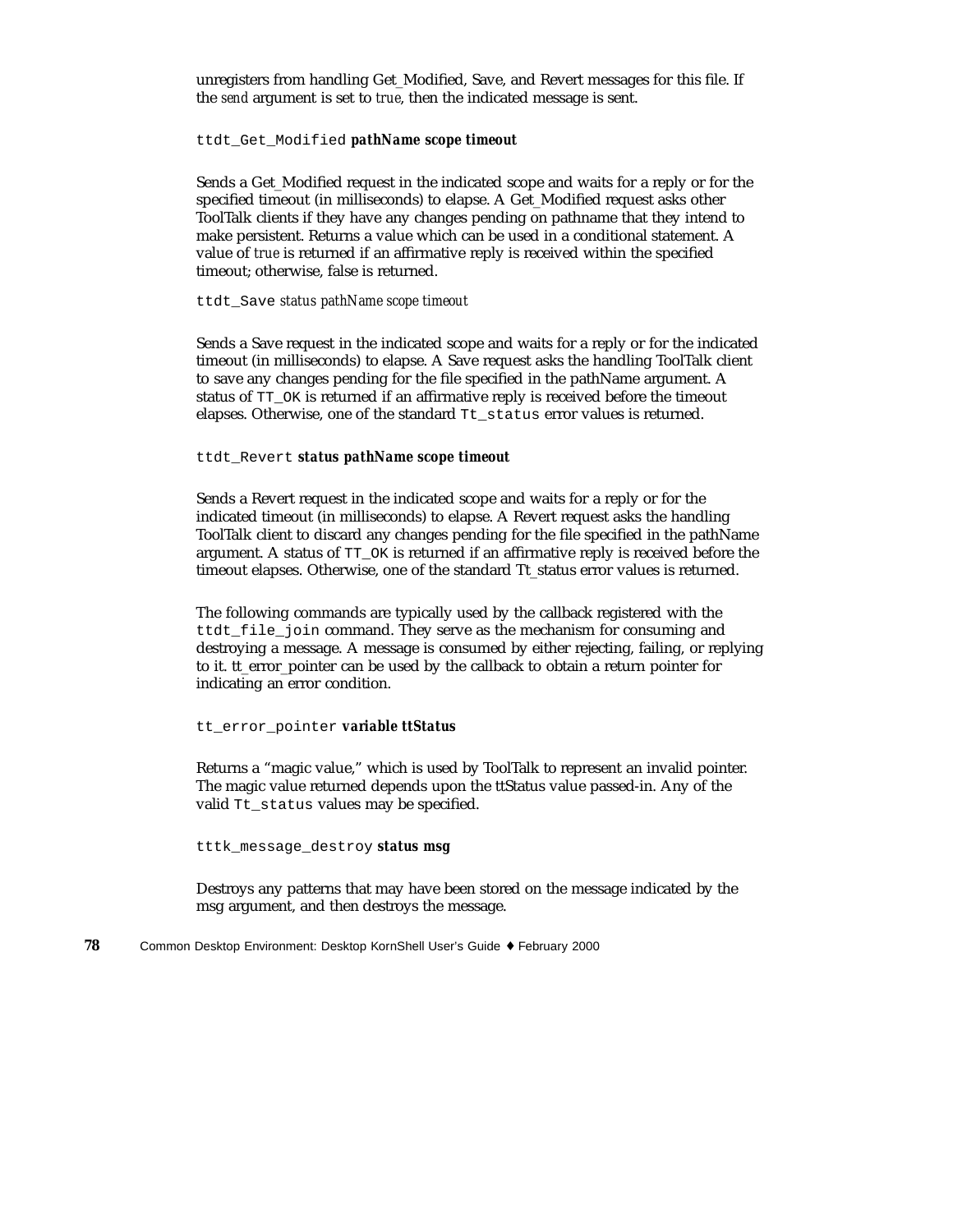unregisters from handling Get\_Modified, Save, and Revert messages for this file. If the *send* argument is set to *true*, then the indicated message is sent.

### ttdt\_Get\_Modified *pathName scope timeout*

Sends a Get\_Modified request in the indicated scope and waits for a reply or for the specified timeout (in milliseconds) to elapse. A Get\_Modified request asks other ToolTalk clients if they have any changes pending on pathname that they intend to make persistent. Returns a value which can be used in a conditional statement. A value of *true* is returned if an affirmative reply is received within the specified timeout; otherwise, false is returned.

### ttdt\_Save *status pathName scope timeout*

Sends a Save request in the indicated scope and waits for a reply or for the indicated timeout (in milliseconds) to elapse. A Save request asks the handling ToolTalk client to save any changes pending for the file specified in the pathName argument. A status of TT\_OK is returned if an affirmative reply is received before the timeout elapses. Otherwise, one of the standard Tt\_status error values is returned.

### ttdt\_Revert *status pathName scope timeout*

Sends a Revert request in the indicated scope and waits for a reply or for the indicated timeout (in milliseconds) to elapse. A Revert request asks the handling ToolTalk client to discard any changes pending for the file specified in the pathName argument. A status of TT\_OK is returned if an affirmative reply is received before the timeout elapses. Otherwise, one of the standard Tt\_status error values is returned.

The following commands are typically used by the callback registered with the ttdt\_file\_join command. They serve as the mechanism for consuming and destroying a message. A message is consumed by either rejecting, failing, or replying to it. tt\_error\_pointer can be used by the callback to obtain a return pointer for indicating an error condition.

### tt\_error\_pointer *variable ttStatus*

Returns a "magic value," which is used by ToolTalk to represent an invalid pointer. The magic value returned depends upon the ttStatus value passed-in. Any of the valid Tt\_status values may be specified.

tttk\_message\_destroy *status msg*

Destroys any patterns that may have been stored on the message indicated by the msg argument, and then destroys the message.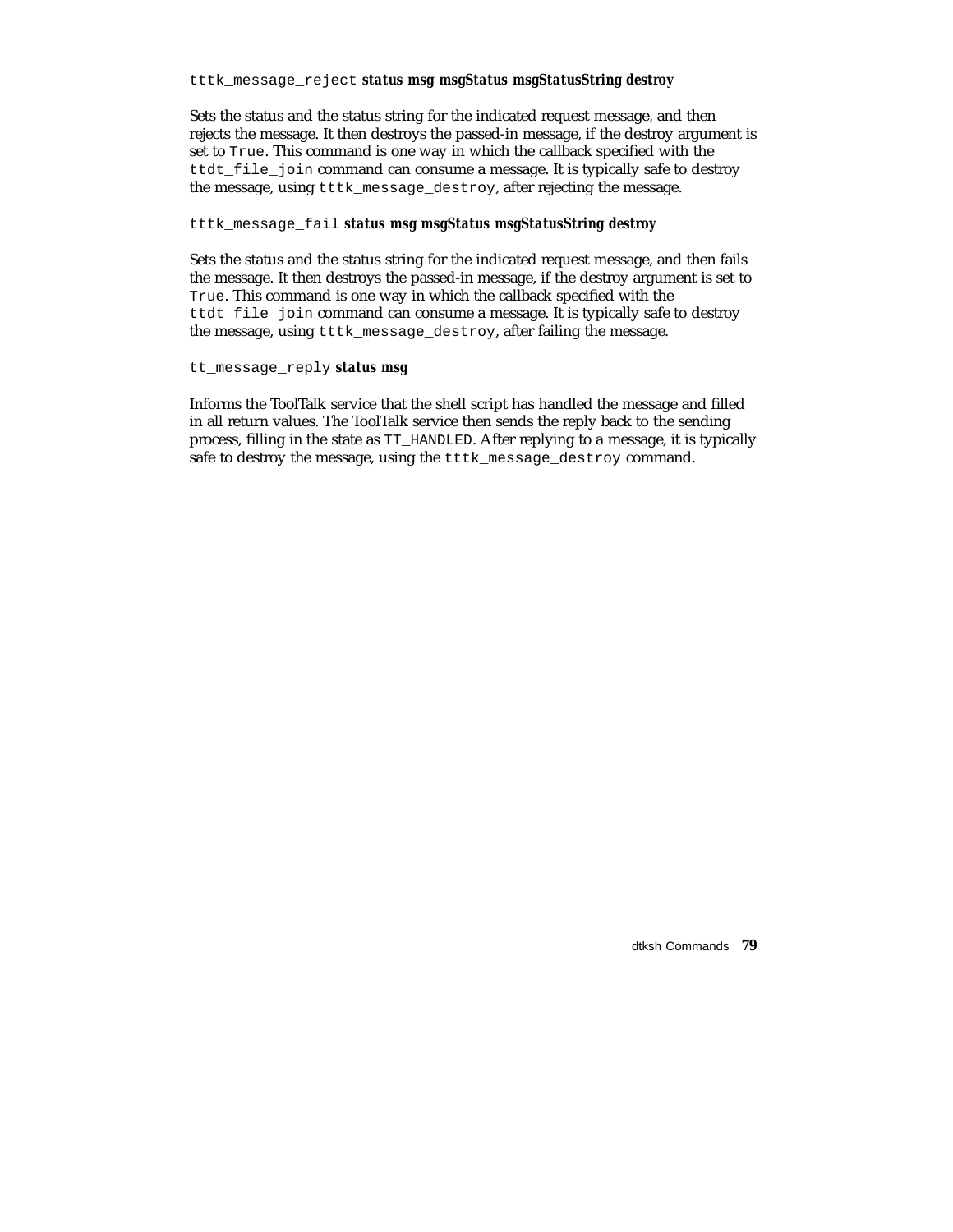### tttk\_message\_reject *status msg msgStatus msgStatusString destroy*

Sets the status and the status string for the indicated request message, and then rejects the message. It then destroys the passed-in message, if the destroy argument is set to True. This command is one way in which the callback specified with the ttdt\_file\_join command can consume a message. It is typically safe to destroy the message, using tttk\_message\_destroy, after rejecting the message.

### tttk\_message\_fail *status msg msgStatus msgStatusString destroy*

Sets the status and the status string for the indicated request message, and then fails the message. It then destroys the passed-in message, if the destroy argument is set to True. This command is one way in which the callback specified with the ttdt\_file\_join command can consume a message. It is typically safe to destroy the message, using tttk\_message\_destroy, after failing the message.

### tt\_message\_reply *status msg*

Informs the ToolTalk service that the shell script has handled the message and filled in all return values. The ToolTalk service then sends the reply back to the sending process, filling in the state as TT\_HANDLED. After replying to a message, it is typically safe to destroy the message, using the tttk\_message\_destroy command.

dtksh Commands **79**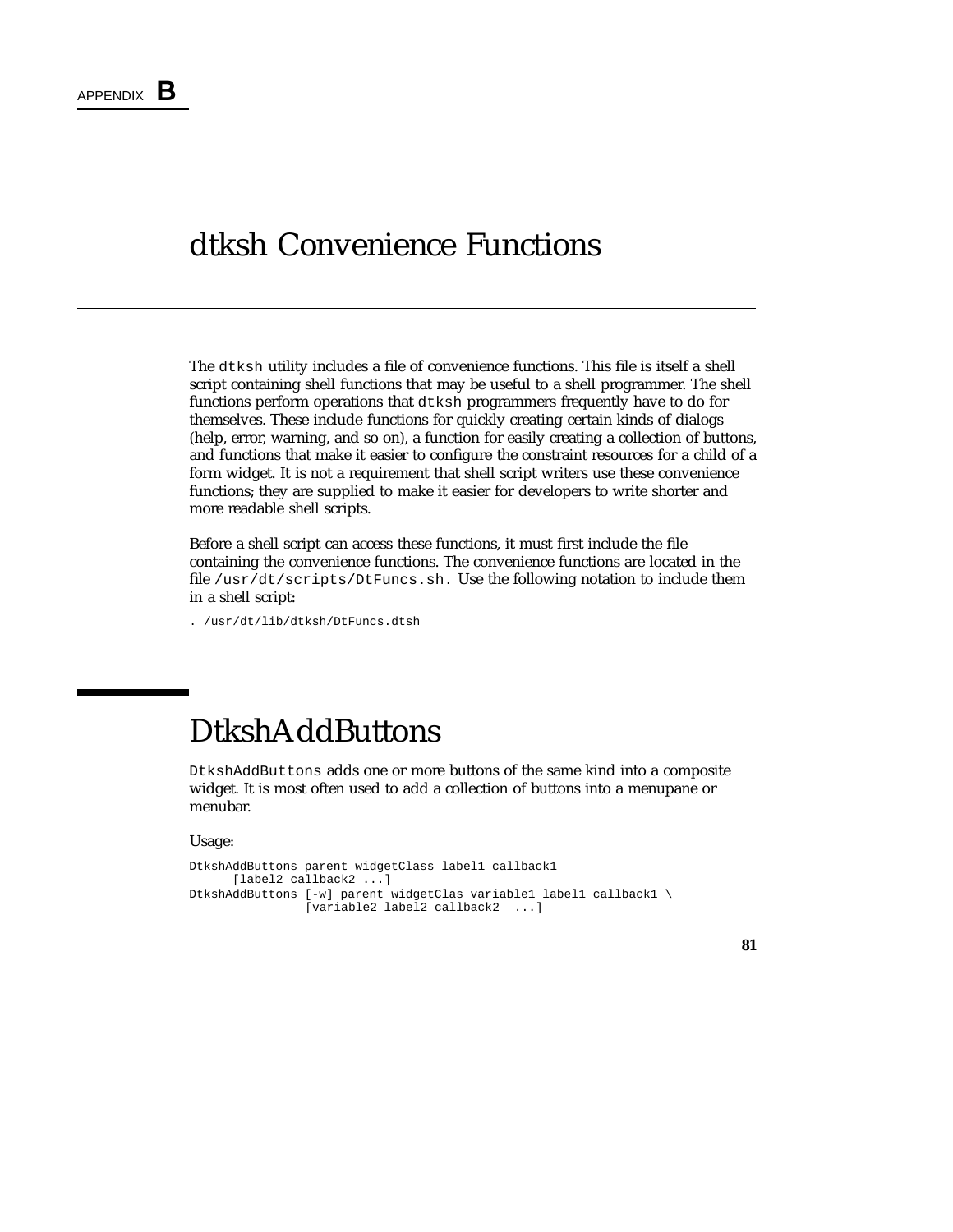## dtksh Convenience Functions

The dtksh utility includes a file of convenience functions. This file is itself a shell script containing shell functions that may be useful to a shell programmer. The shell functions perform operations that dtksh programmers frequently have to do for themselves. These include functions for quickly creating certain kinds of dialogs (help, error, warning, and so on), a function for easily creating a collection of buttons, and functions that make it easier to configure the constraint resources for a child of a form widget. It is not a requirement that shell script writers use these convenience functions; they are supplied to make it easier for developers to write shorter and more readable shell scripts.

Before a shell script can access these functions, it must first include the file containing the convenience functions. The convenience functions are located in the file /usr/dt/scripts/DtFuncs.sh. Use the following notation to include them in a shell script:

. /usr/dt/lib/dtksh/DtFuncs.dtsh

## DtkshAddButtons

DtkshAddButtons adds one or more buttons of the same kind into a composite widget. It is most often used to add a collection of buttons into a menupane or menubar.

#### Usage:

```
DtkshAddButtons parent widgetClass label1 callback1
      [label2 callback2 ...]
DtkshAddButtons [-w] parent widgetClas variable1 label1 callback1 \
                [variable2 label2 callback2 ...]
```
**81**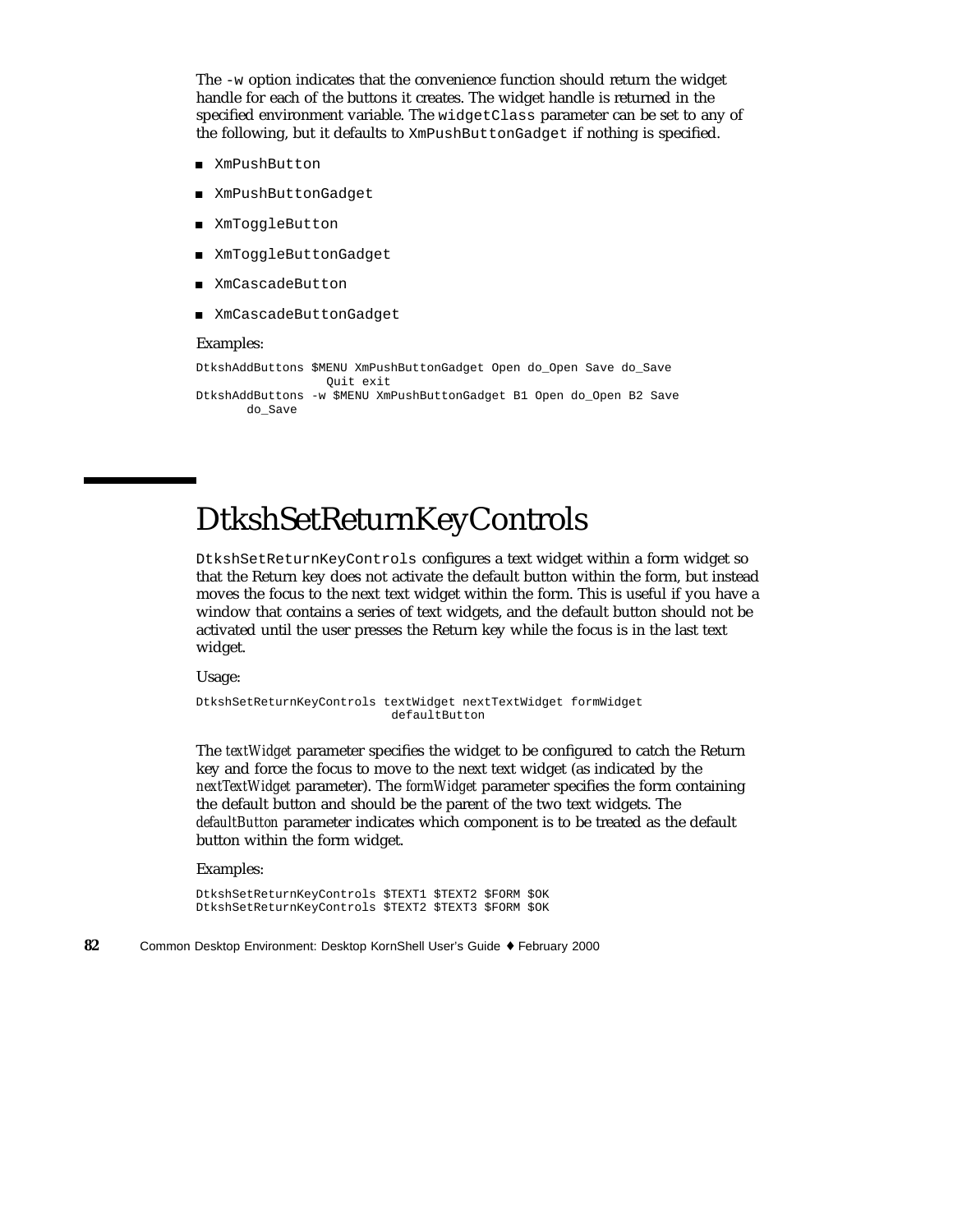The -w option indicates that the convenience function should return the widget handle for each of the buttons it creates. The widget handle is returned in the specified environment variable. The widgetClass parameter can be set to any of the following, but it defaults to XmPushButtonGadget if nothing is specified.

- **MA** XmPushButton
- XmPushButtonGadget
- XmToggleButton
- XmToggleButtonGadget
- XmCascadeButton
- XmCascadeButtonGadget

#### Examples:

```
DtkshAddButtons $MENU XmPushButtonGadget Open do_Open Save do_Save
                  Quit exit
DtkshAddButtons -w $MENU XmPushButtonGadget B1 Open do_Open B2 Save
       do_Save
```
## DtkshSetReturnKeyControls

DtkshSetReturnKeyControls configures a text widget within a form widget so that the Return key does not activate the default button within the form, but instead moves the focus to the next text widget within the form. This is useful if you have a window that contains a series of text widgets, and the default button should not be activated until the user presses the Return key while the focus is in the last text widget.

Usage:

DtkshSetReturnKeyControls textWidget nextTextWidget formWidget defaultButton

The *textWidget* parameter specifies the widget to be configured to catch the Return key and force the focus to move to the next text widget (as indicated by the *nextTextWidget* parameter). The *formWidget* parameter specifies the form containing the default button and should be the parent of the two text widgets. The *defaultButton* parameter indicates which component is to be treated as the default button within the form widget.

#### Examples:

DtkshSetReturnKeyControls \$TEXT1 \$TEXT2 \$FORM \$OK DtkshSetReturnKeyControls \$TEXT2 \$TEXT3 \$FORM \$OK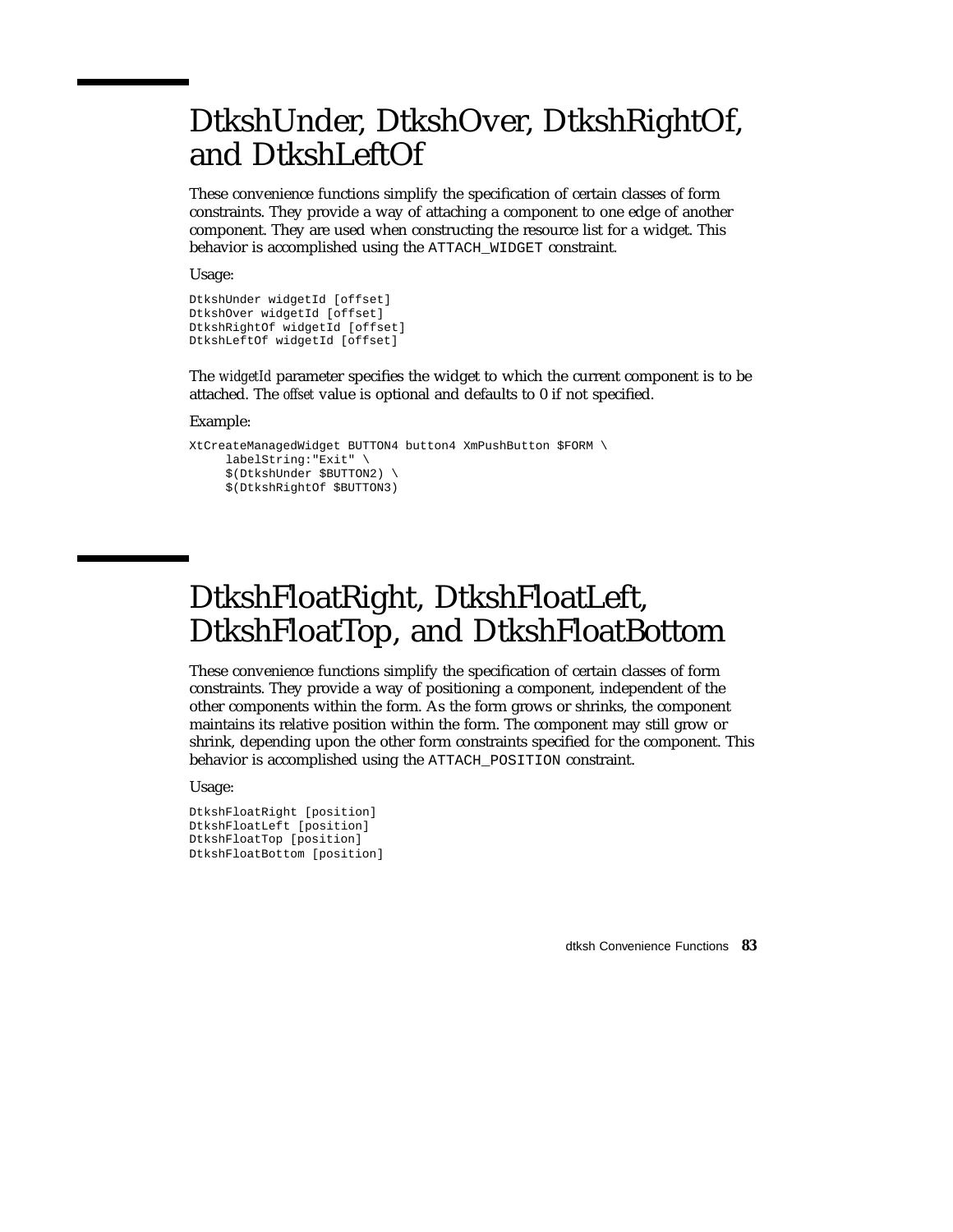## DtkshUnder, DtkshOver, DtkshRightOf, and DtkshLeftOf

These convenience functions simplify the specification of certain classes of form constraints. They provide a way of attaching a component to one edge of another component. They are used when constructing the resource list for a widget. This behavior is accomplished using the ATTACH\_WIDGET constraint.

Usage:

```
DtkshUnder widgetId [offset]
DtkshOver widgetId [offset]
DtkshRightOf widgetId [offset]
DtkshLeftOf widgetId [offset]
```
The *widgetId* parameter specifies the widget to which the current component is to be attached. The *offset* value is optional and defaults to 0 if not specified.

#### Example:

```
XtCreateManagedWidget BUTTON4 button4 XmPushButton $FORM \
     labelString:"Exit" \
     $(DtkshUnder $BUTTON2) \
     $(DtkshRightOf $BUTTON3)
```
## DtkshFloatRight, DtkshFloatLeft, DtkshFloatTop, and DtkshFloatBottom

These convenience functions simplify the specification of certain classes of form constraints. They provide a way of positioning a component, independent of the other components within the form. As the form grows or shrinks, the component maintains its relative position within the form. The component may still grow or shrink, depending upon the other form constraints specified for the component. This behavior is accomplished using the ATTACH\_POSITION constraint.

Usage:

DtkshFloatRight [position] DtkshFloatLeft [position] DtkshFloatTop [position] DtkshFloatBottom [position]

dtksh Convenience Functions **83**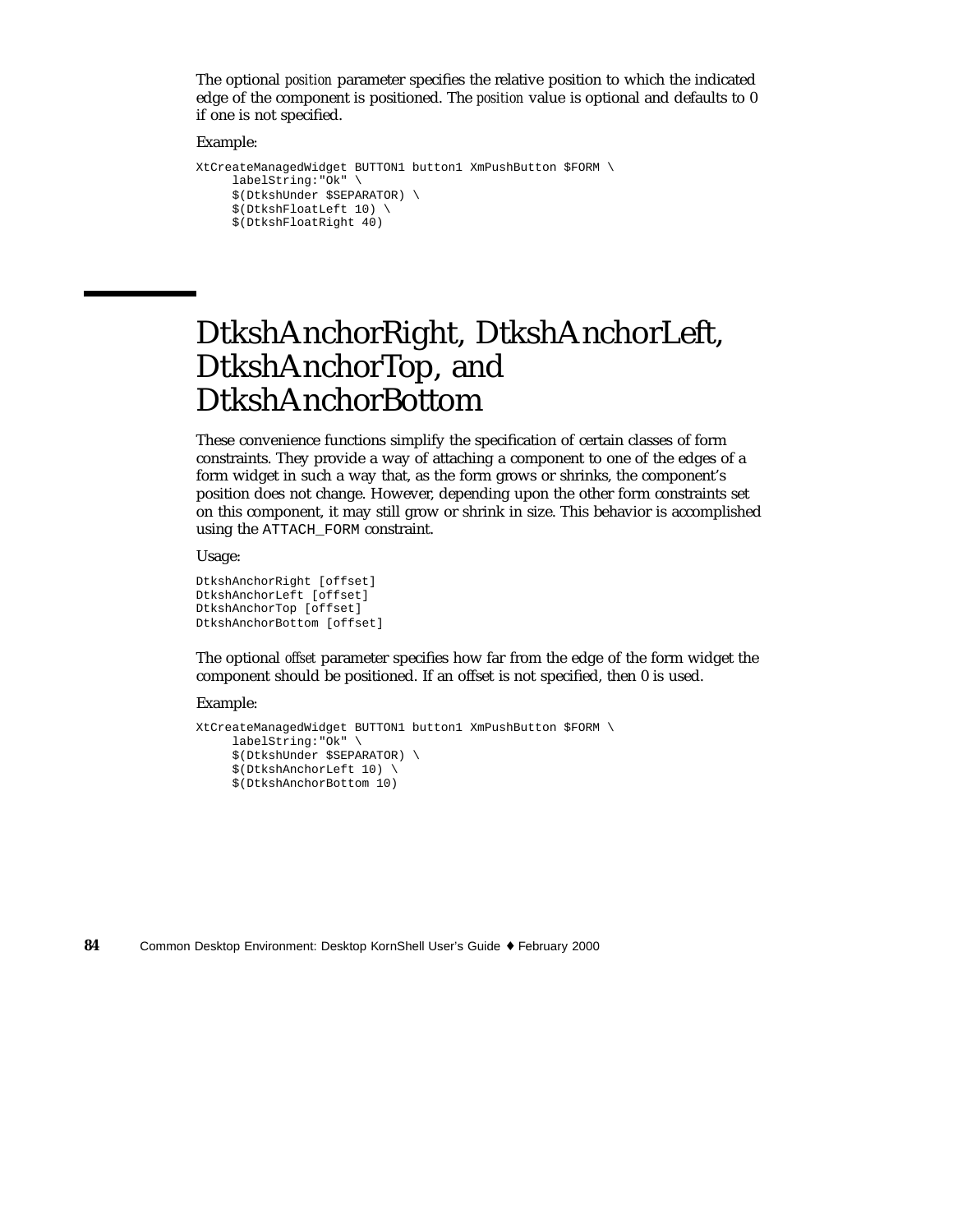The optional *position* parameter specifies the relative position to which the indicated edge of the component is positioned. The *position* value is optional and defaults to 0 if one is not specified.

### Example:

```
XtCreateManagedWidget BUTTON1 button1 XmPushButton $FORM \
     labelString:"Ok" \
     $(DtkshUnder $SEPARATOR) \
     $(DtkshFloatLeft 10) \
     $(DtkshFloatRight 40)
```
## DtkshAnchorRight, DtkshAnchorLeft, DtkshAnchorTop, and DtkshAnchorBottom

These convenience functions simplify the specification of certain classes of form constraints. They provide a way of attaching a component to one of the edges of a form widget in such a way that, as the form grows or shrinks, the component's position does not change. However, depending upon the other form constraints set on this component, it may still grow or shrink in size. This behavior is accomplished using the ATTACH\_FORM constraint.

#### Usage:

```
DtkshAnchorRight [offset]
DtkshAnchorLeft [offset]
DtkshAnchorTop [offset]
DtkshAnchorBottom [offset]
```
The optional *offset* parameter specifies how far from the edge of the form widget the component should be positioned. If an offset is not specified, then 0 is used.

#### Example:

```
XtCreateManagedWidget BUTTON1 button1 XmPushButton $FORM \
     labelString:"Ok" \
     $(DtkshUnder $SEPARATOR) \
     $(DtkshAnchorLeft 10) \
     $(DtkshAnchorBottom 10)
```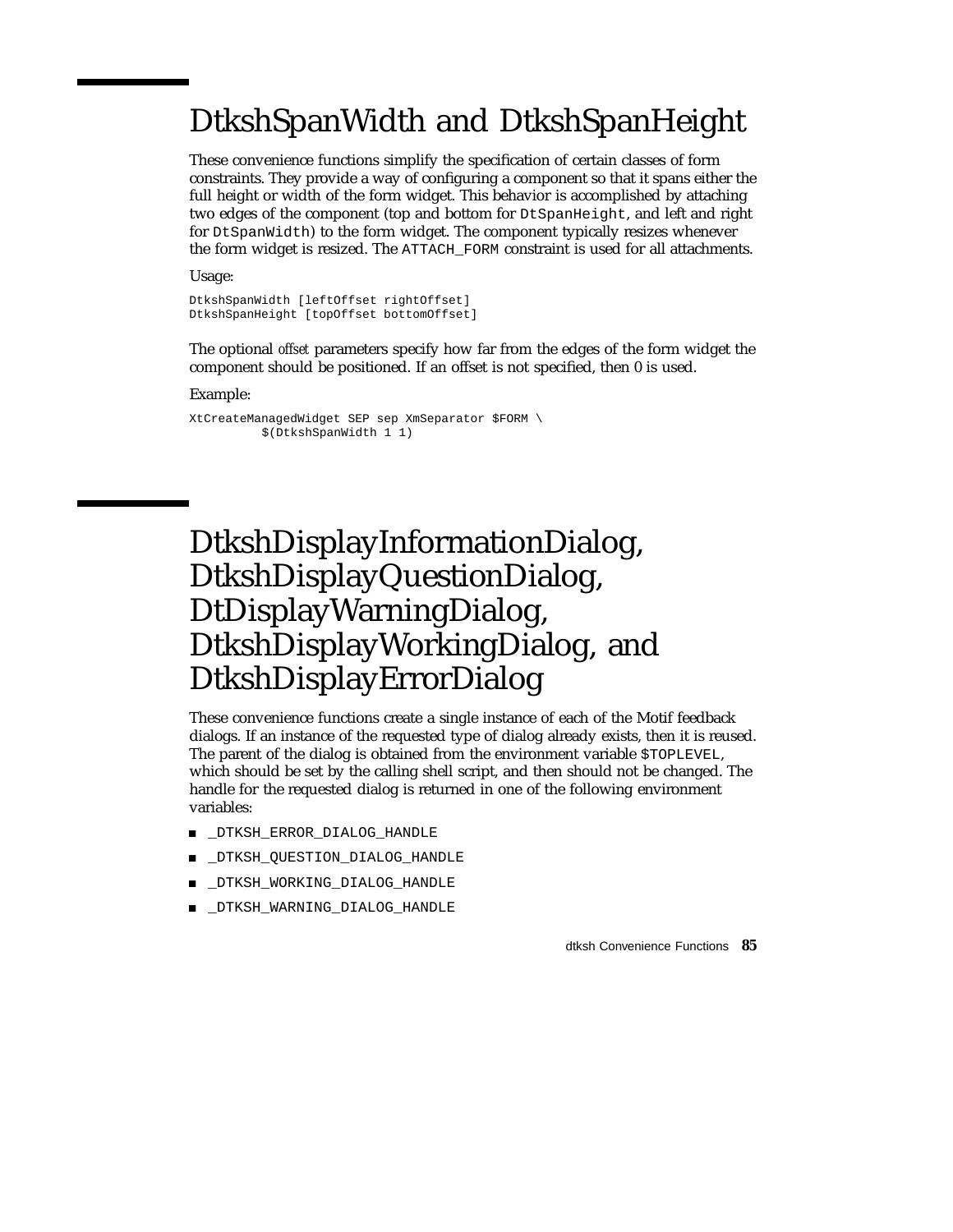# DtkshSpanWidth and DtkshSpanHeight

These convenience functions simplify the specification of certain classes of form constraints. They provide a way of configuring a component so that it spans either the full height or width of the form widget. This behavior is accomplished by attaching two edges of the component (top and bottom for DtSpanHeight, and left and right for DtSpanWidth) to the form widget. The component typically resizes whenever the form widget is resized. The ATTACH\_FORM constraint is used for all attachments.

Usage:

DtkshSpanWidth [leftOffset rightOffset] DtkshSpanHeight [topOffset bottomOffset]

The optional *offset* parameters specify how far from the edges of the form widget the component should be positioned. If an offset is not specified, then 0 is used.

Example:

```
XtCreateManagedWidget SEP sep XmSeparator $FORM \
          $(DtkshSpanWidth 1 1)
```
# DtkshDisplayInformationDialog, DtkshDisplayQuestionDialog, DtDisplayWarningDialog, DtkshDisplayWorkingDialog, and DtkshDisplayErrorDialog

These convenience functions create a single instance of each of the Motif feedback dialogs. If an instance of the requested type of dialog already exists, then it is reused. The parent of the dialog is obtained from the environment variable \$TOPLEVEL, which should be set by the calling shell script, and then should not be changed. The handle for the requested dialog is returned in one of the following environment variables:

- \_DTKSH\_ERROR\_DIALOG\_HANDLE
- \_DTKSH\_QUESTION\_DIALOG\_HANDLE
- \_DTKSH\_WORKING\_DIALOG\_HANDLE
- \_DTKSH\_WARNING\_DIALOG\_HANDLE

dtksh Convenience Functions **85**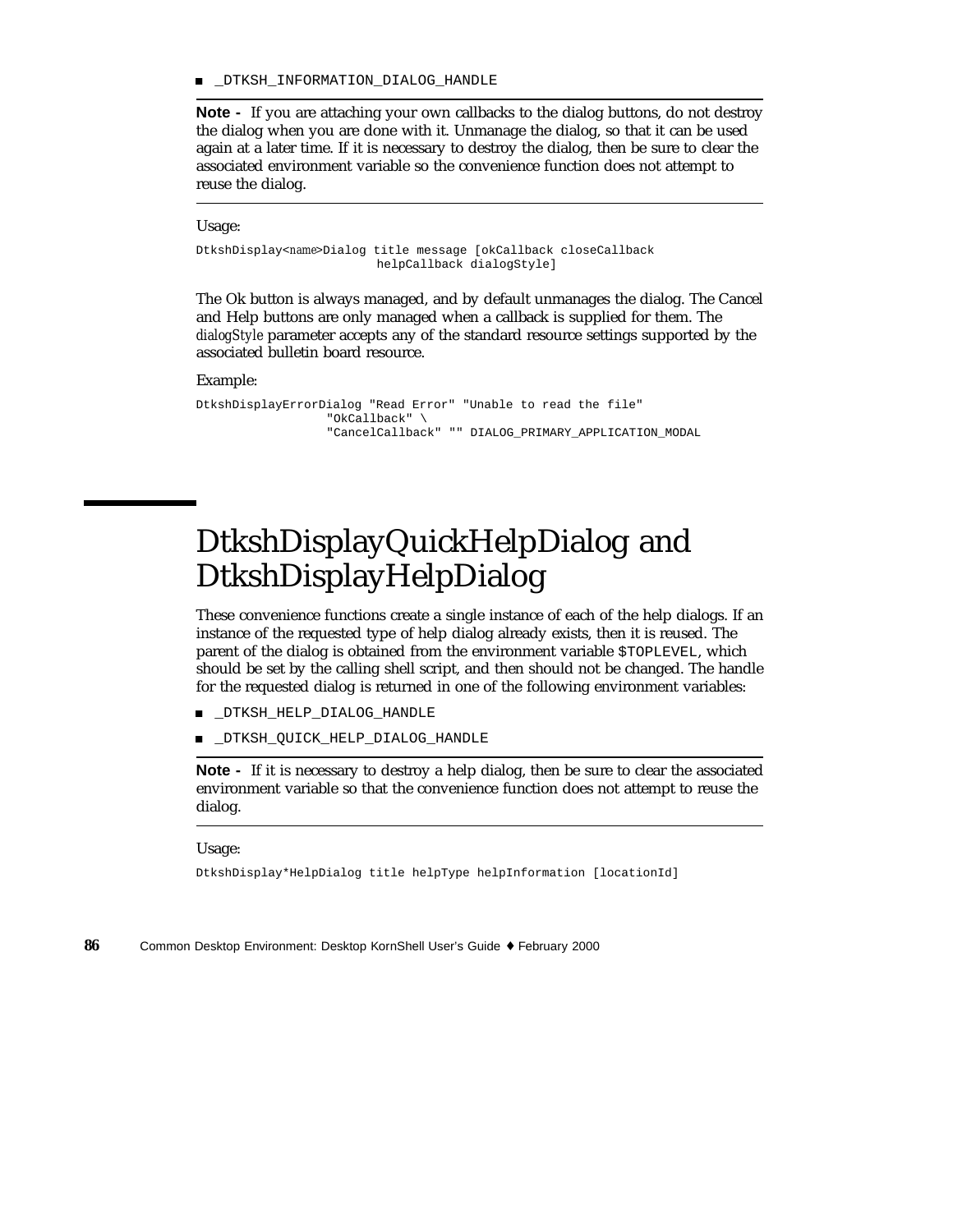\_DTKSH\_INFORMATION\_DIALOG\_HANDLE

**Note -** If you are attaching your own callbacks to the dialog buttons, do not destroy the dialog when you are done with it. Unmanage the dialog, so that it can be used again at a later time. If it is necessary to destroy the dialog, then be sure to clear the associated environment variable so the convenience function does not attempt to reuse the dialog.

### Usage:

DtkshDisplay<*name*>Dialog title message [okCallback closeCallback helpCallback dialogStyle]

The Ok button is always managed, and by default unmanages the dialog. The Cancel and Help buttons are only managed when a callback is supplied for them. The *dialogStyle* parameter accepts any of the standard resource settings supported by the associated bulletin board resource.

#### Example:

```
DtkshDisplayErrorDialog "Read Error" "Unable to read the file"
                  "OkCallback" \
                  "CancelCallback" "" DIALOG_PRIMARY_APPLICATION_MODAL
```
# DtkshDisplayQuickHelpDialog and DtkshDisplayHelpDialog

These convenience functions create a single instance of each of the help dialogs. If an instance of the requested type of help dialog already exists, then it is reused. The parent of the dialog is obtained from the environment variable \$TOPLEVEL, which should be set by the calling shell script, and then should not be changed. The handle for the requested dialog is returned in one of the following environment variables:

- \_DTKSH\_HELP\_DIALOG\_HANDLE
- \_DTKSH\_QUICK\_HELP\_DIALOG\_HANDLE

**Note -** If it is necessary to destroy a help dialog, then be sure to clear the associated environment variable so that the convenience function does not attempt to reuse the dialog.

#### Usage:

DtkshDisplay\*HelpDialog title helpType helpInformation [locationId]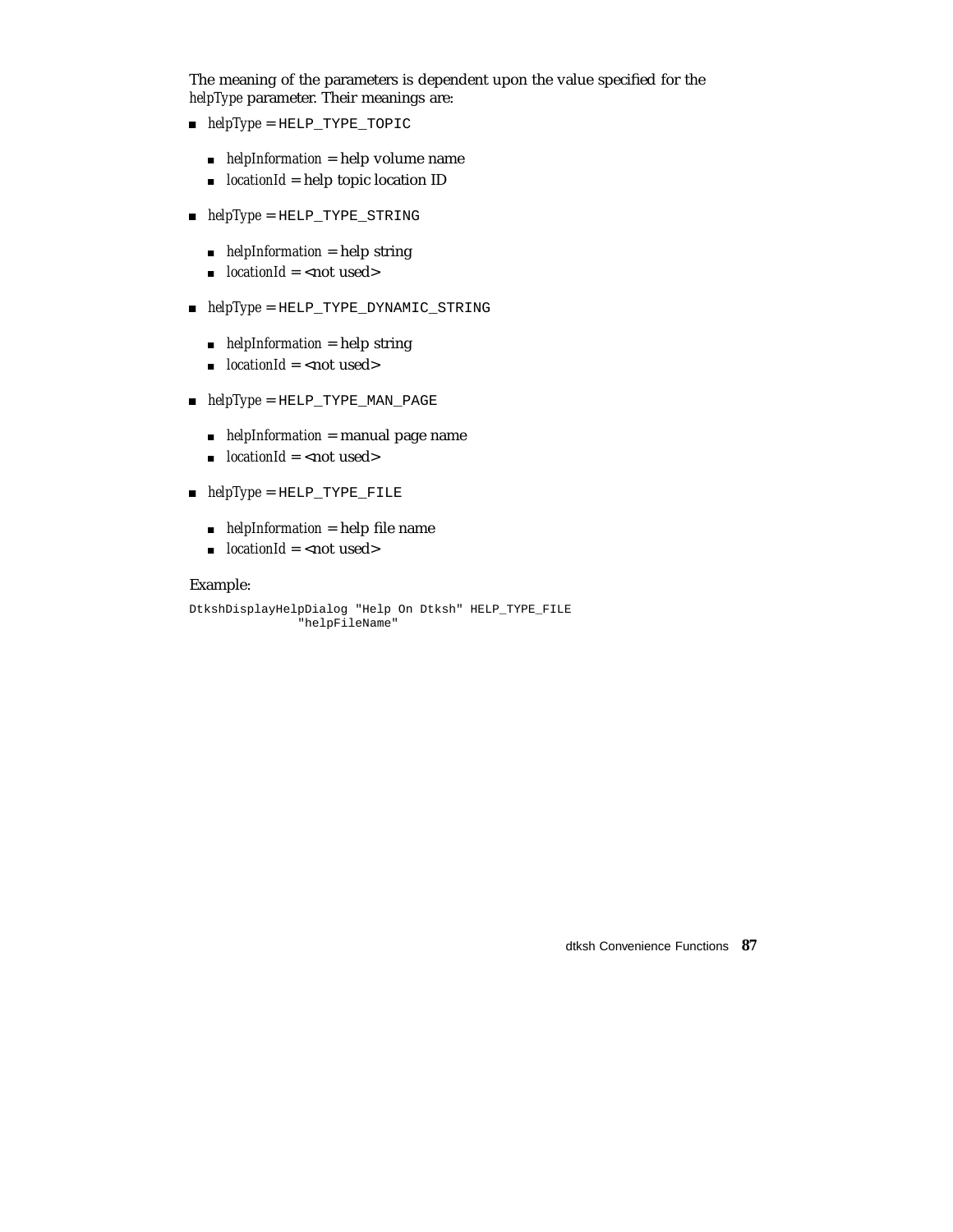The meaning of the parameters is dependent upon the value specified for the *helpType* parameter. Their meanings are:

- *helpType* = HELP\_TYPE\_TOPIC
	- *helpInformation* = help volume name
	- *locationId* = help topic location ID
- *helpType* = HELP\_TYPE\_STRING
	- *helpInformation* = help string
	- *locationId* = <not used>
- *helpType* = HELP\_TYPE\_DYNAMIC\_STRING
	- *helpInformation* = help string
	- $\blacksquare$  *locationId* = <not used>
- *helpType* = HELP\_TYPE\_MAN\_PAGE
	- *helpInformation* = manual page name
	- $\blacksquare$  *locationId* = <not used>
- *helpType* = HELP\_TYPE\_FILE
	- *helpInformation* = help file name
	- $\blacksquare$  *locationId* = <not used>

### Example:

```
DtkshDisplayHelpDialog "Help On Dtksh" HELP_TYPE_FILE
               "helpFileName"
```
dtksh Convenience Functions **87**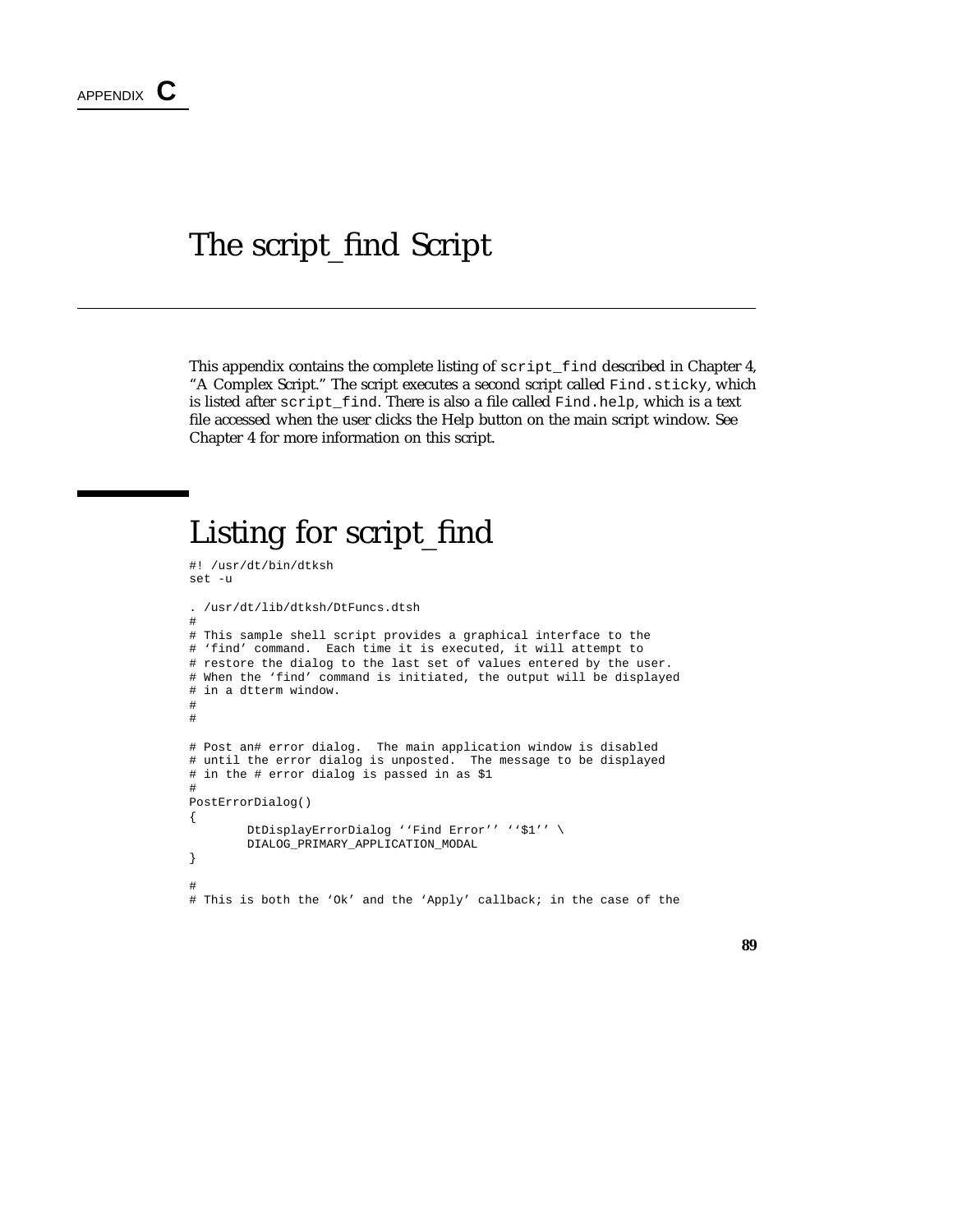## The script\_find Script

This appendix contains the complete listing of script\_find described in Chapter 4, "A Complex Script." The script executes a second script called Find.sticky, which is listed after script\_find. There is also a file called Find.help, which is a text file accessed when the user clicks the Help button on the main script window. See Chapter 4 for more information on this script.

## Listing for script\_find

```
#! /usr/dt/bin/dtksh
set -u
. /usr/dt/lib/dtksh/DtFuncs.dtsh
#
# This sample shell script provides a graphical interface to the
 'find' command. Each time it is executed, it will attempt to
# restore the dialog to the last set of values entered by the user.
# When the 'find' command is initiated, the output will be displayed
# in a dtterm window.
#
#
# Post an# error dialog. The main application window is disabled
# until the error dialog is unposted. The message to be displayed
# in the # error dialog is passed in as $1
#
PostErrorDialog()
{
        DtDisplayErrorDialog ''Find Error'' ''$1'' \
        DIALOG_PRIMARY_APPLICATION_MODAL
}
#
# This is both the 'Ok' and the 'Apply' callback; in the case of the
```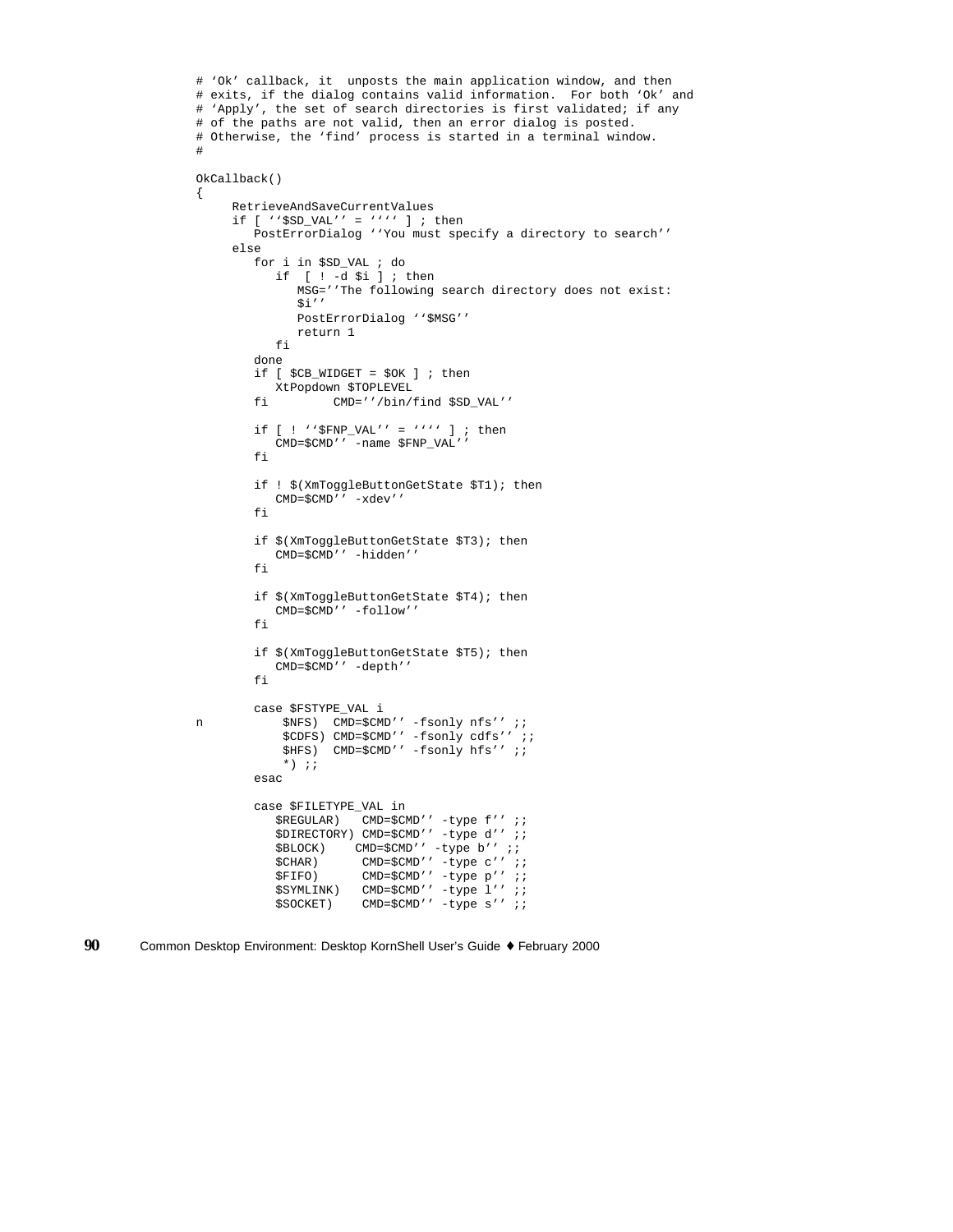```
# 'Ok' callback, it unposts the main application window, and then
# exits, if the dialog contains valid information. For both 'Ok' and
# 'Apply', the set of search directories is first validated; if any
# of the paths are not valid, then an error dialog is posted.
# Otherwise, the 'find' process is started in a terminal window.
#
OkCallback()
{
     RetrieveAndSaveCurrentValues
     if [ ''$SD_VAL'' = '''' ] ; then
        PostErrorDialog ''You must specify a directory to search''
     else
        for i in $SD_VAL ; do
           if \left[ \begin{array}{ccc} 1 & -d & 0 \\ 1 & -d & 0 \end{array} \right] ; then
               MSG=''The following search directory does not exist:
               $i'PostErrorDialog ''$MSG''
               return 1
           fi
        done
         if [ $CB_WIDGET = $OK ] ; then
           XtPopdown $TOPLEVEL
         fi CMD=''/bin/find $SD_VAL''
         if [ | \cdot \cdot \cdot \text{SFNP\_VAL'} | = '''' ] ; then
           CMD=$CMD'' -name $FNP_VAL''
        fi
         if ! $(XmToggleButtonGetState $T1); then
          CMD=$CMD'' -xdev''
        fi
         if $(XmToggleButtonGetState $T3); then
           CMD=$CMD'' -hidden''
         fi
        if $(XmToggleButtonGetState $T4); then
            CMD=$CMD'' -follow''
        fi
         if $(XmToggleButtonGetState $T5); then
           CMD=$CMD'' -depth''
         fi
         case $FSTYPE_VAL i
n $NFS) CMD=$CMD'' -fsonly nfs'' ;;
             $CDFS) CMD=$CMD'' -fsonly cdfs'' ;;
             $HFS) CMD=$CMD'' -fsonly hfs'' ;;
             *) ;;
         esac
        case $FILETYPE_VAL in
            $REGULAR) CMD=$CMD'' -type f'' ;;
            $DIRECTORY) CMD=$CMD'' -type d'' ;;
            $BLOCK) CMD=$CMD'' -type b'' ;;<br>$CHAR) CMD=$CMD'' -type c'' ;
                        \text{CMD} \varphi charge conduction \text{CMD}' \vdots$FIFO) CMD=$CMD'' -type p'' ;;
            $SYMLINK) CMD=$CMD'' -type l'' ;;
            $SOCKET) CMD=$CMD'' -type s'' ;;
```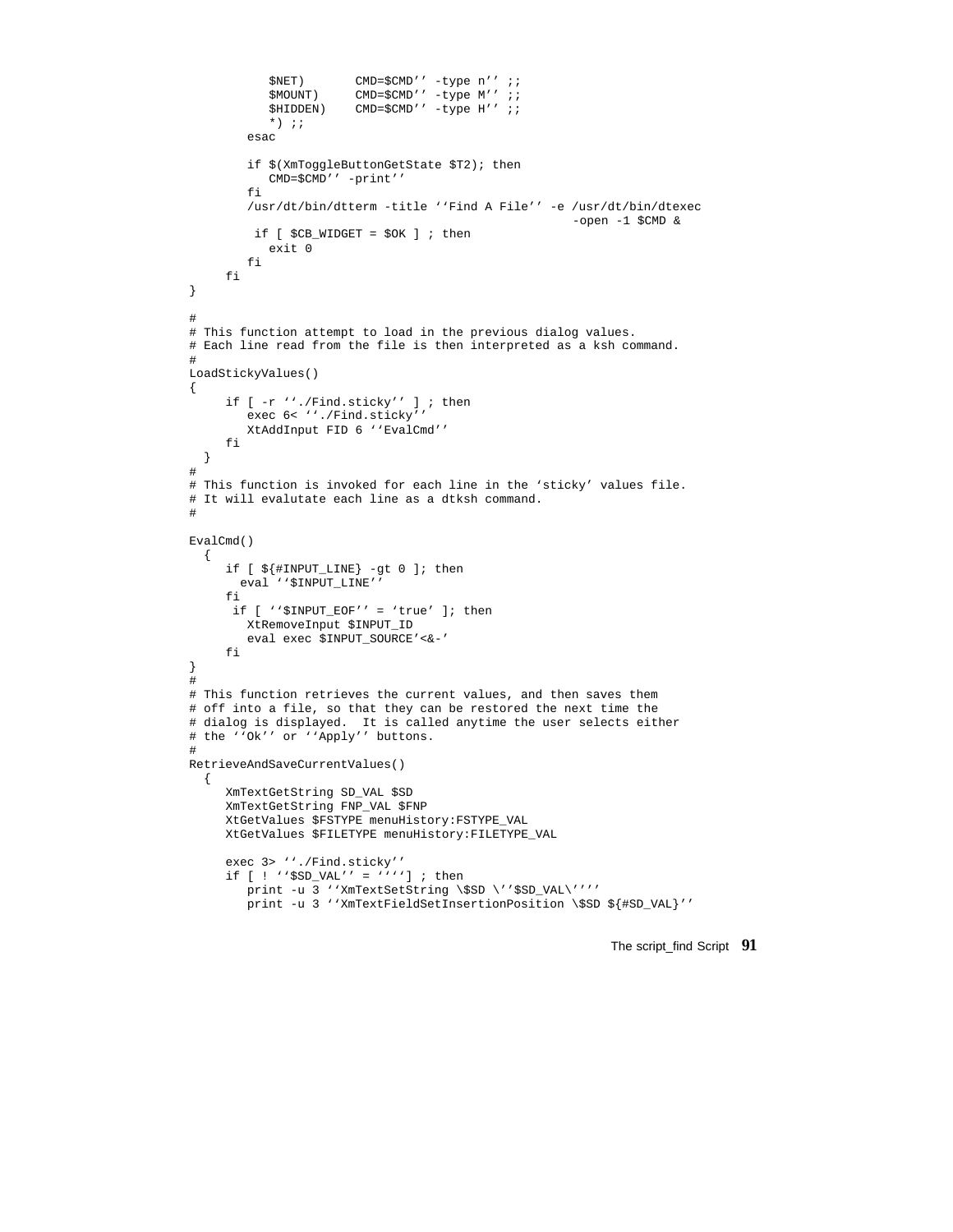```
$NET) CMD=$CMD'' -type n'' ;;<br>$MOUNT) CMD=$CMD'' -type M'' ;;
            %$MOUNT) CMD=$CMD'' -type M'' ;;<br>$HIDDEN) CMD=$CMD'' -type H'' ;;
                       \texttt{CMD=\$CMD'': -type H'':};*) ;;
        esac
        if $(XmToggleButtonGetState $T2); then
           CMD=$CMD'' -print''
        f/usr/dt/bin/dtterm -title ''Find A File'' -e /usr/dt/bin/dtexec
                                                         -open -1 $CMD &
         if [ $CB_WIDGET = $OK ] ; then
           exit 0
        fi
     fi
}
#
# This function attempt to load in the previous dialog values.
# Each line read from the file is then interpreted as a ksh command.
#
LoadStickyValues()
{
     if [ -r ''./Find.sticky'' ] ; then
        exec 6< ''./Find.sticky''
        XtAddInput FID 6 ''EvalCmd''
     fi
  }
#
 This function is invoked for each line in the 'sticky' values file.
# It will evalutate each line as a dtksh command.
#
EvalCmd()
  {
     if [ ${#INPUT_LINE} -gt 0 ]; then
      eval ''$INPUT_LINE''
     fi
      if [ ''$INPUT_EOF'' = 'true' ]; then
        XtRemoveInput $INPUT_ID
        eval exec $INPUT_SOURCE'<&-'
     fi
}
#
# This function retrieves the current values, and then saves them
# off into a file, so that they can be restored the next time the
# dialog is displayed. It is called anytime the user selects either
# the ''Ok'' or ''Apply'' buttons.
#
RetrieveAndSaveCurrentValues()
  {
     XmTextGetString SD_VAL $SD
     XmTextGetString FNP_VAL $FNP
     XtGetValues $FSTYPE menuHistory:FSTYPE_VAL
     XtGetValues $FILETYPE menuHistory:FILETYPE_VAL
     exec 3> ''./Find.sticky''
     if [ | \cdot \cdot \cdot \text{SSD_VAL'} | = \cdots \cdot ] ; then
        print -u 3 ''XmTextSetString \$SD \''$SD_VAL\''''
        print -u 3 ''XmTextFieldSetInsertionPosition \$SD ${#SD_VAL}''
```
The script\_find Script **91**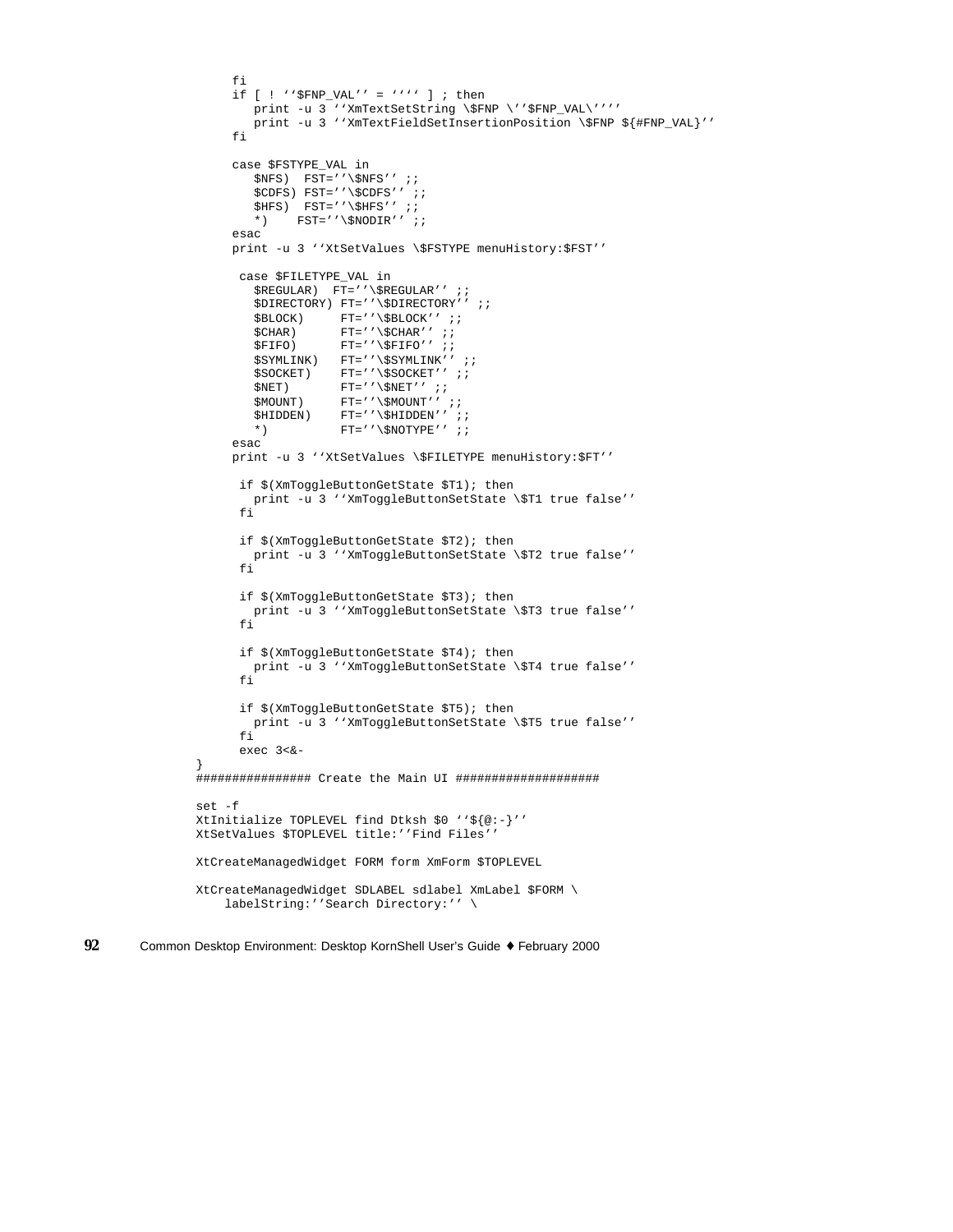```
fi
        if [ | \cdot \cdot \cdot \text{SPNP_VAL}'] = \cdots ; then
            print -u 3 ''XmTextSetString \$FNP \''$FNP_VAL\''''
            print -u 3 ''XmTextFieldSetInsertionPosition \$FNP ${#FNP_VAL}''
        fi
        case $FSTYPE_VAL in
            \overline{S}NFS) FST=''\$NFS'' ;;
            $CDFS) FST=''\SCDFS'': ;$HFS) FST=''\sqrt$HFS'' ;;
           *) FST=''\NODIR'' ;;
        esac
        print -u 3 ''XtSetValues \$FSTYPE menuHistory:$FST''
         case $FILETYPE_VAL in
            $REGULAR) FT=''\$REGULAR'' ;;
             $DIRECTORY) FT=''\$DIRECTORY'' ;;
            $BLOCK) FT=''\S BLOCK'':;
            $CHAR) FT=''\SCHAR'': ;$FIFO) FT=''\SFIFO'':\begin{array}{lll} \updownarrow & \downarrow & \downarrow & \downarrow & \downarrow & \downarrow \\ \updownarrow & \downarrow & \downarrow & \downarrow & \downarrow & \downarrow \\ \updownarrow & \downarrow & \downarrow & \downarrow & \downarrow & \downarrow & \downarrow \\ \updownarrow & \downarrow & \downarrow & \downarrow & \downarrow & \downarrow & \downarrow & \downarrow \\ \downarrow & \downarrow & \downarrow & \downarrow & \downarrow & \downarrow & \downarrow & \downarrow & \downarrow \\ \downarrow & \downarrow & \downarrow & \downarrow & \downarrow & \downarrow & \downarrow & \downarrow & \downarrow & \downarrow \\ \downarrow & \downarrow & \downarrow & \downarrow & \downarrow & \downarrow & \FT=''\SSOCKET'' ;;
            \begin{array}{lll} \text{\$NET)} & \text{FT}=\text{``}\backslash \text{\$NET\text{''} } \text{''};\\ \text{\$MOUNT)} & \text{FT}=\text{``}\backslash \text{\$MOUNT\text{''}} \end{array}FT=''\ \&MOUNT'': ;$HIDDEN) FT=''\$HIDDEN'' ;;
            *) <br> FT=''\$NOTYPE'' ;;
        esac
        print -u 3 ''XtSetValues \$FILETYPE menuHistory:$FT''
         if $(XmToggleButtonGetState $T1); then
           print -u 3 ''XmToggleButtonSetState \$T1 true false''
         fi
          if $(XmToggleButtonGetState $T2); then
             print -u 3 ''XmToggleButtonSetState \$T2 true false''
          fi
         if $(XmToggleButtonGetState $T3); then
           print -u 3 ''XmToggleButtonSetState \$T3 true false''
         fi
         if $(XmToggleButtonGetState $T4); then
           print -u 3 ''XmToggleButtonSetState \$T4 true false''
         fi
          if $(XmToggleButtonGetState $T5); then
             print -u 3 ''XmToggleButtonSetState \$T5 true false''
          fi
         exec 3<&-
################ Create the Main UI ####################
set -f
XtInitialize TOPLEVEL find Dtksh $0 ''${@:-}''
XtSetValues $TOPLEVEL title:''Find Files''
XtCreateManagedWidget FORM form XmForm $TOPLEVEL
XtCreateManagedWidget SDLABEL sdlabel XmLabel $FORM \
      labelString:''Search Directory:'' \
```
**92** Common Desktop Environment: Desktop KornShell User's Guide ♦ February 2000

}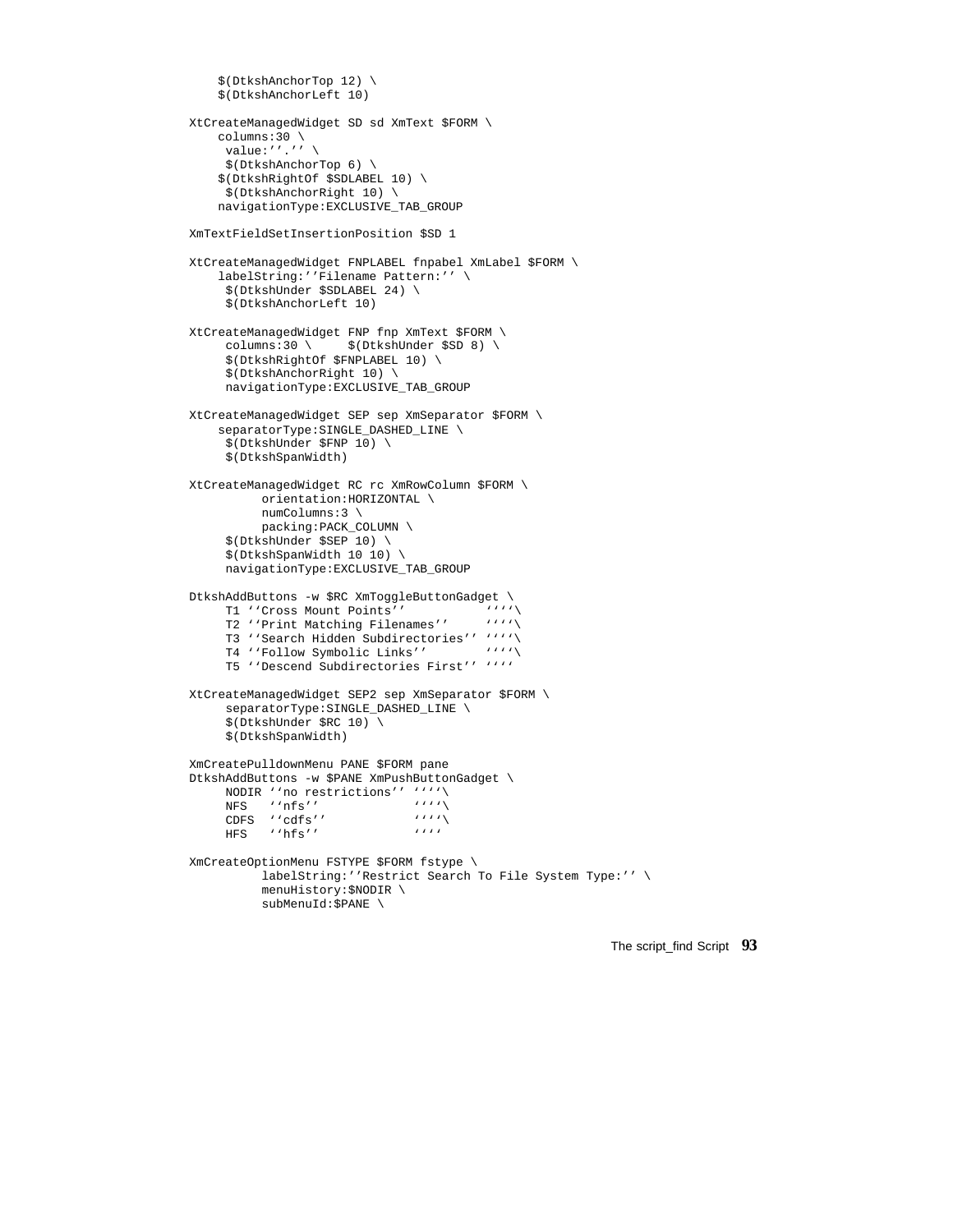```
$(DtkshAnchorTop 12) \
    $(DtkshAnchorLeft 10)
XtCreateManagedWidget SD sd XmText $FORM \
    columns:30 \
     value:''.'' \setminus$(DtkshAnchorTop 6) \
    $(DtkshRightOf $SDLABEL 10) \
     $(DtkshAnchorRight 10) \
    navigationType:EXCLUSIVE_TAB_GROUP
XmTextFieldSetInsertionPosition $SD 1
XtCreateManagedWidget FNPLABEL fnpabel XmLabel $FORM \
   labelString:''Filename Pattern:'' \
     $(DtkshUnder $SDLABEL 24) \
     $(DtkshAnchorLeft 10)
XtCreateManagedWidget FNP fnp XmText $FORM \
     \text{columns}:30 \setminus \text{$(DtkshUnder $SD 8)} \setminus$(DtkshRightOf $FNPLABEL 10) \
     $(DtkshAnchorRight 10) \
     navigationType:EXCLUSIVE_TAB_GROUP
XtCreateManagedWidget SEP sep XmSeparator $FORM \
    separatorType:SINGLE_DASHED_LINE \
     $(DtkshUnder $FNP 10) \
     $(DtkshSpanWidth)
XtCreateManagedWidget RC rc XmRowColumn $FORM \
          orientation:HORIZONTAL \
          numColumns:3 \
         packing:PACK_COLUMN \
     $(DtkshUnder $SEP 10) \
     $(DtkshSpanWidth 10 10) \
     navigationType:EXCLUSIVE_TAB_GROUP
DtkshAddButtons -w $RC XmToggleButtonGadget \
     T1 ''Cross Mount Points'' ''''\
     T2 ''Print Matching Filenames'' ''''\
     T3 ''Search Hidden Subdirectories'' ''''\
     T4 ''Follow Symbolic Links'' ''''\
     T5 ''Descend Subdirectories First'' ''''
XtCreateManagedWidget SEP2 sep XmSeparator $FORM \
     separatorType:SINGLE_DASHED_LINE \
     $(DtkshUnder $RC 10) \
     $(DtkshSpanWidth)
XmCreatePulldownMenu PANE $FORM pane
DtkshAddButtons -w $PANE XmPushButtonGadget \
     NODIR ''no restrictions'' ''''\
     NFS ''nfs'' ''''
     CDFS \quad 'cdfs' \qquad \qquad \cdotsHFS 'hfs''
XmCreateOptionMenu FSTYPE $FORM fstype \
          labelString:''Restrict Search To File System Type:'' \
          menuHistory:$NODIR \
          subMenuId:$PANE \
```
The script\_find Script **93**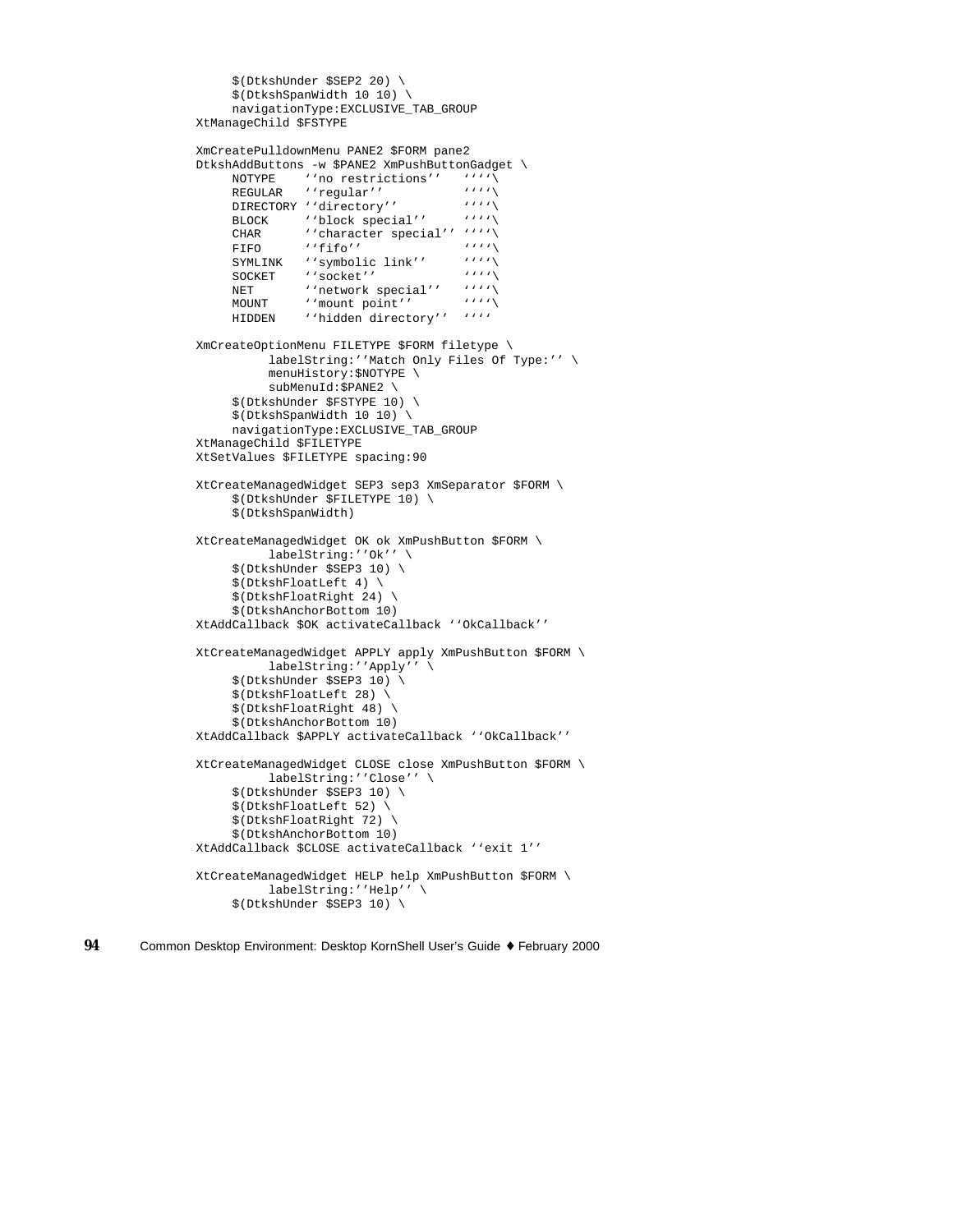```
$(DtkshUnder $SEP2 20) \
      $(DtkshSpanWidth 10 10) \
      navigationType:EXCLUSIVE_TAB_GROUP
XtManageChild $FSTYPE
XmCreatePulldownMenu PANE2 $FORM pane2
DtkshAddButtons -w $PANE2 XmPushButtonGadget \
     NOTYPE ''no restrictions'' ''''\<br>PEGULAE ''reqular'' '''\'\
      nverse<br>REGULAR ''regular''
       DIRECTORY ''directory'' ''''\
       BLOCK 'block special'' '''\
      CHAR ''character special'' \overrightarrow{v_1v_1}<br>FIFO \overrightarrow{v_1v_2}\frac{1}{\sqrt{1 + \frac{1}{\sqrt{1 + \frac{1}{\sqrt{1 + \frac{1}{\sqrt{1 + \frac{1}{\sqrt{1 + \frac{1}{\sqrt{1 + \frac{1}{\sqrt{1 + \frac{1}{\sqrt{1 + \frac{1}{\sqrt{1 + \frac{1}{\sqrt{1 + \frac{1}{\sqrt{1 + \frac{1}{\sqrt{1 + \frac{1}{\sqrt{1 + \frac{1}{\sqrt{1 + \frac{1}{\sqrt{1 + \frac{1}{\sqrt{1 + \frac{1}{\sqrt{1 + \frac{1}{\sqrt{1 + \frac{1}{\sqrt{1 + \frac{1}{\sqrt{1 + \frac{1}{\sqrt{1 + \frac{1}{\sqrt{1 +SYMLINK ''symbolic link'' ''''\<br>SOCKET ''socket'' ''''\
      SOCKET ''socket''
      NET ''network special'' ''''\<br>MOUNT ''mount point'' ''''\
                   ''mount point''
      HIDDEN ''hidden directory'' ''''
XmCreateOptionMenu FILETYPE $FORM filetype \
             labelString:''Match Only Files Of Type:'' \
             menuHistory:$NOTYPE \
             subMenuId:$PANE2 \
      $(DtkshUnder $FSTYPE 10) \
      $(DtkshSpanWidth 10 10)navigationType:EXCLUSIVE_TAB_GROUP
XtManageChild $FILETYPE
XtSetValues $FILETYPE spacing:90
XtCreateManagedWidget SEP3 sep3 XmSeparator $FORM \
      $(DtkshUnder $FILETYPE 10) \
      $(DtkshSpanWidth)
XtCreateManagedWidget OK ok XmPushButton $FORM \
            labelString:''Ok'' \
      $(DtkshUnder $SEP3 10) \
      $(DtkshFloatLeft 4) \
      $(DtkshFloatRight 24) \
      $(DtkshAnchorBottom 10)
XtAddCallback $OK activateCallback ''OkCallback''
XtCreateManagedWidget APPLY apply XmPushButton $FORM \
             labelString:''Apply'' \
      $(DtkshUnder $SEP3 10) \
      $(DtkshFloatLeft 28) \
      $(DtkshFloatRight 48) \
      $(DtkshAnchorBottom 10)
XtAddCallback $APPLY activateCallback ''OkCallback''
XtCreateManagedWidget CLOSE close XmPushButton $FORM \
             labelString:''Close'' \
      $(DtkshUnder $SEP3 10) \
      $(DtkshFloatLeft 52) \
      $(DtkshFloatRight 72) \
      $(DtkshAnchorBottom 10)
XtAddCallback $CLOSE activateCallback ''exit 1''
XtCreateManagedWidget HELP help XmPushButton $FORM \
            labelString:''Help'' \
      $(DtkshUnder $SEP3 10) \
```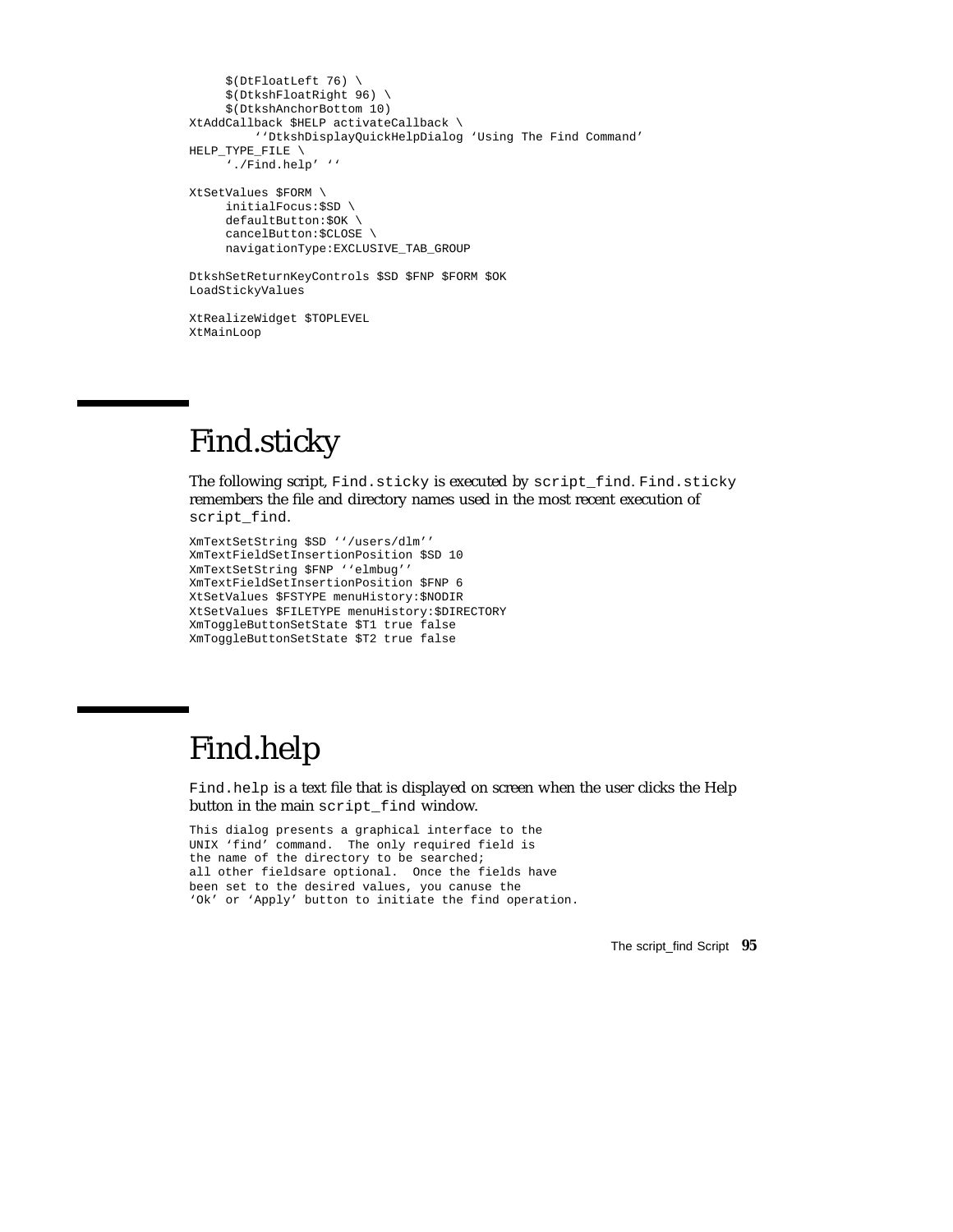```
$(DtFloatLeft 76) \
     $(DtkshFloatRight 96) \
     $(DtkshAnchorBottom 10)
XtAddCallback $HELP activateCallback \
         ''DtkshDisplayQuickHelpDialog 'Using The Find Command'
HELP TYPE_FILE \setminus'./Find.help' ''
XtSetValues $FORM \
     initialFocus:$SD \
     defaultButton:$OK \
     cancelButton:$CLOSE \
     navigationType:EXCLUSIVE_TAB_GROUP
DtkshSetReturnKeyControls $SD $FNP $FORM $OK
LoadStickyValues
XtRealizeWidget $TOPLEVEL
XtMainLoop
```
# Find.sticky

The following script, Find.sticky is executed by script\_find. Find.sticky remembers the file and directory names used in the most recent execution of script\_find.

```
XmTextSetString $SD ''/users/dlm''
XmTextFieldSetInsertionPosition $SD 10
XmTextSetString $FNP ''elmbug''
XmTextFieldSetInsertionPosition $FNP 6
XtSetValues $FSTYPE menuHistory:$NODIR
XtSetValues $FILETYPE menuHistory:$DIRECTORY
XmToggleButtonSetState $T1 true false
XmToggleButtonSetState $T2 true false
```
## Find.help

Find.help is a text file that is displayed on screen when the user clicks the Help button in the main script\_find window.

This dialog presents a graphical interface to the UNIX 'find' command. The only required field is the name of the directory to be searched; all other fieldsare optional. Once the fields have been set to the desired values, you canuse the 'Ok' or 'Apply' button to initiate the find operation.

The script\_find Script **95**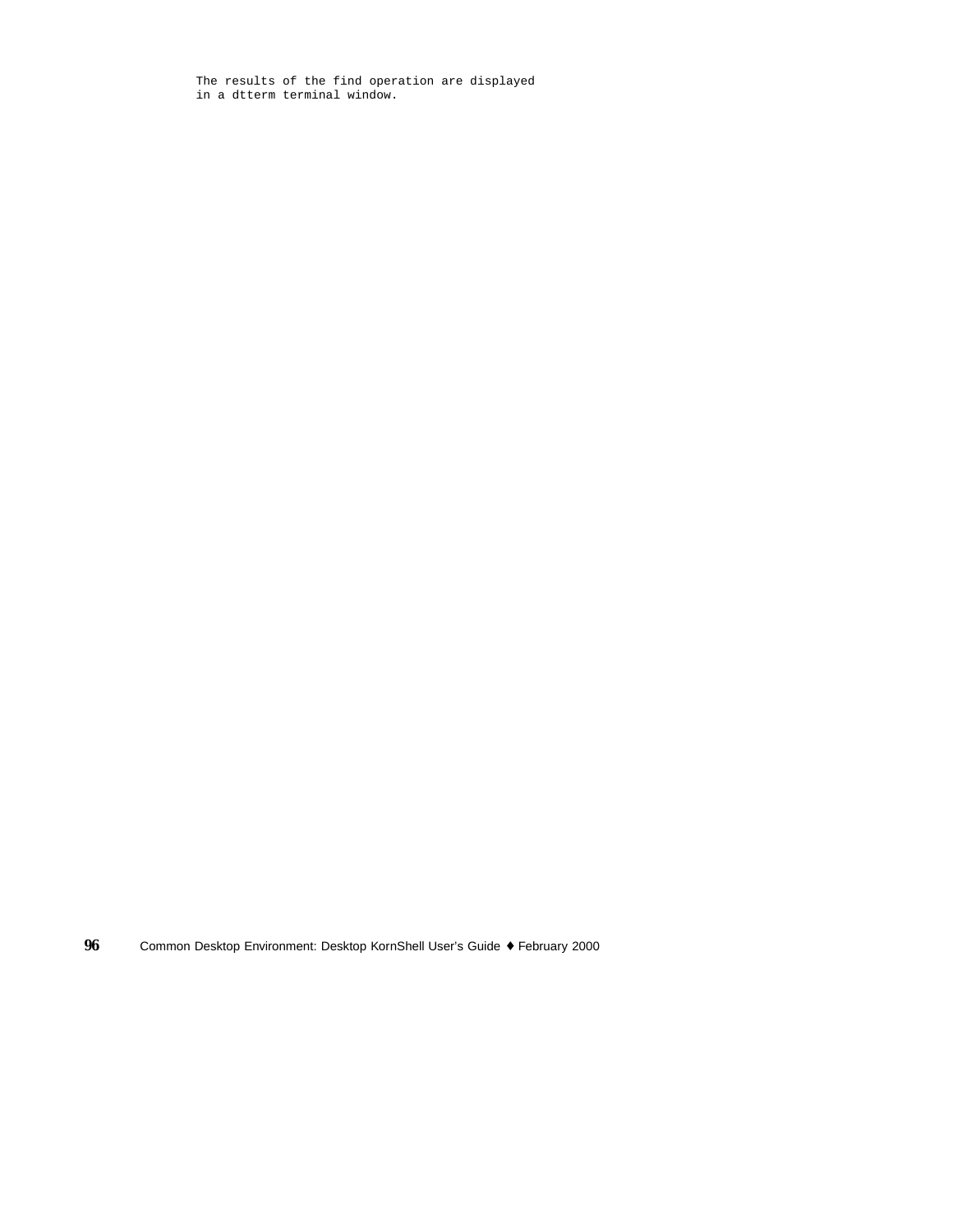The results of the find operation are displayed in a dtterm terminal window.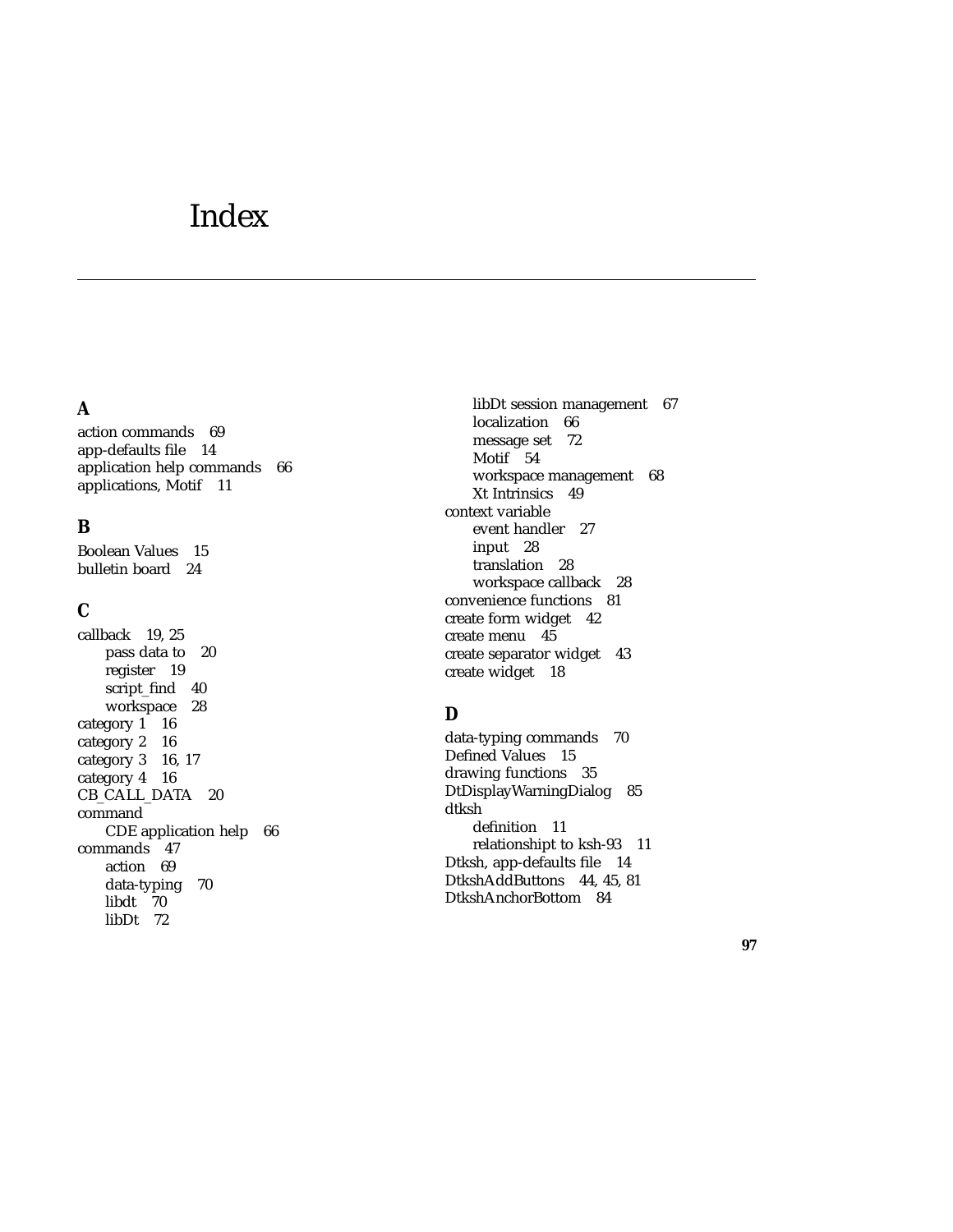# Index

## **A**

action commands 69 app-defaults file 14 application help commands 66 applications, Motif 11

### **B**

Boolean Values 15 bulletin board 24

## **C**

callback 19, 25 pass data to 20 register 19 script\_find 40 workspace 28 category 1 16 category 2 16 category 3 16, 17 category 4 16 CB\_CALL\_DATA 20 command CDE application help 66 commands 47 action 69 data-typing 70 libdt 70 libDt 72

libDt session management 67 localization 66 message set 72 Motif 54 workspace management 68 Xt Intrinsics 49 context variable event handler 27 input 28 translation 28 workspace callback 28 convenience functions 81 create form widget 42 create menu 45 create separator widget 43 create widget 18

### **D**

data-typing commands 70 Defined Values 15 drawing functions 35 DtDisplayWarningDialog 85 dtksh definition 11 relationshipt to ksh-93 11 Dtksh, app-defaults file 14 DtkshAddButtons 44, 45, 81 DtkshAnchorBottom 84

**97**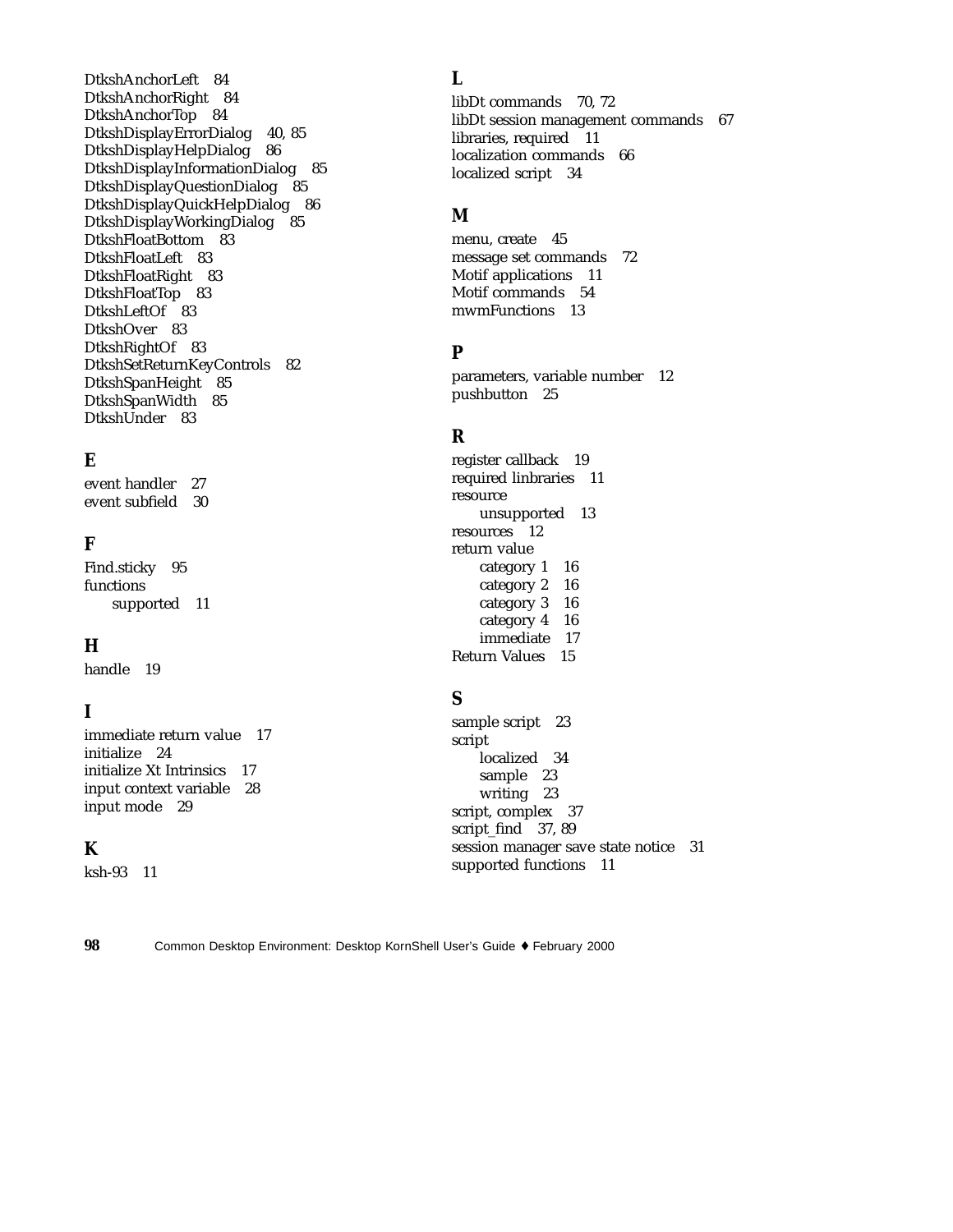DtkshAnchorLeft 84 DtkshAnchorRight 84 DtkshAnchorTop 84 DtkshDisplayErrorDialog 40, 85 DtkshDisplayHelpDialog 86 DtkshDisplayInformationDialog 85 DtkshDisplayQuestionDialog 85 DtkshDisplayQuickHelpDialog 86 DtkshDisplayWorkingDialog 85 DtkshFloatBottom 83 DtkshFloatLeft 83 DtkshFloatRight 83 DtkshFloatTop 83 DtkshLeftOf 83 DtkshOver 83 DtkshRightOf 83 DtkshSetReturnKeyControls 82 DtkshSpanHeight 85 DtkshSpanWidth 85 DtkshUnder 83

## **E**

event handler 27 event subfield 30

### **F**

Find.sticky 95 functions supported 11

### **H**

handle 19

## **I**

immediate return value 17 initialize 24 initialize Xt Intrinsics 17 input context variable 28 input mode 29

### **K**

ksh-93 11

## **L**

libDt commands 70, 72 libDt session management commands 67 libraries, required 11 localization commands 66 localized script 34

## **M**

menu, create 45 message set commands 72 Motif applications 11 Motif commands 54 mwmFunctions 13

## **P**

parameters, variable number 12 pushbutton 25

## **R**

register callback 19 required linbraries 11 resource unsupported 13 resources 12 return value category 1 16 category 2 16 category 3 16 category 4 16 immediate 17 Return Values 15

## **S**

sample script 23 script localized 34 sample 23 writing 23 script, complex 37 script\_find 37, 89 session manager save state notice 31 supported functions 11